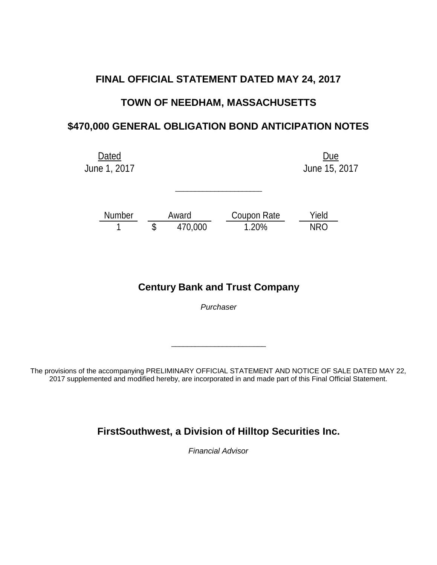## **FINAL OFFICIAL STATEMENT DATED MAY 24, 2017**

## **TOWN OF NEEDHAM, MASSACHUSETTS**

# **\$470,000 GENERAL OBLIGATION BOND ANTICIPATION NOTES**

| Dated<br>June 1, 2017 |               |             | Due<br>June 15, 2017 |
|-----------------------|---------------|-------------|----------------------|
| <b>Number</b>         | Award         | Coupon Rate | Yield                |
| 1                     | \$<br>470,000 | 1.20%       | <b>NRO</b>           |

# **Century Bank and Trust Company**

*Purchaser*

The provisions of the accompanying PRELIMINARY OFFICIAL STATEMENT AND NOTICE OF SALE DATED MAY 22, 2017 supplemented and modified hereby, are incorporated in and made part of this Final Official Statement.

\_\_\_\_\_\_\_\_\_\_\_\_\_\_\_\_\_\_\_\_\_\_\_\_

**FirstSouthwest, a Division of Hilltop Securities Inc.**

*Financial Advisor*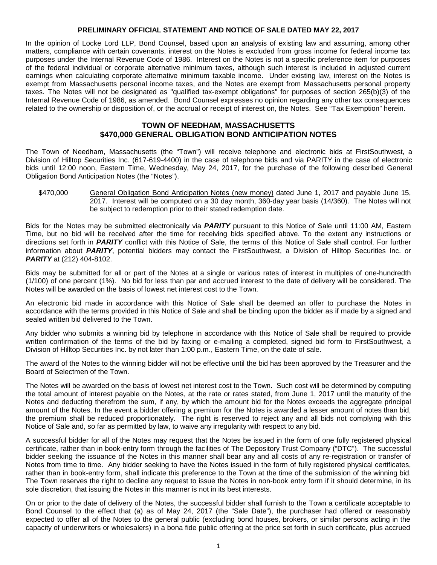#### **PRELIMINARY OFFICIAL STATEMENT AND NOTICE OF SALE DATED MAY 22, 2017**

In the opinion of Locke Lord LLP, Bond Counsel, based upon an analysis of existing law and assuming, among other matters, compliance with certain covenants, interest on the Notes is excluded from gross income for federal income tax purposes under the Internal Revenue Code of 1986. Interest on the Notes is not a specific preference item for purposes of the federal individual or corporate alternative minimum taxes, although such interest is included in adjusted current earnings when calculating corporate alternative minimum taxable income. Under existing law, interest on the Notes is exempt from Massachusetts personal income taxes, and the Notes are exempt from Massachusetts personal property taxes. The Notes will not be designated as "qualified tax-exempt obligations" for purposes of section 265(b)(3) of the Internal Revenue Code of 1986, as amended. Bond Counsel expresses no opinion regarding any other tax consequences related to the ownership or disposition of, or the accrual or receipt of interest on, the Notes. See "Tax Exemption" herein.

### **TOWN OF NEEDHAM, MASSACHUSETTS \$470,000 GENERAL OBLIGATION BOND ANTICIPATION NOTES**

The Town of Needham, Massachusetts (the "Town") will receive telephone and electronic bids at FirstSouthwest, a Division of Hilltop Securities Inc. (617-619-4400) in the case of telephone bids and via PARITY in the case of electronic bids until 12:00 noon, Eastern Time, Wednesday, May 24, 2017, for the purchase of the following described General Obligation Bond Anticipation Notes (the "Notes").

\$470,000 General Obligation Bond Anticipation Notes (new money) dated June 1, 2017 and payable June 15, 2017. Interest will be computed on a 30 day month, 360-day year basis (14/360). The Notes will not be subject to redemption prior to their stated redemption date.

Bids for the Notes may be submitted electronically via *PARITY* pursuant to this Notice of Sale until 11:00 AM, Eastern Time, but no bid will be received after the time for receiving bids specified above. To the extent any instructions or directions set forth in *PARITY* conflict with this Notice of Sale, the terms of this Notice of Sale shall control. For further information about *PARITY*, potential bidders may contact the FirstSouthwest, a Division of Hilltop Securities Inc. or *PARITY* at (212) 404-8102.

Bids may be submitted for all or part of the Notes at a single or various rates of interest in multiples of one-hundredth (1/100) of one percent (1%). No bid for less than par and accrued interest to the date of delivery will be considered. The Notes will be awarded on the basis of lowest net interest cost to the Town.

An electronic bid made in accordance with this Notice of Sale shall be deemed an offer to purchase the Notes in accordance with the terms provided in this Notice of Sale and shall be binding upon the bidder as if made by a signed and sealed written bid delivered to the Town.

Any bidder who submits a winning bid by telephone in accordance with this Notice of Sale shall be required to provide written confirmation of the terms of the bid by faxing or e-mailing a completed, signed bid form to FirstSouthwest, a Division of Hilltop Securities Inc. by not later than 1:00 p.m., Eastern Time, on the date of sale.

The award of the Notes to the winning bidder will not be effective until the bid has been approved by the Treasurer and the Board of Selectmen of the Town.

The Notes will be awarded on the basis of lowest net interest cost to the Town. Such cost will be determined by computing the total amount of interest payable on the Notes, at the rate or rates stated, from June 1, 2017 until the maturity of the Notes and deducting therefrom the sum, if any, by which the amount bid for the Notes exceeds the aggregate principal amount of the Notes. In the event a bidder offering a premium for the Notes is awarded a lesser amount of notes than bid, the premium shall be reduced proportionately. The right is reserved to reject any and all bids not complying with this Notice of Sale and, so far as permitted by law, to waive any irregularity with respect to any bid.

A successful bidder for all of the Notes may request that the Notes be issued in the form of one fully registered physical certificate, rather than in book-entry form through the facilities of The Depository Trust Company ("DTC"). The successful bidder seeking the issuance of the Notes in this manner shall bear any and all costs of any re-registration or transfer of Notes from time to time. Any bidder seeking to have the Notes issued in the form of fully registered physical certificates, rather than in book-entry form, shall indicate this preference to the Town at the time of the submission of the winning bid. The Town reserves the right to decline any request to issue the Notes in non-book entry form if it should determine, in its sole discretion, that issuing the Notes in this manner is not in its best interests.

On or prior to the date of delivery of the Notes, the successful bidder shall furnish to the Town a certificate acceptable to Bond Counsel to the effect that (a) as of May 24, 2017 (the "Sale Date"), the purchaser had offered or reasonably expected to offer all of the Notes to the general public (excluding bond houses, brokers, or similar persons acting in the capacity of underwriters or wholesalers) in a bona fide public offering at the price set forth in such certificate, plus accrued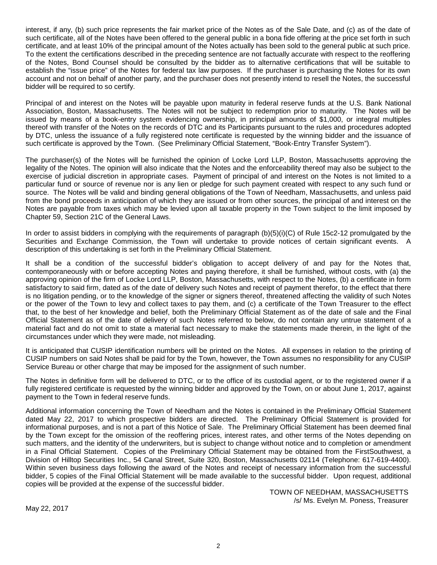interest, if any, (b) such price represents the fair market price of the Notes as of the Sale Date, and (c) as of the date of such certificate, all of the Notes have been offered to the general public in a bona fide offering at the price set forth in such certificate, and at least 10% of the principal amount of the Notes actually has been sold to the general public at such price. To the extent the certifications described in the preceding sentence are not factually accurate with respect to the reoffering of the Notes, Bond Counsel should be consulted by the bidder as to alternative certifications that will be suitable to establish the "issue price" of the Notes for federal tax law purposes. If the purchaser is purchasing the Notes for its own account and not on behalf of another party, and the purchaser does not presently intend to resell the Notes, the successful bidder will be required to so certify.

Principal of and interest on the Notes will be payable upon maturity in federal reserve funds at the U.S. Bank National Association, Boston, Massachusetts. The Notes will not be subject to redemption prior to maturity. The Notes will be issued by means of a book-entry system evidencing ownership, in principal amounts of \$1,000, or integral multiples thereof with transfer of the Notes on the records of DTC and its Participants pursuant to the rules and procedures adopted by DTC, unless the issuance of a fully registered note certificate is requested by the winning bidder and the issuance of such certificate is approved by the Town. (See Preliminary Official Statement, "Book-Entry Transfer System").

The purchaser(s) of the Notes will be furnished the opinion of Locke Lord LLP, Boston, Massachusetts approving the legality of the Notes. The opinion will also indicate that the Notes and the enforceability thereof may also be subject to the exercise of judicial discretion in appropriate cases. Payment of principal of and interest on the Notes is not limited to a particular fund or source of revenue nor is any lien or pledge for such payment created with respect to any such fund or source. The Notes will be valid and binding general obligations of the Town of Needham, Massachusetts, and unless paid from the bond proceeds in anticipation of which they are issued or from other sources, the principal of and interest on the Notes are payable from taxes which may be levied upon all taxable property in the Town subject to the limit imposed by Chapter 59, Section 21C of the General Laws.

In order to assist bidders in complying with the requirements of paragraph (b)(5)(i)(C) of Rule 15c2-12 promulgated by the Securities and Exchange Commission, the Town will undertake to provide notices of certain significant events. A description of this undertaking is set forth in the Preliminary Official Statement.

It shall be a condition of the successful bidder's obligation to accept delivery of and pay for the Notes that, contemporaneously with or before accepting Notes and paying therefore, it shall be furnished, without costs, with (a) the approving opinion of the firm of Locke Lord LLP, Boston, Massachusetts, with respect to the Notes, (b) a certificate in form satisfactory to said firm, dated as of the date of delivery such Notes and receipt of payment therefor, to the effect that there is no litigation pending, or to the knowledge of the signer or signers thereof, threatened affecting the validity of such Notes or the power of the Town to levy and collect taxes to pay them, and (c) a certificate of the Town Treasurer to the effect that, to the best of her knowledge and belief, both the Preliminary Official Statement as of the date of sale and the Final Official Statement as of the date of delivery of such Notes referred to below, do not contain any untrue statement of a material fact and do not omit to state a material fact necessary to make the statements made therein, in the light of the circumstances under which they were made, not misleading.

It is anticipated that CUSIP identification numbers will be printed on the Notes. All expenses in relation to the printing of CUSIP numbers on said Notes shall be paid for by the Town, however, the Town assumes no responsibility for any CUSIP Service Bureau or other charge that may be imposed for the assignment of such number.

The Notes in definitive form will be delivered to DTC, or to the office of its custodial agent, or to the registered owner if a fully registered certificate is requested by the winning bidder and approved by the Town, on or about June 1, 2017, against payment to the Town in federal reserve funds.

Additional information concerning the Town of Needham and the Notes is contained in the Preliminary Official Statement dated May 22, 2017 to which prospective bidders are directed. The Preliminary Official Statement is provided for informational purposes, and is not a part of this Notice of Sale. The Preliminary Official Statement has been deemed final by the Town except for the omission of the reoffering prices, interest rates, and other terms of the Notes depending on such matters, and the identity of the underwriters, but is subject to change without notice and to completion or amendment in a Final Official Statement. Copies of the Preliminary Official Statement may be obtained from the FirstSouthwest, a Division of Hilltop Securities Inc., 54 Canal Street, Suite 320, Boston, Massachusetts 02114 (Telephone: 617-619-4400). Within seven business days following the award of the Notes and receipt of necessary information from the successful bidder, 5 copies of the Final Official Statement will be made available to the successful bidder. Upon request, additional copies will be provided at the expense of the successful bidder.

TOWN OF NEEDHAM, MASSACHUSETTS /s/ Ms. Evelyn M. Poness, Treasurer

May 22, 2017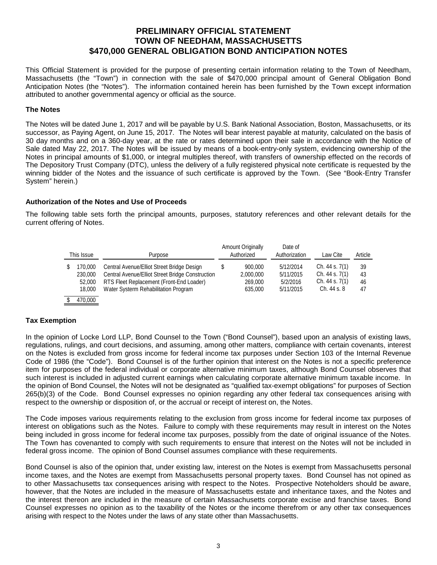## **PRELIMINARY OFFICIAL STATEMENT TOWN OF NEEDHAM, MASSACHUSETTS \$470,000 GENERAL OBLIGATION BOND ANTICIPATION NOTES**

This Official Statement is provided for the purpose of presenting certain information relating to the Town of Needham, Massachusetts (the "Town") in connection with the sale of \$470,000 principal amount of General Obligation Bond Anticipation Notes (the "Notes"). The information contained herein has been furnished by the Town except information attributed to another governmental agency or official as the source.

#### **The Notes**

The Notes will be dated June 1, 2017 and will be payable by U.S. Bank National Association, Boston, Massachusetts, or its successor, as Paying Agent, on June 15, 2017. The Notes will bear interest payable at maturity, calculated on the basis of 30 day months and on a 360-day year, at the rate or rates determined upon their sale in accordance with the Notice of Sale dated May 22, 2017. The Notes will be issued by means of a book-entry-only system, evidencing ownership of the Notes in principal amounts of \$1,000, or integral multiples thereof, with transfers of ownership effected on the records of The Depository Trust Company (DTC), unless the delivery of a fully registered physical note certificate is requested by the winning bidder of the Notes and the issuance of such certificate is approved by the Town. (See "Book-Entry Transfer System" herein.)

#### **Authorization of the Notes and Use of Proceeds**

The following table sets forth the principal amounts, purposes, statutory references and other relevant details for the current offering of Notes.

|   | This Issue                             | Purpose                                                                                                                                                                            | Amount Originally<br>Authorized            | Date of<br>Authorization                        | Law Cite                                                          | Article              |
|---|----------------------------------------|------------------------------------------------------------------------------------------------------------------------------------------------------------------------------------|--------------------------------------------|-------------------------------------------------|-------------------------------------------------------------------|----------------------|
| S | 170.000<br>230,000<br>52,000<br>18.000 | Central Avenue/Elliot Street Bridge Design<br>Central Avenue/Elliot Street Bridge Construction<br>RTS Fleet Replacement (Front-End Loader)<br>Water Systerm Rehabilitation Program | 900.000<br>2,000,000<br>269,000<br>635,000 | 5/12/2014<br>5/11/2015<br>5/2/2016<br>5/11/2015 | Ch. 44 s. 7(1)<br>Ch. 44 s. 7(1)<br>Ch. 44 s. 7(1)<br>Ch. 44 s. 8 | 39<br>43<br>46<br>47 |
|   | 470.000                                |                                                                                                                                                                                    |                                            |                                                 |                                                                   |                      |

#### **Tax Exemption**

In the opinion of Locke Lord LLP, Bond Counsel to the Town ("Bond Counsel"), based upon an analysis of existing laws, regulations, rulings, and court decisions, and assuming, among other matters, compliance with certain covenants, interest on the Notes is excluded from gross income for federal income tax purposes under Section 103 of the Internal Revenue Code of 1986 (the "Code"). Bond Counsel is of the further opinion that interest on the Notes is not a specific preference item for purposes of the federal individual or corporate alternative minimum taxes, although Bond Counsel observes that such interest is included in adjusted current earnings when calculating corporate alternative minimum taxable income. In the opinion of Bond Counsel, the Notes will not be designated as "qualified tax-exempt obligations" for purposes of Section 265(b)(3) of the Code. Bond Counsel expresses no opinion regarding any other federal tax consequences arising with respect to the ownership or disposition of, or the accrual or receipt of interest on, the Notes.

The Code imposes various requirements relating to the exclusion from gross income for federal income tax purposes of interest on obligations such as the Notes. Failure to comply with these requirements may result in interest on the Notes being included in gross income for federal income tax purposes, possibly from the date of original issuance of the Notes. The Town has covenanted to comply with such requirements to ensure that interest on the Notes will not be included in federal gross income. The opinion of Bond Counsel assumes compliance with these requirements.

Bond Counsel is also of the opinion that, under existing law, interest on the Notes is exempt from Massachusetts personal income taxes, and the Notes are exempt from Massachusetts personal property taxes. Bond Counsel has not opined as to other Massachusetts tax consequences arising with respect to the Notes. Prospective Noteholders should be aware, however, that the Notes are included in the measure of Massachusetts estate and inheritance taxes, and the Notes and the interest thereon are included in the measure of certain Massachusetts corporate excise and franchise taxes. Bond Counsel expresses no opinion as to the taxability of the Notes or the income therefrom or any other tax consequences arising with respect to the Notes under the laws of any state other than Massachusetts.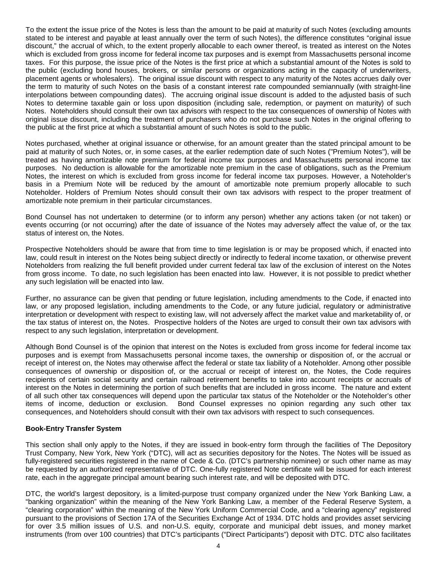To the extent the issue price of the Notes is less than the amount to be paid at maturity of such Notes (excluding amounts stated to be interest and payable at least annually over the term of such Notes), the difference constitutes "original issue discount," the accrual of which, to the extent properly allocable to each owner thereof, is treated as interest on the Notes which is excluded from gross income for federal income tax purposes and is exempt from Massachusetts personal income taxes. For this purpose, the issue price of the Notes is the first price at which a substantial amount of the Notes is sold to the public (excluding bond houses, brokers, or similar persons or organizations acting in the capacity of underwriters, placement agents or wholesalers). The original issue discount with respect to any maturity of the Notes accrues daily over the term to maturity of such Notes on the basis of a constant interest rate compounded semiannually (with straight-line interpolations between compounding dates). The accruing original issue discount is added to the adjusted basis of such Notes to determine taxable gain or loss upon disposition (including sale, redemption, or payment on maturity) of such Notes. Noteholders should consult their own tax advisors with respect to the tax consequences of ownership of Notes with original issue discount, including the treatment of purchasers who do not purchase such Notes in the original offering to the public at the first price at which a substantial amount of such Notes is sold to the public.

Notes purchased, whether at original issuance or otherwise, for an amount greater than the stated principal amount to be paid at maturity of such Notes, or, in some cases, at the earlier redemption date of such Notes ("Premium Notes"), will be treated as having amortizable note premium for federal income tax purposes and Massachusetts personal income tax purposes. No deduction is allowable for the amortizable note premium in the case of obligations, such as the Premium Notes, the interest on which is excluded from gross income for federal income tax purposes. However, a Noteholder's basis in a Premium Note will be reduced by the amount of amortizable note premium properly allocable to such Noteholder. Holders of Premium Notes should consult their own tax advisors with respect to the proper treatment of amortizable note premium in their particular circumstances.

Bond Counsel has not undertaken to determine (or to inform any person) whether any actions taken (or not taken) or events occurring (or not occurring) after the date of issuance of the Notes may adversely affect the value of, or the tax status of interest on, the Notes.

Prospective Noteholders should be aware that from time to time legislation is or may be proposed which, if enacted into law, could result in interest on the Notes being subject directly or indirectly to federal income taxation, or otherwise prevent Noteholders from realizing the full benefit provided under current federal tax law of the exclusion of interest on the Notes from gross income. To date, no such legislation has been enacted into law. However, it is not possible to predict whether any such legislation will be enacted into law.

Further, no assurance can be given that pending or future legislation, including amendments to the Code, if enacted into law, or any proposed legislation, including amendments to the Code, or any future judicial, regulatory or administrative interpretation or development with respect to existing law, will not adversely affect the market value and marketability of, or the tax status of interest on, the Notes. Prospective holders of the Notes are urged to consult their own tax advisors with respect to any such legislation, interpretation or development.

Although Bond Counsel is of the opinion that interest on the Notes is excluded from gross income for federal income tax purposes and is exempt from Massachusetts personal income taxes, the ownership or disposition of, or the accrual or receipt of interest on, the Notes may otherwise affect the federal or state tax liability of a Noteholder. Among other possible consequences of ownership or disposition of, or the accrual or receipt of interest on, the Notes, the Code requires recipients of certain social security and certain railroad retirement benefits to take into account receipts or accruals of interest on the Notes in determining the portion of such benefits that are included in gross income. The nature and extent of all such other tax consequences will depend upon the particular tax status of the Noteholder or the Noteholder's other items of income, deduction or exclusion. Bond Counsel expresses no opinion regarding any such other tax consequences, and Noteholders should consult with their own tax advisors with respect to such consequences.

#### **Book-Entry Transfer System**

This section shall only apply to the Notes, if they are issued in book-entry form through the facilities of The Depository Trust Company, New York, New York ("DTC), will act as securities depository for the Notes. The Notes will be issued as fully-registered securities registered in the name of Cede & Co. (DTC's partnership nominee) or such other name as may be requested by an authorized representative of DTC. One-fully registered Note certificate will be issued for each interest rate, each in the aggregate principal amount bearing such interest rate, and will be deposited with DTC.

DTC, the world's largest depository, is a limited-purpose trust company organized under the New York Banking Law, a "banking organization" within the meaning of the New York Banking Law, a member of the Federal Reserve System, a "clearing corporation" within the meaning of the New York Uniform Commercial Code, and a "clearing agency" registered pursuant to the provisions of Section 17A of the Securities Exchange Act of 1934. DTC holds and provides asset servicing for over 3.5 million issues of U.S. and non-U.S. equity, corporate and municipal debt issues, and money market instruments (from over 100 countries) that DTC's participants ("Direct Participants") deposit with DTC. DTC also facilitates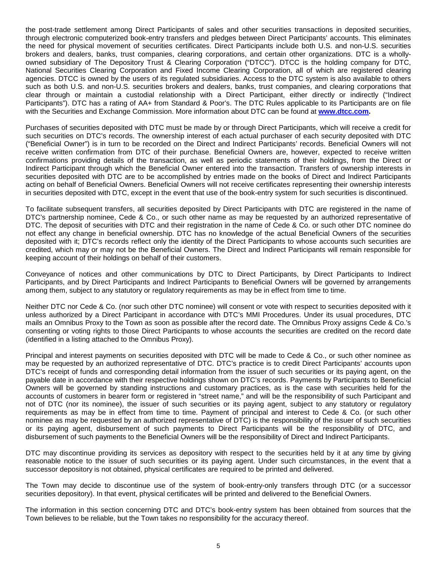the post-trade settlement among Direct Participants of sales and other securities transactions in deposited securities, through electronic computerized book-entry transfers and pledges between Direct Participants' accounts. This eliminates the need for physical movement of securities certificates. Direct Participants include both U.S. and non-U.S. securities brokers and dealers, banks, trust companies, clearing corporations, and certain other organizations. DTC is a whollyowned subsidiary of The Depository Trust & Clearing Corporation ("DTCC"). DTCC is the holding company for DTC, National Securities Clearing Corporation and Fixed Income Clearing Corporation, all of which are registered clearing agencies. DTCC is owned by the users of its regulated subsidiaries. Access to the DTC system is also available to others such as both U.S. and non-U.S. securities brokers and dealers, banks, trust companies, and clearing corporations that clear through or maintain a custodial relationship with a Direct Participant, either directly or indirectly ("Indirect Participants"). DTC has a rating of AA+ from Standard & Poor's. The DTC Rules applicable to its Participants are on file with the Securities and Exchange Commission. More information about DTC can be found at **www.dtcc.com.**

Purchases of securities deposited with DTC must be made by or through Direct Participants, which will receive a credit for such securities on DTC's records. The ownership interest of each actual purchaser of each security deposited with DTC ("Beneficial Owner") is in turn to be recorded on the Direct and Indirect Participants' records. Beneficial Owners will not receive written confirmation from DTC of their purchase. Beneficial Owners are, however, expected to receive written confirmations providing details of the transaction, as well as periodic statements of their holdings, from the Direct or Indirect Participant through which the Beneficial Owner entered into the transaction. Transfers of ownership interests in securities deposited with DTC are to be accomplished by entries made on the books of Direct and Indirect Participants acting on behalf of Beneficial Owners. Beneficial Owners will not receive certificates representing their ownership interests in securities deposited with DTC, except in the event that use of the book-entry system for such securities is discontinued.

To facilitate subsequent transfers, all securities deposited by Direct Participants with DTC are registered in the name of DTC's partnership nominee, Cede & Co., or such other name as may be requested by an authorized representative of DTC. The deposit of securities with DTC and their registration in the name of Cede & Co. or such other DTC nominee do not effect any change in beneficial ownership. DTC has no knowledge of the actual Beneficial Owners of the securities deposited with it; DTC's records reflect only the identity of the Direct Participants to whose accounts such securities are credited, which may or may not be the Beneficial Owners. The Direct and Indirect Participants will remain responsible for keeping account of their holdings on behalf of their customers.

Conveyance of notices and other communications by DTC to Direct Participants, by Direct Participants to Indirect Participants, and by Direct Participants and Indirect Participants to Beneficial Owners will be governed by arrangements among them, subject to any statutory or regulatory requirements as may be in effect from time to time.

Neither DTC nor Cede & Co. (nor such other DTC nominee) will consent or vote with respect to securities deposited with it unless authorized by a Direct Participant in accordance with DTC's MMI Procedures. Under its usual procedures, DTC mails an Omnibus Proxy to the Town as soon as possible after the record date. The Omnibus Proxy assigns Cede & Co.'s consenting or voting rights to those Direct Participants to whose accounts the securities are credited on the record date (identified in a listing attached to the Omnibus Proxy).

Principal and interest payments on securities deposited with DTC will be made to Cede & Co., or such other nominee as may be requested by an authorized representative of DTC. DTC's practice is to credit Direct Participants' accounts upon DTC's receipt of funds and corresponding detail information from the issuer of such securities or its paying agent, on the payable date in accordance with their respective holdings shown on DTC's records. Payments by Participants to Beneficial Owners will be governed by standing instructions and customary practices, as is the case with securities held for the accounts of customers in bearer form or registered in "street name," and will be the responsibility of such Participant and not of DTC (nor its nominee), the issuer of such securities or its paying agent, subject to any statutory or regulatory requirements as may be in effect from time to time. Payment of principal and interest to Cede & Co. (or such other nominee as may be requested by an authorized representative of DTC) is the responsibility of the issuer of such securities or its paying agent, disbursement of such payments to Direct Participants will be the responsibility of DTC, and disbursement of such payments to the Beneficial Owners will be the responsibility of Direct and Indirect Participants.

DTC may discontinue providing its services as depository with respect to the securities held by it at any time by giving reasonable notice to the issuer of such securities or its paying agent. Under such circumstances, in the event that a successor depository is not obtained, physical certificates are required to be printed and delivered.

The Town may decide to discontinue use of the system of book-entry-only transfers through DTC (or a successor securities depository). In that event, physical certificates will be printed and delivered to the Beneficial Owners.

The information in this section concerning DTC and DTC's book-entry system has been obtained from sources that the Town believes to be reliable, but the Town takes no responsibility for the accuracy thereof.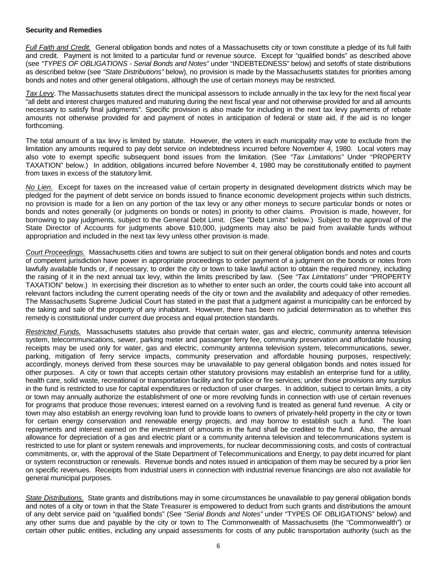#### **Security and Remedies**

*Full Faith and Credit.* General obligation bonds and notes of a Massachusetts city or town constitute a pledge of its full faith and credit. Payment is not limited to a particular fund or revenue source. Except for "qualified bonds" as described above (see *"TYPES OF OBLIGATIONS - Serial Bonds and Notes"* under "INDEBTEDNESS" below) and setoffs of state distributions as described below (see *"State Distributions"* below), no provision is made by the Massachusetts statutes for priorities among bonds and notes and other general obligations, although the use of certain moneys may be restricted.

*Tax Levy*. The Massachusetts statutes direct the municipal assessors to include annually in the tax levy for the next fiscal year "all debt and interest charges matured and maturing during the next fiscal year and not otherwise provided for and all amounts necessary to satisfy final judgments". Specific provision is also made for including in the next tax levy payments of rebate amounts not otherwise provided for and payment of notes in anticipation of federal or state aid, if the aid is no longer forthcoming.

The total amount of a tax levy is limited by statute. However, the voters in each municipality may vote to exclude from the limitation any amounts required to pay debt service on indebtedness incurred before November 4, 1980. Local voters may also vote to exempt specific subsequent bond issues from the limitation. (See *"Tax Limitations"* Under "PROPERTY TAXATION" below.) In addition, obligations incurred before November 4, 1980 may be constitutionally entitled to payment from taxes in excess of the statutory limit.

*No Lien.* Except for taxes on the increased value of certain property in designated development districts which may be pledged for the payment of debt service on bonds issued to finance economic development projects within such districts, no provision is made for a lien on any portion of the tax levy or any other moneys to secure particular bonds or notes or bonds and notes generally (or judgments on bonds or notes) in priority to other claims. Provision is made, however, for borrowing to pay judgments, subject to the General Debt Limit. (See "Debt Limits" below.) Subject to the approval of the State Director of Accounts for judgments above \$10,000, judgments may also be paid from available funds without appropriation and included in the next tax levy unless other provision is made.

*Court Proceedings.* Massachusetts cities and towns are subject to suit on their general obligation bonds and notes and courts of competent jurisdiction have power in appropriate proceedings to order payment of a judgment on the bonds or notes from lawfully available funds or, if necessary, to order the city or town to take lawful action to obtain the required money, including the raising of it in the next annual tax levy, within the limits prescribed by law. (See *"Tax Limitations"* under "PROPERTY TAXATION" below.) In exercising their discretion as to whether to enter such an order, the courts could take into account all relevant factors including the current operating needs of the city or town and the availability and adequacy of other remedies. The Massachusetts Supreme Judicial Court has stated in the past that a judgment against a municipality can be enforced by the taking and sale of the property of any inhabitant. However, there has been no judicial determination as to whether this remedy is constitutional under current due process and equal protection standards.

*Restricted Funds.* Massachusetts statutes also provide that certain water, gas and electric, community antenna television system, telecommunications, sewer, parking meter and passenger ferry fee, community preservation and affordable housing receipts may be used only for water, gas and electric, community antenna television system, telecommunications, sewer, parking, mitigation of ferry service impacts, community preservation and affordable housing purposes, respectively; accordingly, moneys derived from these sources may be unavailable to pay general obligation bonds and notes issued for other purposes. A city or town that accepts certain other statutory provisions may establish an enterprise fund for a utility, health care, solid waste, recreational or transportation facility and for police or fire services; under those provisions any surplus in the fund is restricted to use for capital expenditures or reduction of user charges. In addition, subject to certain limits, a city or town may annually authorize the establishment of one or more revolving funds in connection with use of certain revenues for programs that produce those revenues; interest earned on a revolving fund is treated as general fund revenue. A city or town may also establish an energy revolving loan fund to provide loans to owners of privately-held property in the city or town for certain energy conservation and renewable energy projects, and may borrow to establish such a fund. The loan repayments and interest earned on the investment of amounts in the fund shall be credited to the fund. Also, the annual allowance for depreciation of a gas and electric plant or a community antenna television and telecommunications system is restricted to use for plant or system renewals and improvements, for nuclear decommissioning costs, and costs of contractual commitments, or, with the approval of the State Department of Telecommunications and Energy, to pay debt incurred for plant or system reconstruction or renewals. Revenue bonds and notes issued in anticipation of them may be secured by a prior lien on specific revenues. Receipts from industrial users in connection with industrial revenue financings are also not available for general municipal purposes.

*State Distributions.* State grants and distributions may in some circumstances be unavailable to pay general obligation bonds and notes of a city or town in that the State Treasurer is empowered to deduct from such grants and distributions the amount of any debt service paid on "qualified bonds" (See *"Serial Bonds and Notes"* under "TYPES OF OBLIGATIONS" below) and any other sums due and payable by the city or town to The Commonwealth of Massachusetts (the "Commonwealth") or certain other public entities, including any unpaid assessments for costs of any public transportation authority (such as the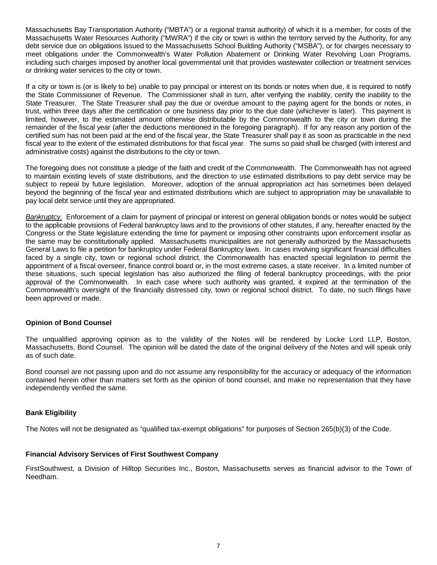Massachusetts Bay Transportation Authority ("MBTA") or a regional transit authority) of which it is a member, for costs of the Massachusetts Water Resources Authority ("MWRA") if the city or town is within the territory served by the Authority, for any debt service due on obligations issued to the Massachusetts School Building Authority ("MSBA"), or for charges necessary to meet obligations under the Commonwealth's Water Pollution Abatement or Drinking Water Revolving Loan Programs, including such charges imposed by another local governmental unit that provides wastewater collection or treatment services or drinking water services to the city or town.

If a city or town is (or is likely to be) unable to pay principal or interest on its bonds or notes when due, it is required to notify the State Commissioner of Revenue. The Commissioner shall in turn, after verifying the inability, certify the inability to the State Treasurer. The State Treasurer shall pay the due or overdue amount to the paying agent for the bonds or notes, in trust, within three days after the certification or one business day prior to the due date (whichever is later). This payment is limited, however, to the estimated amount otherwise distributable by the Commonwealth to the city or town during the remainder of the fiscal year (after the deductions mentioned in the foregoing paragraph). If for any reason any portion of the certified sum has not been paid at the end of the fiscal year, the State Treasurer shall pay it as soon as practicable in the next fiscal year to the extent of the estimated distributions for that fiscal year. The sums so paid shall be charged (with interest and administrative costs) against the distributions to the city or town.

The foregoing does not constitute a pledge of the faith and credit of the Commonwealth. The Commonwealth has not agreed to maintain existing levels of state distributions, and the direction to use estimated distributions to pay debt service may be subject to repeal by future legislation. Moreover, adoption of the annual appropriation act has sometimes been delayed beyond the beginning of the fiscal year and estimated distributions which are subject to appropriation may be unavailable to pay local debt service until they are appropriated.

*Bankruptcy.* Enforcement of a claim for payment of principal or interest on general obligation bonds or notes would be subject to the applicable provisions of Federal bankruptcy laws and to the provisions of other statutes, if any, hereafter enacted by the Congress or the State legislature extending the time for payment or imposing other constraints upon enforcement insofar as the same may be constitutionally applied. Massachusetts municipalities are not generally authorized by the Massachusetts General Laws to file a petition for bankruptcy under Federal Bankruptcy laws. In cases involving significant financial difficulties faced by a single city, town or regional school district, the Commonwealth has enacted special legislation to permit the appointment of a fiscal overseer, finance control board or, in the most extreme cases, a state receiver. In a limited number of these situations, such special legislation has also authorized the filing of federal bankruptcy proceedings, with the prior approval of the Commonwealth. In each case where such authority was granted, it expired at the termination of the Commonwealth's oversight of the financially distressed city, town or regional school district. To date, no such filings have been approved or made.

#### **Opinion of Bond Counsel**

The unqualified approving opinion as to the validity of the Notes will be rendered by Locke Lord LLP, Boston, Massachusetts, Bond Counsel. The opinion will be dated the date of the original delivery of the Notes and will speak only as of such date.

Bond counsel are not passing upon and do not assume any responsibility for the accuracy or adequacy of the information contained herein other than matters set forth as the opinion of bond counsel, and make no representation that they have independently verified the same.

#### **Bank Eligibility**

The Notes will not be designated as "qualified tax-exempt obligations" for purposes of Section 265(b)(3) of the Code.

#### **Financial Advisory Services of First Southwest Company**

FirstSouthwest, a Division of Hilltop Securities Inc., Boston, Massachusetts serves as financial advisor to the Town of Needham.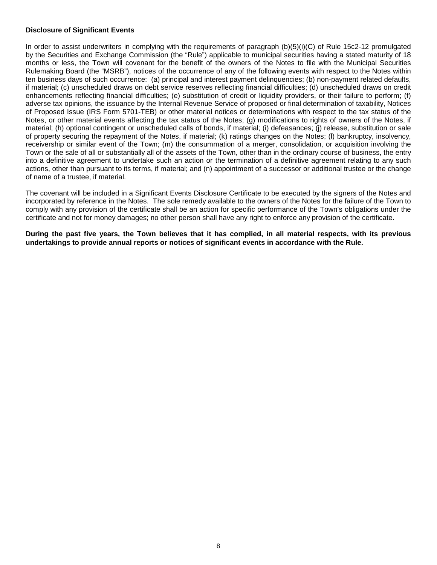#### **Disclosure of Significant Events**

In order to assist underwriters in complying with the requirements of paragraph (b)(5)(i)(C) of Rule 15c2-12 promulgated by the Securities and Exchange Commission (the "Rule") applicable to municipal securities having a stated maturity of 18 months or less, the Town will covenant for the benefit of the owners of the Notes to file with the Municipal Securities Rulemaking Board (the "MSRB"), notices of the occurrence of any of the following events with respect to the Notes within ten business days of such occurrence: (a) principal and interest payment delinquencies; (b) non-payment related defaults, if material; (c) unscheduled draws on debt service reserves reflecting financial difficulties; (d) unscheduled draws on credit enhancements reflecting financial difficulties; (e) substitution of credit or liquidity providers, or their failure to perform; (f) adverse tax opinions, the issuance by the Internal Revenue Service of proposed or final determination of taxability, Notices of Proposed Issue (IRS Form 5701-TEB) or other material notices or determinations with respect to the tax status of the Notes, or other material events affecting the tax status of the Notes; (g) modifications to rights of owners of the Notes, if material; (h) optional contingent or unscheduled calls of bonds, if material; (i) defeasances; (j) release, substitution or sale of property securing the repayment of the Notes, if material; (k) ratings changes on the Notes; (l) bankruptcy, insolvency, receivership or similar event of the Town; (m) the consummation of a merger, consolidation, or acquisition involving the Town or the sale of all or substantially all of the assets of the Town, other than in the ordinary course of business, the entry into a definitive agreement to undertake such an action or the termination of a definitive agreement relating to any such actions, other than pursuant to its terms, if material; and (n) appointment of a successor or additional trustee or the change of name of a trustee, if material.

The covenant will be included in a Significant Events Disclosure Certificate to be executed by the signers of the Notes and incorporated by reference in the Notes. The sole remedy available to the owners of the Notes for the failure of the Town to comply with any provision of the certificate shall be an action for specific performance of the Town's obligations under the certificate and not for money damages; no other person shall have any right to enforce any provision of the certificate.

**During the past five years, the Town believes that it has complied, in all material respects, with its previous undertakings to provide annual reports or notices of significant events in accordance with the Rule.**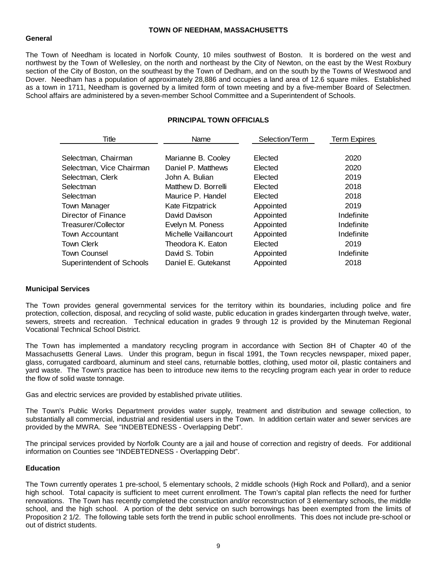#### **TOWN OF NEEDHAM, MASSACHUSETTS**

#### **General**

The Town of Needham is located in Norfolk County, 10 miles southwest of Boston. It is bordered on the west and northwest by the Town of Wellesley, on the north and northeast by the City of Newton, on the east by the West Roxbury section of the City of Boston, on the southeast by the Town of Dedham, and on the south by the Towns of Westwood and Dover. Needham has a population of approximately 28,886 and occupies a land area of 12.6 square miles. Established as a town in 1711, Needham is governed by a limited form of town meeting and by a five-member Board of Selectmen. School affairs are administered by a seven-member School Committee and a Superintendent of Schools.

#### **PRINCIPAL TOWN OFFICIALS**

| Title                     | Name                  | Selection/Term | <b>Term Expires</b> |
|---------------------------|-----------------------|----------------|---------------------|
| Selectman, Chairman       | Marianne B. Cooley    | Elected        | 2020                |
| Selectman, Vice Chairman  | Daniel P. Matthews    | Elected        | 2020                |
| Selectman, Clerk          | John A. Bulian        | Elected        | 2019                |
| Selectman                 | Matthew D. Borrelli   | Elected        | 2018                |
| Selectman                 | Maurice P. Handel     | Elected        | 2018                |
| <b>Town Manager</b>       | Kate Fitzpatrick      | Appointed      | 2019                |
| Director of Finance       | David Davison         | Appointed      | Indefinite          |
| Treasurer/Collector       | Evelyn M. Poness      | Appointed      | Indefinite          |
| <b>Town Accountant</b>    | Michelle Vaillancourt | Appointed      | Indefinite          |
| <b>Town Clerk</b>         | Theodora K. Eaton     | Elected        | 2019                |
| <b>Town Counsel</b>       | David S. Tobin        | Appointed      | Indefinite          |
| Superintendent of Schools | Daniel E. Gutekanst   | Appointed      | 2018                |

#### **Municipal Services**

The Town provides general governmental services for the territory within its boundaries, including police and fire protection, collection, disposal, and recycling of solid waste, public education in grades kindergarten through twelve, water, sewers, streets and recreation. Technical education in grades 9 through 12 is provided by the Minuteman Regional Vocational Technical School District.

The Town has implemented a mandatory recycling program in accordance with Section 8H of Chapter 40 of the Massachusetts General Laws. Under this program, begun in fiscal 1991, the Town recycles newspaper, mixed paper, glass, corrugated cardboard, aluminum and steel cans, returnable bottles, clothing, used motor oil, plastic containers and yard waste. The Town's practice has been to introduce new items to the recycling program each year in order to reduce the flow of solid waste tonnage.

Gas and electric services are provided by established private utilities.

The Town's Public Works Department provides water supply, treatment and distribution and sewage collection, to substantially all commercial, industrial and residential users in the Town. In addition certain water and sewer services are provided by the MWRA. See "INDEBTEDNESS - Overlapping Debt".

The principal services provided by Norfolk County are a jail and house of correction and registry of deeds. For additional information on Counties see "INDEBTEDNESS - Overlapping Debt".

#### **Education**

The Town currently operates 1 pre-school, 5 elementary schools, 2 middle schools (High Rock and Pollard), and a senior high school. Total capacity is sufficient to meet current enrollment. The Town's capital plan reflects the need for further renovations. The Town has recently completed the construction and/or reconstruction of 3 elementary schools, the middle school, and the high school. A portion of the debt service on such borrowings has been exempted from the limits of Proposition 2 1/2. The following table sets forth the trend in public school enrollments. This does not include pre-school or out of district students.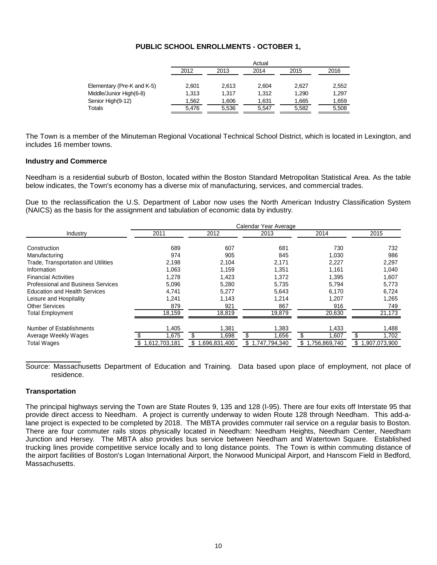#### **PUBLIC SCHOOL ENROLLMENTS - OCTOBER 1,**

|                            |       |       | Actual |       |       |
|----------------------------|-------|-------|--------|-------|-------|
|                            | 2012  | 2013  | 2014   | 2015  | 2016  |
| Elementary (Pre-K and K-5) | 2.601 | 2.613 | 2.604  | 2.627 | 2,552 |
| Middle/Junior High(6-8)    | 1.313 | 1.317 | 1.312  | 1.290 | 1,297 |
| Senior High(9-12)          | 1.562 | 1,606 | 1.631  | 1,665 | 1,659 |
| Totals                     | 5.476 | 5,536 | 5.547  | 5,582 | 5,508 |

The Town is a member of the Minuteman Regional Vocational Technical School District, which is located in Lexington, and includes 16 member towns.

#### **Industry and Commerce**

Needham is a residential suburb of Boston, located within the Boston Standard Metropolitan Statistical Area. As the table below indicates, the Town's economy has a diverse mix of manufacturing, services, and commercial trades.

Due to the reclassification the U.S. Department of Labor now uses the North American Industry Classification System (NAICS) as the basis for the assignment and tabulation of economic data by industry.

|                                           |               |                     | Calendar Year Average |              |                      |
|-------------------------------------------|---------------|---------------------|-----------------------|--------------|----------------------|
| Industry                                  | 2011          | 2012                | 2013                  | 2014         | 2015                 |
| Construction                              | 689           | 607                 | 681                   | 730          | 732                  |
| Manufacturing                             | 974           | 905                 | 845                   | 1,030        | 986                  |
| Trade, Transportation and Utilities       | 2,198         | 2,104               | 2,171                 | 2,227        | 2,297                |
| Information                               | 1,063         | 1,159               | 1,351                 | 1,161        | 1,040                |
| <b>Financial Activities</b>               | 1.278         | 1.423               | 1,372                 | 1.395        | 1,607                |
| <b>Professional and Business Services</b> | 5,096         | 5,280               | 5,735                 | 5,794        | 5,773                |
| <b>Education and Health Services</b>      | 4,741         | 5,277               | 5,643                 | 6,170        | 6,724                |
| Leisure and Hospitality                   | 1,241         | 1,143               | 1,214                 | 1,207        | 1,265                |
| <b>Other Services</b>                     | 879           | 921                 | 867                   | 916          | 749                  |
| <b>Total Employment</b>                   | 18,159        | 18,819              | 19,879                | 20,630       | 21,173               |
| Number of Establishments                  | 1,405         | 1,381               | 1,383                 | 1,433        | 1,488                |
| Average Weekly Wages                      | 1,675         | 1,698<br>£.         | 1,656                 | 1,607        | 1,702                |
| <b>Total Wages</b>                        | 1,612,703,181 | 1,696,831,400<br>S. | 1,747,794,340<br>S.   | ,756,869,740 | 1,907,073,900<br>\$. |

Source: Massachusetts Department of Education and Training. Data based upon place of employment, not place of residence.

#### **Transportation**

The principal highways serving the Town are State Routes 9, 135 and 128 (I-95). There are four exits off Interstate 95 that provide direct access to Needham. A project is currently underway to widen Route 128 through Needham. This add-alane project is expected to be completed by 2018. The MBTA provides commuter rail service on a regular basis to Boston. There are four commuter rails stops physically located in Needham: Needham Heights, Needham Center, Needham Junction and Hersey. The MBTA also provides bus service between Needham and Watertown Square. Established trucking lines provide competitive service locally and to long distance points. The Town is within commuting distance of the airport facilities of Boston's Logan International Airport, the Norwood Municipal Airport, and Hanscom Field in Bedford, Massachusetts.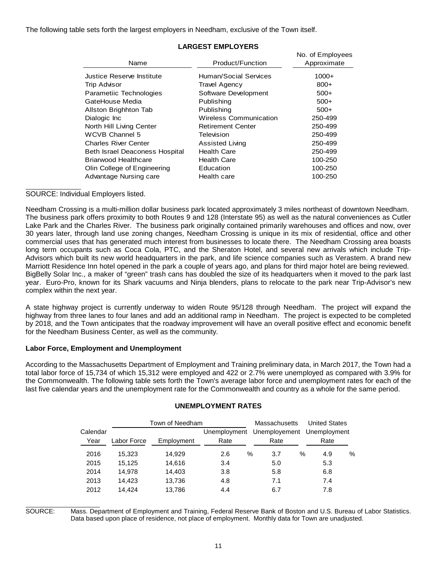The following table sets forth the largest employers in Needham, exclusive of the Town itself.

| Name                           | Product/Function              | No. of Employees<br>Approximate |
|--------------------------------|-------------------------------|---------------------------------|
| Justice Reserve Institute      | Human/Social Services         | $1000+$                         |
| Trip Advisor                   | <b>Travel Agency</b>          | $800+$                          |
| Parametiic Technologies        | Software Development          | $500+$                          |
| GateHouse Media                | Publishing                    | $500+$                          |
| Allston Brighhton Tab          | Publishing                    | $500+$                          |
| Dialogic Inc.                  | <b>Wireless Communication</b> | 250-499                         |
| North Hill Living Center       | <b>Retirement Center</b>      | 250-499                         |
| WCVB Channel 5                 | Television                    | 250-499                         |
| <b>Charles River Center</b>    | <b>Assisted Living</b>        | 250-499                         |
| Beth Israel Deaconess Hospital | <b>Health Care</b>            | 250-499                         |
| Briarwood Healthcare           | <b>Health Care</b>            | 100-250                         |
| Olin College of Engineering    | Education                     | 100-250                         |
| Advantage Nursing care         | Health care                   | 100-250                         |

### **LARGEST EMPLOYERS**

#### SOURCE: Individual Employers listed.

Needham Crossing is a multi-million dollar business park located approximately 3 miles northeast of downtown Needham. The business park offers proximity to both Routes 9 and 128 (Interstate 95) as well as the natural conveniences as Cutler Lake Park and the Charles River. The business park originally contained primarily warehouses and offices and now, over 30 years later, through land use zoning changes, Needham Crossing is unique in its mix of residential, office and other commercial uses that has generated much interest from businesses to locate there. The Needham Crossing area boasts long term occupants such as Coca Cola, PTC, and the Sheraton Hotel, and several new arrivals which include Trip-Advisors which built its new world headquarters in the park, and life science companies such as Verastem. A brand new Marriott Residence Inn hotel opened in the park a couple of years ago, and plans for third major hotel are being reviewed. BigBelly Solar Inc., a maker of "green" trash cans has doubled the size of its headquarters when it moved to the park last year. Euro-Pro, known for its Shark vacuums and Ninja blenders, plans to relocate to the park near Trip-Advisor's new complex within the next year.

A state highway project is currently underway to widen Route 95/128 through Needham. The project will expand the highway from three lanes to four lanes and add an additional ramp in Needham. The project is expected to be completed by 2018, and the Town anticipates that the roadway improvement will have an overall positive effect and economic benefit for the Needham Business Center, as well as the community.

#### **Labor Force, Employment and Unemployment**

According to the Massachusetts Department of Employment and Training preliminary data, in March 2017, the Town had a total labor force of 15,734 of which 15,312 were employed and 422 or 2.7% were unemployed as compared with 3.9% for the Commonwealth. The following table sets forth the Town's average labor force and unemployment rates for each of the last five calendar years and the unemployment rate for the Commonwealth and country as a whole for the same period.

|          |             | Town of Needham |              | Massachusetts<br><b>United States</b> |                            |   |      |   |  |
|----------|-------------|-----------------|--------------|---------------------------------------|----------------------------|---|------|---|--|
| Calendar |             |                 | Unemployment |                                       | Unemployement Unemployment |   |      |   |  |
| Year     | Labor Force | Employment      | Rate         |                                       | Rate                       |   | Rate |   |  |
| 2016     | 15.323      | 14.929          | 2.6          | $\%$                                  | 3.7                        | % | 4.9  | % |  |
| 2015     | 15.125      | 14,616          | 3.4          |                                       | 5.0                        |   | 5.3  |   |  |
| 2014     | 14.978      | 14,403          | 3.8          |                                       | 5.8                        |   | 6.8  |   |  |
| 2013     | 14.423      | 13,736          | 4.8          |                                       | 7.1                        |   | 7.4  |   |  |
| 2012     | 14.424      | 13,786          | 4.4          |                                       | 6.7                        |   | 7.8  |   |  |

#### **UNEMPLOYMENT RATES**

SOURCE: Mass. Department of Employment and Training, Federal Reserve Bank of Boston and U.S. Bureau of Labor Statistics. Data based upon place of residence, not place of employment. Monthly data for Town are unadjusted.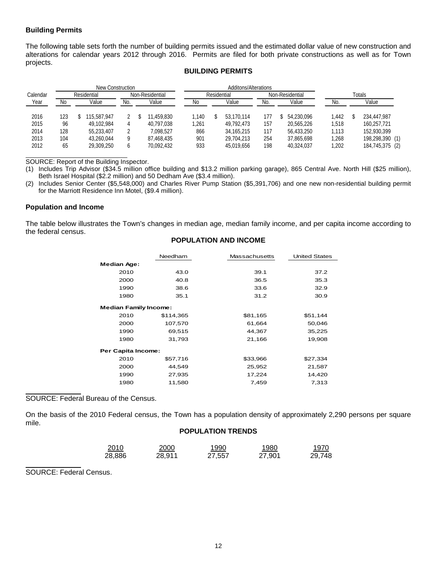#### **Building Permits**

The following table sets forth the number of building permits issued and the estimated dollar value of new construction and alterations for calendar years 2012 through 2016. Permits are filed for both private constructions as well as for Town projects.

#### **BUILDING PERMITS**

|          |     | New Construction |             |     |                 |            | Additons/Alterations |  |                 |     |  |            |       |  |                 |  |
|----------|-----|------------------|-------------|-----|-----------------|------------|----------------------|--|-----------------|-----|--|------------|-------|--|-----------------|--|
| Calendar |     | Residential      |             |     | Non-Residential |            | Residential          |  | Non-Residential |     |  | Totals     |       |  |                 |  |
| Year     | No  |                  | Value       | No. |                 | Value      | No                   |  | Value           | No. |  | Value      | No.   |  | Value           |  |
| 2016     | 123 |                  | 115.587.947 |     |                 | 11.459.830 | 1.140                |  | 53.170.114      | 177 |  | 54.230.096 | 1.442 |  | 234.447.987     |  |
| 2015     | 96  |                  | 49.102.984  | 4   |                 | 40.797.038 | 1,261                |  | 49,792,473      | 157 |  | 20.565.226 | 1,518 |  | 160.257.721     |  |
| 2014     | 128 |                  | 55.233.407  |     |                 | 7.098.527  | 866                  |  | 34, 165, 215    | 117 |  | 56.433.250 | 1,113 |  | 152,930,399     |  |
| 2013     | 104 |                  | 43.260.044  | 9   |                 | 87.468.435 | 901                  |  | 29,704,213      | 254 |  | 37.865.698 | 1,268 |  | 198,298,390 (1) |  |
| 2012     | 65  |                  | 29,309,250  | 6   |                 | 70,092,432 | 933                  |  | 45,019,656      | 198 |  | 40,324,037 | 1,202 |  | 184,745,375 (2) |  |

SOURCE: Report of the Building Inspector.

(1) Includes Trip Advisor (\$34.5 million office building and \$13.2 million parking garage), 865 Central Ave. North Hill (\$25 million), Beth Israel Hospital (\$2.2 million) and 50 Dedham Ave (\$3.4 million).

(2) Includes Senior Center (\$5,548,000) and Charles River Pump Station (\$5,391,706) and one new non-residential building permit for the Marriott Residence Inn Motel, (\$9.4 million).

#### **Population and Income**

The table below illustrates the Town's changes in median age, median family income, and per capita income according to the federal census.

#### **POPULATION AND INCOME**

|                              | Needham   | Massachusetts | <b>United States</b> |  |  |  |  |  |  |
|------------------------------|-----------|---------------|----------------------|--|--|--|--|--|--|
| <b>Median Age:</b>           |           |               |                      |  |  |  |  |  |  |
| 2010                         | 43.0      | 39.1          | 37.2                 |  |  |  |  |  |  |
| 2000                         | 40.8      | 36.5          | 35.3                 |  |  |  |  |  |  |
| 1990                         | 38.6      | 33.6          | 32.9                 |  |  |  |  |  |  |
| 1980                         | 35.1      | 31.2          | 30.9                 |  |  |  |  |  |  |
| <b>Median Family Income:</b> |           |               |                      |  |  |  |  |  |  |
| 2010                         | \$114,365 | \$81,165      | \$51,144             |  |  |  |  |  |  |
| 2000                         | 107,570   | 61,664        | 50,046               |  |  |  |  |  |  |
| 1990                         | 69,515    | 44,367        | 35,225               |  |  |  |  |  |  |
| 1980                         | 31,793    | 21,166        | 19,908               |  |  |  |  |  |  |
| Per Capita Income:           |           |               |                      |  |  |  |  |  |  |
| 2010                         | \$57,716  | \$33,966      | \$27,334             |  |  |  |  |  |  |
| 2000                         | 44,549    | 25,952        | 21,587               |  |  |  |  |  |  |
| 1990                         | 27,935    | 17,224        | 14,420               |  |  |  |  |  |  |
| 1980                         | 11,580    | 7,459         | 7,313                |  |  |  |  |  |  |

#### SOURCE: Federal Bureau of the Census.

On the basis of the 2010 Federal census, the Town has a population density of approximately 2,290 persons per square mile.

#### **POPULATION TRENDS**

| 2010   | 2000   | 1990   | 1980   | 1970   |
|--------|--------|--------|--------|--------|
| 28,886 | 28,911 | 27,557 | 27,901 | 29.748 |

SOURCE: Federal Census.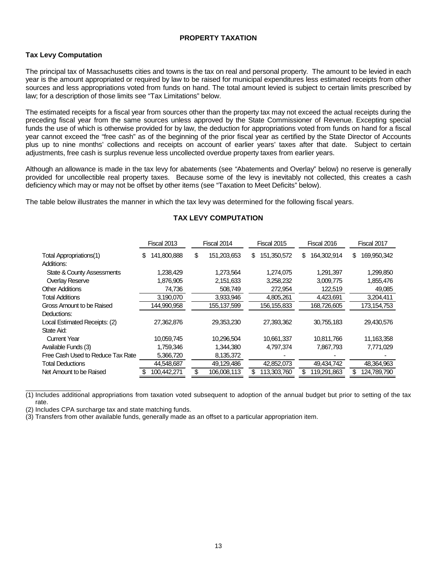#### **PROPERTY TAXATION**

#### **Tax Levy Computation**

The principal tax of Massachusetts cities and towns is the tax on real and personal property. The amount to be levied in each year is the amount appropriated or required by law to be raised for municipal expenditures less estimated receipts from other sources and less appropriations voted from funds on hand. The total amount levied is subject to certain limits prescribed by law; for a description of those limits see "Tax Limitations" below.

The estimated receipts for a fiscal year from sources other than the property tax may not exceed the actual receipts during the preceding fiscal year from the same sources unless approved by the State Commissioner of Revenue. Excepting special funds the use of which is otherwise provided for by law, the deduction for appropriations voted from funds on hand for a fiscal year cannot exceed the "free cash" as of the beginning of the prior fiscal year as certified by the State Director of Accounts plus up to nine months' collections and receipts on account of earlier years' taxes after that date. Subject to certain adjustments, free cash is surplus revenue less uncollected overdue property taxes from earlier years.

Although an allowance is made in the tax levy for abatements (see *"*Abatements and Overlay" below) no reserve is generally provided for uncollectible real property taxes. Because some of the levy is inevitably not collected, this creates a cash deficiency which may or may not be offset by other items (see "Taxation to Meet Deficits" below).

The table below illustrates the manner in which the tax levy was determined for the following fiscal years.

#### **TAX LEVY COMPUTATION**

|                                       | Fiscal 2013       | Fiscal 2014       | Fiscal 2015        | Fiscal 2016       | Fiscal 2017       |  |
|---------------------------------------|-------------------|-------------------|--------------------|-------------------|-------------------|--|
| Total Appropriations(1)<br>Additions: | 141,800,888<br>\$ | \$<br>151,203,653 | 151,350,572<br>\$. | 164,302,914<br>\$ | 169,950,342<br>\$ |  |
| State & County Assessments            | 1,238,429         | 1,273,564         | 1,274,075          | 1,291,397         | 1,299,850         |  |
| Overlay Reserve                       | 1,876,905         | 2,151,633         | 3,258,232          | 3,009,775         | 1,855,476         |  |
| <b>Other Additions</b>                | 74,736            | 508,749           | 272,954            | 122,519           | 49,085            |  |
| <b>Total Additions</b>                | 3,190,070         | 3,933,946         | 4,805,261          | 4,423,691         | 3,204,411         |  |
| Gross Amount to be Raised             | 144,990,958       | 155, 137, 599     | 156, 155, 833      | 168,726,605       | 173, 154, 753     |  |
| Deductions:                           |                   |                   |                    |                   |                   |  |
| Local Estimated Receipts: (2)         | 27,362,876        | 29,353,230        | 27,393,362         | 30,755,183        | 29,430,576        |  |
| State Aid:                            |                   |                   |                    |                   |                   |  |
| <b>Current Year</b>                   | 10,059,745        | 10,296,504        | 10,661,337         | 10,811,766        | 11,163,358        |  |
| Available Funds (3)                   | 1,759,346         | 1,344,380         | 4,797,374          | 7,867,793         | 7,771,029         |  |
| Free Cash Used to Reduce Tax Rate     | 5,366,720         | 8,135,372         |                    |                   |                   |  |
| <b>Total Deductions</b>               | 44,548,687        | 49,129,486        | 42,852,073         | 49,434,742        | 48,364,963        |  |
| Net Amount to be Raised               | 100,442,271       | 106,008,113       | 113,303,760        | 119,291,863       | 124,789,790       |  |
|                                       |                   |                   |                    |                   |                   |  |

(1) Includes additional appropriations from taxation voted subsequent to adoption of the annual budget but prior to setting of the tax rate.

(2) Includes CPA surcharge tax and state matching funds.

(3) Transfers from other available funds, generally made as an offset to a particular appropriation item.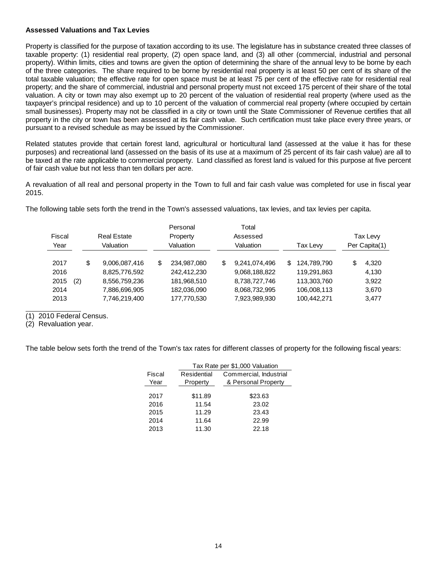#### **Assessed Valuations and Tax Levies**

Property is classified for the purpose of taxation according to its use. The legislature has in substance created three classes of taxable property: (1) residential real property, (2) open space land, and (3) all other (commercial, industrial and personal property). Within limits, cities and towns are given the option of determining the share of the annual levy to be borne by each of the three categories. The share required to be borne by residential real property is at least 50 per cent of its share of the total taxable valuation; the effective rate for open space must be at least 75 per cent of the effective rate for residential real property; and the share of commercial, industrial and personal property must not exceed 175 percent of their share of the total valuation. A city or town may also exempt up to 20 percent of the valuation of residential real property (where used as the taxpayer's principal residence) and up to 10 percent of the valuation of commercial real property (where occupied by certain small businesses). Property may not be classified in a city or town until the State Commissioner of Revenue certifies that all property in the city or town has been assessed at its fair cash value. Such certification must take place every three years, or pursuant to a revised schedule as may be issued by the Commissioner.

Related statutes provide that certain forest land, agricultural or horticultural land (assessed at the value it has for these purposes) and recreational land (assessed on the basis of its use at a maximum of 25 percent of its fair cash value) are all to be taxed at the rate applicable to commercial property. Land classified as forest land is valued for this purpose at five percent of fair cash value but not less than ten dollars per acre.

A revaluation of all real and personal property in the Town to full and fair cash value was completed for use in fiscal year 2015.

The following table sets forth the trend in the Town's assessed valuations, tax levies, and tax levies per capita.

| Fiscal<br><b>Real Estate</b><br>Year<br>Valuation |     | Personal<br>Property<br>Valuation<br>Valuation |                                                                                   | Total<br>Assessed | Tax Levy                                                                |    |                                                                                   | Tax Levy<br>Per Capita(1) |                                                                         |   |                                           |
|---------------------------------------------------|-----|------------------------------------------------|-----------------------------------------------------------------------------------|-------------------|-------------------------------------------------------------------------|----|-----------------------------------------------------------------------------------|---------------------------|-------------------------------------------------------------------------|---|-------------------------------------------|
| 2017<br>2016<br>2015<br>2014<br>2013              | (2) | \$                                             | 9,006,087,416<br>8,825,776,592<br>8,556,759,236<br>7,886,696,905<br>7,746,219,400 | \$                | 234,987,080<br>242,412,230<br>181,968,510<br>182,036,090<br>177,770,530 | \$ | 9,241,074,496<br>9,068,188,822<br>8,738,727,746<br>8,068,732,995<br>7,923,989,930 | \$                        | 124,789,790<br>119,291,863<br>113,303,760<br>106,008,113<br>100,442,271 | S | 4,320<br>4,130<br>3,922<br>3,670<br>3,477 |

(1) 2010 Federal Census.

(2) Revaluation year.

The table below sets forth the trend of the Town's tax rates for different classes of property for the following fiscal years:

|        |             | Tax Rate per \$1,000 Valuation |  |  |  |  |  |  |  |
|--------|-------------|--------------------------------|--|--|--|--|--|--|--|
| Fiscal | Residential | Commercial, Industrial         |  |  |  |  |  |  |  |
| Year   | Property    | & Personal Property            |  |  |  |  |  |  |  |
|        |             |                                |  |  |  |  |  |  |  |
| 2017   | \$11.89     | \$23.63                        |  |  |  |  |  |  |  |
| 2016   | 11.54       | 23.02                          |  |  |  |  |  |  |  |
| 2015   | 11.29       | 23.43                          |  |  |  |  |  |  |  |
| 2014   | 11.64       | 22.99                          |  |  |  |  |  |  |  |
| 2013   | 11.30       | 22.18                          |  |  |  |  |  |  |  |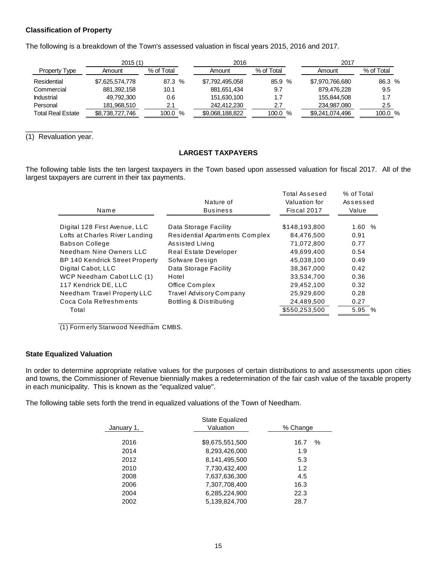#### **Classification of Property**

The following is a breakdown of the Town's assessed valuation in fiscal years 2015, 2016 and 2017.

|                          | 2015(1)         |            | 2016            |            | 2017            |            |
|--------------------------|-----------------|------------|-----------------|------------|-----------------|------------|
| Property Type            | Amount          | % of Total | Amount          | % of Total | Amount          | % of Total |
| Residential              | \$7,625,574,778 | 87.3%      | \$7,792,495,058 | 85.9 %     | \$7,970,766,680 | 86.3 %     |
| Commercial               | 881,392,158     | 10.1       | 881,651,434     | 9.7        | 879.476.228     | 9.5        |
| Industrial               | 49,792,300      | 0.6        | 151,630,100     | 1.7        | 155.844.508     | 1.7        |
| Personal                 | 181,968,510     | 2.1        | 242,412,230     | 2.7        | 234,987,080     | 2.5        |
| <b>Total Real Estate</b> | \$8,738,727,746 | 100.0 %    | \$9,068,188,822 | 100.0 %    | \$9.241.074.496 | 100.0 %    |

\_\_\_\_\_\_\_\_\_\_\_\_\_\_\_\_\_ (1) Revaluation year.

#### **LARGEST TAXPAYERS**

The following table lists the ten largest taxpayers in the Town based upon assessed valuation for fiscal 2017. All of the largest taxpayers are current in their tax payments.

| Name                                   | Nature of<br><b>Business</b>   | <b>Total Assesed</b><br>Valuation for<br>Fiscal 2017 | % of Total<br>Assessed<br>Value |
|----------------------------------------|--------------------------------|------------------------------------------------------|---------------------------------|
| Digital 128 First Avenue, LLC          | Data Storage Facility          | \$148,193,800                                        | 1.60<br>%                       |
| Lofts at Charles River Landing         | Residential Apartments Complex | 84,476,500                                           | 0.91                            |
| <b>Babson College</b>                  | Assisted Living                | 71.072.800                                           | 0.77                            |
| Needham Nine Owners LLC                | <b>Real Estate Developer</b>   | 49.699.400                                           | 0.54                            |
| <b>BP 140 Kendrick Street Property</b> | Sofware Design                 | 45,038,100                                           | 0.49                            |
| Digital Cabot, LLC                     | Data Storage Facility          | 38,367,000                                           | 0.42                            |
| WCP Needham Cabot LLC (1)              | Hotel                          | 33,534,700                                           | 0.36                            |
| 117 Kendrick DE, LLC                   | Office Complex                 | 29,452,100                                           | 0.32                            |
| Needham Travel Property LLC            | Travel Advisory Company        | 25,929,600                                           | 0.28                            |
| Coca Cola Refreshments                 | Bottling & Distributing        | 24,489,500                                           | 0.27                            |
| Total                                  |                                | \$550,253,500                                        | 5.95 %                          |

(1) Form erly Starwood Needham CMBS.

#### **State Equalized Valuation**

In order to determine appropriate relative values for the purposes of certain distributions to and assessments upon cities and towns, the Commissioner of Revenue biennially makes a redetermination of the fair cash value of the taxable property in each municipality. This is known as the "equalized value".

The following table sets forth the trend in equalized valuations of the Town of Needham.

| January 1, | State Equalized<br>Valuation | % Change     |
|------------|------------------------------|--------------|
| 2016       | \$9,675,551,500              | $\%$<br>16.7 |
| 2014       | 8,293,426,000                | 1.9          |
| 2012       | 8,141,495,500                | 5.3          |
| 2010       | 7,730,432,400                | 1.2          |
| 2008       | 7,637,636,300                | 4.5          |
| 2006       | 7,307,708,400                | 16.3         |
| 2004       | 6,285,224,900                | 22.3         |
| 2002       | 5,139,824,700                | 28.7         |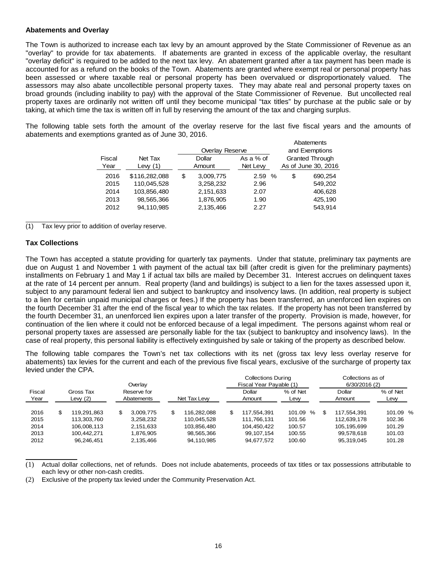#### **Abatements and Overlay**

The Town is authorized to increase each tax levy by an amount approved by the State Commissioner of Revenue as an "overlay" to provide for tax abatements. If abatements are granted in excess of the applicable overlay, the resultant "overlay deficit" is required to be added to the next tax levy. An abatement granted after a tax payment has been made is accounted for as a refund on the books of the Town. Abatements are granted where exempt real or personal property has been assessed or where taxable real or personal property has been overvalued or disproportionately valued. The assessors may also abate uncollectible personal property taxes. They may abate real and personal property taxes on broad grounds (including inability to pay) with the approval of the State Commissioner of Revenue. But uncollected real property taxes are ordinarily not written off until they become municipal "tax titles" by purchase at the public sale or by taking, at which time the tax is written off in full by reserving the amount of the tax and charging surplus.

The following table sets forth the amount of the overlay reserve for the last five fiscal years and the amounts of abatements and exemptions granted as of June 30, 2016.

Abatomonte

|        |               |                 |           |      |                     | Avalon lo illo         |
|--------|---------------|-----------------|-----------|------|---------------------|------------------------|
|        |               | Overlay Reserve |           |      |                     | and Exemptions         |
| Fiscal | Net Tax       | Dollar          | As a % of |      |                     | <b>Granted Through</b> |
| Year   | Levy $(1)$    | Amount          | Net Lew   |      | As of June 30, 2016 |                        |
| 2016   | \$116,282,088 | \$<br>3,009,775 | 2.59      | $\%$ | \$                  | 690.254                |
| 2015   | 110,045,528   | 3,258,232       | 2.96      |      |                     | 549,202                |
| 2014   | 103,856,480   | 2,151,633       | 2.07      |      |                     | 406,628                |
| 2013   | 98,565,366    | 1,876,905       | 1.90      |      |                     | 425,190                |
| 2012   | 94.110.985    | 2,135,466       | 2.27      |      |                     | 543.914                |
|        |               |                 |           |      |                     |                        |

(1) Tax levy prior to addition of overlay reserve.

#### **Tax Collections**

The Town has accepted a statute providing for quarterly tax payments. Under that statute, preliminary tax payments are due on August 1 and November 1 with payment of the actual tax bill (after credit is given for the preliminary payments) installments on February 1 and May 1 if actual tax bills are mailed by December 31. Interest accrues on delinquent taxes at the rate of 14 percent per annum. Real property (land and buildings) is subject to a lien for the taxes assessed upon it, subject to any paramount federal lien and subject to bankruptcy and insolvency laws. (In addition, real property is subject to a lien for certain unpaid municipal charges or fees.) If the property has been transferred, an unenforced lien expires on the fourth December 31 after the end of the fiscal year to which the tax relates. If the property has not been transferred by the fourth December 31, an unenforced lien expires upon a later transfer of the property. Provision is made, however, for continuation of the lien where it could not be enforced because of a legal impediment. The persons against whom real or personal property taxes are assessed are personally liable for the tax (subject to bankruptcy and insolvency laws). In the case of real property, this personal liability is effectively extinguished by sale or taking of the property as described below.

The following table compares the Town's net tax collections with its net (gross tax levy less overlay reserve for abatements) tax levies for the current and each of the previous five fiscal years, exclusive of the surcharge of property tax levied under the CPA.

|                |   |                         |     | Overlay                   |                   |   | <b>Collections During</b><br>Fiscal Year Payable (1) |                 |     | Collections as of<br>6/30/2016(2) |                 |  |
|----------------|---|-------------------------|-----|---------------------------|-------------------|---|------------------------------------------------------|-----------------|-----|-----------------------------------|-----------------|--|
| Fiscal<br>Year |   | Gross Tax<br>Levy $(2)$ |     | Reserve for<br>Abatements | Net Tax Lew       |   | Dollar<br>Amount                                     | % of Net<br>Lew |     | Dollar<br>Amount                  | % of Net<br>Lew |  |
| 2016           | S | 119.291.863             | \$. | 3.009.775                 | \$<br>116.282.088 | S | 117.554.391                                          | 101.09<br>$\%$  | \$. | 117.554.391                       | 101.09 %        |  |
| 2015           |   | 113.303.760             |     | 3,258,232                 | 110,045,528       |   | 111.766.131                                          | 101.56          |     | 112.639.178                       | 102.36          |  |
| 2014           |   | 106.008.113             |     | 2.151.633                 | 103.856.480       |   | 104.450.422                                          | 100.57          |     | 105.195.699                       | 101.29          |  |
| 2013           |   | 100.442.271             |     | 1.876.905                 | 98,565,366        |   | 99.107.154                                           | 100.55          |     | 99.578.618                        | 101.03          |  |
| 2012           |   | 96,246,451              |     | 2,135,466                 | 94,110,985        |   | 94,677,572                                           | 100.60          |     | 95.319.045                        | 101.28          |  |

(1) Actual dollar collections, net of refunds. Does not include abatements, proceeds of tax titles or tax possessions attributable to each levy or other non-cash credits.

(2) Exclusive of the property tax levied under the Community Preservation Act.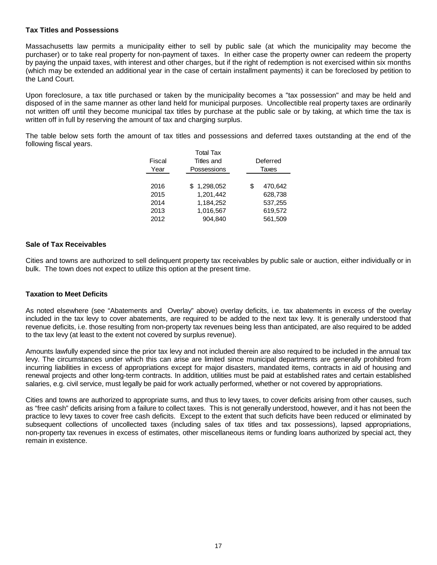#### **Tax Titles and Possessions**

Massachusetts law permits a municipality either to sell by public sale (at which the municipality may become the purchaser) or to take real property for non-payment of taxes. In either case the property owner can redeem the property by paying the unpaid taxes, with interest and other charges, but if the right of redemption is not exercised within six months (which may be extended an additional year in the case of certain installment payments) it can be foreclosed by petition to the Land Court.

Upon foreclosure, a tax title purchased or taken by the municipality becomes a "tax possession" and may be held and disposed of in the same manner as other land held for municipal purposes. Uncollectible real property taxes are ordinarily not written off until they become municipal tax titles by purchase at the public sale or by taking, at which time the tax is written off in full by reserving the amount of tax and charging surplus.

The table below sets forth the amount of tax titles and possessions and deferred taxes outstanding at the end of the following fiscal years.

|        | <b>Total Tax</b> |               |
|--------|------------------|---------------|
| Fiscal | Titles and       | Deferred      |
| Year   | Possessions      | <b>Taxes</b>  |
|        |                  |               |
| 2016   | \$1.298.052      | \$<br>470.642 |
| 2015   | 1,201,442        | 628.738       |
| 2014   | 1,184,252        | 537,255       |
| 2013   | 1,016,567        | 619,572       |
| 2012   | 904.840          | 561.509       |

#### **Sale of Tax Receivables**

Cities and towns are authorized to sell delinquent property tax receivables by public sale or auction, either individually or in bulk. The town does not expect to utilize this option at the present time.

#### **Taxation to Meet Deficits**

As noted elsewhere (see "Abatements and Overlay" above) overlay deficits, i.e. tax abatements in excess of the overlay included in the tax levy to cover abatements, are required to be added to the next tax levy. It is generally understood that revenue deficits, i.e. those resulting from non-property tax revenues being less than anticipated, are also required to be added to the tax levy (at least to the extent not covered by surplus revenue).

Amounts lawfully expended since the prior tax levy and not included therein are also required to be included in the annual tax levy. The circumstances under which this can arise are limited since municipal departments are generally prohibited from incurring liabilities in excess of appropriations except for major disasters, mandated items, contracts in aid of housing and renewal projects and other long-term contracts. In addition, utilities must be paid at established rates and certain established salaries, e.g. civil service, must legally be paid for work actually performed, whether or not covered by appropriations.

Cities and towns are authorized to appropriate sums, and thus to levy taxes, to cover deficits arising from other causes, such as "free cash" deficits arising from a failure to collect taxes. This is not generally understood, however, and it has not been the practice to levy taxes to cover free cash deficits. Except to the extent that such deficits have been reduced or eliminated by subsequent collections of uncollected taxes (including sales of tax titles and tax possessions), lapsed appropriations, non-property tax revenues in excess of estimates, other miscellaneous items or funding loans authorized by special act, they remain in existence.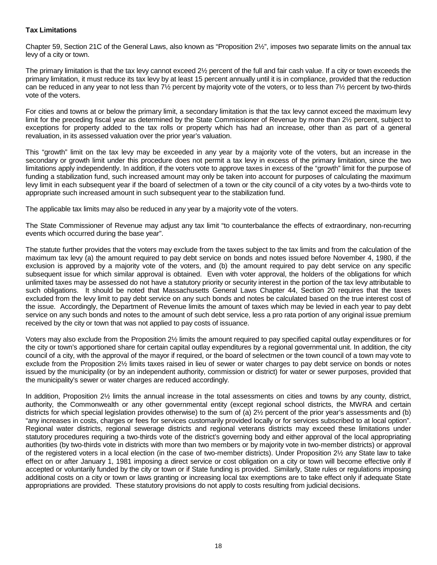#### **Tax Limitations**

Chapter 59, Section 21C of the General Laws, also known as "Proposition 2½", imposes two separate limits on the annual tax levy of a city or town.

The primary limitation is that the tax levy cannot exceed 2½ percent of the full and fair cash value. If a city or town exceeds the primary limitation, it must reduce its tax levy by at least 15 percent annually until it is in compliance, provided that the reduction can be reduced in any year to not less than 7½ percent by majority vote of the voters, or to less than 7½ percent by two-thirds vote of the voters.

For cities and towns at or below the primary limit, a secondary limitation is that the tax levy cannot exceed the maximum levy limit for the preceding fiscal year as determined by the State Commissioner of Revenue by more than 2½ percent, subject to exceptions for property added to the tax rolls or property which has had an increase, other than as part of a general revaluation, in its assessed valuation over the prior year's valuation.

This "growth" limit on the tax levy may be exceeded in any year by a majority vote of the voters, but an increase in the secondary or growth limit under this procedure does not permit a tax levy in excess of the primary limitation, since the two limitations apply independently. In addition, if the voters vote to approve taxes in excess of the "growth" limit for the purpose of funding a stabilization fund, such increased amount may only be taken into account for purposes of calculating the maximum levy limit in each subsequent year if the board of selectmen of a town or the city council of a city votes by a two-thirds vote to appropriate such increased amount in such subsequent year to the stabilization fund.

The applicable tax limits may also be reduced in any year by a majority vote of the voters.

The State Commissioner of Revenue may adjust any tax limit "to counterbalance the effects of extraordinary, non-recurring events which occurred during the base year".

The statute further provides that the voters may exclude from the taxes subject to the tax limits and from the calculation of the maximum tax levy (a) the amount required to pay debt service on bonds and notes issued before November 4, 1980, if the exclusion is approved by a majority vote of the voters, and (b) the amount required to pay debt service on any specific subsequent issue for which similar approval is obtained. Even with voter approval, the holders of the obligations for which unlimited taxes may be assessed do not have a statutory priority or security interest in the portion of the tax levy attributable to such obligations. It should be noted that Massachusetts General Laws Chapter 44, Section 20 requires that the taxes excluded from the levy limit to pay debt service on any such bonds and notes be calculated based on the true interest cost of the issue. Accordingly, the Department of Revenue limits the amount of taxes which may be levied in each year to pay debt service on any such bonds and notes to the amount of such debt service, less a pro rata portion of any original issue premium received by the city or town that was not applied to pay costs of issuance.

Voters may also exclude from the Proposition 2½ limits the amount required to pay specified capital outlay expenditures or for the city or town's apportioned share for certain capital outlay expenditures by a regional governmental unit. In addition, the city council of a city, with the approval of the mayor if required, or the board of selectmen or the town council of a town may vote to exclude from the Proposition 2½ limits taxes raised in lieu of sewer or water charges to pay debt service on bonds or notes issued by the municipality (or by an independent authority, commission or district) for water or sewer purposes, provided that the municipality's sewer or water charges are reduced accordingly.

In addition, Proposition 2<sup>1/2</sup> limits the annual increase in the total assessments on cities and towns by any county, district, authority, the Commonwealth or any other governmental entity (except regional school districts, the MWRA and certain districts for which special legislation provides otherwise) to the sum of (a) 2½ percent of the prior year's assessments and (b) "any increases in costs, charges or fees for services customarily provided locally or for services subscribed to at local option". Regional water districts, regional sewerage districts and regional veterans districts may exceed these limitations under statutory procedures requiring a two-thirds vote of the district's governing body and either approval of the local appropriating authorities (by two-thirds vote in districts with more than two members or by majority vote in two-member districts) or approval of the registered voters in a local election (in the case of two-member districts). Under Proposition 2½ any State law to take effect on or after January 1, 1981 imposing a direct service or cost obligation on a city or town will become effective only if accepted or voluntarily funded by the city or town or if State funding is provided. Similarly, State rules or regulations imposing additional costs on a city or town or laws granting or increasing local tax exemptions are to take effect only if adequate State appropriations are provided. These statutory provisions do not apply to costs resulting from judicial decisions.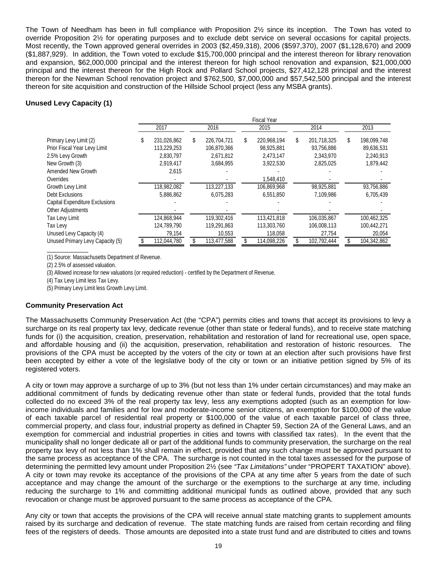The Town of Needham has been in full compliance with Proposition 2½ since its inception. The Town has voted to override Proposition 2½ for operating purposes and to exclude debt service on several occasions for capital projects. Most recently, the Town approved general overrides in 2003 (\$2,459,318), 2006 (\$597,370), 2007 (\$1,128,670) and 2009 (\$1,887,929). In addition, the Town voted to exclude \$15,700,000 principal and the interest thereon for library renovation and expansion, \$62,000,000 principal and the interest thereon for high school renovation and expansion, \$21,000,000 principal and the interest thereon for the High Rock and Pollard School projects, \$27,412,128 principal and the interest thereon for the Newman School renovation project and \$762,500, \$7,000,000 and \$57,542,500 principal and the interest thereon for site acquisition and construction of the Hillside School project (less any MSBA grants).

#### **Unused Levy Capacity (1)**

|                                  |             |   |             |   | <b>Fiscal Year</b> |                   |                   |
|----------------------------------|-------------|---|-------------|---|--------------------|-------------------|-------------------|
|                                  | 2017        |   | 2016        |   | 2015               | 2014              | 2013              |
| Primary Levy Limit (2)           | 231,026,862 | S | 226.704.721 | S | 220,968,194        | \$<br>201,718,325 | \$<br>198,099,748 |
| Prior Fiscal Year Levy Limit     | 113,229,253 |   | 106,870,366 |   | 98,925,881         | 93,756,886        | 89,636,531        |
| 2.5% Levy Growth                 | 2,830,797   |   | 2,671,812   |   | 2,473,147          | 2,343,970         | 2,240,913         |
| New Growth (3)                   | 2,919,417   |   | 3,684,955   |   | 3,922,530          | 2,825,025         | 1,879,442         |
| Amended New Growth               | 2,615       |   |             |   |                    |                   |                   |
| Overrides                        |             |   |             |   | 1,548,410          |                   |                   |
| Growth Levy Limit                | 118,982,082 |   | 113,227,133 |   | 106,869,968        | 98,925,881        | 93,756,886        |
| <b>Debt Exclusions</b>           | 5,886,862   |   | 6,075,283   |   | 6.551.850          | 7.109.986         | 6,705,439         |
| Capital Expenditure Exclusions   |             |   |             |   |                    |                   |                   |
| Other Adjustments                |             |   |             |   |                    |                   |                   |
| Tax Levy Limit                   | 124,868,944 |   | 119,302,416 |   | 113,421,818        | 106,035,867       | 100,462,325       |
| Tax Levy                         | 124.789.790 |   | 119,291,863 |   | 113,303,760        | 106,008,113       | 100,442,271       |
| Unused Levy Capacity (4)         | 79,154      |   | 10,553      |   | 118,058            | 27,754            | 20,054            |
| Unused Primary Levy Capacity (5) | 112.044.780 |   | 113.477.588 |   | 114.098.226        | 102,792,444       | 104,342,862       |
|                                  |             |   |             |   |                    |                   |                   |

(1) Source: Massachusetts Department of Revenue.

(2) 2.5% of assessed valuation.

 $\mathcal{L}=\mathcal{L}=\mathcal{L}=\mathcal{L}=\mathcal{L}=\mathcal{L}=\mathcal{L}$ 

(3) Allowed increase for new valuations (or required reduction) - certified by the Department of Revenue.

(4) Tax Levy Limit less Tax Levy.

(5) Primary Levy Limit less Growth Levy Limit.

#### **Community Preservation Act**

The Massachusetts Community Preservation Act (the "CPA") permits cities and towns that accept its provisions to levy a surcharge on its real property tax levy, dedicate revenue (other than state or federal funds), and to receive state matching funds for (i) the acquisition, creation, preservation, rehabilitation and restoration of land for recreational use, open space, and affordable housing and (ii) the acquisition, preservation, rehabilitation and restoration of historic resources. The provisions of the CPA must be accepted by the voters of the city or town at an election after such provisions have first been accepted by either a vote of the legislative body of the city or town or an initiative petition signed by 5% of its registered voters.

A city or town may approve a surcharge of up to 3% (but not less than 1% under certain circumstances) and may make an additional commitment of funds by dedicating revenue other than state or federal funds, provided that the total funds collected do no exceed 3% of the real property tax levy, less any exemptions adopted (such as an exemption for lowincome individuals and families and for low and moderate-income senior citizens, an exemption for \$100,000 of the value of each taxable parcel of residential real property or \$100,000 of the value of each taxable parcel of class three, commercial property, and class four, industrial property as defined in Chapter 59, Section 2A of the General Laws, and an exemption for commercial and industrial properties in cities and towns with classified tax rates). In the event that the municipality shall no longer dedicate all or part of the additional funds to community preservation, the surcharge on the real property tax levy of not less than 1% shall remain in effect, provided that any such change must be approved pursuant to the same process as acceptance of the CPA. The surcharge is not counted in the total taxes assessed for the purpose of determining the permitted levy amount under Proposition 2½ (see *"Tax Limitations"* under "PROPERT TAXATION" above). A city or town may revoke its acceptance of the provisions of the CPA at any time after 5 years from the date of such acceptance and may change the amount of the surcharge or the exemptions to the surcharge at any time, including reducing the surcharge to 1% and committing additional municipal funds as outlined above, provided that any such revocation or change must be approved pursuant to the same process as acceptance of the CPA.

Any city or town that accepts the provisions of the CPA will receive annual state matching grants to supplement amounts raised by its surcharge and dedication of revenue. The state matching funds are raised from certain recording and filing fees of the registers of deeds. Those amounts are deposited into a state trust fund and are distributed to cities and towns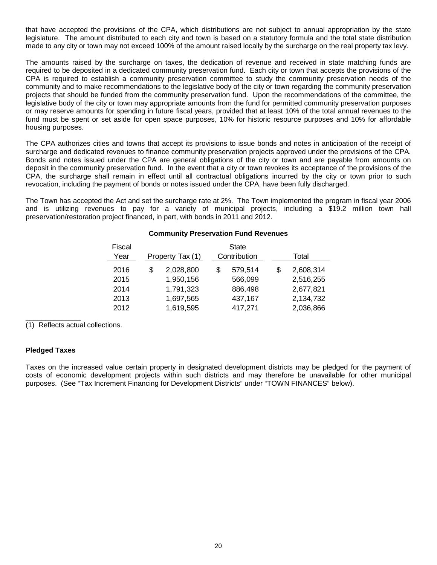that have accepted the provisions of the CPA, which distributions are not subject to annual appropriation by the state legislature. The amount distributed to each city and town is based on a statutory formula and the total state distribution made to any city or town may not exceed 100% of the amount raised locally by the surcharge on the real property tax levy.

The amounts raised by the surcharge on taxes, the dedication of revenue and received in state matching funds are required to be deposited in a dedicated community preservation fund. Each city or town that accepts the provisions of the CPA is required to establish a community preservation committee to study the community preservation needs of the community and to make recommendations to the legislative body of the city or town regarding the community preservation projects that should be funded from the community preservation fund. Upon the recommendations of the committee, the legislative body of the city or town may appropriate amounts from the fund for permitted community preservation purposes or may reserve amounts for spending in future fiscal years, provided that at least 10% of the total annual revenues to the fund must be spent or set aside for open space purposes, 10% for historic resource purposes and 10% for affordable housing purposes.

The CPA authorizes cities and towns that accept its provisions to issue bonds and notes in anticipation of the receipt of surcharge and dedicated revenues to finance community preservation projects approved under the provisions of the CPA. Bonds and notes issued under the CPA are general obligations of the city or town and are payable from amounts on deposit in the community preservation fund. In the event that a city or town revokes its acceptance of the provisions of the CPA, the surcharge shall remain in effect until all contractual obligations incurred by the city or town prior to such revocation, including the payment of bonds or notes issued under the CPA, have been fully discharged.

The Town has accepted the Act and set the surcharge rate at 2%. The Town implemented the program in fiscal year 2006 and is utilizing revenues to pay for a variety of municipal projects, including a \$19.2 million town hall preservation/restoration project financed, in part, with bonds in 2011 and 2012.

#### **Community Preservation Fund Revenues**

| Fiscal |   |                  |   | <b>State</b> |   |           |
|--------|---|------------------|---|--------------|---|-----------|
| Year   |   | Property Tax (1) |   | Contribution |   | Total     |
| 2016   | S | 2,028,800        | S | 579,514      | S | 2,608,314 |
| 2015   |   | 1,950,156        |   | 566,099      |   | 2,516,255 |
| 2014   |   | 1,791,323        |   | 886,498      |   | 2,677,821 |
| 2013   |   | 1,697,565        |   | 437,167      |   | 2,134,732 |
| 2012   |   | 1,619,595        |   | 417,271      |   | 2,036,866 |

\_\_\_\_\_\_\_\_\_\_\_\_\_\_ (1) Reflects actual collections.

#### **Pledged Taxes**

Taxes on the increased value certain property in designated development districts may be pledged for the payment of costs of economic development projects within such districts and may therefore be unavailable for other municipal purposes. (See "Tax Increment Financing for Development Districts" under "TOWN FINANCES" below).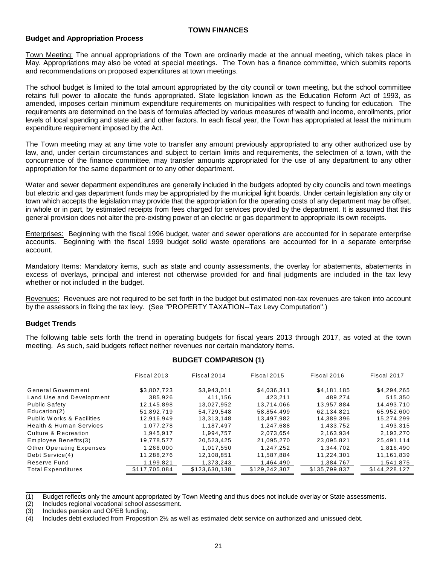#### **TOWN FINANCES**

#### **Budget and Appropriation Process**

Town Meeting: The annual appropriations of the Town are ordinarily made at the annual meeting, which takes place in May. Appropriations may also be voted at special meetings. The Town has a finance committee, which submits reports and recommendations on proposed expenditures at town meetings.

The school budget is limited to the total amount appropriated by the city council or town meeting, but the school committee retains full power to allocate the funds appropriated. State legislation known as the Education Reform Act of 1993, as amended, imposes certain minimum expenditure requirements on municipalities with respect to funding for education. The requirements are determined on the basis of formulas affected by various measures of wealth and income, enrollments, prior levels of local spending and state aid, and other factors. In each fiscal year, the Town has appropriated at least the minimum expenditure requirement imposed by the Act.

The Town meeting may at any time vote to transfer any amount previously appropriated to any other authorized use by law, and, under certain circumstances and subject to certain limits and requirements, the selectmen of a town, with the concurrence of the finance committee, may transfer amounts appropriated for the use of any department to any other appropriation for the same department or to any other department.

Water and sewer department expenditures are generally included in the budgets adopted by city councils and town meetings but electric and gas department funds may be appropriated by the municipal light boards. Under certain legislation any city or town which accepts the legislation may provide that the appropriation for the operating costs of any department may be offset, in whole or in part, by estimated receipts from fees charged for services provided by the department. It is assumed that this general provision does not alter the pre-existing power of an electric or gas department to appropriate its own receipts.

Enterprises: Beginning with the fiscal 1996 budget, water and sewer operations are accounted for in separate enterprise accounts. Beginning with the fiscal 1999 budget solid waste operations are accounted for in a separate enterprise account.

Mandatory Items: Mandatory items, such as state and county assessments, the overlay for abatements, abatements in excess of overlays, principal and interest not otherwise provided for and final judgments are included in the tax levy whether or not included in the budget.

Revenues: Revenues are not required to be set forth in the budget but estimated non-tax revenues are taken into account by the assessors in fixing the tax levy. (See "PROPERTY TAXATION--Tax Levy Computation".)

#### **Budget Trends**

The following table sets forth the trend in operating budgets for fiscal years 2013 through 2017, as voted at the town meeting. As such, said budgets reflect neither revenues nor certain mandatory items.

|                                      | Fiscal 2013   | Fiscal 2014   | Fiscal 2015   | Fiscal 2016   | Fiscal 2017   |
|--------------------------------------|---------------|---------------|---------------|---------------|---------------|
| <b>General Government</b>            | \$3,807,723   | \$3,943,011   | \$4,036,311   | \$4,181,185   | \$4,294,265   |
| Land Use and Development             | 385.926       | 411.156       | 423.211       | 489.274       | 515,350       |
| <b>Public Safety</b>                 | 12.145.898    | 13.027.952    | 13.714.066    | 13.957.884    | 14.493.710    |
| Education(2)                         | 51,892,719    | 54,729,548    | 58,854,499    | 62,134,821    | 65,952,600    |
| <b>Public Works &amp; Facilities</b> | 12,916,949    | 13,313,148    | 13,497,982    | 14,389,396    | 15,274,299    |
| <b>Health &amp; Human Services</b>   | 1,077,278     | 1,187,497     | 1,247,688     | 1,433,752     | 1,493,315     |
| Culture & Recreation                 | 1.945.917     | 1,994,757     | 2,073,654     | 2,163,934     | 2,193,270     |
| Employee Benefits(3)                 | 19.778.577    | 20,523,425    | 21,095,270    | 23,095,821    | 25,491,114    |
| <b>Other Operating Expenses</b>      | 1.266.000     | 1.017.550     | 1,247,252     | 1,344,702     | 1,816,490     |
| Debt Service(4)                      | 11,288,276    | 12,108,851    | 11,587,884    | 11,224,301    | 11,161,839    |
| Reserve Fund                         | 1,199,821     | 1,373,243     | 1,464,490     | 1,384,767     | 1,541,875     |
| <b>Total Expenditures</b>            | \$117,705,084 | \$123,630,138 | \$129,242,307 | \$135,799,837 | \$144,228,127 |

#### **BUDGET COMPARISON (1)**

(2) Includes regional vocational school assessment.

(3) Includes pension and OPEB funding.

(4) Includes debt excluded from Proposition 2½ as well as estimated debt service on authorized and unissued debt.

<sup>(1)</sup> Budget reflects only the amount appropriated by Town Meeting and thus does not include overlay or State assessments.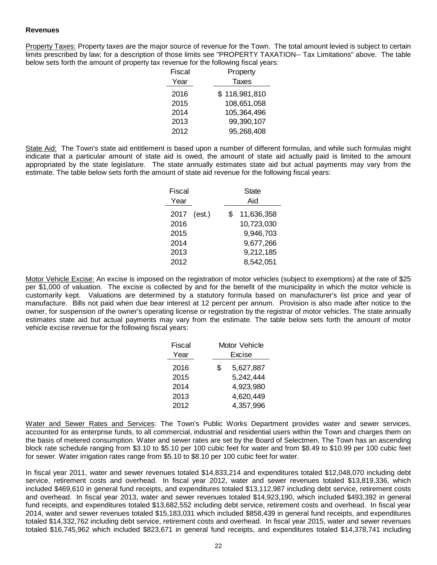#### **Revenues**

Property Taxes: Property taxes are the major source of revenue for the Town. The total amount levied is subject to certain limits prescribed by law; for a description of those limits see "PROPERTY TAXATION-- Tax Limitations" above. The table below sets forth the amount of property tax revenue for the following fiscal years:

| Fiscal | Property      |
|--------|---------------|
| Year   | <b>Taxes</b>  |
| 2016   | \$118,981,810 |
| 2015   | 108,651,058   |
| 2014   | 105,364,496   |
| 2013   | 99,390,107    |
| 2012   | 95,268,408    |

State Aid: The Town's state aid entitlement is based upon a number of different formulas, and while such formulas might indicate that a particular amount of state aid is owed, the amount of state aid actually paid is limited to the amount appropriated by the state legislature. The state annually estimates state aid but actual payments may vary from the estimate. The table below sets forth the amount of state aid revenue for the following fiscal years:

| Fiscal      |  | <b>State</b>     |
|-------------|--|------------------|
| Year        |  | Aid              |
| 2017 (est.) |  | \$<br>11,636,358 |
| 2016        |  | 10,723,030       |
| 2015        |  | 9,946,703        |
| 2014        |  | 9,677,266        |
| 2013        |  | 9,212,185        |
| 2012        |  | 8,542,051        |

Motor Vehicle Excise: An excise is imposed on the registration of motor vehicles (subject to exemptions) at the rate of \$25 per \$1,000 of valuation. The excise is collected by and for the benefit of the municipality in which the motor vehicle is customarily kept. Valuations are determined by a statutory formula based on manufacturer's list price and year of manufacture. Bills not paid when due bear interest at 12 percent per annum. Provision is also made after notice to the owner, for suspension of the owner's operating license or registration by the registrar of motor vehicles. The state annually estimates state aid but actual payments may vary from the estimate. The table below sets forth the amount of motor vehicle excise revenue for the following fiscal years:

| Fiscal | Motor Vehicle   |
|--------|-----------------|
| Year   | Excise          |
| 2016   | \$<br>5,627,887 |
| 2015   | 5,242,444       |
| 2014   | 4,923,980       |
| 2013   | 4,620,449       |
| 2012   | 4,357,996       |

Water and Sewer Rates and Services: The Town's Public Works Department provides water and sewer services, accounted for as enterprise funds, to all commercial, industrial and residential users within the Town and charges them on the basis of metered consumption. Water and sewer rates are set by the Board of Selectmen. The Town has an ascending block rate schedule ranging from \$3.10 to \$5.10 per 100 cubic feet for water and from \$8.49 to \$10.99 per 100 cubic feet for sewer. Water irrigation rates range from \$5.10 to \$8.10 per 100 cubic feet for water.

In fiscal year 2011, water and sewer revenues totaled \$14,833,214 and expenditures totaled \$12,048,070 including debt service, retirement costs and overhead. In fiscal year 2012, water and sewer revenues totaled \$13,819,336, which included \$469,610 in general fund receipts, and expenditures totaled \$13,112,987 including debt service, retirement costs and overhead. In fiscal year 2013, water and sewer revenues totaled \$14,923,190, which included \$493,392 in general fund receipts, and expenditures totaled \$13,682,552 including debt service, retirement costs and overhead. In fiscal year 2014, water and sewer revenues totaled \$15,183,031 which included \$858,439 in general fund receipts, and expenditures totaled \$14,332,762 including debt service, retirement costs and overhead. In fiscal year 2015, water and sewer revenues totaled \$16,745,962 which included \$823,671 in general fund receipts, and expenditures totaled \$14,378,741 including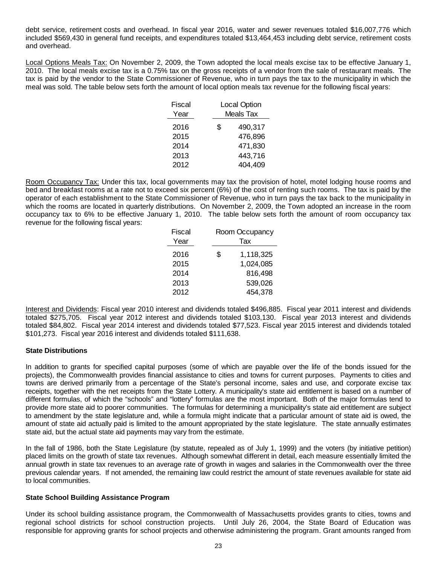debt service, retirement costs and overhead. In fiscal year 2016, water and sewer revenues totaled \$16,007,776 which included \$569,430 in general fund receipts, and expenditures totaled \$13,464,453 including debt service, retirement costs and overhead.

Local Options Meals Tax: On November 2, 2009, the Town adopted the local meals excise tax to be effective January 1, 2010. The local meals excise tax is a 0.75% tax on the gross receipts of a vendor from the sale of restaurant meals. The tax is paid by the vendor to the State Commissioner of Revenue, who in turn pays the tax to the municipality in which the meal was sold. The table below sets forth the amount of local option meals tax revenue for the following fiscal years:

| Fiscal<br>Year | <b>Local Option</b><br><b>Meals Tax</b> |  |
|----------------|-----------------------------------------|--|
|                |                                         |  |
| 2016           | \$<br>490,317                           |  |
| 2015           | 476,896                                 |  |
| 2014           | 471,830                                 |  |
| 2013           | 443,716                                 |  |
| 2012           | 404,409                                 |  |

Room Occupancy Tax: Under this tax, local governments may tax the provision of hotel, motel lodging house rooms and bed and breakfast rooms at a rate not to exceed six percent (6%) of the cost of renting such rooms. The tax is paid by the operator of each establishment to the State Commissioner of Revenue, who in turn pays the tax back to the municipality in which the rooms are located in quarterly distributions. On November 2, 2009, the Town adopted an increase in the room occupancy tax to 6% to be effective January 1, 2010. The table below sets forth the amount of room occupancy tax revenue for the following fiscal years:

| Fiscal | Room Occupancy |           |
|--------|----------------|-----------|
| Year   | Tax            |           |
| 2016   | \$             | 1,118,325 |
| 2015   |                | 1,024,085 |
| 2014   |                | 816,498   |
| 2013   |                | 539,026   |
| 2012   |                | 454,378   |

Interest and Dividends: Fiscal year 2010 interest and dividends totaled \$496,885. Fiscal year 2011 interest and dividends totaled \$275,705. Fiscal year 2012 interest and dividends totaled \$103,130. Fiscal year 2013 interest and dividends totaled \$84,802. Fiscal year 2014 interest and dividends totaled \$77,523. Fiscal year 2015 interest and dividends totaled \$101,273. Fiscal year 2016 interest and dividends totaled \$111,638.

#### **State Distributions**

In addition to grants for specified capital purposes (some of which are payable over the life of the bonds issued for the projects), the Commonwealth provides financial assistance to cities and towns for current purposes. Payments to cities and towns are derived primarily from a percentage of the State's personal income, sales and use, and corporate excise tax receipts, together with the net receipts from the State Lottery. A municipality's state aid entitlement is based on a number of different formulas, of which the "schools" and "lottery" formulas are the most important. Both of the major formulas tend to provide more state aid to poorer communities. The formulas for determining a municipality's state aid entitlement are subject to amendment by the state legislature and, while a formula might indicate that a particular amount of state aid is owed, the amount of state aid actually paid is limited to the amount appropriated by the state legislature. The state annually estimates state aid, but the actual state aid payments may vary from the estimate.

In the fall of 1986, both the State Legislature (by statute, repealed as of July 1, 1999) and the voters (by initiative petition) placed limits on the growth of state tax revenues. Although somewhat different in detail, each measure essentially limited the annual growth in state tax revenues to an average rate of growth in wages and salaries in the Commonwealth over the three previous calendar years. If not amended, the remaining law could restrict the amount of state revenues available for state aid to local communities.

#### **State School Building Assistance Program**

Under its school building assistance program, the Commonwealth of Massachusetts provides grants to cities, towns and regional school districts for school construction projects. Until July 26, 2004, the State Board of Education was responsible for approving grants for school projects and otherwise administering the program. Grant amounts ranged from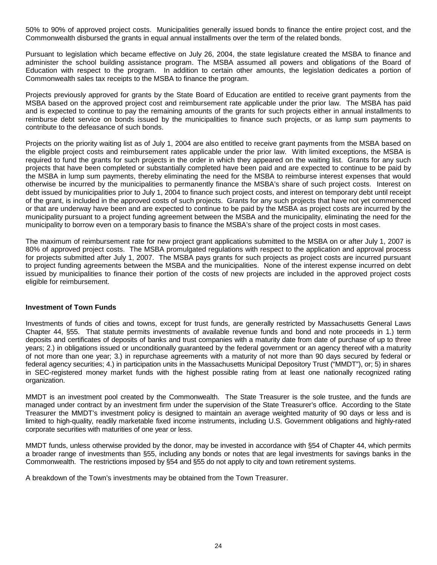50% to 90% of approved project costs. Municipalities generally issued bonds to finance the entire project cost, and the Commonwealth disbursed the grants in equal annual installments over the term of the related bonds.

Pursuant to legislation which became effective on July 26, 2004, the state legislature created the MSBA to finance and administer the school building assistance program. The MSBA assumed all powers and obligations of the Board of Education with respect to the program. In addition to certain other amounts, the legislation dedicates a portion of Commonwealth sales tax receipts to the MSBA to finance the program.

Projects previously approved for grants by the State Board of Education are entitled to receive grant payments from the MSBA based on the approved project cost and reimbursement rate applicable under the prior law. The MSBA has paid and is expected to continue to pay the remaining amounts of the grants for such projects either in annual installments to reimburse debt service on bonds issued by the municipalities to finance such projects, or as lump sum payments to contribute to the defeasance of such bonds.

Projects on the priority waiting list as of July 1, 2004 are also entitled to receive grant payments from the MSBA based on the eligible project costs and reimbursement rates applicable under the prior law. With limited exceptions, the MSBA is required to fund the grants for such projects in the order in which they appeared on the waiting list. Grants for any such projects that have been completed or substantially completed have been paid and are expected to continue to be paid by the MSBA in lump sum payments, thereby eliminating the need for the MSBA to reimburse interest expenses that would otherwise be incurred by the municipalities to permanently finance the MSBA's share of such project costs. Interest on debt issued by municipalities prior to July 1, 2004 to finance such project costs, and interest on temporary debt until receipt of the grant, is included in the approved costs of such projects. Grants for any such projects that have not yet commenced or that are underway have been and are expected to continue to be paid by the MSBA as project costs are incurred by the municipality pursuant to a project funding agreement between the MSBA and the municipality, eliminating the need for the municipality to borrow even on a temporary basis to finance the MSBA's share of the project costs in most cases.

The maximum of reimbursement rate for new project grant applications submitted to the MSBA on or after July 1, 2007 is 80% of approved project costs. The MSBA promulgated regulations with respect to the application and approval process for projects submitted after July 1, 2007. The MSBA pays grants for such projects as project costs are incurred pursuant to project funding agreements between the MSBA and the municipalities. None of the interest expense incurred on debt issued by municipalities to finance their portion of the costs of new projects are included in the approved project costs eligible for reimbursement.

#### **Investment of Town Funds**

Investments of funds of cities and towns, except for trust funds, are generally restricted by Massachusetts General Laws Chapter 44, §55. That statute permits investments of available revenue funds and bond and note proceeds in 1.) term deposits and certificates of deposits of banks and trust companies with a maturity date from date of purchase of up to three years; 2.) in obligations issued or unconditionally guaranteed by the federal government or an agency thereof with a maturity of not more than one year; 3.) in repurchase agreements with a maturity of not more than 90 days secured by federal or federal agency securities; 4.) in participation units in the Massachusetts Municipal Depository Trust ("MMDT"), or; 5) in shares in SEC-registered money market funds with the highest possible rating from at least one nationally recognized rating organization.

MMDT is an investment pool created by the Commonwealth. The State Treasurer is the sole trustee, and the funds are managed under contract by an investment firm under the supervision of the State Treasurer's office. According to the State Treasurer the MMDT's investment policy is designed to maintain an average weighted maturity of 90 days or less and is limited to high-quality, readily marketable fixed income instruments, including U.S. Government obligations and highly-rated corporate securities with maturities of one year or less.

MMDT funds, unless otherwise provided by the donor, may be invested in accordance with §54 of Chapter 44, which permits a broader range of investments than §55, including any bonds or notes that are legal investments for savings banks in the Commonwealth. The restrictions imposed by §54 and §55 do not apply to city and town retirement systems.

A breakdown of the Town's investments may be obtained from the Town Treasurer.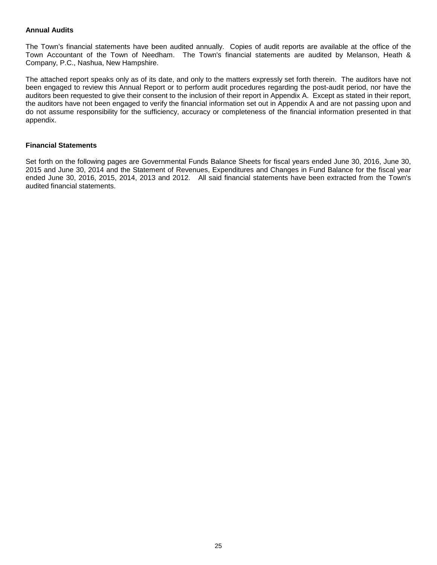#### **Annual Audits**

The Town's financial statements have been audited annually. Copies of audit reports are available at the office of the Town Accountant of the Town of Needham. The Town's financial statements are audited by Melanson, Heath & Company, P.C., Nashua, New Hampshire.

The attached report speaks only as of its date, and only to the matters expressly set forth therein. The auditors have not been engaged to review this Annual Report or to perform audit procedures regarding the post-audit period, nor have the auditors been requested to give their consent to the inclusion of their report in Appendix A. Except as stated in their report, the auditors have not been engaged to verify the financial information set out in Appendix A and are not passing upon and do not assume responsibility for the sufficiency, accuracy or completeness of the financial information presented in that appendix.

#### **Financial Statements**

Set forth on the following pages are Governmental Funds Balance Sheets for fiscal years ended June 30, 2016, June 30, 2015 and June 30, 2014 and the Statement of Revenues, Expenditures and Changes in Fund Balance for the fiscal year ended June 30, 2016, 2015, 2014, 2013 and 2012. All said financial statements have been extracted from the Town's audited financial statements.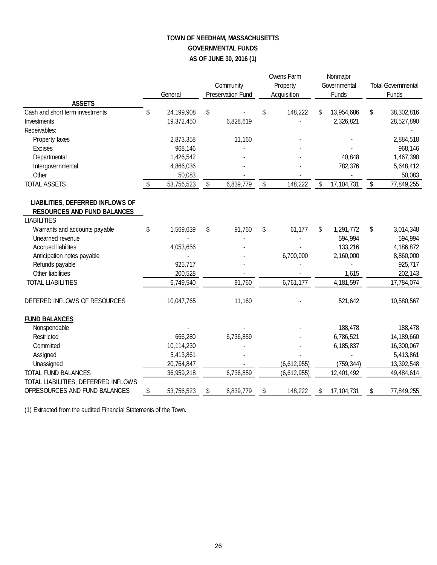## **GOVERNMENTAL FUNDS TOWN OF NEEDHAM, MASSACHUSETTS AS OF JUNE 30, 2016 (1)**

|                                                                        |                         |            |                         |                          |        | Owens Farm  |    | Nonmajor     |    |                           |
|------------------------------------------------------------------------|-------------------------|------------|-------------------------|--------------------------|--------|-------------|----|--------------|----|---------------------------|
|                                                                        |                         |            |                         | Community                |        | Property    |    | Governmental |    | <b>Total Governmental</b> |
|                                                                        |                         | General    |                         | <b>Preservation Fund</b> |        | Acquisition |    | Funds        |    | Funds                     |
| <b>ASSETS</b>                                                          |                         |            |                         |                          |        |             |    |              |    |                           |
| Cash and short term investments                                        | \$                      | 24,199,908 | \$                      |                          | \$     | 148,222     | \$ | 13,954,686   | \$ | 38,302,816                |
| Investments                                                            |                         | 19,372,450 |                         | 6,828,619                |        |             |    | 2,326,821    |    | 28,527,890                |
| Receivables:                                                           |                         |            |                         |                          |        |             |    |              |    |                           |
| Property taxes                                                         |                         | 2,873,358  |                         | 11,160                   |        |             |    |              |    | 2,884,518                 |
| Excises                                                                |                         | 968,146    |                         |                          |        |             |    |              |    | 968,146                   |
| Departmental                                                           |                         | 1,426,542  |                         |                          |        |             |    | 40,848       |    | 1,467,390                 |
| Intergovernmental                                                      |                         | 4,866,036  |                         |                          |        |             |    | 782,376      |    | 5,648,412                 |
| Other                                                                  |                         | 50,083     |                         |                          |        |             |    |              |    | 50,083                    |
| <b>TOTAL ASSETS</b>                                                    | $\sqrt[6]{\frac{1}{2}}$ | 53,756,523 | $\sqrt[6]{\frac{1}{2}}$ | 6,839,779                | $\$\,$ | 148,222     | \$ | 17,104,731   | \$ | 77,849,255                |
| LIABILITIES, DEFERRED INFLOWS OF<br><b>RESOURCES AND FUND BALANCES</b> |                         |            |                         |                          |        |             |    |              |    |                           |
| <b>LIABILITIES</b>                                                     |                         |            |                         |                          |        |             |    |              |    |                           |
| Warrants and accounts payable                                          | \$                      | 1,569,639  | \$                      | 91,760                   | \$     | 61,177      | \$ | 1,291,772    | \$ | 3,014,348                 |
| Unearned revenue                                                       |                         |            |                         |                          |        |             |    | 594,994      |    | 594,994                   |
| <b>Accrued liabilites</b>                                              |                         | 4,053,656  |                         |                          |        |             |    | 133,216      |    | 4,186,872                 |
| Anticipation notes payable                                             |                         |            |                         |                          |        | 6,700,000   |    | 2,160,000    |    | 8,860,000                 |
| Refunds payable                                                        |                         | 925,717    |                         |                          |        |             |    |              |    | 925,717                   |
| Other liabilities                                                      |                         | 200,528    |                         |                          |        |             |    | 1,615        |    | 202,143                   |
| <b>TOTAL LIABILITIES</b>                                               |                         | 6,749,540  |                         | 91,760                   |        | 6,761,177   |    | 4,181,597    |    | 17,784,074                |
| DEFERED INFLOWS OF RESOURCES                                           |                         | 10,047,765 |                         | 11,160                   |        |             |    | 521,642      |    | 10,580,567                |
| <b>FUND BALANCES</b>                                                   |                         |            |                         |                          |        |             |    |              |    |                           |
| Nonspendable                                                           |                         |            |                         |                          |        |             |    | 188,478      |    | 188,478                   |
| Restricted                                                             |                         | 666,280    |                         | 6,736,859                |        |             |    | 6,786,521    |    | 14,189,660                |
| Committed                                                              |                         | 10,114,230 |                         |                          |        |             |    | 6,185,837    |    | 16,300,067                |
| Assigned                                                               |                         | 5,413,861  |                         |                          |        |             |    |              |    | 5,413,861                 |
| Unassigned                                                             |                         | 20,764,847 |                         |                          |        | (6,612,955) |    | (759, 344)   |    | 13,392,548                |
| <b>TOTAL FUND BALANCES</b>                                             |                         | 36,959,218 |                         | 6,736,859                |        | (6,612,955) |    | 12,401,492   |    | 49,484,614                |
| TOTAL LIABILITIES, DEFERRED INFLOWS                                    |                         |            |                         |                          |        |             |    |              |    |                           |
| OFRESOURCES AND FUND BALANCES                                          | \$                      | 53,756,523 | \$                      | 6,839,779                | \$     | 148,222     | \$ | 17,104,731   | \$ | 77,849,255                |

(1) Extracted from the audited Financial Statements of the Town.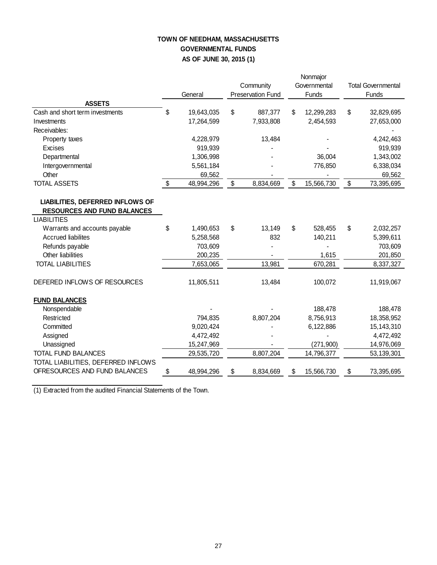## **GOVERNMENTAL FUNDS TOWN OF NEEDHAM, MASSACHUSETTS AS OF JUNE 30, 2015 (1)**

|                                                                               |                         |            |                         |                   | Nonmajor |              |                         |                           |
|-------------------------------------------------------------------------------|-------------------------|------------|-------------------------|-------------------|----------|--------------|-------------------------|---------------------------|
|                                                                               |                         |            | Community               |                   |          | Governmental |                         | <b>Total Governmental</b> |
|                                                                               |                         | General    |                         | Preservation Fund |          | Funds        |                         | Funds                     |
| <b>ASSETS</b>                                                                 |                         |            |                         |                   |          |              |                         |                           |
| Cash and short term investments                                               | \$                      | 19,643,035 | \$                      | 887,377           | \$       | 12,299,283   | \$                      | 32,829,695                |
| Investments                                                                   |                         | 17,264,599 |                         | 7,933,808         |          | 2,454,593    |                         | 27,653,000                |
| Receivables:                                                                  |                         |            |                         |                   |          |              |                         |                           |
| Property taxes                                                                |                         | 4,228,979  |                         | 13,484            |          |              |                         | 4,242,463                 |
| Excises                                                                       |                         | 919,939    |                         |                   |          |              |                         | 919,939                   |
| Departmental                                                                  |                         | 1,306,998  |                         |                   |          | 36.004       |                         | 1,343,002                 |
| Intergovernmental                                                             |                         | 5,561,184  |                         |                   |          | 776,850      |                         | 6,338,034                 |
| Other                                                                         |                         | 69,562     |                         |                   |          |              |                         | 69,562                    |
| <b>TOTAL ASSETS</b>                                                           | $\sqrt[6]{\frac{1}{2}}$ | 48,994,296 | $\sqrt[6]{\frac{1}{2}}$ | 8,834,669         | \$       | 15,566,730   | $\sqrt[6]{\frac{1}{2}}$ | 73,395,695                |
| <b>LIABILITIES, DEFERRED INFLOWS OF</b><br><b>RESOURCES AND FUND BALANCES</b> |                         |            |                         |                   |          |              |                         |                           |
| <b>LIABILITIES</b>                                                            |                         |            |                         |                   |          |              |                         |                           |
| Warrants and accounts payable                                                 | \$                      | 1,490,653  | \$                      | 13,149            | \$       | 528,455      | \$                      | 2,032,257                 |
| <b>Accrued liabilites</b>                                                     |                         | 5,258,568  |                         | 832               |          | 140,211      |                         | 5,399,611                 |
| Refunds payable                                                               |                         | 703,609    |                         |                   |          |              |                         | 703,609                   |
| Other liabilities                                                             |                         | 200,235    |                         |                   |          | 1,615        |                         | 201,850                   |
| <b>TOTAL LIABILITIES</b>                                                      |                         | 7,653,065  |                         | 13,981            |          | 670,281      |                         | 8,337,327                 |
| DEFERED INFLOWS OF RESOURCES                                                  |                         | 11,805,511 |                         | 13,484            |          | 100,072      |                         | 11,919,067                |
| <b>FUND BALANCES</b>                                                          |                         |            |                         |                   |          |              |                         |                           |
| Nonspendable                                                                  |                         |            |                         |                   |          | 188,478      |                         | 188,478                   |
| Restricted                                                                    |                         | 794,835    |                         | 8,807,204         |          | 8,756,913    |                         | 18,358,952                |
| Committed                                                                     |                         | 9,020,424  |                         |                   |          | 6,122,886    |                         | 15,143,310                |
| Assigned                                                                      |                         | 4,472,492  |                         |                   |          |              |                         | 4,472,492                 |
| Unassigned                                                                    |                         | 15,247,969 |                         |                   |          | (271,900)    |                         | 14,976,069                |
| <b>TOTAL FUND BALANCES</b>                                                    |                         | 29,535,720 |                         | 8,807,204         |          | 14,796,377   |                         | 53,139,301                |
| TOTAL LIABILITIES, DEFERRED INFLOWS                                           |                         |            |                         |                   |          |              |                         |                           |
| OFRESOURCES AND FUND BALANCES                                                 | \$                      | 48,994,296 | \$                      | 8,834,669         | \$       | 15,566,730   | \$                      | 73,395,695                |

(1) Extracted from the audited Financial Statements of the Town.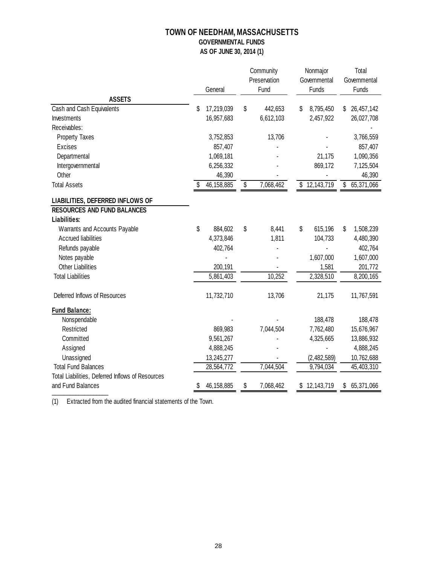## **TOWN OF NEEDHAM, MASSACHUSETTS GOVERNMENTAL FUNDS AS OF JUNE 30, 2014 (1)**

|                                                  |    |                          | Community |              | Nonmajor |                        | Total |                          |
|--------------------------------------------------|----|--------------------------|-----------|--------------|----------|------------------------|-------|--------------------------|
|                                                  |    |                          |           | Preservation |          | Governmental           |       | Governmental             |
|                                                  |    | General                  |           | Fund         |          | Funds                  |       | Funds                    |
| <b>ASSETS</b><br>Cash and Cash Equivalents       | S  |                          | \$        | 442,653      | S        |                        | S     |                          |
| Investments                                      |    | 17,219,039<br>16,957,683 |           | 6,612,103    |          | 8,795,450<br>2,457,922 |       | 26,457,142<br>26,027,708 |
| Receivables:                                     |    |                          |           |              |          |                        |       |                          |
|                                                  |    |                          |           |              |          |                        |       |                          |
| Property Taxes<br><b>Excises</b>                 |    | 3,752,853<br>857,407     |           | 13,706       |          |                        |       | 3,766,559                |
|                                                  |    |                          |           |              |          | 21,175                 |       | 857,407                  |
| Departmental                                     |    | 1,069,181                |           |              |          |                        |       | 1,090,356                |
| Intergovernmental                                |    | 6,256,332                |           |              |          | 869,172                |       | 7,125,504                |
| Other                                            |    | 46,390                   |           |              |          |                        |       | 46,390                   |
| <b>Total Assets</b>                              |    | 46, 158, 885             | \$        | 7,068,462    | \$       | 12,143,719             | S     | 65,371,066               |
| LIABILITIES, DEFERRED INFLOWS OF                 |    |                          |           |              |          |                        |       |                          |
| <b>RESOURCES AND FUND BALANCES</b>               |    |                          |           |              |          |                        |       |                          |
| <b>Liabilities:</b>                              |    |                          |           |              |          |                        |       |                          |
| Warrants and Accounts Payable                    | \$ | 884,602                  | \$        | 8,441        | \$       | 615,196                | \$    | 1,508,239                |
| <b>Accrued liabilities</b>                       |    | 4,373,846                |           | 1,811        |          | 104,733                |       | 4,480,390                |
| Refunds payable                                  |    | 402,764                  |           |              |          |                        |       | 402,764                  |
| Notes payable                                    |    |                          |           |              |          | 1,607,000              |       | 1,607,000                |
| <b>Other Liabilities</b>                         |    | 200,191                  |           |              |          | 1,581                  |       | 201,772                  |
| <b>Total Liabilities</b>                         |    | 5,861,403                |           | 10,252       |          | 2,328,510              |       | 8,200,165                |
| Deferred Inflows of Resources                    |    | 11,732,710               |           | 13,706       |          | 21,175                 |       | 11,767,591               |
| <b>Fund Balance:</b>                             |    |                          |           |              |          |                        |       |                          |
| Nonspendable                                     |    |                          |           |              |          | 188,478                |       | 188,478                  |
| Restricted                                       |    | 869,983                  |           | 7,044,504    |          | 7,762,480              |       | 15,676,967               |
| Committed                                        |    | 9,561,267                |           |              |          | 4,325,665              |       | 13,886,932               |
| Assigned                                         |    | 4,888,245                |           |              |          |                        |       | 4,888,245                |
| Unassigned                                       |    | 13,245,277               |           |              |          | (2,482,589)            |       | 10,762,688               |
| <b>Total Fund Balances</b>                       |    | 28,564,772               |           | 7,044,504    |          | 9,794,034              |       | 45,403,310               |
| Total Liabilities, Deferred Inflows of Resources |    |                          |           |              |          |                        |       |                          |
| and Fund Balances                                | S  | 46, 158, 885             | \$        | 7,068,462    | S        | 12, 143, 719           | \$    | 65,371,066               |

(1) Extracted from the audited financial statements of the Town.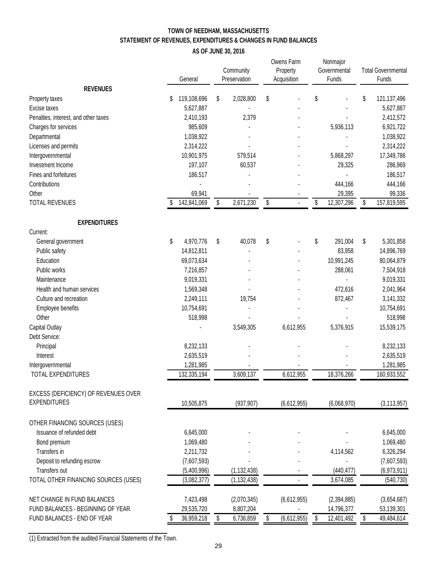## **TOWN OF NEEDHAM, MASSACHUSETTS STATEMENT OF REVENUES, EXPENDITURES & CHANGES IN FUND BALANCES**

**AS OF JUNE 30, 2016**

|                                      |    | General     | Community<br>Preservation |               | Owens Farm<br>Property<br>Acquisition |             | Nonmajor<br>Governmental<br>Funds |             | <b>Total Governmental</b><br>Funds |
|--------------------------------------|----|-------------|---------------------------|---------------|---------------------------------------|-------------|-----------------------------------|-------------|------------------------------------|
| <b>REVENUES</b>                      |    |             |                           |               |                                       |             |                                   |             |                                    |
| Property taxes                       | \$ | 119,108,696 | \$                        | 2,028,800     | \$                                    |             | \$                                |             | \$<br>121,137,496                  |
| Excise taxes                         |    | 5,627,887   |                           |               |                                       |             |                                   |             | 5,627,887                          |
| Penalties, interest, and other taxes |    | 2,410,193   |                           | 2,379         |                                       |             |                                   |             | 2,412,572                          |
| Charges for services                 |    | 985,609     |                           |               |                                       |             |                                   | 5,936,113   | 6,921,722                          |
| Departmental                         |    | 1,038,922   |                           |               |                                       |             |                                   |             | 1,038,922                          |
| Licenses and permits                 |    | 2,314,222   |                           |               |                                       |             |                                   |             | 2,314,222                          |
| Intergovernmental                    |    | 10,901,975  |                           | 579,514       |                                       |             |                                   | 5,868,297   | 17,349,786                         |
| Investment Income                    |    | 197,107     |                           | 60,537        |                                       |             |                                   | 29,325      | 286,969                            |
| Fines and forfeitures                |    | 186,517     |                           |               |                                       |             |                                   |             | 186,517                            |
| Contributions                        |    |             |                           |               |                                       |             |                                   | 444,166     | 444,166                            |
| Other                                |    | 69,941      |                           |               |                                       |             |                                   | 29,395      | 99,336                             |
| <b>TOTAL REVENUES</b>                |    | 142,841,069 | \$                        | 2,671,230     | \$                                    | ä,          | \$                                | 12,307,296  | \$<br>157,819,595                  |
| <b>EXPENDITURES</b>                  |    |             |                           |               |                                       |             |                                   |             |                                    |
| Current:                             |    |             |                           |               |                                       |             |                                   |             |                                    |
| General government                   | \$ | 4,970,776   | \$                        | 40,078        | \$                                    |             | \$                                | 291,004     | \$<br>5,301,858                    |
| Public safety                        |    | 14,812,811  |                           |               |                                       |             |                                   | 83,958      | 14,896,769                         |
| Education                            |    | 69,073,634  |                           |               |                                       |             |                                   | 10,991,245  | 80,064,879                         |
| Public works                         |    | 7,216,857   |                           |               |                                       |             |                                   | 288,061     | 7,504,918                          |
| Maintenance                          |    | 9,019,331   |                           |               |                                       |             |                                   |             | 9,019,331                          |
| Health and human services            |    | 1,569,348   |                           |               |                                       |             |                                   | 472,616     | 2,041,964                          |
| Culture and recreation               |    | 2,249,111   |                           | 19,754        |                                       |             |                                   | 872,467     | 3,141,332                          |
| Employee benefits                    |    | 10,754,691  |                           |               |                                       |             |                                   |             | 10,754,691                         |
| Other                                |    | 518,998     |                           |               |                                       |             |                                   |             | 518,998                            |
| Capital Outlay                       |    |             |                           | 3,549,305     |                                       | 6,612,955   |                                   | 5,376,915   | 15,539,175                         |
| Debt Service:                        |    |             |                           |               |                                       |             |                                   |             |                                    |
| Principal                            |    | 8,232,133   |                           |               |                                       |             |                                   |             | 8,232,133                          |
| Interest                             |    | 2,635,519   |                           |               |                                       |             |                                   |             | 2,635,519                          |
| Intergovernmental                    |    | 1,281,985   |                           |               |                                       |             |                                   |             | 1,281,985                          |
| TOTAL EXPENDITURES                   |    | 132,335,194 |                           | 3,609,137     |                                       | 6,612,955   |                                   | 18,376,266  | 160,933,552                        |
| EXCESS (DEFICIENCY) OF REVENUES OVER |    |             |                           |               |                                       |             |                                   |             |                                    |
| <b>EXPENDITURES</b>                  |    | 10,505,875  |                           | (937, 907)    |                                       | (6,612,955) |                                   | (6,068,970) | (3, 113, 957)                      |
| OTHER FINANCING SOURCES (USES)       |    |             |                           |               |                                       |             |                                   |             |                                    |
| Issuance of refunded debt            |    | 6,645,000   |                           |               |                                       |             |                                   |             | 6,645,000                          |
| Bond premium                         |    | 1,069,480   |                           |               |                                       |             |                                   |             | 1,069,480                          |
| Transfers in                         |    | 2,211,732   |                           |               |                                       |             |                                   | 4,114,562   | 6,326,294                          |
| Deposit to refunding escrow          |    | (7,607,593) |                           |               |                                       |             |                                   |             | (7,607,593)                        |
| Transfers out                        |    | (5,400,996) |                           | (1, 132, 438) |                                       |             |                                   | (440, 477)  | (6,973,911)                        |
| TOTAL OTHER FINANCING SOURCES (USES) |    | (3,082,377) |                           | (1, 132, 438) |                                       |             |                                   | 3,674,085   | (540, 730)                         |
| NET CHANGE IN FUND BALANCES          |    | 7,423,498   |                           | (2,070,345)   |                                       | (6,612,955) |                                   | (2,394,885) | (3,654,687)                        |
| FUND BALANCES - BEGINNING OF YEAR    |    | 29,535,720  |                           | 8,807,204     |                                       |             |                                   | 14,796,377  | 53,139,301                         |
| FUND BALANCES - END OF YEAR          | S  | 36,959,218  | S                         | 6,736,859     | \$                                    | (6,612,955) | S                                 | 12,401,492  | \$<br>49,484,614                   |

(1) Extracted from the audited Financial Statements of the Town.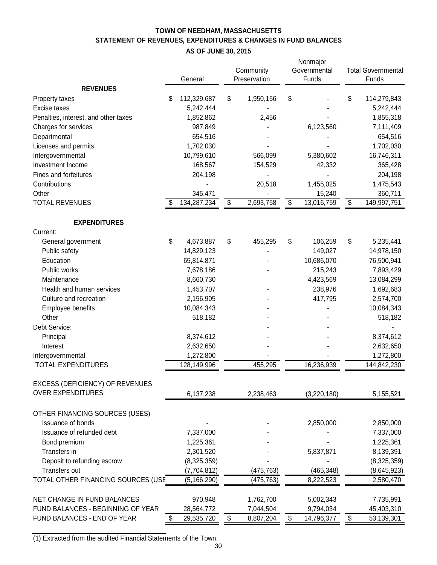### **TOWN OF NEEDHAM, MASSACHUSETTS STATEMENT OF REVENUES, EXPENDITURES & CHANGES IN FUND BALANCES AS OF JUNE 30, 2015**

|                                      |    | General       | Nonmajor<br>Community<br>Governmental<br>Preservation<br>Funds |            |    |             | <b>Total Governmental</b><br>Funds |             |  |
|--------------------------------------|----|---------------|----------------------------------------------------------------|------------|----|-------------|------------------------------------|-------------|--|
| <b>REVENUES</b>                      |    |               |                                                                |            |    |             |                                    |             |  |
| Property taxes                       | S  | 112,329,687   | \$                                                             | 1,950,156  | \$ |             | \$                                 | 114,279,843 |  |
| Excise taxes                         |    | 5,242,444     |                                                                |            |    |             |                                    | 5,242,444   |  |
| Penalties, interest, and other taxes |    | 1,852,862     |                                                                | 2,456      |    |             |                                    | 1,855,318   |  |
| Charges for services                 |    | 987,849       |                                                                |            |    | 6,123,560   |                                    | 7,111,409   |  |
| Departmental                         |    | 654,516       |                                                                |            |    |             |                                    | 654,516     |  |
| Licenses and permits                 |    | 1,702,030     |                                                                |            |    |             |                                    | 1,702,030   |  |
| Intergovernmental                    |    | 10,799,610    |                                                                | 566,099    |    | 5,380,602   |                                    | 16,746,311  |  |
| Investment Income                    |    | 168,567       |                                                                | 154,529    |    | 42,332      |                                    | 365,428     |  |
| Fines and forfeitures                |    | 204,198       |                                                                |            |    |             |                                    | 204,198     |  |
| Contributions                        |    |               |                                                                | 20,518     |    | 1,455,025   |                                    | 1,475,543   |  |
| Other                                |    | 345,471       |                                                                |            |    | 15,240      |                                    | 360,711     |  |
| <b>TOTAL REVENUES</b>                |    | 134,287,234   | \$                                                             | 2,693,758  | \$ | 13,016,759  | \$                                 | 149,997,751 |  |
| <b>EXPENDITURES</b>                  |    |               |                                                                |            |    |             |                                    |             |  |
| Current:                             |    |               |                                                                |            |    |             |                                    |             |  |
| General government                   | \$ | 4,673,887     | \$                                                             | 455,295    | \$ | 106,259     | \$                                 | 5,235,441   |  |
| Public safety                        |    | 14,829,123    |                                                                |            |    | 149,027     |                                    | 14,978,150  |  |
| Education                            |    | 65,814,871    |                                                                |            |    | 10,686,070  |                                    | 76,500,941  |  |
| Public works                         |    | 7,678,186     |                                                                |            |    | 215,243     |                                    | 7,893,429   |  |
| Maintenance                          |    | 8,660,730     |                                                                |            |    | 4,423,569   |                                    | 13,084,299  |  |
| Health and human services            |    | 1,453,707     |                                                                |            |    | 238,976     |                                    | 1,692,683   |  |
| Culture and recreation               |    | 2,156,905     |                                                                |            |    | 417,795     |                                    | 2,574,700   |  |
| Employee benefits                    |    | 10,084,343    |                                                                |            |    |             |                                    | 10,084,343  |  |
| Other                                |    | 518,182       |                                                                |            |    |             |                                    | 518,182     |  |
| Debt Service:                        |    |               |                                                                |            |    |             |                                    |             |  |
| Principal                            |    | 8,374,612     |                                                                |            |    |             |                                    | 8,374,612   |  |
| Interest                             |    | 2,632,650     |                                                                |            |    |             |                                    | 2,632,650   |  |
| Intergovernmental                    |    | 1,272,800     |                                                                |            |    |             |                                    | 1,272,800   |  |
| <b>TOTAL EXPENDITURES</b>            |    | 128,149,996   |                                                                | 455,295    |    | 16,236,939  |                                    | 144,842,230 |  |
| EXCESS (DEFICIENCY) OF REVENUES      |    |               |                                                                |            |    |             |                                    |             |  |
| <b>OVER EXPENDITURES</b>             |    | 6,137,238     |                                                                | 2,238,463  |    | (3,220,180) |                                    | 5,155,521   |  |
|                                      |    |               |                                                                |            |    |             |                                    |             |  |
| OTHER FINANCING SOURCES (USES)       |    |               |                                                                |            |    |             |                                    |             |  |
| Issuance of bonds                    |    |               |                                                                |            |    | 2,850,000   |                                    | 2,850,000   |  |
| Issuance of refunded debt            |    | 7,337,000     |                                                                |            |    |             |                                    | 7,337,000   |  |
| Bond premium                         |    | 1,225,361     |                                                                |            |    |             |                                    | 1,225,361   |  |
| Transfers in                         |    | 2,301,520     |                                                                |            |    | 5,837,871   |                                    | 8,139,391   |  |
| Deposit to refunding escrow          |    | (8,325,359)   |                                                                |            |    |             |                                    | (8,325,359) |  |
| Transfers out                        |    | (7, 704, 812) |                                                                | (475, 763) |    | (465, 348)  |                                    | (8,645,923) |  |
| TOTAL OTHER FINANCING SOURCES (USE   |    | (5, 166, 290) |                                                                | (475, 763) |    | 8,222,523   |                                    | 2,580,470   |  |
| NET CHANGE IN FUND BALANCES          |    | 970,948       |                                                                | 1,762,700  |    | 5,002,343   |                                    | 7,735,991   |  |
| FUND BALANCES - BEGINNING OF YEAR    |    | 28,564,772    |                                                                | 7,044,504  |    | 9,794,034   |                                    | 45,403,310  |  |
| FUND BALANCES - END OF YEAR          | \$ | 29,535,720    | \$                                                             | 8,807,204  | \$ | 14,796,377  | \$                                 | 53,139,301  |  |

(1) Extracted from the audited Financial Statements of the Town.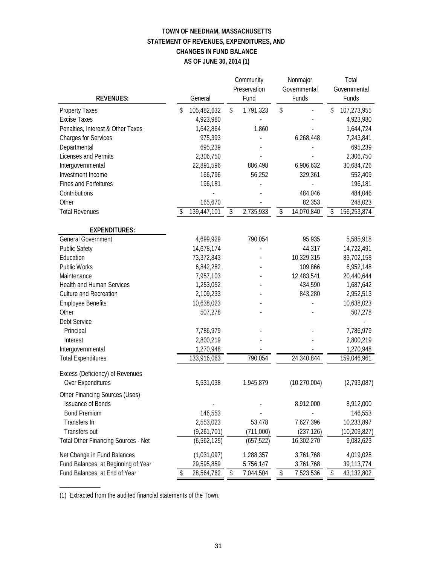## **TOWN OF NEEDHAM, MASSACHUSETTS STATEMENT OF REVENUES, EXPENDITURES, AND CHANGES IN FUND BALANCE AS OF JUNE 30, 2014 (1)**

|                                            |                   | Community    |            | Nonmajor                |                | Total |                |
|--------------------------------------------|-------------------|--------------|------------|-------------------------|----------------|-------|----------------|
|                                            |                   | Preservation |            |                         | Governmental   |       | Governmental   |
| <b>REVENUES:</b>                           | General           |              | Fund       |                         | Funds          |       | Funds          |
| <b>Property Taxes</b>                      | \$<br>105,482,632 | \$           | 1,791,323  | \$                      |                | \$    | 107,273,955    |
| <b>Excise Taxes</b>                        | 4,923,980         |              |            |                         |                |       | 4,923,980      |
| Penalties, Interest & Other Taxes          | 1,642,864         |              | 1,860      |                         |                |       | 1,644,724      |
| <b>Charges for Services</b>                | 975,393           |              |            |                         | 6,268,448      |       | 7,243,841      |
| Departmental                               | 695,239           |              |            |                         |                |       | 695,239        |
| Licenses and Permits                       | 2,306,750         |              |            |                         |                |       | 2,306,750      |
| Intergovernmental                          | 22,891,596        |              | 886,498    |                         | 6,906,632      |       | 30,684,726     |
| Investment Income                          | 166,796           |              | 56,252     |                         | 329,361        |       | 552,409        |
| <b>Fines and Forfeitures</b>               | 196,181           |              |            |                         |                |       | 196,181        |
| Contributions                              |                   |              |            |                         | 484,046        |       | 484,046        |
| Other                                      | 165,670           |              |            |                         | 82,353         |       | 248,023        |
| <b>Total Revenues</b>                      | \$<br>139,447,101 | \$           | 2,735,933  | $\sqrt[6]{\frac{1}{2}}$ | 14,070,840     | \$    | 156,253,874    |
| <b>EXPENDITURES:</b>                       |                   |              |            |                         |                |       |                |
| <b>General Government</b>                  | 4,699,929         |              | 790,054    |                         | 95,935         |       | 5,585,918      |
| <b>Public Safety</b>                       | 14,678,174        |              |            |                         | 44,317         |       | 14,722,491     |
| Education                                  | 73,372,843        |              |            |                         | 10,329,315     |       | 83,702,158     |
| Public Works                               | 6,842,282         |              |            |                         | 109,866        |       | 6,952,148      |
| Maintenance                                | 7,957,103         |              |            |                         | 12,483,541     |       | 20,440,644     |
| <b>Health and Human Services</b>           | 1,253,052         |              |            |                         | 434,590        |       | 1,687,642      |
| <b>Culture and Recreation</b>              | 2,109,233         |              |            |                         | 843,280        |       | 2,952,513      |
| <b>Employee Benefits</b>                   | 10,638,023        |              |            |                         |                |       | 10,638,023     |
| Other                                      | 507,278           |              |            |                         |                |       | 507,278        |
| Debt Service                               |                   |              |            |                         |                |       |                |
| Principal                                  | 7,786,979         |              |            |                         |                |       | 7,786,979      |
| Interest                                   | 2,800,219         |              |            |                         |                |       | 2,800,219      |
| Intergovernmental                          | 1,270,948         |              |            |                         |                |       | 1,270,948      |
| <b>Total Expenditures</b>                  | 133,916,063       |              | 790,054    |                         | 24,340,844     |       | 159,046,961    |
| Excess (Deficiency) of Revenues            |                   |              |            |                         |                |       |                |
| Over Expenditures                          | 5,531,038         |              | 1,945,879  |                         | (10, 270, 004) |       | (2,793,087)    |
| Other Financing Sources (Uses)             |                   |              |            |                         |                |       |                |
| <b>Issuance of Bonds</b>                   |                   |              |            |                         | 8,912,000      |       | 8,912,000      |
| <b>Bond Premium</b>                        | 146,553           |              |            |                         |                |       | 146,553        |
| Transfers In                               | 2,553,023         |              | 53,478     |                         | 7,627,396      |       | 10,233,897     |
| Transfers out                              | (9,261,701)       |              | (711,000)  |                         | (237,126)      |       | (10, 209, 827) |
| <b>Total Other Financing Sources - Net</b> | (6, 562, 125)     |              | (657, 522) |                         | 16,302,270     |       | 9,082,623      |
| Net Change in Fund Balances                | (1,031,097)       |              | 1,288,357  |                         | 3,761,768      |       | 4,019,028      |
| Fund Balances, at Beginning of Year        | 29,595,859        |              | 5,756,147  |                         | 3,761,768      |       | 39,113,774     |
| Fund Balances, at End of Year              | \$<br>28,564,762  | \$           | 7,044,504  | \$                      | 7,523,536      | \$    | 43,132,802     |

(1) Extracted from the audited financial statements of the Town.

 $\mathcal{L}=\mathcal{L}=\mathcal{L}=\mathcal{L}=\mathcal{L}=\mathcal{L}=\mathcal{L}=\mathcal{L}=\mathcal{L}=\mathcal{L}=\mathcal{L}=\mathcal{L}=\mathcal{L}=\mathcal{L}=\mathcal{L}=\mathcal{L}=\mathcal{L}=\mathcal{L}=\mathcal{L}=\mathcal{L}=\mathcal{L}=\mathcal{L}=\mathcal{L}=\mathcal{L}=\mathcal{L}=\mathcal{L}=\mathcal{L}=\mathcal{L}=\mathcal{L}=\mathcal{L}=\mathcal{L}=\mathcal{L}=\mathcal{L}=\mathcal{L}=\mathcal{L}=\mathcal{L}=\mathcal{$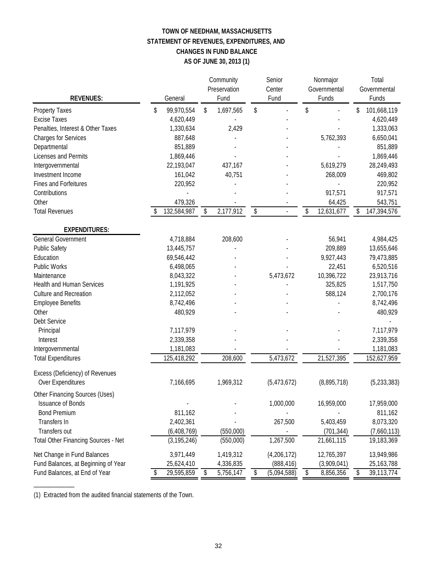## **TOWN OF NEEDHAM, MASSACHUSETTS STATEMENT OF REVENUES, EXPENDITURES, AND CHANGES IN FUND BALANCE AS OF JUNE 30, 2013 (1)**

| \$<br>\$<br>\$<br>99,970,554<br>\$<br>1,697,565<br>\$<br><b>Property Taxes</b><br>101,668,119<br><b>Excise Taxes</b><br>4,620,449<br>4,620,449<br>1,330,634<br>2,429<br>1,333,063<br>Penalties, Interest & Other Taxes<br>6,650,041<br><b>Charges for Services</b><br>887,648<br>5,762,393<br>851,889<br>851,889<br>Departmental<br>1,869,446<br>Licenses and Permits<br>1,869,446<br>437,167<br>Intergovernmental<br>22,193,047<br>5,619,279<br>28,249,493<br>Investment Income<br>161,042<br>40,751<br>268,009<br>469,802<br><b>Fines and Forfeitures</b><br>220,952<br>220,952<br>Contributions<br>917,571<br>917,571<br>Other<br>479,326<br>64,425<br>543,751<br>2,177,912<br>\$<br><b>Total Revenues</b><br>132,584,987<br>\$<br>\$<br>12,631,677<br>\$<br>147,394,576<br>S<br>ä,<br><b>EXPENDITURES:</b><br><b>General Government</b><br>4,718,884<br>208,600<br>56,941<br>4,984,425<br><b>Public Safety</b><br>13,445,757<br>209,889<br>13,655,646<br>9,927,443<br>Education<br>69,546,442<br>79,473,885<br><b>Public Works</b><br>22,451<br>6,498,065<br>6,520,516<br>5,473,672<br>10,396,722<br>Maintenance<br>8,043,322<br>23,913,716<br><b>Health and Human Services</b><br>325,825<br>1,191,925<br>1,517,750<br>Culture and Recreation<br>588,124<br>2,112,052<br>2,700,176<br><b>Employee Benefits</b><br>8,742,496<br>8,742,496<br>Other<br>480,929<br>480,929<br>Debt Service<br>7,117,979<br>7,117,979<br>Principal<br>2,339,358<br>2,339,358<br>Interest<br>1,181,083<br>1,181,083<br>Intergovernmental<br>21,527,395<br>208,600<br>5,473,672<br><b>Total Expenditures</b><br>125,418,292<br>152,627,959<br>Excess (Deficiency) of Revenues<br>Over Expenditures<br>7,166,695<br>(5,473,672)<br>(5,233,383)<br>1,969,312<br>(8,895,718)<br>Other Financing Sources (Uses)<br>1,000,000<br>16,959,000<br><b>Issuance of Bonds</b><br>17,959,000<br><b>Bond Premium</b><br>811,162<br>811,162<br>267,500<br>Transfers In<br>2,402,361<br>5,403,459<br>8,073,320<br>Transfers out<br>(6,408,769)<br>(550,000)<br>(7,660,113)<br>(701, 344)<br><b>Total Other Financing Sources - Net</b><br>1,267,500<br>21,661,115<br>(3, 195, 246)<br>(550,000)<br>19,183,369<br>Net Change in Fund Balances<br>3,971,449<br>1,419,312<br>(4,206,172)<br>12,765,397<br>13,949,986<br>Fund Balances, at Beginning of Year<br>25,624,410<br>4,336,835<br>(888, 416)<br>(3,909,041)<br>25,163,788<br>Fund Balances, at End of Year<br>29,595,859<br>(5,094,588)<br>8,856,356<br>39,113,774<br>5,756,147<br>\$<br>\$<br>\$<br>\$<br>\$ | <b>REVENUES:</b> | General | Community<br>Preservation<br>Fund | Senior<br>Center<br>Fund |  | Nonmajor<br>Governmental<br>Funds |  | Total<br>Governmental<br>Funds |  |
|------------------------------------------------------------------------------------------------------------------------------------------------------------------------------------------------------------------------------------------------------------------------------------------------------------------------------------------------------------------------------------------------------------------------------------------------------------------------------------------------------------------------------------------------------------------------------------------------------------------------------------------------------------------------------------------------------------------------------------------------------------------------------------------------------------------------------------------------------------------------------------------------------------------------------------------------------------------------------------------------------------------------------------------------------------------------------------------------------------------------------------------------------------------------------------------------------------------------------------------------------------------------------------------------------------------------------------------------------------------------------------------------------------------------------------------------------------------------------------------------------------------------------------------------------------------------------------------------------------------------------------------------------------------------------------------------------------------------------------------------------------------------------------------------------------------------------------------------------------------------------------------------------------------------------------------------------------------------------------------------------------------------------------------------------------------------------------------------------------------------------------------------------------------------------------------------------------------------------------------------------------------------------------------------------------------------------------------------------------------------------------------------------------------------------------------------------------------------------------------------------------------------------------|------------------|---------|-----------------------------------|--------------------------|--|-----------------------------------|--|--------------------------------|--|
|                                                                                                                                                                                                                                                                                                                                                                                                                                                                                                                                                                                                                                                                                                                                                                                                                                                                                                                                                                                                                                                                                                                                                                                                                                                                                                                                                                                                                                                                                                                                                                                                                                                                                                                                                                                                                                                                                                                                                                                                                                                                                                                                                                                                                                                                                                                                                                                                                                                                                                                                    |                  |         |                                   |                          |  |                                   |  |                                |  |
|                                                                                                                                                                                                                                                                                                                                                                                                                                                                                                                                                                                                                                                                                                                                                                                                                                                                                                                                                                                                                                                                                                                                                                                                                                                                                                                                                                                                                                                                                                                                                                                                                                                                                                                                                                                                                                                                                                                                                                                                                                                                                                                                                                                                                                                                                                                                                                                                                                                                                                                                    |                  |         |                                   |                          |  |                                   |  |                                |  |
|                                                                                                                                                                                                                                                                                                                                                                                                                                                                                                                                                                                                                                                                                                                                                                                                                                                                                                                                                                                                                                                                                                                                                                                                                                                                                                                                                                                                                                                                                                                                                                                                                                                                                                                                                                                                                                                                                                                                                                                                                                                                                                                                                                                                                                                                                                                                                                                                                                                                                                                                    |                  |         |                                   |                          |  |                                   |  |                                |  |
|                                                                                                                                                                                                                                                                                                                                                                                                                                                                                                                                                                                                                                                                                                                                                                                                                                                                                                                                                                                                                                                                                                                                                                                                                                                                                                                                                                                                                                                                                                                                                                                                                                                                                                                                                                                                                                                                                                                                                                                                                                                                                                                                                                                                                                                                                                                                                                                                                                                                                                                                    |                  |         |                                   |                          |  |                                   |  |                                |  |
|                                                                                                                                                                                                                                                                                                                                                                                                                                                                                                                                                                                                                                                                                                                                                                                                                                                                                                                                                                                                                                                                                                                                                                                                                                                                                                                                                                                                                                                                                                                                                                                                                                                                                                                                                                                                                                                                                                                                                                                                                                                                                                                                                                                                                                                                                                                                                                                                                                                                                                                                    |                  |         |                                   |                          |  |                                   |  |                                |  |
|                                                                                                                                                                                                                                                                                                                                                                                                                                                                                                                                                                                                                                                                                                                                                                                                                                                                                                                                                                                                                                                                                                                                                                                                                                                                                                                                                                                                                                                                                                                                                                                                                                                                                                                                                                                                                                                                                                                                                                                                                                                                                                                                                                                                                                                                                                                                                                                                                                                                                                                                    |                  |         |                                   |                          |  |                                   |  |                                |  |
|                                                                                                                                                                                                                                                                                                                                                                                                                                                                                                                                                                                                                                                                                                                                                                                                                                                                                                                                                                                                                                                                                                                                                                                                                                                                                                                                                                                                                                                                                                                                                                                                                                                                                                                                                                                                                                                                                                                                                                                                                                                                                                                                                                                                                                                                                                                                                                                                                                                                                                                                    |                  |         |                                   |                          |  |                                   |  |                                |  |
|                                                                                                                                                                                                                                                                                                                                                                                                                                                                                                                                                                                                                                                                                                                                                                                                                                                                                                                                                                                                                                                                                                                                                                                                                                                                                                                                                                                                                                                                                                                                                                                                                                                                                                                                                                                                                                                                                                                                                                                                                                                                                                                                                                                                                                                                                                                                                                                                                                                                                                                                    |                  |         |                                   |                          |  |                                   |  |                                |  |
|                                                                                                                                                                                                                                                                                                                                                                                                                                                                                                                                                                                                                                                                                                                                                                                                                                                                                                                                                                                                                                                                                                                                                                                                                                                                                                                                                                                                                                                                                                                                                                                                                                                                                                                                                                                                                                                                                                                                                                                                                                                                                                                                                                                                                                                                                                                                                                                                                                                                                                                                    |                  |         |                                   |                          |  |                                   |  |                                |  |
|                                                                                                                                                                                                                                                                                                                                                                                                                                                                                                                                                                                                                                                                                                                                                                                                                                                                                                                                                                                                                                                                                                                                                                                                                                                                                                                                                                                                                                                                                                                                                                                                                                                                                                                                                                                                                                                                                                                                                                                                                                                                                                                                                                                                                                                                                                                                                                                                                                                                                                                                    |                  |         |                                   |                          |  |                                   |  |                                |  |
|                                                                                                                                                                                                                                                                                                                                                                                                                                                                                                                                                                                                                                                                                                                                                                                                                                                                                                                                                                                                                                                                                                                                                                                                                                                                                                                                                                                                                                                                                                                                                                                                                                                                                                                                                                                                                                                                                                                                                                                                                                                                                                                                                                                                                                                                                                                                                                                                                                                                                                                                    |                  |         |                                   |                          |  |                                   |  |                                |  |
|                                                                                                                                                                                                                                                                                                                                                                                                                                                                                                                                                                                                                                                                                                                                                                                                                                                                                                                                                                                                                                                                                                                                                                                                                                                                                                                                                                                                                                                                                                                                                                                                                                                                                                                                                                                                                                                                                                                                                                                                                                                                                                                                                                                                                                                                                                                                                                                                                                                                                                                                    |                  |         |                                   |                          |  |                                   |  |                                |  |
|                                                                                                                                                                                                                                                                                                                                                                                                                                                                                                                                                                                                                                                                                                                                                                                                                                                                                                                                                                                                                                                                                                                                                                                                                                                                                                                                                                                                                                                                                                                                                                                                                                                                                                                                                                                                                                                                                                                                                                                                                                                                                                                                                                                                                                                                                                                                                                                                                                                                                                                                    |                  |         |                                   |                          |  |                                   |  |                                |  |
|                                                                                                                                                                                                                                                                                                                                                                                                                                                                                                                                                                                                                                                                                                                                                                                                                                                                                                                                                                                                                                                                                                                                                                                                                                                                                                                                                                                                                                                                                                                                                                                                                                                                                                                                                                                                                                                                                                                                                                                                                                                                                                                                                                                                                                                                                                                                                                                                                                                                                                                                    |                  |         |                                   |                          |  |                                   |  |                                |  |
|                                                                                                                                                                                                                                                                                                                                                                                                                                                                                                                                                                                                                                                                                                                                                                                                                                                                                                                                                                                                                                                                                                                                                                                                                                                                                                                                                                                                                                                                                                                                                                                                                                                                                                                                                                                                                                                                                                                                                                                                                                                                                                                                                                                                                                                                                                                                                                                                                                                                                                                                    |                  |         |                                   |                          |  |                                   |  |                                |  |
|                                                                                                                                                                                                                                                                                                                                                                                                                                                                                                                                                                                                                                                                                                                                                                                                                                                                                                                                                                                                                                                                                                                                                                                                                                                                                                                                                                                                                                                                                                                                                                                                                                                                                                                                                                                                                                                                                                                                                                                                                                                                                                                                                                                                                                                                                                                                                                                                                                                                                                                                    |                  |         |                                   |                          |  |                                   |  |                                |  |
|                                                                                                                                                                                                                                                                                                                                                                                                                                                                                                                                                                                                                                                                                                                                                                                                                                                                                                                                                                                                                                                                                                                                                                                                                                                                                                                                                                                                                                                                                                                                                                                                                                                                                                                                                                                                                                                                                                                                                                                                                                                                                                                                                                                                                                                                                                                                                                                                                                                                                                                                    |                  |         |                                   |                          |  |                                   |  |                                |  |
|                                                                                                                                                                                                                                                                                                                                                                                                                                                                                                                                                                                                                                                                                                                                                                                                                                                                                                                                                                                                                                                                                                                                                                                                                                                                                                                                                                                                                                                                                                                                                                                                                                                                                                                                                                                                                                                                                                                                                                                                                                                                                                                                                                                                                                                                                                                                                                                                                                                                                                                                    |                  |         |                                   |                          |  |                                   |  |                                |  |
|                                                                                                                                                                                                                                                                                                                                                                                                                                                                                                                                                                                                                                                                                                                                                                                                                                                                                                                                                                                                                                                                                                                                                                                                                                                                                                                                                                                                                                                                                                                                                                                                                                                                                                                                                                                                                                                                                                                                                                                                                                                                                                                                                                                                                                                                                                                                                                                                                                                                                                                                    |                  |         |                                   |                          |  |                                   |  |                                |  |
|                                                                                                                                                                                                                                                                                                                                                                                                                                                                                                                                                                                                                                                                                                                                                                                                                                                                                                                                                                                                                                                                                                                                                                                                                                                                                                                                                                                                                                                                                                                                                                                                                                                                                                                                                                                                                                                                                                                                                                                                                                                                                                                                                                                                                                                                                                                                                                                                                                                                                                                                    |                  |         |                                   |                          |  |                                   |  |                                |  |
|                                                                                                                                                                                                                                                                                                                                                                                                                                                                                                                                                                                                                                                                                                                                                                                                                                                                                                                                                                                                                                                                                                                                                                                                                                                                                                                                                                                                                                                                                                                                                                                                                                                                                                                                                                                                                                                                                                                                                                                                                                                                                                                                                                                                                                                                                                                                                                                                                                                                                                                                    |                  |         |                                   |                          |  |                                   |  |                                |  |
|                                                                                                                                                                                                                                                                                                                                                                                                                                                                                                                                                                                                                                                                                                                                                                                                                                                                                                                                                                                                                                                                                                                                                                                                                                                                                                                                                                                                                                                                                                                                                                                                                                                                                                                                                                                                                                                                                                                                                                                                                                                                                                                                                                                                                                                                                                                                                                                                                                                                                                                                    |                  |         |                                   |                          |  |                                   |  |                                |  |
|                                                                                                                                                                                                                                                                                                                                                                                                                                                                                                                                                                                                                                                                                                                                                                                                                                                                                                                                                                                                                                                                                                                                                                                                                                                                                                                                                                                                                                                                                                                                                                                                                                                                                                                                                                                                                                                                                                                                                                                                                                                                                                                                                                                                                                                                                                                                                                                                                                                                                                                                    |                  |         |                                   |                          |  |                                   |  |                                |  |
|                                                                                                                                                                                                                                                                                                                                                                                                                                                                                                                                                                                                                                                                                                                                                                                                                                                                                                                                                                                                                                                                                                                                                                                                                                                                                                                                                                                                                                                                                                                                                                                                                                                                                                                                                                                                                                                                                                                                                                                                                                                                                                                                                                                                                                                                                                                                                                                                                                                                                                                                    |                  |         |                                   |                          |  |                                   |  |                                |  |
|                                                                                                                                                                                                                                                                                                                                                                                                                                                                                                                                                                                                                                                                                                                                                                                                                                                                                                                                                                                                                                                                                                                                                                                                                                                                                                                                                                                                                                                                                                                                                                                                                                                                                                                                                                                                                                                                                                                                                                                                                                                                                                                                                                                                                                                                                                                                                                                                                                                                                                                                    |                  |         |                                   |                          |  |                                   |  |                                |  |
|                                                                                                                                                                                                                                                                                                                                                                                                                                                                                                                                                                                                                                                                                                                                                                                                                                                                                                                                                                                                                                                                                                                                                                                                                                                                                                                                                                                                                                                                                                                                                                                                                                                                                                                                                                                                                                                                                                                                                                                                                                                                                                                                                                                                                                                                                                                                                                                                                                                                                                                                    |                  |         |                                   |                          |  |                                   |  |                                |  |
|                                                                                                                                                                                                                                                                                                                                                                                                                                                                                                                                                                                                                                                                                                                                                                                                                                                                                                                                                                                                                                                                                                                                                                                                                                                                                                                                                                                                                                                                                                                                                                                                                                                                                                                                                                                                                                                                                                                                                                                                                                                                                                                                                                                                                                                                                                                                                                                                                                                                                                                                    |                  |         |                                   |                          |  |                                   |  |                                |  |
|                                                                                                                                                                                                                                                                                                                                                                                                                                                                                                                                                                                                                                                                                                                                                                                                                                                                                                                                                                                                                                                                                                                                                                                                                                                                                                                                                                                                                                                                                                                                                                                                                                                                                                                                                                                                                                                                                                                                                                                                                                                                                                                                                                                                                                                                                                                                                                                                                                                                                                                                    |                  |         |                                   |                          |  |                                   |  |                                |  |
|                                                                                                                                                                                                                                                                                                                                                                                                                                                                                                                                                                                                                                                                                                                                                                                                                                                                                                                                                                                                                                                                                                                                                                                                                                                                                                                                                                                                                                                                                                                                                                                                                                                                                                                                                                                                                                                                                                                                                                                                                                                                                                                                                                                                                                                                                                                                                                                                                                                                                                                                    |                  |         |                                   |                          |  |                                   |  |                                |  |
|                                                                                                                                                                                                                                                                                                                                                                                                                                                                                                                                                                                                                                                                                                                                                                                                                                                                                                                                                                                                                                                                                                                                                                                                                                                                                                                                                                                                                                                                                                                                                                                                                                                                                                                                                                                                                                                                                                                                                                                                                                                                                                                                                                                                                                                                                                                                                                                                                                                                                                                                    |                  |         |                                   |                          |  |                                   |  |                                |  |
|                                                                                                                                                                                                                                                                                                                                                                                                                                                                                                                                                                                                                                                                                                                                                                                                                                                                                                                                                                                                                                                                                                                                                                                                                                                                                                                                                                                                                                                                                                                                                                                                                                                                                                                                                                                                                                                                                                                                                                                                                                                                                                                                                                                                                                                                                                                                                                                                                                                                                                                                    |                  |         |                                   |                          |  |                                   |  |                                |  |
|                                                                                                                                                                                                                                                                                                                                                                                                                                                                                                                                                                                                                                                                                                                                                                                                                                                                                                                                                                                                                                                                                                                                                                                                                                                                                                                                                                                                                                                                                                                                                                                                                                                                                                                                                                                                                                                                                                                                                                                                                                                                                                                                                                                                                                                                                                                                                                                                                                                                                                                                    |                  |         |                                   |                          |  |                                   |  |                                |  |
|                                                                                                                                                                                                                                                                                                                                                                                                                                                                                                                                                                                                                                                                                                                                                                                                                                                                                                                                                                                                                                                                                                                                                                                                                                                                                                                                                                                                                                                                                                                                                                                                                                                                                                                                                                                                                                                                                                                                                                                                                                                                                                                                                                                                                                                                                                                                                                                                                                                                                                                                    |                  |         |                                   |                          |  |                                   |  |                                |  |
|                                                                                                                                                                                                                                                                                                                                                                                                                                                                                                                                                                                                                                                                                                                                                                                                                                                                                                                                                                                                                                                                                                                                                                                                                                                                                                                                                                                                                                                                                                                                                                                                                                                                                                                                                                                                                                                                                                                                                                                                                                                                                                                                                                                                                                                                                                                                                                                                                                                                                                                                    |                  |         |                                   |                          |  |                                   |  |                                |  |
|                                                                                                                                                                                                                                                                                                                                                                                                                                                                                                                                                                                                                                                                                                                                                                                                                                                                                                                                                                                                                                                                                                                                                                                                                                                                                                                                                                                                                                                                                                                                                                                                                                                                                                                                                                                                                                                                                                                                                                                                                                                                                                                                                                                                                                                                                                                                                                                                                                                                                                                                    |                  |         |                                   |                          |  |                                   |  |                                |  |
|                                                                                                                                                                                                                                                                                                                                                                                                                                                                                                                                                                                                                                                                                                                                                                                                                                                                                                                                                                                                                                                                                                                                                                                                                                                                                                                                                                                                                                                                                                                                                                                                                                                                                                                                                                                                                                                                                                                                                                                                                                                                                                                                                                                                                                                                                                                                                                                                                                                                                                                                    |                  |         |                                   |                          |  |                                   |  |                                |  |
|                                                                                                                                                                                                                                                                                                                                                                                                                                                                                                                                                                                                                                                                                                                                                                                                                                                                                                                                                                                                                                                                                                                                                                                                                                                                                                                                                                                                                                                                                                                                                                                                                                                                                                                                                                                                                                                                                                                                                                                                                                                                                                                                                                                                                                                                                                                                                                                                                                                                                                                                    |                  |         |                                   |                          |  |                                   |  |                                |  |

(1) Extracted from the audited financial statements of the Town.

\_\_\_\_\_\_\_\_\_\_\_\_\_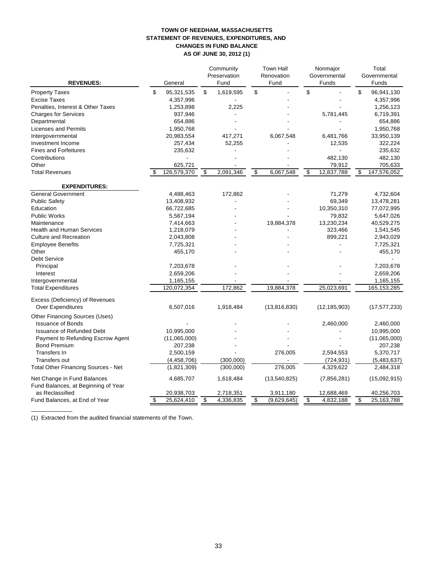#### **TOWN OF NEEDHAM, MASSACHUSETTS STATEMENT OF REVENUES, EXPENDITURES, AND CHANGES IN FUND BALANCE AS OF JUNE 30, 2012 (1)**

|                                                                    | Community<br><b>Town Hall</b><br>Preservation<br>Renovation |                            |                        | Nonmajor<br>Governmental |              | Total<br>Governmental |                         |                          |
|--------------------------------------------------------------------|-------------------------------------------------------------|----------------------------|------------------------|--------------------------|--------------|-----------------------|-------------------------|--------------------------|
| <b>REVENUES:</b>                                                   |                                                             | General                    | Fund                   |                          | Fund         |                       | Funds                   | Funds                    |
| <b>Property Taxes</b>                                              | \$                                                          | 95,321,535                 | \$<br>1,619,595        | \$                       |              | \$                    |                         | \$<br>96,941,130         |
| <b>Excise Taxes</b>                                                |                                                             | 4,357,996                  |                        |                          |              |                       |                         | 4,357,996                |
| Penalties, Interest & Other Taxes                                  |                                                             | 1,253,898                  | 2,225                  |                          |              |                       |                         | 1,256,123                |
| <b>Charges for Services</b>                                        |                                                             | 937,946                    |                        |                          |              |                       | 5,781,445               | 6,719,391                |
| Departmental                                                       |                                                             | 654,886                    |                        |                          |              |                       |                         | 654,886                  |
| Licenses and Permits                                               |                                                             | 1,950,768                  |                        |                          |              |                       |                         | 1,950,768                |
| Intergovernmental                                                  |                                                             | 20,983,554                 | 417,271                |                          | 6,067,548    |                       | 6,481,766               | 33,950,139               |
| Investment Income                                                  |                                                             | 257,434                    | 52,255                 |                          |              |                       | 12,535                  | 322,224                  |
| <b>Fines and Forfeitures</b>                                       |                                                             | 235,632                    |                        |                          |              |                       |                         | 235,632                  |
| Contributions                                                      |                                                             |                            |                        |                          |              |                       | 482,130                 | 482,130                  |
| Other                                                              |                                                             | 625,721                    |                        |                          |              |                       | 79,912                  | 705,633                  |
| <b>Total Revenues</b>                                              | \$                                                          | 126,579,370                | \$<br>2,091,346        | \$                       | 6,067,548    | \$                    | 12,837,788              | \$<br>147,576,052        |
| <b>EXPENDITURES:</b>                                               |                                                             |                            |                        |                          |              |                       |                         |                          |
| <b>General Government</b>                                          |                                                             | 4,488,463                  | 172,862                |                          |              |                       | 71,279                  | 4,732,604                |
| <b>Public Safety</b>                                               |                                                             | 13,408,932                 |                        |                          |              |                       | 69,349                  | 13,478,281               |
| Education                                                          |                                                             | 66,722,685                 |                        |                          |              |                       | 10,350,310              | 77,072,995               |
| <b>Public Works</b>                                                |                                                             | 5,567,194                  |                        |                          |              |                       | 79,832                  | 5,647,026                |
| Maintenance                                                        |                                                             | 7,414,663                  |                        |                          | 19,884,378   |                       | 13,230,234              | 40,529,275               |
| <b>Health and Human Services</b>                                   |                                                             | 1,218,079                  |                        |                          |              |                       | 323,466                 | 1,541,545                |
| <b>Culture and Recreation</b>                                      |                                                             | 2,043,808                  |                        |                          |              |                       | 899,221                 | 2,943,029                |
| <b>Employee Benefits</b>                                           |                                                             | 7,725,321                  |                        |                          |              |                       |                         | 7,725,321                |
| Other                                                              |                                                             | 455,170                    |                        |                          |              |                       |                         | 455,170                  |
| <b>Debt Service</b>                                                |                                                             |                            |                        |                          |              |                       |                         |                          |
| Principal                                                          |                                                             | 7,203,678                  |                        |                          |              |                       |                         | 7,203,678                |
| Interest                                                           |                                                             | 2,659,206                  |                        |                          |              |                       |                         | 2,659,206                |
| Intergovernmental                                                  |                                                             | 1,165,155                  |                        |                          |              |                       |                         | 1,165,155                |
| <b>Total Expenditures</b>                                          |                                                             | 120,072,354                | 172,862                |                          | 19,884,378   |                       | 25,023,691              | 165,153,285              |
| Excess (Deficiency) of Revenues                                    |                                                             |                            |                        |                          |              |                       |                         |                          |
| <b>Over Expenditures</b>                                           |                                                             | 6,507,016                  | 1,918,484              |                          | (13,816,830) |                       | (12, 185, 903)          | (17, 577, 233)           |
| Other Financing Sources (Uses)                                     |                                                             |                            |                        |                          |              |                       |                         |                          |
| <b>Issuance of Bonds</b>                                           |                                                             |                            |                        |                          |              |                       | 2,460,000               | 2,460,000                |
| <b>Issuance of Refunded Debt</b>                                   |                                                             | 10,995,000                 |                        |                          |              |                       |                         | 10,995,000               |
| Payment to Refunding Escrow Agent                                  |                                                             | (11,065,000)               |                        |                          |              |                       |                         | (11,065,000)             |
| <b>Bond Premium</b>                                                |                                                             | 207,238                    |                        |                          |              |                       |                         | 207,238                  |
| <b>Transfers In</b>                                                |                                                             |                            |                        |                          | 276,005      |                       |                         |                          |
|                                                                    |                                                             | 2,500,159                  |                        |                          |              |                       | 2,594,553               | 5,370,717                |
| <b>Transfers out</b><br><b>Total Other Financing Sources - Net</b> |                                                             | (4,458,706)<br>(1,821,309) | (300,000)<br>(300,000) |                          | 276,005      |                       | (724, 931)<br>4,329,622 | (5,483,637)<br>2,484,318 |
| Net Change in Fund Balances                                        |                                                             | 4,685,707                  | 1,618,484              |                          | (13,540,825) |                       | (7,856,281)             | (15,092,915)             |
| Fund Balances, at Beginning of Year                                |                                                             |                            |                        |                          |              |                       |                         |                          |
| as Reclassified                                                    |                                                             | 20,938,703                 | 2,718,351              |                          | 3,911,180    |                       | 12,688,469              | 40,256,703               |
| Fund Balances, at End of Year                                      |                                                             | 25,624,410                 | \$<br>4,336,835        | \$                       | (9,629,645)  | $\bullet$             | 4,832,188               | \$<br>25,163,788         |
|                                                                    |                                                             |                            |                        |                          |              |                       |                         |                          |

(1) Extracted from the audited financial statements of the Town.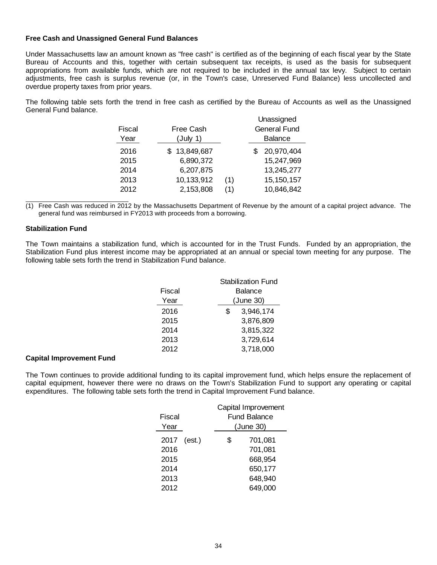#### **Free Cash and Unassigned General Fund Balances**

Under Massachusetts law an amount known as "free cash" is certified as of the beginning of each fiscal year by the State Bureau of Accounts and this, together with certain subsequent tax receipts, is used as the basis for subsequent appropriations from available funds, which are not required to be included in the annual tax levy. Subject to certain adjustments, free cash is surplus revenue (or, in the Town's case, Unreserved Fund Balance) less uncollected and overdue property taxes from prior years.

The following table sets forth the trend in free cash as certified by the Bureau of Accounts as well as the Unassigned General Fund balance.

|        |                  |     |   | Unassigned          |
|--------|------------------|-----|---|---------------------|
| Fiscal | <b>Free Cash</b> |     |   | <b>General Fund</b> |
| Year   | (July 1)         |     |   | <b>Balance</b>      |
| 2016   | \$13,849,687     |     | S | 20,970,404          |
| 2015   | 6,890,372        |     |   | 15,247,969          |
| 2014   | 6,207,875        |     |   | 13,245,277          |
| 2013   | 10,133,912       | (1) |   | 15, 150, 157        |
| 2012   | 2,153,808        | (1) |   | 10,846,842          |

(1) Free Cash was reduced in 2012 by the Massachusetts Department of Revenue by the amount of a capital project advance. The general fund was reimbursed in FY2013 with proceeds from a borrowing.

#### **Stabilization Fund**

The Town maintains a stabilization fund, which is accounted for in the Trust Funds. Funded by an appropriation, the Stabilization Fund plus interest income may be appropriated at an annual or special town meeting for any purpose. The following table sets forth the trend in Stabilization Fund balance.

|        | <b>Stabilization Fund</b> |  |  |
|--------|---------------------------|--|--|
| Fiscal | Balance                   |  |  |
| Year   | (June 30)                 |  |  |
| 2016   | 3,946,174<br>\$           |  |  |
| 2015   | 3,876,809                 |  |  |
| 2014   | 3,815,322                 |  |  |
| 2013   | 3,729,614                 |  |  |
| 2012   | 3,718,000                 |  |  |

#### **Capital Improvement Fund**

The Town continues to provide additional funding to its capital improvement fund, which helps ensure the replacement of capital equipment, however there were no draws on the Town's Stabilization Fund to support any operating or capital expenditures. The following table sets forth the trend in Capital Improvement Fund balance.

|             |    | Capital Improvement |
|-------------|----|---------------------|
| Fiscal      |    | <b>Fund Balance</b> |
| Year        |    | (June 30)           |
| 2017 (est.) | \$ | 701,081             |
| 2016        |    | 701,081             |
| 2015        |    | 668,954             |
| 2014        |    | 650,177             |
| 2013        |    | 648,940             |
| 2012        |    | 649,000             |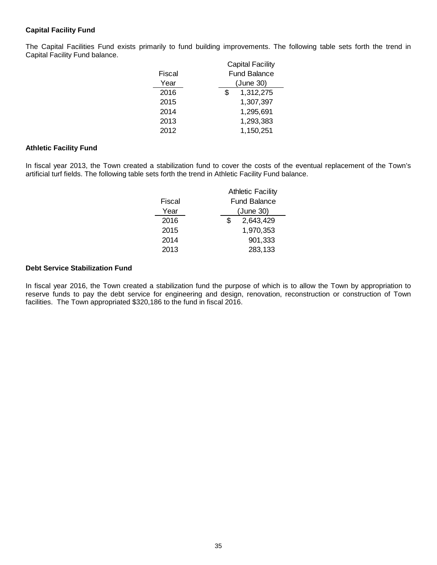#### **Capital Facility Fund**

The Capital Facilities Fund exists primarily to fund building improvements. The following table sets forth the trend in Capital Facility Fund balance.

|        | <b>Capital Facility</b> |
|--------|-------------------------|
| Fiscal | <b>Fund Balance</b>     |
| Year   | (June 30)               |
| 2016   | 1,312,275<br>\$         |
| 2015   | 1,307,397               |
| 2014   | 1,295,691               |
| 2013   | 1,293,383               |
| 2012   | 1,150,251               |

#### **Athletic Facility Fund**

In fiscal year 2013, the Town created a stabilization fund to cover the costs of the eventual replacement of the Town's artificial turf fields. The following table sets forth the trend in Athletic Facility Fund balance.

|        | <b>Athletic Facility</b> |  |  |
|--------|--------------------------|--|--|
| Fiscal | <b>Fund Balance</b>      |  |  |
| Year   | (June 30)                |  |  |
| 2016   | 2,643,429<br>\$          |  |  |
| 2015   | 1,970,353                |  |  |
| 2014   | 901,333                  |  |  |
| 2013   | 283,133                  |  |  |

#### **Debt Service Stabilization Fund**

In fiscal year 2016, the Town created a stabilization fund the purpose of which is to allow the Town by appropriation to reserve funds to pay the debt service for engineering and design, renovation, reconstruction or construction of Town facilities. The Town appropriated \$320,186 to the fund in fiscal 2016.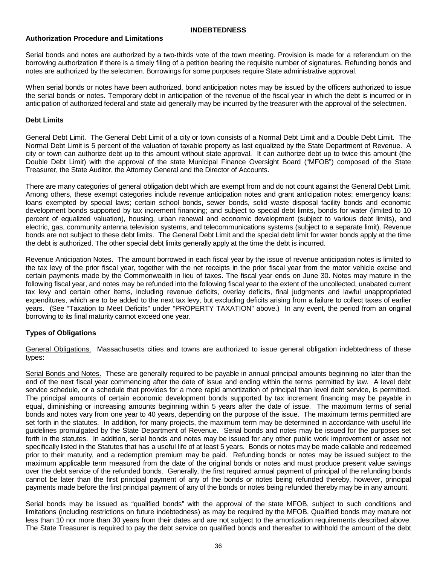#### **INDEBTEDNESS**

#### **Authorization Procedure and Limitations**

Serial bonds and notes are authorized by a two-thirds vote of the town meeting. Provision is made for a referendum on the borrowing authorization if there is a timely filing of a petition bearing the requisite number of signatures. Refunding bonds and notes are authorized by the selectmen. Borrowings for some purposes require State administrative approval.

When serial bonds or notes have been authorized, bond anticipation notes may be issued by the officers authorized to issue the serial bonds or notes. Temporary debt in anticipation of the revenue of the fiscal year in which the debt is incurred or in anticipation of authorized federal and state aid generally may be incurred by the treasurer with the approval of the selectmen.

# **Debt Limits**

General Debt Limit. The General Debt Limit of a city or town consists of a Normal Debt Limit and a Double Debt Limit. The Normal Debt Limit is 5 percent of the valuation of taxable property as last equalized by the State Department of Revenue. A city or town can authorize debt up to this amount without state approval. It can authorize debt up to twice this amount (the Double Debt Limit) with the approval of the state Municipal Finance Oversight Board ("MFOB") composed of the State Treasurer, the State Auditor, the Attorney General and the Director of Accounts.

There are many categories of general obligation debt which are exempt from and do not count against the General Debt Limit. Among others, these exempt categories include revenue anticipation notes and grant anticipation notes; emergency loans; loans exempted by special laws; certain school bonds, sewer bonds, solid waste disposal facility bonds and economic development bonds supported by tax increment financing; and subject to special debt limits, bonds for water (limited to 10 percent of equalized valuation), housing, urban renewal and economic development (subject to various debt limits), and electric, gas, community antenna television systems, and telecommunications systems (subject to a separate limit). Revenue bonds are not subject to these debt limits. The General Debt Limit and the special debt limit for water bonds apply at the time the debt is authorized. The other special debt limits generally apply at the time the debt is incurred.

Revenue Anticipation Notes. The amount borrowed in each fiscal year by the issue of revenue anticipation notes is limited to the tax levy of the prior fiscal year, together with the net receipts in the prior fiscal year from the motor vehicle excise and certain payments made by the Commonwealth in lieu of taxes. The fiscal year ends on June 30. Notes may mature in the following fiscal year, and notes may be refunded into the following fiscal year to the extent of the uncollected, unabated current tax levy and certain other items, including revenue deficits, overlay deficits, final judgments and lawful unappropriated expenditures, which are to be added to the next tax levy, but excluding deficits arising from a failure to collect taxes of earlier years. (See "Taxation to Meet Deficits" under "PROPERTY TAXATION" above.) In any event, the period from an original borrowing to its final maturity cannot exceed one year.

# **Types of Obligations**

General Obligations. Massachusetts cities and towns are authorized to issue general obligation indebtedness of these types:

Serial Bonds and Notes. These are generally required to be payable in annual principal amounts beginning no later than the end of the next fiscal year commencing after the date of issue and ending within the terms permitted by law. A level debt service schedule, or a schedule that provides for a more rapid amortization of principal than level debt service, is permitted. The principal amounts of certain economic development bonds supported by tax increment financing may be payable in equal, diminishing or increasing amounts beginning within 5 years after the date of issue. The maximum terms of serial bonds and notes vary from one year to 40 years, depending on the purpose of the issue. The maximum terms permitted are set forth in the statutes. In addition, for many projects, the maximum term may be determined in accordance with useful life guidelines promulgated by the State Department of Revenue. Serial bonds and notes may be issued for the purposes set forth in the statutes. In addition, serial bonds and notes may be issued for any other public work improvement or asset not specifically listed in the Statutes that has a useful life of at least 5 years. Bonds or notes may be made callable and redeemed prior to their maturity, and a redemption premium may be paid. Refunding bonds or notes may be issued subject to the maximum applicable term measured from the date of the original bonds or notes and must produce present value savings over the debt service of the refunded bonds. Generally, the first required annual payment of principal of the refunding bonds cannot be later than the first principal payment of any of the bonds or notes being refunded thereby, however, principal payments made before the first principal payment of any of the bonds or notes being refunded thereby may be in any amount.

Serial bonds may be issued as "qualified bonds" with the approval of the state MFOB, subject to such conditions and limitations (including restrictions on future indebtedness) as may be required by the MFOB. Qualified bonds may mature not less than 10 nor more than 30 years from their dates and are not subject to the amortization requirements described above. The State Treasurer is required to pay the debt service on qualified bonds and thereafter to withhold the amount of the debt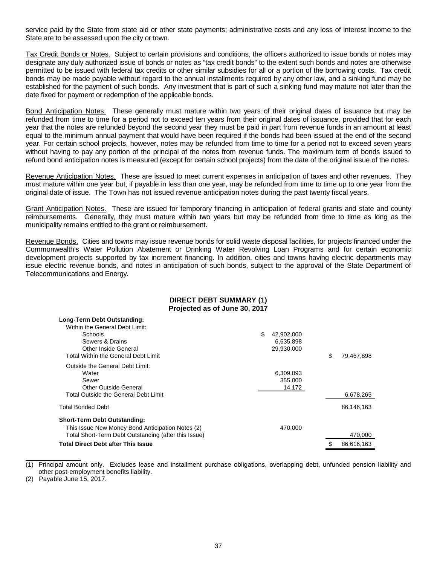service paid by the State from state aid or other state payments; administrative costs and any loss of interest income to the State are to be assessed upon the city or town.

Tax Credit Bonds or Notes. Subject to certain provisions and conditions, the officers authorized to issue bonds or notes may designate any duly authorized issue of bonds or notes as "tax credit bonds" to the extent such bonds and notes are otherwise permitted to be issued with federal tax credits or other similar subsidies for all or a portion of the borrowing costs. Tax credit bonds may be made payable without regard to the annual installments required by any other law, and a sinking fund may be established for the payment of such bonds. Any investment that is part of such a sinking fund may mature not later than the date fixed for payment or redemption of the applicable bonds.

Bond Anticipation Notes. These generally must mature within two years of their original dates of issuance but may be refunded from time to time for a period not to exceed ten years from their original dates of issuance, provided that for each year that the notes are refunded beyond the second year they must be paid in part from revenue funds in an amount at least equal to the minimum annual payment that would have been required if the bonds had been issued at the end of the second year. For certain school projects, however, notes may be refunded from time to time for a period not to exceed seven years without having to pay any portion of the principal of the notes from revenue funds. The maximum term of bonds issued to refund bond anticipation notes is measured (except for certain school projects) from the date of the original issue of the notes.

Revenue Anticipation Notes. These are issued to meet current expenses in anticipation of taxes and other revenues. They must mature within one year but, if payable in less than one year, may be refunded from time to time up to one year from the original date of issue. The Town has not issued revenue anticipation notes during the past twenty fiscal years.

Grant Anticipation Notes. These are issued for temporary financing in anticipation of federal grants and state and county reimbursements. Generally, they must mature within two years but may be refunded from time to time as long as the municipality remains entitled to the grant or reimbursement.

Revenue Bonds. Cities and towns may issue revenue bonds for solid waste disposal facilities, for projects financed under the Commonwealth's Water Pollution Abatement or Drinking Water Revolving Loan Programs and for certain economic development projects supported by tax increment financing. In addition, cities and towns having electric departments may issue electric revenue bonds, and notes in anticipation of such bonds, subject to the approval of the State Department of Telecommunications and Energy.

#### **DIRECT DEBT SUMMARY (1) Projected as of June 30, 2017**

| Within the General Debt Limit:<br>Schools<br>Sewers & Drains<br>Other Inside General<br>Total Within the General Debt Limit                     | \$<br>42,902,000<br>6,635,898<br>29,930,000 | \$<br>79,467,898 |
|-------------------------------------------------------------------------------------------------------------------------------------------------|---------------------------------------------|------------------|
| Outside the General Debt Limit:<br>Water<br>Sewer<br><b>Other Outside General</b><br>Total Outside the General Debt Limit                       | 6,309,093<br>355,000<br>14,172              | 6,678,265        |
| <b>Total Bonded Debt</b>                                                                                                                        |                                             | 86,146,163       |
| <b>Short-Term Debt Outstanding:</b><br>This Issue New Money Bond Anticipation Notes (2)<br>Total Short-Term Debt Outstanding (after this Issue) | 470.000                                     | 470,000          |
| <b>Total Direct Debt after This Issue</b>                                                                                                       |                                             | \$<br>86.616.163 |

(1) Principal amount only. Excludes lease and installment purchase obligations, overlapping debt, unfunded pension liability and other post-employment benefits liability.

(2) Payable June 15, 2017.

**Long-Term Debt Outstanding:**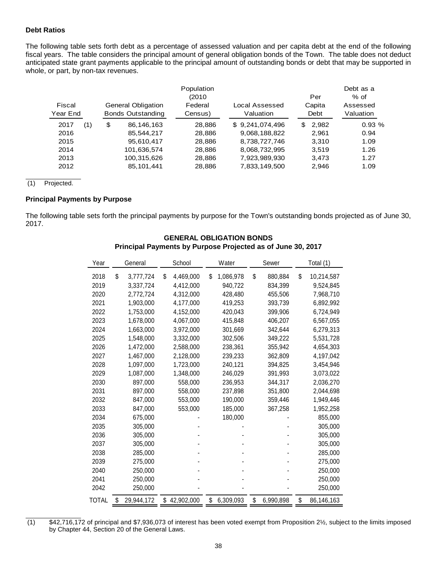#### **Debt Ratios**

The following table sets forth debt as a percentage of assessed valuation and per capita debt at the end of the following fiscal years. The table considers the principal amount of general obligation bonds of the Town. The table does not deduct anticipated state grant payments applicable to the principal amount of outstanding bonds or debt that may be supported in whole, or part, by non-tax revenues.

|             |                          | Population |                 |             | Debt as a |
|-------------|--------------------------|------------|-----------------|-------------|-----------|
|             |                          | (2010      |                 | Per         | $%$ of    |
| Fiscal      | General Obligation       | Federal    | Local Assessed  | Capita      | Assessed  |
| Year End    | <b>Bonds Outstanding</b> | Census)    | Valuation       | Debt        | Valuation |
| 2017<br>(1) | \$<br>86,146,163         | 28,886     | \$9,241,074,496 | 2,982<br>\$ | 0.93%     |
| 2016        | 85.544.217               | 28,886     | 9,068,188,822   | 2.961       | 0.94      |
| 2015        | 95,610,417               | 28,886     | 8,738,727,746   | 3.310       | 1.09      |
| 2014        | 101,636,574              | 28,886     | 8,068,732,995   | 3,519       | 1.26      |
| 2013        | 100,315,626              | 28,886     | 7,923,989,930   | 3.473       | 1.27      |
| 2012        | 85,101,441               | 28,886     | 7,833,149,500   | 2.946       | 1.09      |

#### (1) Projected.

#### **Principal Payments by Purpose**

The following table sets forth the principal payments by purpose for the Town's outstanding bonds projected as of June 30, 2017.

| Year         | General          | School           | Water           | Sewer           |    | Total (1)  |
|--------------|------------------|------------------|-----------------|-----------------|----|------------|
| 2018         | \$<br>3,777,724  | \$<br>4,469,000  | \$<br>1,086,978 | \$<br>880,884   | \$ | 10,214,587 |
| 2019         | 3,337,724        | 4,412,000        | 940,722         | 834,399         |    | 9,524,845  |
| 2020         | 2,772,724        | 4,312,000        | 428,480         | 455,506         |    | 7,968,710  |
| 2021         | 1,903,000        | 4,177,000        | 419,253         | 393,739         |    | 6,892,992  |
| 2022         | 1,753,000        | 4,152,000        | 420,043         | 399,906         |    | 6,724,949  |
| 2023         | 1,678,000        | 4,067,000        | 415,848         | 406,207         |    | 6,567,055  |
| 2024         | 1,663,000        | 3,972,000        | 301,669         | 342,644         |    | 6,279,313  |
| 2025         | 1,548,000        | 3,332,000        | 302,506         | 349,222         |    | 5,531,728  |
| 2026         | 1,472,000        | 2,588,000        | 238,361         | 355,942         |    | 4,654,303  |
| 2027         | 1,467,000        | 2,128,000        | 239,233         | 362,809         |    | 4,197,042  |
| 2028         | 1,097,000        | 1,723,000        | 240,121         | 394,825         |    | 3,454,946  |
| 2029         | 1,087,000        | 1,348,000        | 246,029         | 391,993         |    | 3,073,022  |
| 2030         | 897,000          | 558,000          | 236,953         | 344,317         |    | 2,036,270  |
| 2031         | 897,000          | 558,000          | 237,898         | 351,800         |    | 2,044,698  |
| 2032         | 847,000          | 553,000          | 190,000         | 359,446         |    | 1,949,446  |
| 2033         | 847,000          | 553,000          | 185,000         | 367,258         |    | 1,952,258  |
| 2034         | 675,000          |                  | 180,000         |                 |    | 855,000    |
| 2035         | 305,000          |                  |                 |                 |    | 305,000    |
| 2036         | 305,000          |                  |                 |                 |    | 305,000    |
| 2037         | 305,000          |                  |                 |                 |    | 305,000    |
| 2038         | 285,000          |                  |                 |                 |    | 285,000    |
| 2039         | 275,000          |                  |                 |                 |    | 275,000    |
| 2040         | 250,000          |                  |                 |                 |    | 250,000    |
| 2041         | 250,000          |                  |                 |                 |    | 250,000    |
| 2042         | 250,000          |                  |                 |                 |    | 250,000    |
| <b>TOTAL</b> | \$<br>29,944,172 | \$<br>42,902,000 | \$<br>6,309,093 | \$<br>6,990,898 | \$ | 86,146,163 |

#### **GENERAL OBLIGATION BONDS Principal Payments by Purpose Projected as of June 30, 2017**

(1) \$42,716,172 of principal and \$7,936,073 of interest has been voted exempt from Proposition 2½, subject to the limits imposed by Chapter 44, Section 20 of the General Laws.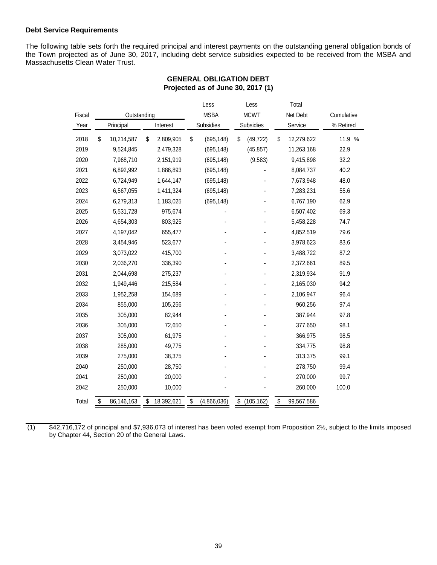#### **Debt Service Requirements**

The following table sets forth the required principal and interest payments on the outstanding general obligation bonds of the Town projected as of June 30, 2017, including debt service subsidies expected to be received from the MSBA and Massachusetts Clean Water Trust.

#### **GENERAL OBLIGATION DEBT Projected as of June 30, 2017 (1)**

|        |    |             | Less<br>Less     |                   |    | Total       |          |            |            |  |
|--------|----|-------------|------------------|-------------------|----|-------------|----------|------------|------------|--|
| Fiscal |    | Outstanding |                  | <b>MSBA</b>       |    | <b>MCWT</b> | Net Debt |            | Cumulative |  |
| Year   |    | Principal   | Interest         | Subsidies         |    | Subsidies   |          | Service    | % Retired  |  |
| 2018   | \$ | 10,214,587  | \$<br>2,809,905  | \$<br>(695, 148)  | \$ | (49, 722)   | \$       | 12,279,622 | 11.9 %     |  |
| 2019   |    | 9,524,845   | 2,479,328        | (695, 148)        |    | (45, 857)   |          | 11,263,168 | 22.9       |  |
| 2020   |    | 7,968,710   | 2,151,919        | (695, 148)        |    | (9,583)     |          | 9,415,898  | 32.2       |  |
| 2021   |    | 6,892,992   | 1,886,893        | (695, 148)        |    |             |          | 8,084,737  | 40.2       |  |
| 2022   |    | 6,724,949   | 1,644,147        | (695, 148)        |    |             |          | 7,673,948  | 48.0       |  |
| 2023   |    | 6,567,055   | 1,411,324        | (695, 148)        |    |             |          | 7,283,231  | 55.6       |  |
| 2024   |    | 6,279,313   | 1,183,025        | (695, 148)        |    |             |          | 6,767,190  | 62.9       |  |
| 2025   |    | 5,531,728   | 975,674          |                   |    |             |          | 6,507,402  | 69.3       |  |
| 2026   |    | 4,654,303   | 803,925          |                   |    |             |          | 5,458,228  | 74.7       |  |
| 2027   |    | 4,197,042   | 655,477          |                   |    |             |          | 4,852,519  | 79.6       |  |
| 2028   |    | 3,454,946   | 523,677          |                   |    |             |          | 3,978,623  | 83.6       |  |
| 2029   |    | 3,073,022   | 415,700          |                   |    |             |          | 3,488,722  | 87.2       |  |
| 2030   |    | 2,036,270   | 336,390          |                   |    |             |          | 2,372,661  | 89.5       |  |
| 2031   |    | 2,044,698   | 275,237          |                   |    |             |          | 2,319,934  | 91.9       |  |
| 2032   |    | 1,949,446   | 215,584          |                   |    |             |          | 2,165,030  | 94.2       |  |
| 2033   |    | 1,952,258   | 154,689          |                   |    |             |          | 2,106,947  | 96.4       |  |
| 2034   |    | 855,000     | 105,256          |                   |    |             |          | 960,256    | 97.4       |  |
| 2035   |    | 305,000     | 82,944           |                   |    |             |          | 387,944    | 97.8       |  |
| 2036   |    | 305,000     | 72,650           |                   |    |             |          | 377,650    | 98.1       |  |
| 2037   |    | 305,000     | 61,975           |                   |    |             |          | 366,975    | 98.5       |  |
| 2038   |    | 285,000     | 49,775           |                   |    |             |          | 334,775    | 98.8       |  |
| 2039   |    | 275,000     | 38,375           |                   |    |             |          | 313,375    | 99.1       |  |
| 2040   |    | 250,000     | 28,750           |                   |    |             |          | 278,750    | 99.4       |  |
| 2041   |    | 250,000     | 20,000           |                   |    |             |          | 270,000    | 99.7       |  |
| 2042   |    | 250,000     | 10,000           |                   |    |             |          | 260,000    | 100.0      |  |
| Total  | \$ | 86,146,163  | \$<br>18,392,621 | \$<br>(4,866,036) | \$ | (105, 162)  | \$       | 99,567,586 |            |  |

 $\overline{(1)}$  \$42,716,172 of principal and \$7,936,073 of interest has been voted exempt from Proposition 2½, subject to the limits imposed by Chapter 44, Section 20 of the General Laws.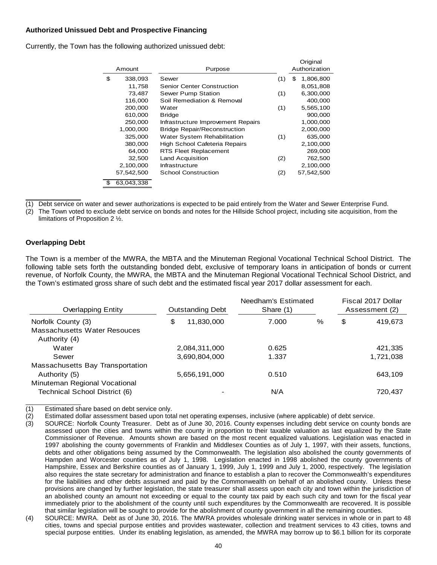#### **Authorized Unissued Debt and Prospective Financing**

Currently, the Town has the following authorized unissued debt:

|     |            |                                     |     |               | Original   |  |
|-----|------------|-------------------------------------|-----|---------------|------------|--|
|     | Amount     | Purpose                             |     | Authorization |            |  |
| \$  | 338,093    | Sewer                               | (1) | \$            | 1,806,800  |  |
|     | 11,758     | <b>Senior Center Construction</b>   |     |               | 8,051,808  |  |
|     | 73,487     | Sewer Pump Station                  | (1) |               | 6,300,000  |  |
|     | 116,000    | Soil Remediation & Removal          |     |               | 400,000    |  |
|     | 200,000    | Water                               | (1) |               | 5,565,100  |  |
|     | 610,000    | <b>Bridge</b>                       |     |               | 900,000    |  |
|     | 250,000    | Infrastructure Improvement Repairs  |     |               | 1,000,000  |  |
|     | 1,000,000  | <b>Bridge Repair/Reconstruction</b> |     |               | 2,000,000  |  |
|     | 325,000    | <b>Water System Rehabilitation</b>  | (1) |               | 635,000    |  |
|     | 380,000    | High School Cafeteria Repairs       |     |               | 2,100,000  |  |
|     | 64,000     | <b>RTS Fleet Replacement</b>        |     |               | 269,000    |  |
|     | 32,500     | Land Acquisition                    | (2) |               | 762,500    |  |
|     | 2,100,000  | Infrastructure                      |     |               | 2,100,000  |  |
|     | 57,542,500 | <b>School Construction</b>          | (2) |               | 57,542,500 |  |
| \$. | 63.043.338 |                                     |     |               |            |  |

(1) Debt service on water and sewer authorizations is expected to be paid entirely from the Water and Sewer Enterprise Fund.

(2) The Town voted to exclude debt service on bonds and notes for the Hillside School project, including site acquisition, from the limitations of Proposition 2 ½.

# **Overlapping Debt**

The Town is a member of the MWRA, the MBTA and the Minuteman Regional Vocational Technical School District. The following table sets forth the outstanding bonded debt, exclusive of temporary loans in anticipation of bonds or current revenue, of Norfolk County, the MWRA, the MBTA and the Minuteman Regional Vocational Technical School District, and the Town's estimated gross share of such debt and the estimated fiscal year 2017 dollar assessment for each.

| Overlapping Entity               | <b>Outstanding Debt</b> | Needham's Estimated<br>Share (1) |   | Fiscal 2017 Dollar<br>Assessment (2) |           |  |  |
|----------------------------------|-------------------------|----------------------------------|---|--------------------------------------|-----------|--|--|
| Norfolk County (3)               | \$<br>11,830,000        | 7.000                            | % | \$                                   | 419,673   |  |  |
| Massachusetts Water Resouces     |                         |                                  |   |                                      |           |  |  |
| Authority (4)                    |                         |                                  |   |                                      |           |  |  |
| Water                            | 2,084,311,000           | 0.625                            |   |                                      | 421,335   |  |  |
| Sewer                            | 3,690,804,000           | 1.337                            |   |                                      | 1,721,038 |  |  |
| Massachusetts Bay Transportation |                         |                                  |   |                                      |           |  |  |
| Authority (5)                    | 5,656,191,000           | 0.510                            |   |                                      | 643.109   |  |  |
| Minuteman Regional Vocational    |                         |                                  |   |                                      |           |  |  |
| Technical School District (6)    |                         | N/A                              |   |                                      | 720.437   |  |  |

(1) Estimated share based on debt service only.

(2) Estimated dollar assessment based upon total net operating expenses, inclusive (where applicable) of debt service.

- (3) SOURCE: Norfolk County Treasurer. Debt as of June 30, 2016. County expenses including debt service on county bonds are assessed upon the cities and towns within the county in proportion to their taxable valuation as last equalized by the State Commissioner of Revenue. Amounts shown are based on the most recent equalized valuations. Legislation was enacted in 1997 abolishing the county governments of Franklin and Middlesex Counties as of July 1, 1997, with their assets, functions, debts and other obligations being assumed by the Commonwealth. The legislation also abolished the county governments of Hampden and Worcester counties as of July 1, 1998. Legislation enacted in 1998 abolished the county governments of Hampshire, Essex and Berkshire counties as of January 1, 1999, July 1, 1999 and July 1, 2000, respectively. The legislation also requires the state secretary for administration and finance to establish a plan to recover the Commonwealth's expenditures for the liabilities and other debts assumed and paid by the Commonwealth on behalf of an abolished county. Unless these provisions are changed by further legislation, the state treasurer shall assess upon each city and town within the jurisdiction of an abolished county an amount not exceeding or equal to the county tax paid by each such city and town for the fiscal year immediately prior to the abolishment of the county until such expenditures by the Commonwealth are recovered. It is possible that similar legislation will be sought to provide for the abolishment of county government in all the remaining counties.
- (4) SOURCE: MWRA. Debt as of June 30, 2016. The MWRA provides wholesale drinking water services in whole or in part to 48 cities, towns and special purpose entities and provides wastewater, collection and treatment services to 43 cities, towns and special purpose entities. Under its enabling legislation, as amended, the MWRA may borrow up to \$6.1 billion for its corporate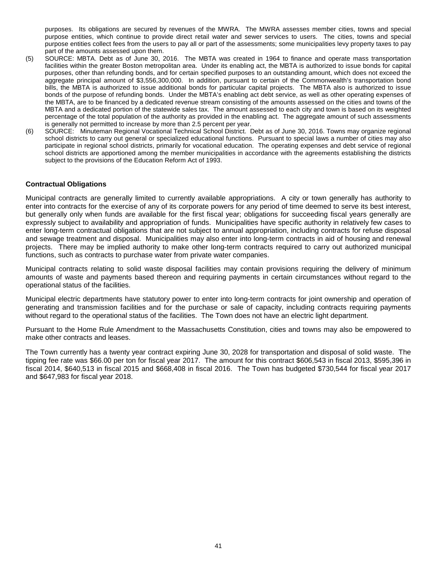purposes. Its obligations are secured by revenues of the MWRA. The MWRA assesses member cities, towns and special purpose entities, which continue to provide direct retail water and sewer services to users. The cities, towns and special purpose entities collect fees from the users to pay all or part of the assessments; some municipalities levy property taxes to pay part of the amounts assessed upon them.

- (5) SOURCE: MBTA. Debt as of June 30, 2016. The MBTA was created in 1964 to finance and operate mass transportation facilities within the greater Boston metropolitan area. Under its enabling act, the MBTA is authorized to issue bonds for capital purposes, other than refunding bonds, and for certain specified purposes to an outstanding amount, which does not exceed the aggregate principal amount of \$3,556,300,000. In addition, pursuant to certain of the Commonwealth's transportation bond bills, the MBTA is authorized to issue additional bonds for particular capital projects. The MBTA also is authorized to issue bonds of the purpose of refunding bonds. Under the MBTA's enabling act debt service, as well as other operating expenses of the MBTA, are to be financed by a dedicated revenue stream consisting of the amounts assessed on the cities and towns of the MBTA and a dedicated portion of the statewide sales tax. The amount assessed to each city and town is based on its weighted percentage of the total population of the authority as provided in the enabling act. The aggregate amount of such assessments is generally not permitted to increase by more than 2.5 percent per year.
- (6) SOURCE: Minuteman Regional Vocational Technical School District. Debt as of June 30, 2016. Towns may organize regional school districts to carry out general or specialized educational functions. Pursuant to special laws a number of cities may also participate in regional school districts, primarily for vocational education. The operating expenses and debt service of regional school districts are apportioned among the member municipalities in accordance with the agreements establishing the districts subject to the provisions of the Education Reform Act of 1993.

# **Contractual Obligations**

Municipal contracts are generally limited to currently available appropriations. A city or town generally has authority to enter into contracts for the exercise of any of its corporate powers for any period of time deemed to serve its best interest, but generally only when funds are available for the first fiscal year; obligations for succeeding fiscal years generally are expressly subject to availability and appropriation of funds. Municipalities have specific authority in relatively few cases to enter long-term contractual obligations that are not subject to annual appropriation, including contracts for refuse disposal and sewage treatment and disposal. Municipalities may also enter into long-term contracts in aid of housing and renewal projects. There may be implied authority to make other long-term contracts required to carry out authorized municipal functions, such as contracts to purchase water from private water companies.

Municipal contracts relating to solid waste disposal facilities may contain provisions requiring the delivery of minimum amounts of waste and payments based thereon and requiring payments in certain circumstances without regard to the operational status of the facilities.

Municipal electric departments have statutory power to enter into long-term contracts for joint ownership and operation of generating and transmission facilities and for the purchase or sale of capacity, including contracts requiring payments without regard to the operational status of the facilities. The Town does not have an electric light department.

Pursuant to the Home Rule Amendment to the Massachusetts Constitution, cities and towns may also be empowered to make other contracts and leases.

The Town currently has a twenty year contract expiring June 30, 2028 for transportation and disposal of solid waste. The tipping fee rate was \$66.00 per ton for fiscal year 2017. The amount for this contract \$606,543 in fiscal 2013, \$595,396 in fiscal 2014, \$640,513 in fiscal 2015 and \$668,408 in fiscal 2016. The Town has budgeted \$730,544 for fiscal year 2017 and \$647,983 for fiscal year 2018.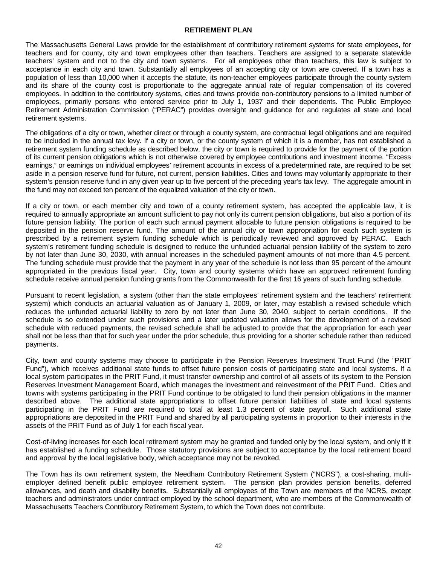#### **RETIREMENT PLAN**

The Massachusetts General Laws provide for the establishment of contributory retirement systems for state employees, for teachers and for county, city and town employees other than teachers. Teachers are assigned to a separate statewide teachers' system and not to the city and town systems. For all employees other than teachers, this law is subject to acceptance in each city and town. Substantially all employees of an accepting city or town are covered. If a town has a population of less than 10,000 when it accepts the statute, its non-teacher employees participate through the county system and its share of the county cost is proportionate to the aggregate annual rate of regular compensation of its covered employees. In addition to the contributory systems, cities and towns provide non-contributory pensions to a limited number of employees, primarily persons who entered service prior to July 1, 1937 and their dependents. The Public Employee Retirement Administration Commission ("PERAC") provides oversight and guidance for and regulates all state and local retirement systems.

The obligations of a city or town, whether direct or through a county system, are contractual legal obligations and are required to be included in the annual tax levy. If a city or town, or the county system of which it is a member, has not established a retirement system funding schedule as described below, the city or town is required to provide for the payment of the portion of its current pension obligations which is not otherwise covered by employee contributions and investment income. "Excess earnings," or earnings on individual employees' retirement accounts in excess of a predetermined rate, are required to be set aside in a pension reserve fund for future, not current, pension liabilities. Cities and towns may voluntarily appropriate to their system's pension reserve fund in any given year up to five percent of the preceding year's tax levy. The aggregate amount in the fund may not exceed ten percent of the equalized valuation of the city or town.

If a city or town, or each member city and town of a county retirement system, has accepted the applicable law, it is required to annually appropriate an amount sufficient to pay not only its current pension obligations, but also a portion of its future pension liability. The portion of each such annual payment allocable to future pension obligations is required to be deposited in the pension reserve fund. The amount of the annual city or town appropriation for each such system is prescribed by a retirement system funding schedule which is periodically reviewed and approved by PERAC. Each system's retirement funding schedule is designed to reduce the unfunded actuarial pension liability of the system to zero by not later than June 30, 2030, with annual increases in the scheduled payment amounts of not more than 4.5 percent. The funding schedule must provide that the payment in any year of the schedule is not less than 95 percent of the amount appropriated in the previous fiscal year. City, town and county systems which have an approved retirement funding schedule receive annual pension funding grants from the Commonwealth for the first 16 years of such funding schedule.

Pursuant to recent legislation, a system (other than the state employees' retirement system and the teachers' retirement system) which conducts an actuarial valuation as of January 1, 2009, or later, may establish a revised schedule which reduces the unfunded actuarial liability to zero by not later than June 30, 2040, subject to certain conditions. If the schedule is so extended under such provisions and a later updated valuation allows for the development of a revised schedule with reduced payments, the revised schedule shall be adjusted to provide that the appropriation for each year shall not be less than that for such year under the prior schedule, thus providing for a shorter schedule rather than reduced payments.

City, town and county systems may choose to participate in the Pension Reserves Investment Trust Fund (the "PRIT Fund"), which receives additional state funds to offset future pension costs of participating state and local systems. If a local system participates in the PRIT Fund, it must transfer ownership and control of all assets of its system to the Pension Reserves Investment Management Board, which manages the investment and reinvestment of the PRIT Fund. Cities and towns with systems participating in the PRIT Fund continue to be obligated to fund their pension obligations in the manner described above. The additional state appropriations to offset future pension liabilities of state and local systems participating in the PRIT Fund are required to total at least 1.3 percent of state payroll. Such additional state appropriations are deposited in the PRIT Fund and shared by all participating systems in proportion to their interests in the assets of the PRIT Fund as of July 1 for each fiscal year.

Cost-of-living increases for each local retirement system may be granted and funded only by the local system, and only if it has established a funding schedule. Those statutory provisions are subject to acceptance by the local retirement board and approval by the local legislative body, which acceptance may not be revoked.

The Town has its own retirement system, the Needham Contributory Retirement System ("NCRS"), a cost-sharing, multiemployer defined benefit public employee retirement system. The pension plan provides pension benefits, deferred allowances, and death and disability benefits. Substantially all employees of the Town are members of the NCRS, except teachers and administrators under contract employed by the school department, who are members of the Commonwealth of Massachusetts Teachers Contributory Retirement System, to which the Town does not contribute.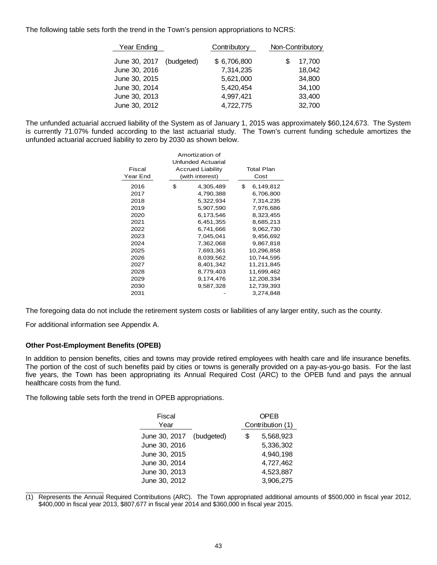The following table sets forth the trend in the Town's pension appropriations to NCRS:

| Year Ending   |            | Contributory | Non-Contributory |
|---------------|------------|--------------|------------------|
| June 30, 2017 | (budgeted) | \$6,706,800  | 17,700<br>S      |
| June 30, 2016 |            | 7,314,235    | 18,042           |
| June 30, 2015 |            | 5,621,000    | 34,800           |
| June 30, 2014 |            | 5,420,454    | 34,100           |
| June 30, 2013 |            | 4,997,421    | 33,400           |
| June 30, 2012 |            | 4,722,775    | 32,700           |

The unfunded actuarial accrued liability of the System as of January 1, 2015 was approximately \$60,124,673. The System is currently 71.07% funded according to the last actuarial study. The Town's current funding schedule amortizes the unfunded actuarial accrued liability to zero by 2030 as shown below.

| Amortization of<br><b>Unfunded Actuarial</b> |    |                                                                            |                           |                                                                            |  |  |  |  |  |  |
|----------------------------------------------|----|----------------------------------------------------------------------------|---------------------------|----------------------------------------------------------------------------|--|--|--|--|--|--|
| Fiscal<br>Year End                           |    | <b>Accrued Liability</b><br>(with interest)                                | <b>Total Plan</b><br>Cost |                                                                            |  |  |  |  |  |  |
| 2016<br>2017<br>2018<br>2019<br>2020<br>2021 | \$ | 4,305,489<br>4,790,388<br>5,322,934<br>5,907,590<br>6,173,546<br>6,451,355 | \$                        | 6,149,812<br>6,706,800<br>7,314,235<br>7,976,686<br>8,323,455<br>8,685,213 |  |  |  |  |  |  |
| 2022<br>2023                                 |    | 6,741,666<br>7,045,041                                                     |                           | 9,062,730<br>9,456,692                                                     |  |  |  |  |  |  |
| 2024<br>2025<br>2026                         |    | 7,362,068<br>7,693,361<br>8,039,562                                        |                           | 9,867,818<br>10,296,858<br>10,744,595                                      |  |  |  |  |  |  |
| 2027<br>2028<br>2029                         |    | 8,401,342<br>8,779,403<br>9,174,476                                        |                           | 11,211,845<br>11,699,462<br>12,208,334                                     |  |  |  |  |  |  |
| 2030<br>2031                                 |    | 9,587,328                                                                  |                           | 12,739,393<br>3.274.848                                                    |  |  |  |  |  |  |

The foregoing data do not include the retirement system costs or liabilities of any larger entity, such as the county.

For additional information see Appendix A.

#### **Other Post-Employment Benefits (OPEB)**

In addition to pension benefits, cities and towns may provide retired employees with health care and life insurance benefits. The portion of the cost of such benefits paid by cities or towns is generally provided on a pay-as-you-go basis. For the last five years, the Town has been appropriating its Annual Required Cost (ARC) to the OPEB fund and pays the annual healthcare costs from the fund.

The following table sets forth the trend in OPEB appropriations.

| Fiscal        |            |   | <b>OPEB</b>      |
|---------------|------------|---|------------------|
| Year          |            |   | Contribution (1) |
| June 30, 2017 | (budgeted) | S | 5.568.923        |
| June 30, 2016 |            |   | 5,336,302        |
| June 30, 2015 |            |   | 4,940,198        |
| June 30, 2014 |            |   | 4,727,462        |
| June 30, 2013 |            |   | 4,523,887        |
| June 30, 2012 |            |   | 3,906,275        |

(1) Represents the Annual Required Contributions (ARC). The Town appropriated additional amounts of \$500,000 in fiscal year 2012, \$400,000 in fiscal year 2013, \$807,677 in fiscal year 2014 and \$360,000 in fiscal year 2015.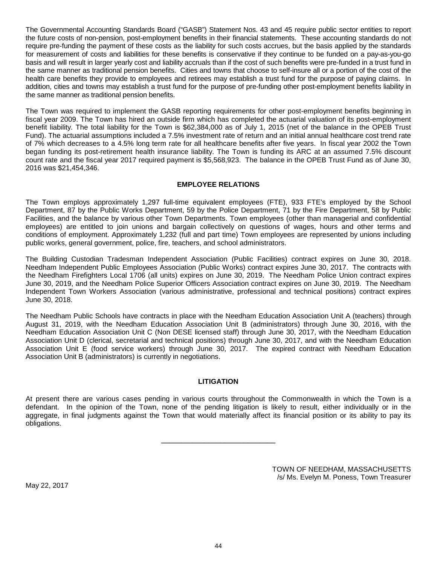The Governmental Accounting Standards Board ("GASB") Statement Nos. 43 and 45 require public sector entities to report the future costs of non-pension, post-employment benefits in their financial statements. These accounting standards do not require pre-funding the payment of these costs as the liability for such costs accrues, but the basis applied by the standards for measurement of costs and liabilities for these benefits is conservative if they continue to be funded on a pay-as-you-go basis and will result in larger yearly cost and liability accruals than if the cost of such benefits were pre-funded in a trust fund in the same manner as traditional pension benefits. Cities and towns that choose to self-insure all or a portion of the cost of the health care benefits they provide to employees and retirees may establish a trust fund for the purpose of paying claims. In addition, cities and towns may establish a trust fund for the purpose of pre-funding other post-employment benefits liability in the same manner as traditional pension benefits.

The Town was required to implement the GASB reporting requirements for other post-employment benefits beginning in fiscal year 2009. The Town has hired an outside firm which has completed the actuarial valuation of its post-employment benefit liability. The total liability for the Town is \$62,384,000 as of July 1, 2015 (net of the balance in the OPEB Trust Fund). The actuarial assumptions included a 7.5% investment rate of return and an initial annual healthcare cost trend rate of 7% which decreases to a 4.5% long term rate for all healthcare benefits after five years. In fiscal year 2002 the Town began funding its post-retirement health insurance liability. The Town is funding its ARC at an assumed 7.5% discount count rate and the fiscal year 2017 required payment is \$5,568,923. The balance in the OPEB Trust Fund as of June 30, 2016 was \$21,454,346.

# **EMPLOYEE RELATIONS**

The Town employs approximately 1,297 full-time equivalent employees (FTE), 933 FTE's employed by the School Department, 87 by the Public Works Department, 59 by the Police Department, 71 by the Fire Department, 58 by Public Facilities, and the balance by various other Town Departments. Town employees (other than managerial and confidential employees) are entitled to join unions and bargain collectively on questions of wages, hours and other terms and conditions of employment. Approximately 1,232 (full and part time) Town employees are represented by unions including public works, general government, police, fire, teachers, and school administrators.

The Building Custodian Tradesman Independent Association (Public Facilities) contract expires on June 30, 2018. Needham Independent Public Employees Association (Public Works) contract expires June 30, 2017. The contracts with the Needham Firefighters Local 1706 (all units) expires on June 30, 2019. The Needham Police Union contract expires June 30, 2019, and the Needham Police Superior Officers Association contract expires on June 30, 2019. The Needham Independent Town Workers Association (various administrative, professional and technical positions) contract expires June 30, 2018.

The Needham Public Schools have contracts in place with the Needham Education Association Unit A (teachers) through August 31, 2019, with the Needham Education Association Unit B (administrators) through June 30, 2016, with the Needham Education Association Unit C (Non DESE licensed staff) through June 30, 2017, with the Needham Education Association Unit D (clerical, secretarial and technical positions) through June 30, 2017, and with the Needham Education Association Unit E (food service workers) through June 30, 2017. The expired contract with Needham Education Association Unit B (administrators) is currently in negotiations.

# **LITIGATION**

At present there are various cases pending in various courts throughout the Commonwealth in which the Town is a defendant. In the opinion of the Town, none of the pending litigation is likely to result, either individually or in the aggregate, in final judgments against the Town that would materially affect its financial position or its ability to pay its obligations.

\_\_\_\_\_\_\_\_\_\_\_\_\_\_\_\_\_\_\_\_\_\_\_\_\_\_\_\_\_

TOWN OF NEEDHAM, MASSACHUSETTS /s/ Ms. Evelyn M. Poness, Town Treasurer

May 22, 2017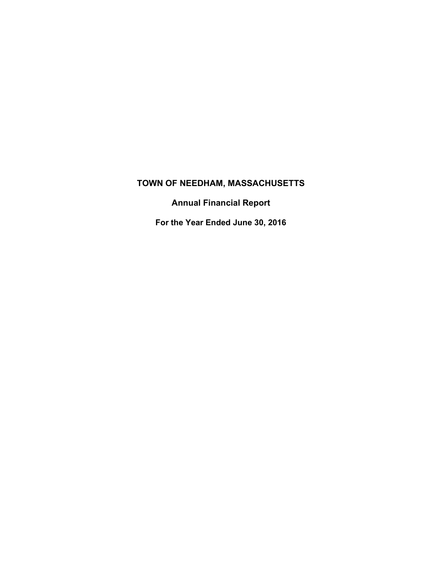**Annual Financial Report** 

For the Year Ended June 30, 2016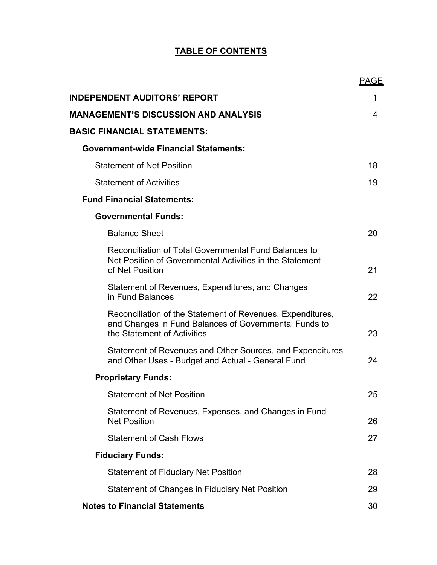# TABLE OF CONTENTS

|                                                                                                                                                    | <b>PAGE</b> |
|----------------------------------------------------------------------------------------------------------------------------------------------------|-------------|
| <b>INDEPENDENT AUDITORS' REPORT</b>                                                                                                                | 1           |
| <b>MANAGEMENT'S DISCUSSION AND ANALYSIS</b>                                                                                                        | 4           |
| <b>BASIC FINANCIAL STATEMENTS:</b>                                                                                                                 |             |
| <b>Government-wide Financial Statements:</b>                                                                                                       |             |
| <b>Statement of Net Position</b>                                                                                                                   | 18          |
| <b>Statement of Activities</b>                                                                                                                     | 19          |
| <b>Fund Financial Statements:</b>                                                                                                                  |             |
| <b>Governmental Funds:</b>                                                                                                                         |             |
| <b>Balance Sheet</b>                                                                                                                               | 20          |
| Reconciliation of Total Governmental Fund Balances to<br>Net Position of Governmental Activities in the Statement<br>of Net Position               | 21          |
| Statement of Revenues, Expenditures, and Changes<br>in Fund Balances                                                                               | 22          |
| Reconciliation of the Statement of Revenues, Expenditures,<br>and Changes in Fund Balances of Governmental Funds to<br>the Statement of Activities | 23          |
| Statement of Revenues and Other Sources, and Expenditures<br>and Other Uses - Budget and Actual - General Fund                                     | 24          |
| <b>Proprietary Funds:</b>                                                                                                                          |             |
| <b>Statement of Net Position</b>                                                                                                                   | 25          |
| Statement of Revenues, Expenses, and Changes in Fund<br><b>Net Position</b>                                                                        | 26          |
| <b>Statement of Cash Flows</b>                                                                                                                     | 27          |
| <b>Fiduciary Funds:</b>                                                                                                                            |             |
| <b>Statement of Fiduciary Net Position</b>                                                                                                         | 28          |
| Statement of Changes in Fiduciary Net Position                                                                                                     | 29          |
| <b>Notes to Financial Statements</b>                                                                                                               | 30          |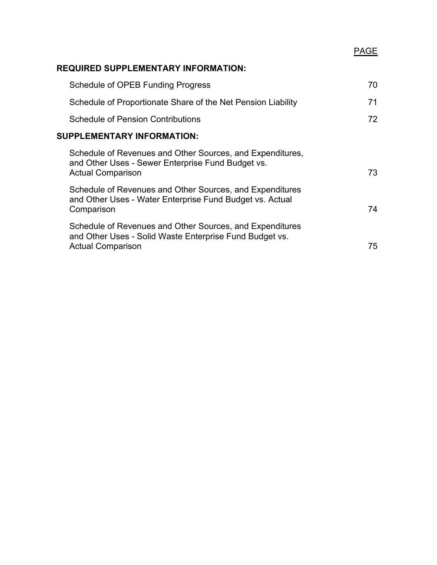PAGE

# REQUIRED SUPPLEMENTARY INFORMATION:

| Schedule of OPEB Funding Progress                                                                                                               | 70 |
|-------------------------------------------------------------------------------------------------------------------------------------------------|----|
| Schedule of Proportionate Share of the Net Pension Liability                                                                                    | 71 |
| <b>Schedule of Pension Contributions</b>                                                                                                        | 72 |
| SUPPLEMENTARY INFORMATION:                                                                                                                      |    |
| Schedule of Revenues and Other Sources, and Expenditures,<br>and Other Uses - Sewer Enterprise Fund Budget vs.<br><b>Actual Comparison</b>      | 73 |
| Schedule of Revenues and Other Sources, and Expenditures<br>and Other Uses - Water Enterprise Fund Budget vs. Actual<br>Comparison              | 74 |
| Schedule of Revenues and Other Sources, and Expenditures<br>and Other Uses - Solid Waste Enterprise Fund Budget vs.<br><b>Actual Comparison</b> | 75 |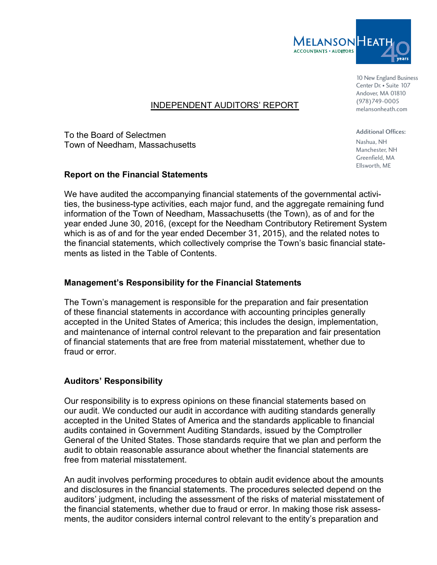

10 New England Business Center Dr. • Suite 107 Andover, MA 01810 (978) 749-0005 melansonheath.com

# **INDEPENDENT AUDITORS' REPORT**

To the Board of Selectmen Town of Needham. Massachusetts

# **Report on the Financial Statements**

We have audited the accompanying financial statements of the governmental activities, the business-type activities, each major fund, and the aggregate remaining fund information of the Town of Needham, Massachusetts (the Town), as of and for the year ended June 30, 2016, (except for the Needham Contributory Retirement System which is as of and for the year ended December 31, 2015), and the related notes to the financial statements, which collectively comprise the Town's basic financial statements as listed in the Table of Contents.

# Management's Responsibility for the Financial Statements

The Town's management is responsible for the preparation and fair presentation of these financial statements in accordance with accounting principles generally accepted in the United States of America; this includes the design, implementation, and maintenance of internal control relevant to the preparation and fair presentation of financial statements that are free from material misstatement, whether due to fraud or error.

# **Auditors' Responsibility**

Our responsibility is to express opinions on these financial statements based on our audit. We conducted our audit in accordance with auditing standards generally accepted in the United States of America and the standards applicable to financial audits contained in Government Auditing Standards, issued by the Comptroller General of the United States. Those standards require that we plan and perform the audit to obtain reasonable assurance about whether the financial statements are free from material misstatement.

An audit involves performing procedures to obtain audit evidence about the amounts and disclosures in the financial statements. The procedures selected depend on the auditors' judgment, including the assessment of the risks of material misstatement of the financial statements, whether due to fraud or error. In making those risk assessments, the auditor considers internal control relevant to the entity's preparation and

**Additional Offices:** Nashua, NH Manchester, NH Greenfield, MA Ellsworth, ME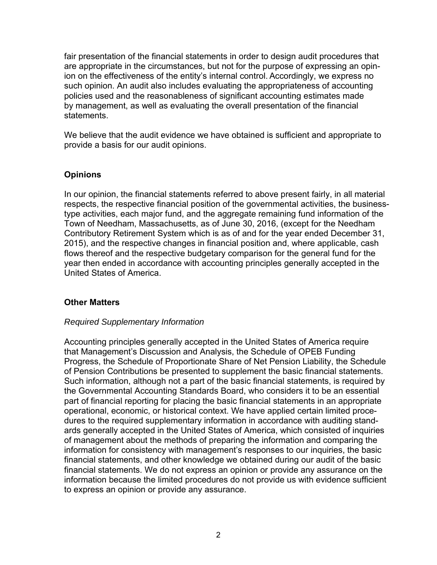fair presentation of the financial statements in order to design audit procedures that are appropriate in the circumstances, but not for the purpose of expressing an opinion on the effectiveness of the entity's internal control. Accordingly, we express no such opinion. An audit also includes evaluating the appropriateness of accounting policies used and the reasonableness of significant accounting estimates made by management, as well as evaluating the overall presentation of the financial statements.

We believe that the audit evidence we have obtained is sufficient and appropriate to provide a basis for our audit opinions.

# **Opinions**

In our opinion, the financial statements referred to above present fairly, in all material respects, the respective financial position of the governmental activities, the businesstype activities, each major fund, and the aggregate remaining fund information of the Town of Needham, Massachusetts, as of June 30, 2016, (except for the Needham Contributory Retirement System which is as of and for the year ended December 31, 2015), and the respective changes in financial position and, where applicable, cash flows thereof and the respective budgetary comparison for the general fund for the year then ended in accordance with accounting principles generally accepted in the United States of America.

# **Other Matters**

# **Required Supplementary Information**

Accounting principles generally accepted in the United States of America require that Management's Discussion and Analysis, the Schedule of OPEB Funding Progress, the Schedule of Proportionate Share of Net Pension Liability, the Schedule of Pension Contributions be presented to supplement the basic financial statements. Such information, although not a part of the basic financial statements, is required by the Governmental Accounting Standards Board, who considers it to be an essential part of financial reporting for placing the basic financial statements in an appropriate operational, economic, or historical context. We have applied certain limited procedures to the required supplementary information in accordance with auditing standards generally accepted in the United States of America, which consisted of inquiries of management about the methods of preparing the information and comparing the information for consistency with management's responses to our inquiries, the basic financial statements, and other knowledge we obtained during our audit of the basic financial statements. We do not express an opinion or provide any assurance on the information because the limited procedures do not provide us with evidence sufficient to express an opinion or provide any assurance.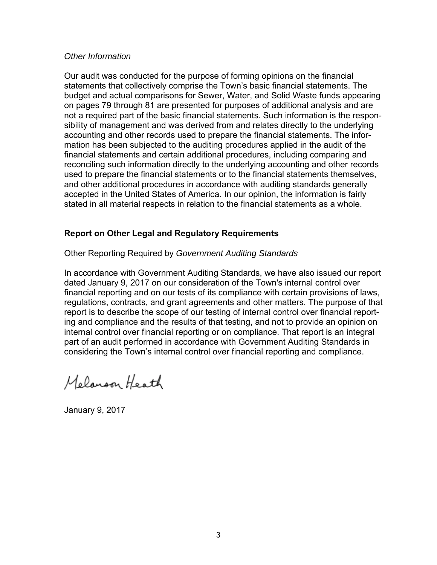# Other Information

Our audit was conducted for the purpose of forming opinions on the financial statements that collectively comprise the Town's basic financial statements. The budget and actual comparisons for Sewer, Water, and Solid Waste funds appearing on pages 79 through 81 are presented for purposes of additional analysis and are not a required part of the basic financial statements. Such information is the responsibility of management and was derived from and relates directly to the underlying accounting and other records used to prepare the financial statements. The information has been subjected to the auditing procedures applied in the audit of the financial statements and certain additional procedures, including comparing and reconciling such information directly to the underlying accounting and other records used to prepare the financial statements or to the financial statements themselves, and other additional procedures in accordance with auditing standards generally accepted in the United States of America. In our opinion, the information is fairly stated in all material respects in relation to the financial statements as a whole.

# **Report on Other Legal and Regulatory Requirements**

# Other Reporting Required by Government Auditing Standards

In accordance with Government Auditing Standards, we have also issued our report dated January 9, 2017 on our consideration of the Town's internal control over financial reporting and on our tests of its compliance with certain provisions of laws, regulations, contracts, and grant agreements and other matters. The purpose of that report is to describe the scope of our testing of internal control over financial reporting and compliance and the results of that testing, and not to provide an opinion on internal control over financial reporting or on compliance. That report is an integral part of an audit performed in accordance with Government Auditing Standards in considering the Town's internal control over financial reporting and compliance.

Melanoon Heath

January 9, 2017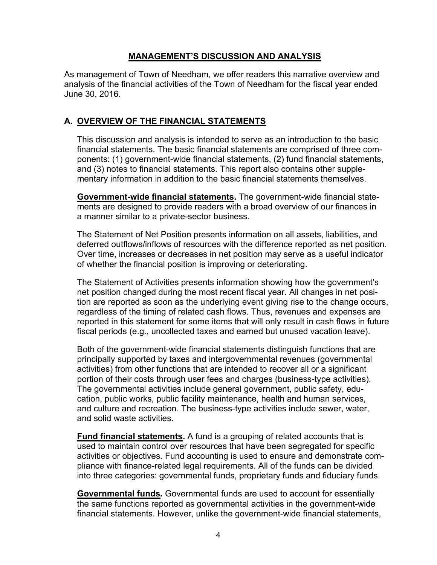# **MANAGEMENT'S DISCUSSION AND ANALYSIS**

As management of Town of Needham, we offer readers this narrative overview and analysis of the financial activities of the Town of Needham for the fiscal year ended June 30, 2016.

# A. OVERVIEW OF THE FINANCIAL STATEMENTS

This discussion and analysis is intended to serve as an introduction to the basic financial statements. The basic financial statements are comprised of three components: (1) government-wide financial statements, (2) fund financial statements, and (3) notes to financial statements. This report also contains other supplementary information in addition to the basic financial statements themselves.

Government-wide financial statements. The government-wide financial statements are designed to provide readers with a broad overview of our finances in a manner similar to a private-sector business.

The Statement of Net Position presents information on all assets, liabilities, and deferred outflows/inflows of resources with the difference reported as net position. Over time, increases or decreases in net position may serve as a useful indicator of whether the financial position is improving or deteriorating.

The Statement of Activities presents information showing how the government's net position changed during the most recent fiscal year. All changes in net position are reported as soon as the underlying event giving rise to the change occurs, regardless of the timing of related cash flows. Thus, revenues and expenses are reported in this statement for some items that will only result in cash flows in future fiscal periods (e.g., uncollected taxes and earned but unused vacation leave).

Both of the government-wide financial statements distinguish functions that are principally supported by taxes and intergovernmental revenues (governmental activities) from other functions that are intended to recover all or a significant portion of their costs through user fees and charges (business-type activities). The governmental activities include general government, public safety, education, public works, public facility maintenance, health and human services, and culture and recreation. The business-type activities include sewer, water, and solid waste activities

**Fund financial statements.** A fund is a grouping of related accounts that is used to maintain control over resources that have been segregated for specific activities or objectives. Fund accounting is used to ensure and demonstrate compliance with finance-related legal requirements. All of the funds can be divided into three categories: governmental funds, proprietary funds and fiduciary funds.

Governmental funds. Governmental funds are used to account for essentially the same functions reported as governmental activities in the government-wide financial statements. However, unlike the government-wide financial statements,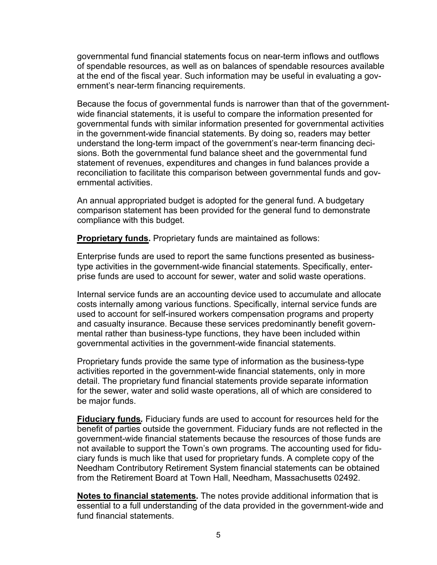governmental fund financial statements focus on near-term inflows and outflows of spendable resources, as well as on balances of spendable resources available at the end of the fiscal year. Such information may be useful in evaluating a government's near-term financing requirements.

Because the focus of governmental funds is narrower than that of the governmentwide financial statements, it is useful to compare the information presented for governmental funds with similar information presented for governmental activities in the government-wide financial statements. By doing so, readers may better understand the long-term impact of the government's near-term financing decisions. Both the governmental fund balance sheet and the governmental fund statement of revenues, expenditures and changes in fund balances provide a reconciliation to facilitate this comparison between governmental funds and governmental activities.

An annual appropriated budget is adopted for the general fund. A budgetary comparison statement has been provided for the general fund to demonstrate compliance with this budget.

**Proprietary funds.** Proprietary funds are maintained as follows:

Enterprise funds are used to report the same functions presented as businesstype activities in the government-wide financial statements. Specifically, enterprise funds are used to account for sewer, water and solid waste operations.

Internal service funds are an accounting device used to accumulate and allocate costs internally among various functions. Specifically, internal service funds are used to account for self-insured workers compensation programs and property and casualty insurance. Because these services predominantly benefit governmental rather than business-type functions, they have been included within governmental activities in the government-wide financial statements.

Proprietary funds provide the same type of information as the business-type activities reported in the government-wide financial statements, only in more detail. The proprietary fund financial statements provide separate information for the sewer, water and solid waste operations, all of which are considered to be major funds.

Fiduciary funds. Fiduciary funds are used to account for resources held for the benefit of parties outside the government. Fiduciary funds are not reflected in the government-wide financial statements because the resources of those funds are not available to support the Town's own programs. The accounting used for fiduciary funds is much like that used for proprietary funds. A complete copy of the Needham Contributory Retirement System financial statements can be obtained from the Retirement Board at Town Hall, Needham, Massachusetts 02492.

**Notes to financial statements.** The notes provide additional information that is essential to a full understanding of the data provided in the government-wide and fund financial statements.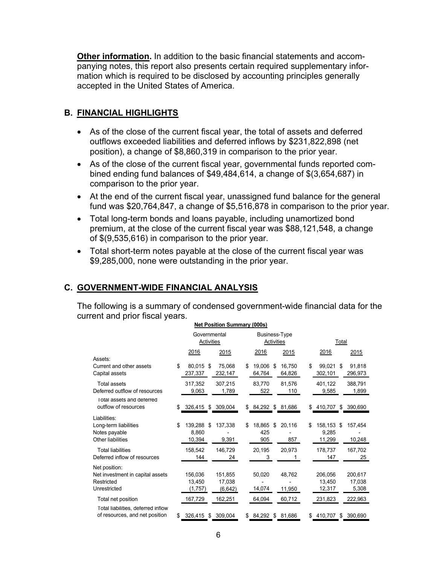Other information. In addition to the basic financial statements and accompanying notes, this report also presents certain required supplementary information which is required to be disclosed by accounting principles generally accepted in the United States of America.

# **B. FINANCIAL HIGHLIGHTS**

- As of the close of the current fiscal year, the total of assets and deferred outflows exceeded liabilities and deferred inflows by \$231,822,898 (net position), a change of \$8,860,319 in comparison to the prior year.
- As of the close of the current fiscal year, governmental funds reported combined ending fund balances of  $$49,484,614$ , a change of  $$(3,654,687)$  in comparison to the prior year.
- At the end of the current fiscal year, unassigned fund balance for the general fund was \$20,764,847, a change of \$5,516,878 in comparison to the prior year.
- Total long-term bonds and loans payable, including unamortized bond premium, at the close of the current fiscal year was \$88,121,548, a change of \$(9,535,616) in comparison to the prior year.
- Total short-term notes payable at the close of the current fiscal year was \$9,285,000, none were outstanding in the prior year.

# C. GOVERNMENT-WIDE FINANCIAL ANALYSIS

The following is a summary of condensed government-wide financial data for the current and prior fiscal years. **Net Position Summary (000s)** 

|                                                                      |     | Governmental<br><b>Activities</b> |    |                   | <b>Business-Type</b><br><b>Activities</b> |                  |    |                  | Total |                     |    |                   |
|----------------------------------------------------------------------|-----|-----------------------------------|----|-------------------|-------------------------------------------|------------------|----|------------------|-------|---------------------|----|-------------------|
|                                                                      |     | 2016                              |    | 2015              |                                           | 2016             |    | 2015             |       | 2016                |    | 2015              |
| Assets:                                                              |     |                                   |    |                   |                                           |                  |    |                  |       |                     |    |                   |
| Current and other assets<br>Capital assets                           | \$  | 80,015 \$<br>237,337              |    | 75,068<br>232,147 | \$.                                       | 19,006<br>64,764 | \$ | 16,750<br>64,826 | \$    | 99,021<br>302,101   | \$ | 91,818<br>296,973 |
| <b>Total assets</b><br>Deferred outflow of resources                 |     | 317,352<br>9,063                  |    | 307,215<br>1,789  |                                           | 83,770<br>522    |    | 81,576<br>110    |       | 401.122<br>9,585    |    | 388,791<br>1,899  |
| I otal assets and deterred<br>outflow of resources                   | \$  | 326,415                           |    | \$309,004         | \$.                                       |                  |    | 84,292 \$ 81,686 | \$    | 410,707             | \$ | 390,690           |
| Liabilities:                                                         |     |                                   |    |                   |                                           |                  |    |                  |       |                     |    |                   |
| Long-term liabilities<br>Notes payable                               | \$. | 139,288 \$<br>8.860               |    | 137,338           | \$                                        | 18,865<br>425    | \$ | 20,116           | \$.   | 158,153 \$<br>9.285 |    | 157,454           |
| Other liabilities                                                    |     | 10,394                            |    | 9,391             |                                           | 905              |    | 857              |       | 11,299              |    | 10,248            |
| <b>Total liabilities</b><br>Deferred inflow of resources             |     | 158,542<br>144                    |    | 146,729<br>24     |                                           | 20,195<br>3      |    | 20,973           |       | 178,737<br>147      |    | 167,702<br>25     |
| Net position:                                                        |     |                                   |    |                   |                                           |                  |    |                  |       |                     |    |                   |
| Net investment in capital assets<br>Restricted                       |     | 156,036<br>13,450                 |    | 151,855<br>17,038 |                                           | 50,020           |    | 48,762           |       | 206,056<br>13,450   |    | 200,617<br>17,038 |
| Unrestricted                                                         |     | (1,757)                           |    | (6,642)           |                                           | 14,074           |    | 11,950           |       | 12,317              |    | 5,308             |
| Total net position                                                   |     | 167,729                           |    | 162,251           |                                           | 64,094           |    | 60,712           |       | 231,823             |    | 222,963           |
| Total liabilities, deferred inflow<br>of resources, and net position | \$. | 326,415                           | \$ | 309,004           |                                           | 84,292           | \$ | 81,686           | S     | 410,707             | \$ | 390,690           |

# 6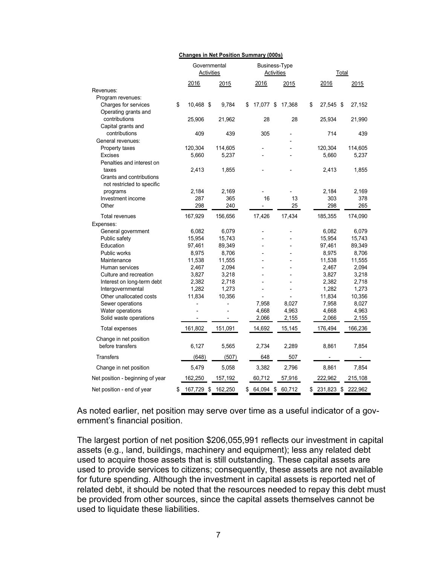|  | <b>Changes in Net Position Summary (000s)</b> |
|--|-----------------------------------------------|
|--|-----------------------------------------------|

|                                  |                           | Governmental   | Activities |                          |                        | Activities | Business-Type |       |            | Total   |  |  |  |
|----------------------------------|---------------------------|----------------|------------|--------------------------|------------------------|------------|---------------|-------|------------|---------|--|--|--|
|                                  | 2016                      |                |            | 2015                     | 2016                   |            | 2015          |       | 2016       | 2015    |  |  |  |
| Revenues:                        |                           |                |            |                          |                        |            |               |       |            |         |  |  |  |
| Program revenues:                |                           |                |            |                          |                        |            |               |       |            |         |  |  |  |
| Charges for services             | \$                        | 10,468 \$      |            | 9,784                    | \$<br>17,077 \$ 17,368 |            |               | \$    | 27,545 \$  | 27,152  |  |  |  |
| Operating grants and             |                           |                |            |                          |                        |            |               |       |            |         |  |  |  |
| contributions                    | 25,906                    |                |            | 21,962                   | 28                     |            | 28            |       | 25,934     | 21,990  |  |  |  |
| Capital grants and               |                           |                |            |                          |                        |            |               |       |            |         |  |  |  |
| contributions                    |                           | 409            |            | 439                      | 305                    |            |               |       | 714        | 439     |  |  |  |
| General revenues:                |                           |                |            |                          |                        |            |               |       |            |         |  |  |  |
| Property taxes                   | 120,304                   |                |            | 114,605                  |                        |            |               |       | 120,304    | 114,605 |  |  |  |
| <b>Excises</b>                   |                           | 5,660          |            | 5,237                    |                        |            |               |       | 5,660      | 5,237   |  |  |  |
| Penalties and interest on        |                           |                |            |                          |                        |            |               |       |            |         |  |  |  |
| taxes                            |                           | 2,413          |            | 1,855                    |                        |            |               |       | 2,413      | 1,855   |  |  |  |
| Grants and contributions         |                           |                |            |                          |                        |            |               |       |            |         |  |  |  |
| not restricted to specific       |                           |                |            |                          |                        |            |               |       |            |         |  |  |  |
| programs                         |                           | 2,184          |            | 2,169                    |                        |            |               |       | 2,184      | 2,169   |  |  |  |
| Investment income                |                           | 287            |            | 365                      | 16                     |            | 13            |       | 303        | 378     |  |  |  |
| Other                            |                           | 298            |            | 240                      |                        |            | 25            |       | 298        | 265     |  |  |  |
| <b>Total revenues</b>            | 167,929                   |                |            | 156,656                  | 17,426                 |            | 17,434        |       | 185,355    | 174,090 |  |  |  |
| Expenses:                        |                           |                |            |                          |                        |            |               |       |            |         |  |  |  |
| General government               |                           | 6,082          |            | 6,079                    |                        |            |               |       | 6.082      | 6,079   |  |  |  |
| Public safety                    | 15,954<br>97,461<br>8,975 |                |            | 15,743                   |                        |            |               |       | 15,954     | 15,743  |  |  |  |
| Education                        |                           |                |            | 89,349                   |                        |            |               |       | 97,461     | 89,349  |  |  |  |
| Public works                     |                           |                | 8,706      |                          |                        |            |               | 8,975 | 8,706      |         |  |  |  |
| Maintenance                      |                           | 11,538         |            | 11,555                   |                        |            |               |       | 11,538     | 11,555  |  |  |  |
| Human services                   |                           |                |            |                          |                        |            |               |       | 2,467      |         |  |  |  |
|                                  |                           | 2,467          |            | 2,094                    |                        |            |               |       |            | 2,094   |  |  |  |
| Culture and recreation           |                           | 3,827          |            | 3,218                    |                        |            |               |       | 3,827      | 3,218   |  |  |  |
| Interest on long-term debt       |                           | 2,382          |            | 2,718                    |                        |            |               |       | 2,382      | 2,718   |  |  |  |
| Intergovernmental                |                           | 1,282          |            | 1,273                    |                        |            |               |       | 1,282      | 1,273   |  |  |  |
| Other unallocated costs          |                           | 11,834         |            | 10,356                   |                        |            |               |       | 11,834     | 10,356  |  |  |  |
| Sewer operations                 |                           | L.             |            |                          | 7.958                  |            | 8.027         |       | 7,958      | 8,027   |  |  |  |
| Water operations                 |                           |                |            |                          | 4,668                  |            | 4,963         |       | 4,668      | 4,963   |  |  |  |
| Solid waste operations           |                           | $\blacksquare$ |            | $\overline{\phantom{a}}$ | 2,066                  |            | 2,155         |       | 2,066      | 2,155   |  |  |  |
| Total expenses                   | 161,802                   |                |            | 151,091                  | 14,692                 |            | 15,145        |       | 176,494    | 166,236 |  |  |  |
| Change in net position           |                           |                |            |                          |                        |            |               |       |            |         |  |  |  |
| before transfers                 |                           | 6,127          |            | 5,565                    | 2,734                  |            | 2,289         |       | 8,861      | 7,854   |  |  |  |
| <b>Transfers</b>                 |                           | (648)          |            | (507)                    | 648                    |            | 507           |       |            |         |  |  |  |
|                                  |                           |                |            |                          |                        |            |               |       |            |         |  |  |  |
| Change in net position           |                           | 5,479          |            | 5,058                    | 3,382                  |            | 2,796         |       | 8,861      | 7,854   |  |  |  |
| Net position - beginning of year | 162,250                   |                |            | 157,192                  | 60,712                 |            | 57,916        |       | 222,962    | 215,108 |  |  |  |
| Net position - end of year       | 167,729 \$<br>\$          |                |            | 162,250                  | \$<br>64,094 \$        |            | 60,712        | \$    | 231,823 \$ | 222,962 |  |  |  |

As noted earlier, net position may serve over time as a useful indicator of a government's financial position.

The largest portion of net position \$206,055,991 reflects our investment in capital assets (e.g., land, buildings, machinery and equipment); less any related debt used to acquire those assets that is still outstanding. These capital assets are used to provide services to citizens; consequently, these assets are not available for future spending. Although the investment in capital assets is reported net of related debt, it should be noted that the resources needed to repay this debt must be provided from other sources, since the capital assets themselves cannot be used to liquidate these liabilities.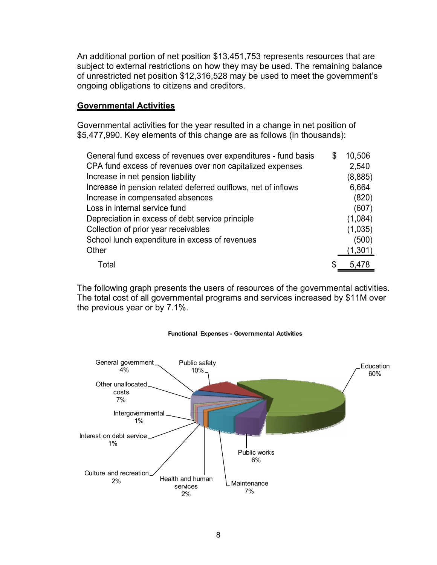An additional portion of net position \$13,451,753 represents resources that are subject to external restrictions on how they may be used. The remaining balance of unrestricted net position \$12,316,528 may be used to meet the government's ongoing obligations to citizens and creditors.

# **Governmental Activities**

Governmental activities for the year resulted in a change in net position of \$5,477,990. Key elements of this change are as follows (in thousands):

| General fund excess of revenues over expenditures - fund basis | \$<br>10,506 |
|----------------------------------------------------------------|--------------|
| CPA fund excess of revenues over non capitalized expenses      | 2,540        |
| Increase in net pension liability                              | (8,885)      |
| Increase in pension related deferred outflows, net of inflows  | 6,664        |
| Increase in compensated absences                               | (820)        |
| Loss in internal service fund                                  | (607)        |
| Depreciation in excess of debt service principle               | (1,084)      |
| Collection of prior year receivables                           | (1,035)      |
| School lunch expenditure in excess of revenues                 | (500)        |
| Other                                                          | (1,301)      |
| Total                                                          | 5,478        |

The following graph presents the users of resources of the governmental activities. The total cost of all governmental programs and services increased by \$11M over the previous year or by 7.1%.



**Functional Expenses - Governmental Activities**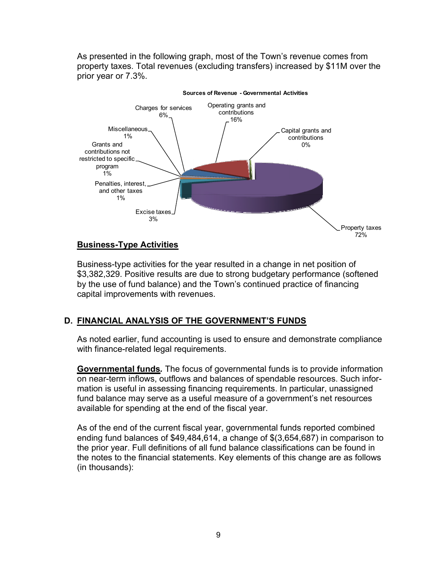As presented in the following graph, most of the Town's revenue comes from property taxes. Total revenues (excluding transfers) increased by \$11M over the prior year or 7.3%.



# **Business-Type Activities**

Business-type activities for the year resulted in a change in net position of \$3,382,329. Positive results are due to strong budgetary performance (softened by the use of fund balance) and the Town's continued practice of financing capital improvements with revenues.

# D. FINANCIAL ANALYSIS OF THE GOVERNMENT'S FUNDS

As noted earlier, fund accounting is used to ensure and demonstrate compliance with finance-related legal requirements.

**Governmental funds.** The focus of governmental funds is to provide information on near-term inflows, outflows and balances of spendable resources. Such information is useful in assessing financing requirements. In particular, unassigned fund balance may serve as a useful measure of a government's net resources available for spending at the end of the fiscal year.

As of the end of the current fiscal year, governmental funds reported combined ending fund balances of \$49,484,614, a change of  $$(3,654,687)$  in comparison to the prior year. Full definitions of all fund balance classifications can be found in the notes to the financial statements. Key elements of this change are as follows (in thousands):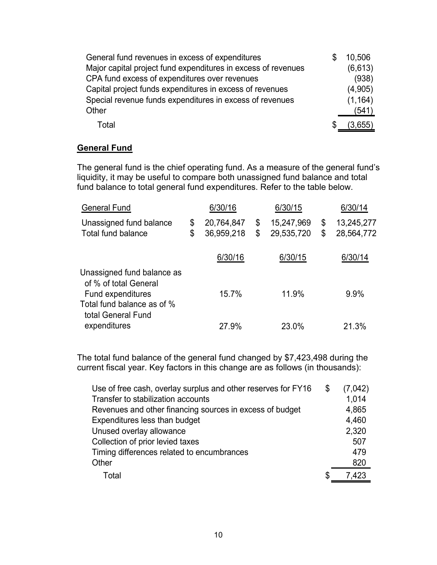| General fund revenues in excess of expenditures               |   | 10,506   |
|---------------------------------------------------------------|---|----------|
| Major capital project fund expenditures in excess of revenues |   | (6,613)  |
| CPA fund excess of expenditures over revenues                 |   | (938)    |
| Capital project funds expenditures in excess of revenues      |   | (4,905)  |
| Special revenue funds expenditures in excess of revenues      |   | (1, 164) |
| Other                                                         |   | (541)    |
| Total                                                         | 8 | (3,655)  |

# **General Fund**

The general fund is the chief operating fund. As a measure of the general fund's liquidity, it may be useful to compare both unassigned fund balance and total fund balance to total general fund expenditures. Refer to the table below.

| <b>General Fund</b>                                                                                                          |          | 6/30/16                  |          | 6/30/15                  |          | 6/30/14                  |
|------------------------------------------------------------------------------------------------------------------------------|----------|--------------------------|----------|--------------------------|----------|--------------------------|
| Unassigned fund balance<br>Total fund balance                                                                                | \$<br>\$ | 20,764,847<br>36,959,218 | \$<br>\$ | 15,247,969<br>29,535,720 | \$<br>\$ | 13,245,277<br>28,564,772 |
|                                                                                                                              |          | 6/30/16                  |          | 6/30/15                  |          | 6/30/14                  |
| Unassigned fund balance as<br>of % of total General<br>Fund expenditures<br>Total fund balance as of %<br>total General Fund |          | 15.7%                    |          | 11.9%                    |          | 9.9%                     |
| expenditures                                                                                                                 |          | 27.9%                    |          | 23.0%                    |          | 21.3%                    |

The total fund balance of the general fund changed by  $$7,423,498$  during the current fiscal year. Key factors in this change are as follows (in thousands):

| Use of free cash, overlay surplus and other reserves for FY16 | \$<br>(7,042) |
|---------------------------------------------------------------|---------------|
| Transfer to stabilization accounts                            | 1,014         |
| Revenues and other financing sources in excess of budget      | 4,865         |
| Expenditures less than budget                                 | 4,460         |
| Unused overlay allowance                                      | 2,320         |
| Collection of prior levied taxes                              | 507           |
| Timing differences related to encumbrances                    | 479           |
| Other                                                         | 820           |
| Total                                                         | 7,423         |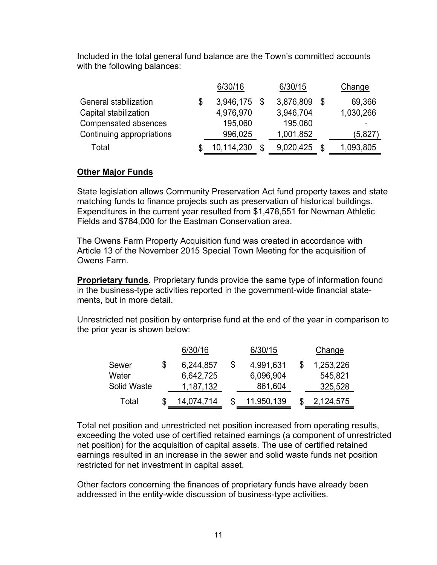|                              | 6/30/16            |   | 6/30/15   |    | Change    |
|------------------------------|--------------------|---|-----------|----|-----------|
| <b>General stabilization</b> | \$<br>3,946,175 \$ |   | 3,876,809 | \$ | 69,366    |
| Capital stabilization        | 4,976,970          |   | 3,946,704 |    | 1,030,266 |
| Compensated absences         | 195,060            |   | 195,060   |    |           |
| Continuing appropriations    | 996,025            |   | 1,001,852 |    | (5,827)   |
| Total                        | 10,114,230         | S | 9,020,425 | S  | 1,093,805 |

Included in the total general fund balance are the Town's committed accounts with the following balances:

# **Other Major Funds**

State legislation allows Community Preservation Act fund property taxes and state matching funds to finance projects such as preservation of historical buildings. Expenditures in the current year resulted from \$1,478,551 for Newman Athletic Fields and \$784,000 for the Eastman Conservation area.

The Owens Farm Property Acquisition fund was created in accordance with Article 13 of the November 2015 Special Town Meeting for the acquisition of Owens Farm

**Proprietary funds.** Proprietary funds provide the same type of information found in the business-type activities reported in the government-wide financial statements, but in more detail.

Unrestricted net position by enterprise fund at the end of the year in comparison to the prior year is shown below:

|             |   | 6/30/16    | 6/30/15         | Change    |
|-------------|---|------------|-----------------|-----------|
| Sewer       | S | 6,244,857  | \$<br>4,991,631 | 1,253,226 |
| Water       |   | 6,642,725  | 6,096,904       | 545,821   |
| Solid Waste |   | 1,187,132  | 861,604         | 325,528   |
| Total       |   | 14,074,714 | 11,950,139      | 2,124,575 |

Total net position and unrestricted net position increased from operating results, exceeding the voted use of certified retained earnings (a component of unrestricted net position) for the acquisition of capital assets. The use of certified retained earnings resulted in an increase in the sewer and solid waste funds net position restricted for net investment in capital asset.

Other factors concerning the finances of proprietary funds have already been addressed in the entity-wide discussion of business-type activities.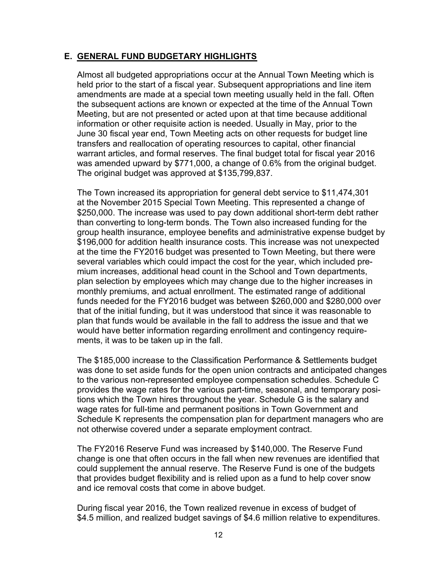# E. GENERAL FUND BUDGETARY HIGHLIGHTS

Almost all budgeted appropriations occur at the Annual Town Meeting which is held prior to the start of a fiscal year. Subsequent appropriations and line item amendments are made at a special town meeting usually held in the fall. Often the subsequent actions are known or expected at the time of the Annual Town Meeting, but are not presented or acted upon at that time because additional information or other requisite action is needed. Usually in May, prior to the June 30 fiscal year end, Town Meeting acts on other requests for budget line transfers and reallocation of operating resources to capital, other financial warrant articles, and formal reserves. The final budget total for fiscal year 2016 was amended upward by \$771,000, a change of 0.6% from the original budget. The original budget was approved at \$135,799,837.

The Town increased its appropriation for general debt service to \$11,474,301 at the November 2015 Special Town Meeting. This represented a change of \$250,000. The increase was used to pay down additional short-term debt rather than converting to long-term bonds. The Town also increased funding for the group health insurance, employee benefits and administrative expense budget by \$196,000 for addition health insurance costs. This increase was not unexpected at the time the FY2016 budget was presented to Town Meeting, but there were several variables which could impact the cost for the year, which included premium increases, additional head count in the School and Town departments, plan selection by employees which may change due to the higher increases in monthly premiums, and actual enrollment. The estimated range of additional funds needed for the FY2016 budget was between \$260,000 and \$280,000 over that of the initial funding, but it was understood that since it was reasonable to plan that funds would be available in the fall to address the issue and that we would have better information regarding enrollment and contingency requirements, it was to be taken up in the fall.

The \$185,000 increase to the Classification Performance & Settlements budget was done to set aside funds for the open union contracts and anticipated changes to the various non-represented employee compensation schedules. Schedule C provides the wage rates for the various part-time, seasonal, and temporary positions which the Town hires throughout the year. Schedule G is the salary and wage rates for full-time and permanent positions in Town Government and Schedule K represents the compensation plan for department managers who are not otherwise covered under a separate employment contract.

The FY2016 Reserve Fund was increased by \$140,000. The Reserve Fund change is one that often occurs in the fall when new revenues are identified that could supplement the annual reserve. The Reserve Fund is one of the budgets that provides budget flexibility and is relied upon as a fund to help cover snow and ice removal costs that come in above budget.

During fiscal year 2016, the Town realized revenue in excess of budget of \$4.5 million, and realized budget savings of \$4.6 million relative to expenditures.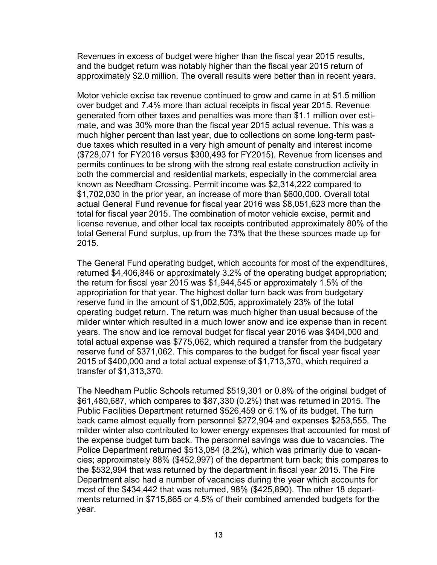Revenues in excess of budget were higher than the fiscal year 2015 results, and the budget return was notably higher than the fiscal year 2015 return of approximately \$2.0 million. The overall results were better than in recent years.

Motor vehicle excise tax revenue continued to grow and came in at \$1.5 million over budget and 7.4% more than actual receipts in fiscal year 2015. Revenue generated from other taxes and penalties was more than \$1.1 million over estimate, and was 30% more than the fiscal year 2015 actual revenue. This was a much higher percent than last year, due to collections on some long-term pastdue taxes which resulted in a very high amount of penalty and interest income (\$728,071 for FY2016 versus \$300,493 for FY2015). Revenue from licenses and permits continues to be strong with the strong real estate construction activity in both the commercial and residential markets, especially in the commercial area known as Needham Crossing. Permit income was \$2,314,222 compared to \$1,702,030 in the prior year, an increase of more than \$600,000. Overall total actual General Fund revenue for fiscal year 2016 was \$8,051,623 more than the total for fiscal year 2015. The combination of motor vehicle excise, permit and license revenue, and other local tax receipts contributed approximately 80% of the total General Fund surplus, up from the 73% that the these sources made up for 2015.

The General Fund operating budget, which accounts for most of the expenditures, returned \$4,406,846 or approximately 3.2% of the operating budget appropriation; the return for fiscal year 2015 was \$1,944,545 or approximately 1.5% of the appropriation for that year. The highest dollar turn back was from budgetary reserve fund in the amount of \$1,002,505, approximately 23% of the total operating budget return. The return was much higher than usual because of the milder winter which resulted in a much lower snow and ice expense than in recent years. The snow and ice removal budget for fiscal year 2016 was \$404,000 and total actual expense was \$775,062, which required a transfer from the budgetary reserve fund of \$371,062. This compares to the budget for fiscal year fiscal year 2015 of \$400,000 and a total actual expense of \$1,713,370, which required a transfer of \$1,313,370.

The Needham Public Schools returned \$519,301 or 0.8% of the original budget of \$61,480,687, which compares to \$87,330 (0.2%) that was returned in 2015. The Public Facilities Department returned \$526,459 or 6.1% of its budget. The turn back came almost equally from personnel \$272,904 and expenses \$253,555. The milder winter also contributed to lower energy expenses that accounted for most of the expense budget turn back. The personnel savings was due to vacancies. The Police Department returned \$513,084 (8.2%), which was primarily due to vacancies; approximately 88% (\$452,997) of the department turn back; this compares to the \$532,994 that was returned by the department in fiscal year 2015. The Fire Department also had a number of vacancies during the year which accounts for most of the \$434,442 that was returned, 98% (\$425,890). The other 18 departments returned in \$715,865 or 4.5% of their combined amended budgets for the year.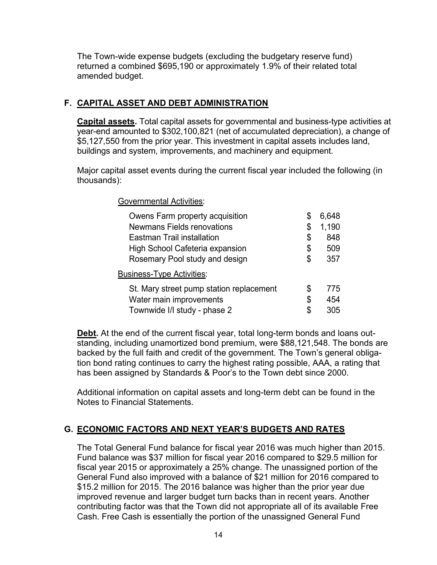The Town-wide expense budgets (excluding the budgetary reserve fund) returned a combined \$695,190 or approximately 1.9% of their related total amended budget.

# F. CAPITAL ASSET AND DEBT ADMINISTRATION

**Capital assets.** Total capital assets for governmental and business-type activities at year-end amounted to \$302,100,821 (net of accumulated depreciation), a change of \$5,127,550 from the prior year. This investment in capital assets includes land, buildings and system, improvements, and machinery and equipment.

Major capital asset events during the current fiscal year included the following (in thousands):

**Governmental Activities:** 

| Owens Farm property acquisition          | \$<br>6,648 |
|------------------------------------------|-------------|
| Newmans Fields renovations               | \$<br>1,190 |
| Eastman Trail installation               | \$<br>848   |
| High School Cafeteria expansion          | \$<br>509   |
| Rosemary Pool study and design           | \$<br>357   |
| <b>Business-Type Activities:</b>         |             |
| St. Mary street pump station replacement | \$<br>775   |
| Water main improvements                  | \$<br>454   |
| Townwide I/I study - phase 2             | \$<br>305   |

Debt. At the end of the current fiscal year, total long-term bonds and loans outstanding, including unamortized bond premium, were \$88,121,548. The bonds are backed by the full faith and credit of the government. The Town's general obligation bond rating continues to carry the highest rating possible, AAA, a rating that has been assigned by Standards & Poor's to the Town debt since 2000.

Additional information on capital assets and long-term debt can be found in the Notes to Financial Statements.

# G. ECONOMIC FACTORS AND NEXT YEAR'S BUDGETS AND RATES

The Total General Fund balance for fiscal year 2016 was much higher than 2015. Fund balance was \$37 million for fiscal year 2016 compared to \$29.5 million for fiscal year 2015 or approximately a 25% change. The unassigned portion of the General Fund also improved with a balance of \$21 million for 2016 compared to \$15.2 million for 2015. The 2016 balance was higher than the prior year due improved revenue and larger budget turn backs than in recent years. Another contributing factor was that the Town did not appropriate all of its available Free Cash. Free Cash is essentially the portion of the unassigned General Fund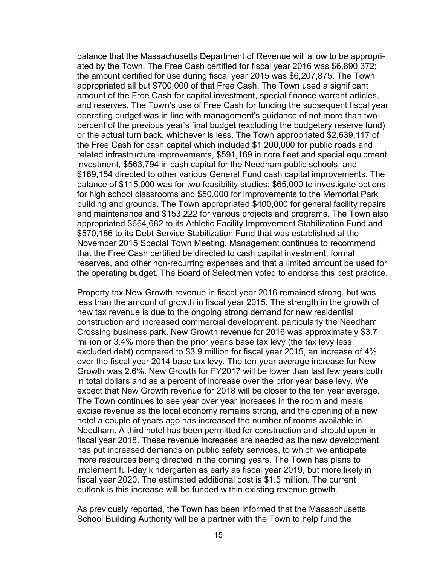balance that the Massachusetts Department of Revenue will allow to be appropriated by the Town. The Free Cash certified for fiscal year 2016 was \$6,890,372; the amount certified for use during fiscal year 2015 was \$6,207,875. The Town appropriated all but \$700,000 of that Free Cash. The Town used a significant amount of the Free Cash for capital investment, special finance warrant articles, and reserves. The Town's use of Free Cash for funding the subsequent fiscal year operating budget was in line with management's guidance of not more than twopercent of the previous year's final budget (excluding the budgetary reserve fund) or the actual turn back, whichever is less. The Town appropriated \$2,639,117 of the Free Cash for cash capital which included \$1,200,000 for public roads and related infrastructure improvements, \$591,169 in core fleet and special equipment investment, \$563,794 in cash capital for the Needham public schools, and \$169,154 directed to other various General Fund cash capital improvements. The balance of \$115,000 was for two feasibility studies: \$65,000 to investigate options for high school classrooms and \$50,000 for improvements to the Memorial Park building and grounds. The Town appropriated \$400,000 for general facility repairs and maintenance and \$153,222 for various projects and programs. The Town also appropriated \$664,682 to its Athletic Facility Improvement Stabilization Fund and \$570,186 to its Debt Service Stabilization Fund that was established at the November 2015 Special Town Meeting. Management continues to recommend that the Free Cash certified be directed to cash capital investment, formal reserves, and other non-recurring expenses and that a limited amount be used for the operating budget. The Board of Selectmen voted to endorse this best practice.

Property tax New Growth revenue in fiscal year 2016 remained strong, but was less than the amount of growth in fiscal year 2015. The strength in the growth of new tax revenue is due to the ongoing strong demand for new residential construction and increased commercial development, particularly the Needham Crossing business park. New Growth revenue for 2016 was approximately \$3.7 million or 3.4% more than the prior year's base tax levy (the tax levy less excluded debt) compared to \$3.9 million for fiscal year 2015, an increase of 4% over the fiscal year 2014 base tax levy. The ten-year average increase for New Growth was 2.6%. New Growth for FY2017 will be lower than last few years both in total dollars and as a percent of increase over the prior year base levy. We expect that New Growth revenue for 2018 will be closer to the ten year average. The Town continues to see year over year increases in the room and meals excise revenue as the local economy remains strong, and the opening of a new hotel a couple of years ago has increased the number of rooms available in Needham. A third hotel has been permitted for construction and should open in fiscal year 2018. These revenue increases are needed as the new development has put increased demands on public safety services, to which we anticipate more resources being directed in the coming years. The Town has plans to implement full-day kindergarten as early as fiscal year 2019, but more likely in fiscal year 2020. The estimated additional cost is \$1.5 million. The current outlook is this increase will be funded within existing revenue growth.

As previously reported, the Town has been informed that the Massachusetts School Building Authority will be a partner with the Town to help fund the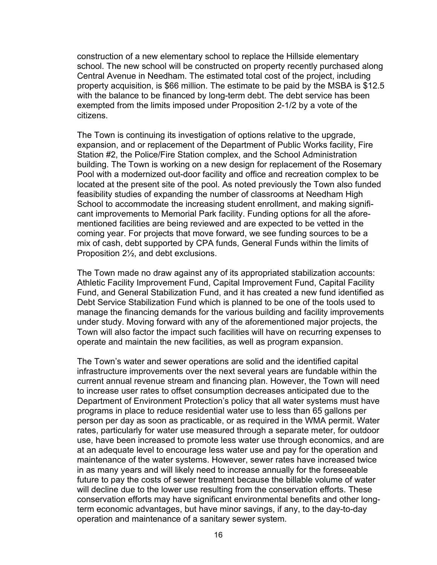construction of a new elementary school to replace the Hillside elementary school. The new school will be constructed on property recently purchased along Central Avenue in Needham. The estimated total cost of the project, including property acquisition, is \$66 million. The estimate to be paid by the MSBA is \$12.5 with the balance to be financed by long-term debt. The debt service has been exempted from the limits imposed under Proposition 2-1/2 by a vote of the citizens.

The Town is continuing its investigation of options relative to the upgrade, expansion, and or replacement of the Department of Public Works facility, Fire Station #2, the Police/Fire Station complex, and the School Administration building. The Town is working on a new design for replacement of the Rosemary Pool with a modernized out-door facility and office and recreation complex to be located at the present site of the pool. As noted previously the Town also funded feasibility studies of expanding the number of classrooms at Needham High School to accommodate the increasing student enrollment, and making significant improvements to Memorial Park facility. Funding options for all the aforementioned facilities are being reviewed and are expected to be vetted in the coming year. For projects that move forward, we see funding sources to be a mix of cash, debt supported by CPA funds, General Funds within the limits of Proposition 21/<sub>2</sub>, and debt exclusions.

The Town made no draw against any of its appropriated stabilization accounts: Athletic Facility Improvement Fund, Capital Improvement Fund, Capital Facility Fund, and General Stabilization Fund, and it has created a new fund identified as Debt Service Stabilization Fund which is planned to be one of the tools used to manage the financing demands for the various building and facility improvements under study. Moving forward with any of the aforementioned major projects, the Town will also factor the impact such facilities will have on recurring expenses to operate and maintain the new facilities, as well as program expansion.

The Town's water and sewer operations are solid and the identified capital infrastructure improvements over the next several years are fundable within the current annual revenue stream and financing plan. However, the Town will need to increase user rates to offset consumption decreases anticipated due to the Department of Environment Protection's policy that all water systems must have programs in place to reduce residential water use to less than 65 gallons per person per day as soon as practicable, or as required in the WMA permit. Water rates, particularly for water use measured through a separate meter, for outdoor use, have been increased to promote less water use through economics, and are at an adequate level to encourage less water use and pay for the operation and maintenance of the water systems. However, sewer rates have increased twice in as many years and will likely need to increase annually for the foreseeable future to pay the costs of sewer treatment because the billable volume of water will decline due to the lower use resulting from the conservation efforts. These conservation efforts may have significant environmental benefits and other longterm economic advantages, but have minor savings, if any, to the day-to-day operation and maintenance of a sanitary sewer system.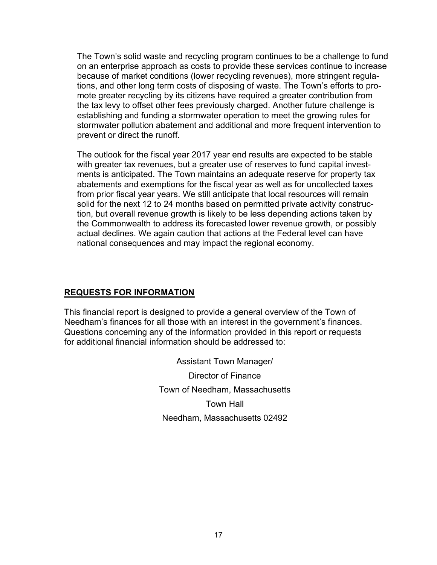The Town's solid waste and recycling program continues to be a challenge to fund on an enterprise approach as costs to provide these services continue to increase because of market conditions (lower recycling revenues), more stringent regulations, and other long term costs of disposing of waste. The Town's efforts to promote greater recycling by its citizens have required a greater contribution from the tax levy to offset other fees previously charged. Another future challenge is establishing and funding a stormwater operation to meet the growing rules for stormwater pollution abatement and additional and more frequent intervention to prevent or direct the runoff.

The outlook for the fiscal year 2017 year end results are expected to be stable with greater tax revenues, but a greater use of reserves to fund capital investments is anticipated. The Town maintains an adequate reserve for property tax abatements and exemptions for the fiscal year as well as for uncollected taxes from prior fiscal year years. We still anticipate that local resources will remain solid for the next 12 to 24 months based on permitted private activity construction, but overall revenue growth is likely to be less depending actions taken by the Commonwealth to address its forecasted lower revenue growth, or possibly actual declines. We again caution that actions at the Federal level can have national consequences and may impact the regional economy.

# **REQUESTS FOR INFORMATION**

This financial report is designed to provide a general overview of the Town of Needham's finances for all those with an interest in the government's finances. Questions concerning any of the information provided in this report or requests for additional financial information should be addressed to:

> **Assistant Town Manager/** Director of Finance Town of Needham, Massachusetts **Town Hall** Needham, Massachusetts 02492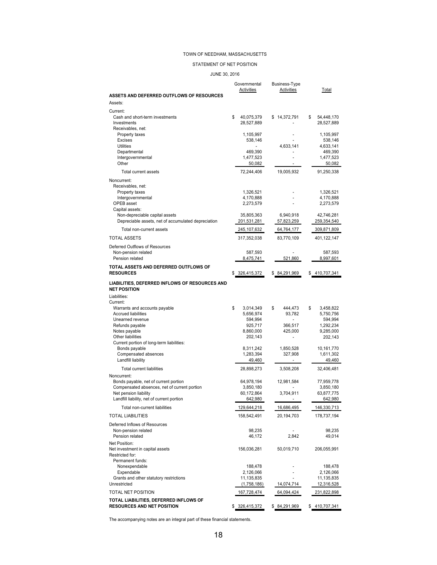#### STATEMENT OF NET POSITION

#### JUNE 30, 2016

|                                                                                       | Governmental              | <b>Business-Type</b>    |                           |
|---------------------------------------------------------------------------------------|---------------------------|-------------------------|---------------------------|
| <b>ASSETS AND DEFERRED OUTFLOWS OF RESOURCES</b>                                      | Activities                | <b>Activities</b>       | <b>Total</b>              |
| Assets:                                                                               |                           |                         |                           |
| Current:                                                                              |                           |                         |                           |
| Cash and short-term investments                                                       | \$<br>40,075,379          | 14,372,791              | \$<br>54,448,170          |
| Investments<br>Receivables, net:                                                      | 28,527,889                |                         | 28,527,889                |
| Property taxes                                                                        | 1,105,997                 |                         | 1,105,997                 |
| <b>Excises</b>                                                                        | 538,146                   |                         | 538,146                   |
| <b>Utilities</b>                                                                      |                           | 4,633,141               | 4,633,141                 |
| Departmental<br>Intergovernmental                                                     | 469,390<br>1,477,523      |                         | 469,390<br>1,477,523      |
| Other                                                                                 | 50,082                    |                         | 50,082                    |
| Total current assets                                                                  | 72,244,406                | 19,005,932              | 91,250,338                |
| Noncurrent:                                                                           |                           |                         |                           |
| Receivables, net:<br>Property taxes                                                   | 1,326,521                 |                         | 1,326,521                 |
| Intergovernmental                                                                     | 4,170,888                 |                         | 4,170,888                 |
| OPEB asset                                                                            | 2,273,579                 |                         | 2,273,579                 |
| Capital assets:                                                                       |                           |                         |                           |
| Non-depreciable capital assets<br>Depreciable assets, net of accumulated depreciation | 35,805,363<br>201,531,281 | 6,940,918<br>57,823,259 | 42,746,281<br>259,354,540 |
| Total non-current assets                                                              | 245,107,632               | 64,764,177              | 309,871,809               |
| <b>TOTAL ASSETS</b>                                                                   | 317,352,038               | 83,770,109              | 401,122,147               |
|                                                                                       |                           |                         |                           |
| Deferred Outflows of Resources<br>Non-pension related                                 | 587,593                   |                         | 587,593                   |
| Pension related                                                                       | 8,475,741                 | 521,860                 | 8,997,601                 |
| TOTAL ASSETS AND DEFERRED OUTFLOWS OF<br><b>RESOURCES</b>                             | \$ 326,415,372            | \$84,291,969            | \$410,707,341             |
| LIABILITIES, DEFERRED INFLOWS OF RESOURCES AND<br><b>NET POSITION</b>                 |                           |                         |                           |
| Liabilities:                                                                          |                           |                         |                           |
| Current:                                                                              |                           |                         |                           |
| Warrants and accounts payable                                                         | \$<br>3,014,349           | \$<br>444,473           | \$<br>3,458,822           |
| <b>Accrued liabilities</b><br>Unearned revenue                                        | 5,656,974                 | 93,782                  | 5,750,756                 |
| Refunds payable                                                                       | 594,994<br>925,717        | 366,517                 | 594,994<br>1,292,234      |
| Notes payable                                                                         | 8,860,000                 | 425,000                 | 9,285,000                 |
| Other liabilities                                                                     | 202,143                   |                         | 202,143                   |
| Current portion of long-term liabilities:<br>Bonds payable                            | 8,311,242                 | 1,850,528               | 10,161,770                |
| Compensated absences                                                                  | 1,283,394                 | 327,908                 | 1,611,302                 |
| Landfill liability                                                                    | 49,460                    |                         | 49,460                    |
| <b>Total current liabilities</b>                                                      | 28,898,273                | 3,508,208               | 32,406,481                |
| Noncurrent:                                                                           |                           |                         |                           |
| Bonds payable, net of current portion<br>Compensated absences, net of current portion | 64,978,194<br>3,850,180   | 12,981,584              | 77,959,778<br>3,850,180   |
| Net pension liability                                                                 | 60,172,864                | 3,704,911               | 63,877,775                |
| Landfill liability, net of current portion                                            | 642,980                   |                         | 642,980                   |
| Total non-current liabilities                                                         | 129,644,218               | 16,686,495              | 146,330,713               |
| <b>TOTAL LIABILITIES</b>                                                              | 158,542,491               | 20,194,703              | 178,737,194               |
| Deferred Inflows of Resources                                                         |                           |                         |                           |
| Non-pension related                                                                   | 98,235                    |                         | 98,235                    |
| Pension related<br>Net Position:                                                      | 46,172                    | 2,842                   | 49,014                    |
| Net investment in capital assets<br>Restricted for:                                   | 156,036,281               | 50,019,710              | 206,055,991               |
| Permanent funds:                                                                      |                           |                         |                           |
| Nonexpendable                                                                         | 188,478                   |                         | 188,478                   |
| Expendable<br>Grants and other statutory restrictions                                 | 2,126,066<br>11,135,835   | ٠                       | 2,126,066<br>11,135,835   |
| Unrestricted                                                                          | (1,758,186)               | 14,074,714              | 12,316,528                |
| TOTAL NET POSITION                                                                    | 167,728,474               | 64,094,424              | 231,822,898               |
| TOTAL LIABILITIES, DEFERRED INFLOWS OF                                                |                           |                         |                           |
| <b>RESOURCES AND NET POSITION</b>                                                     | \$ 326,415,372            | \$84,291,969            | \$<br>410,707,341         |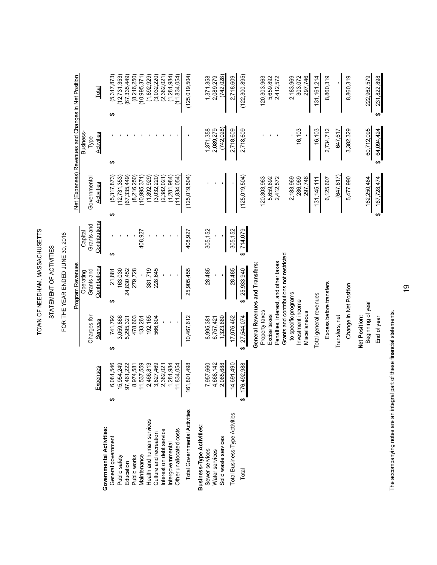| ŀ<br>ī<br>$\vdots$<br>Š |  |
|-------------------------|--|
| ı<br>∶<br>i<br>Ī<br>j   |  |
|                         |  |

# STATEMENT OF ACTIVITIES

# FOR THE YEAR ENDED JUNE 30, 2016

|                                                     |           | <u>Total</u>                      |                                 | (5,317,873)<br>↮   | 12,731,353    | 67,335,449)    | (8,216,250)  | (10,995,371)   | (1,892,929)               | (3,032,220)            | (2,382,021)              | (1,281,984)       | (11, 834, 054)          | (125,019,504)                 |                                  | 1,371,358      | 2,089,279      | (742, 028)           | 2,718,609                      | (122, 300, 895)  |                                 | 120,303,963    | 5,659,892    | 2,412,572                                                                       | 2,183,969            | 303,072           | 297,746       | 131, 161, 214          | 8,860,319               |                | 8,860,319              | 222,962,579                        | 231,822,898<br>↮ |
|-----------------------------------------------------|-----------|-----------------------------------|---------------------------------|--------------------|---------------|----------------|--------------|----------------|---------------------------|------------------------|--------------------------|-------------------|-------------------------|-------------------------------|----------------------------------|----------------|----------------|----------------------|--------------------------------|------------------|---------------------------------|----------------|--------------|---------------------------------------------------------------------------------|----------------------|-------------------|---------------|------------------------|-------------------------|----------------|------------------------|------------------------------------|------------------|
| Net (Expenses) Revenues and Changes in Net Position | Business- | <b>Activities</b><br>Type         |                                 | ↔                  |               |                |              |                |                           |                        |                          |                   |                         |                               |                                  | 1,371,358      | 2,089,279      | (742, 028)           | 2,718,609                      | 2,718,609        |                                 |                |              |                                                                                 |                      | 16,103            |               | 16,103                 | 2,734,712               | 647,617        | 3,382,329              | 60,712,095                         | 64,094,424<br>↔  |
|                                                     |           | Governmental<br><b>Activities</b> |                                 | (5, 317, 873)<br>↔ | 12,731,353    | (67, 335, 449) | (8,216,250)  | (10, 995, 371) | (1,892,929)               | (3,032,220)            | (2,382,021)              | (1,281,984)       | (11, 834, 054)          | (125,019,504)                 |                                  |                |                |                      |                                | (125,019,504)    |                                 | 120,303,963    | 5,659,892    | 2,412,572                                                                       | 2,183,969            | 286,969           | 297,746       | 131, 145, 111          | 6,125,607               | (647, 617)     | 5,477,990              | 162,250,484                        | 167,728,474<br>↮ |
|                                                     | Capital   | Contributions<br>Grants and       |                                 | ↮                  |               |                |              | 408,927        |                           |                        |                          |                   |                         | 408,927                       |                                  | 305,152        |                |                      | 305,152                        | 714,079<br>ക     |                                 |                |              |                                                                                 |                      |                   |               |                        |                         |                |                        |                                    |                  |
| Program Revenues                                    | Operating | Contributions<br>Grants and       |                                 | 21,881<br>↔        | 163,030       | 24,830,452     | 279,728      |                | 381,719                   | 228,645                |                          |                   |                         | 25,905,455                    |                                  | 28,485         |                |                      | 28,485                         | 25,933,940<br>မာ | General Revenues and Transfers: |                |              | Grants and contributions not restricted<br>Penalties, interest, and other taxes |                      |                   |               |                        |                         |                |                        |                                    |                  |
|                                                     |           | Charges for<br>Services           |                                 | 741,792<br>↔       | 3,059,866     | 5,295,321      | 478,603      | 133,261        | 192, 165                  | 566,604                |                          |                   |                         | 10,467,612                    |                                  | 8,995,381      | 6,757,421      | 1,323,660            | 17,076,462                     | 27,544,074<br>ക  |                                 | Property taxes | Excise taxes |                                                                                 | to specific programs | Investment income | Miscellaneous | Total general revenues | Excess before transfers | Transfers, net | Change in Net Position | Beginning of year<br>Net Position: | End of year      |
|                                                     |           | Expenses                          |                                 | 6,081,546<br>↮     | 15,954,249    | 97,461,222     | 8,974,581    | 11,537,559     | 2,466,813                 | 3,827,469              | 2,382,021                | 1,281,984         | 11,834,054              | 61,801,498                    |                                  | 7,957,660      | 4,668,142      | 2,065,688            | 14,691,490                     | 76,492,988<br>ക  |                                 |                |              |                                                                                 |                      |                   |               |                        |                         |                |                        |                                    |                  |
|                                                     |           |                                   | <b>Governmental Activities:</b> | General government | Public safety | Education      | Public works | Maintenance    | Health and human services | Culture and recreation | Interest on debt service | Intergovernmental | Other unallocated costs | Total Governmental Activities | <b>Business-Type Activities:</b> | Sewer services | Water services | Solid waste services | Total Business-Type Activities | Total            |                                 |                |              |                                                                                 |                      |                   |               |                        |                         |                |                        |                                    |                  |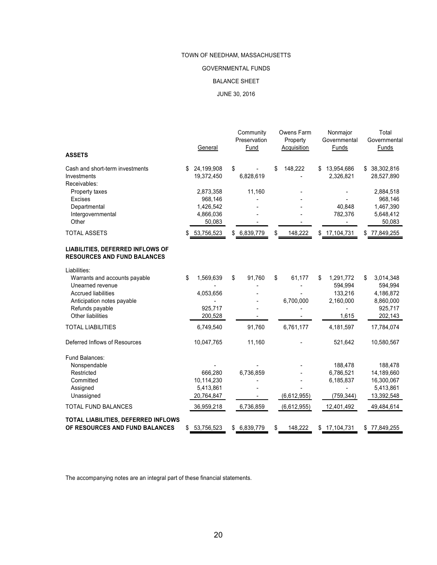#### **GOVERNMENTAL FUNDS**

#### **BALANCE SHEET**

# JUNE 30, 2016

|                                                                                                                                                                       | General                                            | Community<br>Preservation<br>Fund | Owens Farm<br>Property<br><b>Acquisition</b> | Nonmajor<br>Governmental<br><b>Funds</b>                                                | Total<br>Governmental<br><b>Funds</b>                                      |  |
|-----------------------------------------------------------------------------------------------------------------------------------------------------------------------|----------------------------------------------------|-----------------------------------|----------------------------------------------|-----------------------------------------------------------------------------------------|----------------------------------------------------------------------------|--|
| <b>ASSETS</b>                                                                                                                                                         |                                                    |                                   |                                              |                                                                                         |                                                                            |  |
| Cash and short-term investments<br>Investments<br>Receivables:                                                                                                        | 24,199,908<br>\$<br>19,372,450                     | \$<br>6,828,619                   | 148,222<br>\$                                | \$13,954,686<br>2,326,821                                                               | \$38,302,816<br>28,527,890                                                 |  |
| Property taxes<br>Excises                                                                                                                                             | 2,873,358<br>968,146                               | 11,160                            |                                              |                                                                                         | 2,884,518<br>968,146                                                       |  |
| Departmental<br>Intergovernmental<br>Other                                                                                                                            | 1,426,542<br>4,866,036<br>50,083                   |                                   |                                              | 40.848<br>782,376                                                                       | 1,467,390<br>5,648,412<br>50,083                                           |  |
| <b>TOTAL ASSETS</b>                                                                                                                                                   | 53,756,523<br>\$                                   | \$6,839,779                       | \$<br>148,222                                | \$17,104,731                                                                            | 77,849,255<br>\$                                                           |  |
| LIABILITIES, DEFERRED INFLOWS OF<br><b>RESOURCES AND FUND BALANCES</b>                                                                                                |                                                    |                                   |                                              |                                                                                         |                                                                            |  |
| Liabilities:<br>Warrants and accounts payable<br>Unearned revenue<br><b>Accrued liabilities</b><br>Anticipation notes payable<br>Refunds payable<br>Other liabilities | \$<br>1,569,639<br>4,053,656<br>925,717<br>200,528 | \$<br>91.760                      | \$<br>61,177<br>6,700,000                    | \$<br>1,291,772<br>594,994<br>133,216<br>2,160,000<br>$\overline{\phantom{0}}$<br>1,615 | \$<br>3,014,348<br>594,994<br>4,186,872<br>8,860,000<br>925,717<br>202,143 |  |
| <b>TOTAL LIABILITIES</b>                                                                                                                                              | 6,749,540                                          | 91,760                            | 6,761,177                                    | 4,181,597                                                                               | 17,784,074                                                                 |  |
| Deferred Inflows of Resources                                                                                                                                         | 10,047,765                                         | 11,160                            |                                              | 521,642                                                                                 | 10,580,567                                                                 |  |
| Fund Balances:<br>Nonspendable<br>Restricted<br>Committed<br>Assigned<br>Unassigned                                                                                   | 666,280<br>10,114,230<br>5,413,861<br>20,764,847   | 6,736,859                         | (6,612,955)                                  | 188,478<br>6,786,521<br>6,185,837<br>(759, 344)                                         | 188,478<br>14,189,660<br>16,300,067<br>5,413,861<br>13,392,548             |  |
| TOTAL FUND BALANCES                                                                                                                                                   | 36,959,218                                         | 6,736,859                         | (6,612,955)                                  | 12,401,492                                                                              | 49,484,614                                                                 |  |
| TOTAL LIABILITIES, DEFERRED INFLOWS<br>OF RESOURCES AND FUND BALANCES                                                                                                 | 53,756,523<br>\$                                   | \$<br>6,839,779                   | 148,222<br>\$                                | \$17,104,731                                                                            | \$77,849,255                                                               |  |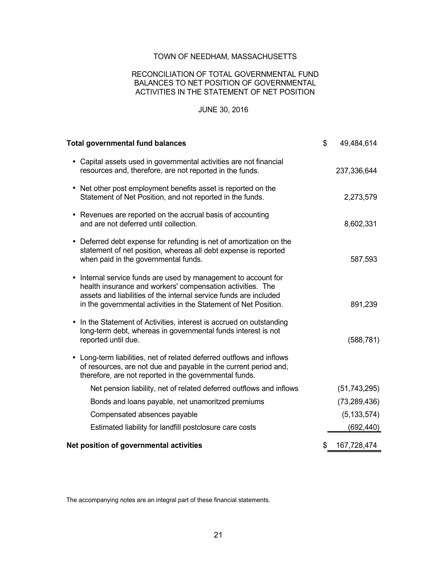# RECONCILIATION OF TOTAL GOVERNMENTAL FUND BALANCES TO NET POSITION OF GOVERNMENTAL ACTIVITIES IN THE STATEMENT OF NET POSITION

# **JUNE 30, 2016**

| <b>Total governmental fund balances</b>                                                                                                                                                                                                                               | \$<br>49,484,614  |
|-----------------------------------------------------------------------------------------------------------------------------------------------------------------------------------------------------------------------------------------------------------------------|-------------------|
| • Capital assets used in governmental activities are not financial<br>resources and, therefore, are not reported in the funds.                                                                                                                                        | 237,336,644       |
| • Net other post employment benefits asset is reported on the<br>Statement of Net Position, and not reported in the funds.                                                                                                                                            | 2,273,579         |
| • Revenues are reported on the accrual basis of accounting<br>and are not deferred until collection.                                                                                                                                                                  | 8,602,331         |
| • Deferred debt expense for refunding is net of amortization on the<br>statement of net position, whereas all debt expense is reported<br>when paid in the governmental funds.                                                                                        | 587,593           |
| • Internal service funds are used by management to account for<br>health insurance and workers' compensation activities. The<br>assets and liabilities of the internal service funds are included<br>in the governmental activities in the Statement of Net Position. | 891,239           |
| In the Statement of Activities, interest is accrued on outstanding<br>long-term debt, whereas in governmental funds interest is not<br>reported until due.                                                                                                            | (588, 781)        |
| • Long-term liabilities, net of related deferred outflows and inflows<br>of resources, are not due and payable in the current period and,<br>therefore, are not reported in the governmental funds.                                                                   |                   |
| Net pension liability, net of related deferred outflows and inflows                                                                                                                                                                                                   | (51, 743, 295)    |
| Bonds and loans payable, net unamoritzed premiums                                                                                                                                                                                                                     | (73, 289, 436)    |
| Compensated absences payable                                                                                                                                                                                                                                          | (5, 133, 574)     |
| Estimated liability for landfill postclosure care costs                                                                                                                                                                                                               | (692, 440)        |
| Net position of governmental activities                                                                                                                                                                                                                               | \$<br>167,728,474 |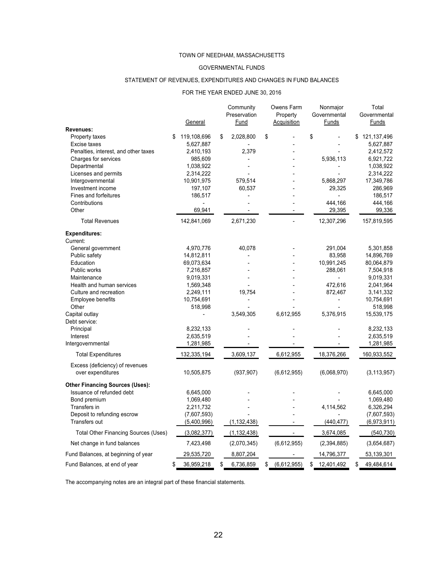#### **GOVERNMENTAL FUNDS**

#### STATEMENT OF REVENUES, EXPENDITURES AND CHANGES IN FUND BALANCES

#### FOR THE YEAR ENDED JUNE 30, 2016

|                                                      |                   | General |               | Community<br>Preservation<br>Fund |             | Nonmajor<br>Governmental<br>Funds | Total<br>Governmental<br>Funds |
|------------------------------------------------------|-------------------|---------|---------------|-----------------------------------|-------------|-----------------------------------|--------------------------------|
| Revenues:                                            |                   |         |               |                                   | Acquisition |                                   |                                |
| Property taxes                                       | 119,108,696<br>\$ | \$      | 2,028,800     | \$                                |             | \$                                | \$121,137,496                  |
| Excise taxes                                         | 5,627,887         |         |               |                                   |             |                                   | 5,627,887                      |
| Penalties, interest, and other taxes                 | 2,410,193         |         | 2,379         |                                   |             |                                   | 2,412,572                      |
| Charges for services                                 | 985,609           |         |               |                                   |             | 5,936,113                         | 6,921,722                      |
| Departmental                                         | 1,038,922         |         |               |                                   |             |                                   | 1,038,922                      |
| Licenses and permits                                 | 2,314,222         |         |               |                                   |             |                                   | 2,314,222                      |
| Intergovernmental                                    | 10,901,975        |         | 579,514       |                                   |             | 5,868,297                         | 17,349,786                     |
| Investment income                                    | 197,107           |         | 60,537        |                                   |             | 29,325                            | 286,969                        |
| Fines and forfeitures                                | 186,517           |         |               |                                   |             |                                   | 186,517                        |
| Contributions                                        |                   |         |               |                                   |             | 444,166                           | 444,166                        |
| Other                                                | 69,941            |         |               |                                   |             | 29,395                            | 99,336                         |
| <b>Total Revenues</b>                                | 142,841,069       |         | 2,671,230     |                                   |             | 12,307,296                        | 157,819,595                    |
| <b>Expenditures:</b><br>Current:                     |                   |         |               |                                   |             |                                   |                                |
| General government                                   | 4,970,776         |         | 40,078        |                                   |             | 291,004                           | 5,301,858                      |
| Public safety                                        | 14,812,811        |         |               |                                   |             | 83,958                            | 14,896,769                     |
| Education                                            | 69,073,634        |         |               |                                   |             | 10,991,245                        | 80,064,879                     |
| Public works                                         | 7,216,857         |         |               |                                   |             | 288,061                           | 7,504,918                      |
| Maintenance                                          | 9,019,331         |         |               |                                   |             | $\overline{a}$                    | 9,019,331                      |
| Health and human services                            | 1,569,348         |         |               |                                   |             | 472,616                           | 2,041,964                      |
| Culture and recreation                               | 2,249,111         |         | 19,754        |                                   |             | 872,467                           | 3,141,332                      |
| <b>Employee benefits</b>                             | 10,754,691        |         |               |                                   |             | $\overline{a}$                    | 10,754,691                     |
| Other                                                | 518,998           |         |               |                                   |             |                                   | 518,998                        |
| Capital outlay                                       |                   |         | 3,549,305     |                                   | 6,612,955   | 5,376,915                         | 15,539,175                     |
| Debt service:                                        |                   |         |               |                                   |             |                                   |                                |
| Principal                                            | 8,232,133         |         |               |                                   |             |                                   | 8,232,133                      |
| Interest                                             | 2,635,519         |         |               |                                   |             |                                   | 2,635,519                      |
| Intergovernmental                                    | 1,281,985         |         |               |                                   |             |                                   | 1,281,985                      |
| <b>Total Expenditures</b>                            | 132,335,194       |         | 3,609,137     |                                   | 6,612,955   | 18,376,266                        | 160,933,552                    |
| Excess (deficiency) of revenues<br>over expenditures | 10,505,875        |         | (937, 907)    |                                   | (6,612,955) | (6,068,970)                       | (3, 113, 957)                  |
| <b>Other Financing Sources (Uses):</b>               |                   |         |               |                                   |             |                                   |                                |
| Issuance of refunded debt                            | 6,645,000         |         |               |                                   |             |                                   | 6,645,000                      |
| Bond premium                                         | 1,069,480         |         |               |                                   |             |                                   | 1,069,480                      |
| Transfers in                                         | 2,211,732         |         |               |                                   |             | 4,114,562                         | 6,326,294                      |
| Deposit to refunding escrow                          | (7,607,593)       |         |               |                                   |             |                                   | (7,607,593)                    |
| Transfers out                                        | (5,400,996)       |         | (1, 132, 438) |                                   |             | (440, 477)                        | (6,973,911)                    |
| <b>Total Other Financing Sources (Uses)</b>          | (3,082,377)       |         | (1, 132, 438) |                                   |             | 3,674,085                         | (540, 730)                     |
| Net change in fund balances                          | 7,423,498         |         | (2,070,345)   |                                   | (6,612,955) | (2, 394, 885)                     | (3,654,687)                    |
| Fund Balances, at beginning of year                  | 29,535,720        |         | 8,807,204     |                                   |             | 14,796,377                        | 53,139,301                     |
| Fund Balances, at end of year                        | 36,959,218<br>\$  | \$      | 6,736,859     | \$                                | (6,612,955) | 12,401,492<br>\$                  | \$<br>49,484,614               |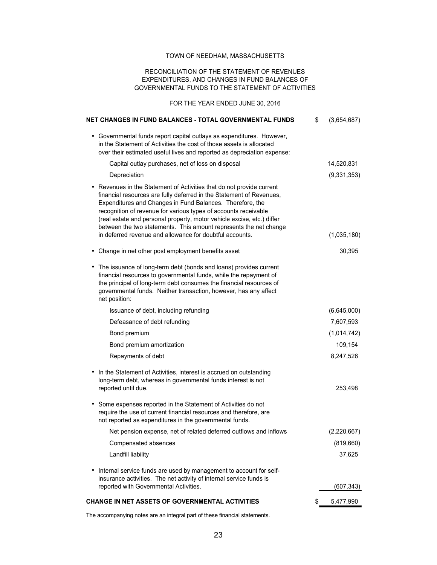#### RECONCILIATION OF THE STATEMENT OF REVENUES EXPENDITURES, AND CHANGES IN FUND BALANCES OF GOVERNMENTAL FUNDS TO THE STATEMENT OF ACTIVITIES

#### FOR THE YEAR ENDED JUNE 30, 2016

| <b>NET CHANGES IN FUND BALANCES - TOTAL GOVERNMENTAL FUNDS</b>                                                                                                                                                                                                                                                                                                                                                                                                                           | \$<br>(3,654,687) |
|------------------------------------------------------------------------------------------------------------------------------------------------------------------------------------------------------------------------------------------------------------------------------------------------------------------------------------------------------------------------------------------------------------------------------------------------------------------------------------------|-------------------|
| • Governmental funds report capital outlays as expenditures. However,<br>in the Statement of Activities the cost of those assets is allocated<br>over their estimated useful lives and reported as depreciation expense:                                                                                                                                                                                                                                                                 |                   |
| Capital outlay purchases, net of loss on disposal                                                                                                                                                                                                                                                                                                                                                                                                                                        | 14,520,831        |
| Depreciation                                                                                                                                                                                                                                                                                                                                                                                                                                                                             | (9,331,353)       |
| • Revenues in the Statement of Activities that do not provide current<br>financial resources are fully deferred in the Statement of Revenues,<br>Expenditures and Changes in Fund Balances. Therefore, the<br>recognition of revenue for various types of accounts receivable<br>(real estate and personal property, motor vehicle excise, etc.) differ<br>between the two statements. This amount represents the net change<br>in deferred revenue and allowance for doubtful accounts. | (1,035,180)       |
| • Change in net other post employment benefits asset                                                                                                                                                                                                                                                                                                                                                                                                                                     | 30,395            |
| • The issuance of long-term debt (bonds and loans) provides current<br>financial resources to governmental funds, while the repayment of<br>the principal of long-term debt consumes the financial resources of<br>governmental funds. Neither transaction, however, has any affect<br>net position:                                                                                                                                                                                     |                   |
| Issuance of debt, including refunding                                                                                                                                                                                                                                                                                                                                                                                                                                                    | (6,645,000)       |
| Defeasance of debt refunding                                                                                                                                                                                                                                                                                                                                                                                                                                                             | 7,607,593         |
| Bond premium                                                                                                                                                                                                                                                                                                                                                                                                                                                                             | (1,014,742)       |
| Bond premium amortization                                                                                                                                                                                                                                                                                                                                                                                                                                                                | 109,154           |
| Repayments of debt                                                                                                                                                                                                                                                                                                                                                                                                                                                                       | 8,247,526         |
| • In the Statement of Activities, interest is accrued on outstanding<br>long-term debt, whereas in governmental funds interest is not<br>reported until due.                                                                                                                                                                                                                                                                                                                             | 253,498           |
| • Some expenses reported in the Statement of Activities do not<br>require the use of current financial resources and therefore, are<br>not reported as expenditures in the governmental funds.                                                                                                                                                                                                                                                                                           |                   |
| Net pension expense, net of related deferred outflows and inflows                                                                                                                                                                                                                                                                                                                                                                                                                        | (2,220,667)       |
| Compensated absences                                                                                                                                                                                                                                                                                                                                                                                                                                                                     | (819, 660)        |
| Landfill liability                                                                                                                                                                                                                                                                                                                                                                                                                                                                       | 37,625            |
| Internal service funds are used by management to account for self-<br>insurance activities. The net activity of internal service funds is                                                                                                                                                                                                                                                                                                                                                |                   |
| reported with Governmental Activities.                                                                                                                                                                                                                                                                                                                                                                                                                                                   | (607, 343)        |
| CHANGE IN NET ASSETS OF GOVERNMENTAL ACTIVITIES                                                                                                                                                                                                                                                                                                                                                                                                                                          | \$<br>5,477,990   |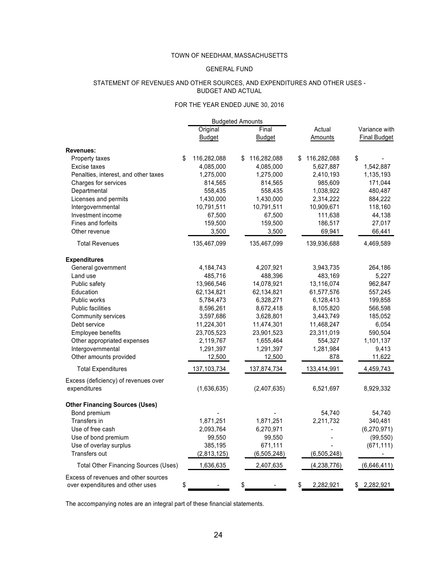# **GENERAL FUND**

# STATEMENT OF REVENUES AND OTHER SOURCES, AND EXPENDITURES AND OTHER USES -<br>BUDGET AND ACTUAL

#### FOR THE YEAR ENDED JUNE 30, 2016

|                                             | <b>Budgeted Amounts</b> |                   |                   |                     |
|---------------------------------------------|-------------------------|-------------------|-------------------|---------------------|
|                                             | Original                | Final             | Actual            | Variance with       |
|                                             | <b>Budget</b>           | <b>Budget</b>     | Amounts           | <b>Final Budget</b> |
| <b>Revenues:</b>                            |                         |                   |                   |                     |
| Property taxes                              | \$<br>116,282,088       | \$<br>116,282,088 | \$<br>116,282,088 | \$                  |
| Excise taxes                                | 4,085,000               | 4,085,000         | 5,627,887         | 1,542,887           |
| Penalties, interest, and other taxes        | 1,275,000               | 1,275,000         | 2,410,193         | 1,135,193           |
| Charges for services                        | 814,565                 | 814,565           | 985,609           | 171,044             |
| Departmental                                | 558,435                 | 558,435           | 1,038,922         | 480,487             |
| Licenses and permits                        | 1,430,000               | 1,430,000         | 2,314,222         | 884,222             |
| Intergovernmental                           | 10,791,511              | 10,791,511        | 10,909,671        | 118,160             |
| Investment income                           | 67,500                  | 67,500            | 111,638           | 44,138              |
| Fines and forfeits                          | 159,500                 | 159,500           | 186,517           | 27,017              |
| Other revenue                               | 3,500                   | 3,500             | 69,941            | 66,441              |
| <b>Total Revenues</b>                       | 135,467,099             | 135,467,099       | 139,936,688       | 4,469,589           |
| <b>Expenditures</b>                         |                         |                   |                   |                     |
| General government                          | 4,184,743               | 4,207,921         | 3,943,735         | 264,186             |
| Land use                                    | 485,716                 | 488,396           | 483,169           | 5,227               |
| Public safety                               | 13,966,546              | 14,078,921        | 13,116,074        | 962,847             |
| Education                                   | 62,134,821              | 62,134,821        | 61,577,576        | 557,245             |
| Public works                                | 5,784,473               | 6,328,271         | 6,128,413         | 199,858             |
| <b>Public facilities</b>                    | 8,596,261               | 8,672,418         | 8,105,820         | 566,598             |
| Community services                          | 3,597,686               | 3,628,801         | 3,443,749         | 185,052             |
| Debt service                                | 11,224,301              | 11,474,301        | 11,468,247        | 6,054               |
| Employee benefits                           | 23,705,523              | 23,901,523        | 23,311,019        | 590,504             |
| Other appropriated expenses                 | 2,119,767               | 1,655,464         | 554,327           | 1,101,137           |
| Intergovernmental                           | 1,291,397               | 1,291,397         | 1,281,984         | 9,413               |
| Other amounts provided                      | 12,500                  | 12,500            | 878               | 11,622              |
| <b>Total Expenditures</b>                   | 137, 103, 734           | 137,874,734       | 133,414,991       | 4,459,743           |
| Excess (deficiency) of revenues over        |                         |                   |                   |                     |
| expenditures                                | (1,636,635)             | (2,407,635)       | 6,521,697         | 8,929,332           |
| <b>Other Financing Sources (Uses)</b>       |                         |                   |                   |                     |
| Bond premium                                |                         |                   | 54,740            | 54,740              |
| Transfers in                                | 1,871,251               | 1,871,251         | 2,211,732         | 340,481             |
| Use of free cash                            | 2,093,764               | 6,270,971         |                   | (6,270,971)         |
| Use of bond premium                         | 99,550                  | 99,550            |                   | (99, 550)           |
| Use of overlay surplus                      | 385,195                 | 671,111           |                   | (671, 111)          |
| Transfers out                               | (2,813,125)             | (6, 505, 248)     | (6,505,248)       |                     |
| <b>Total Other Financing Sources (Uses)</b> | 1,636,635               | 2,407,635         | (4, 238, 776)     | (6,646,411)         |
| Excess of revenues and other sources        |                         |                   |                   |                     |
| over expenditures and other uses            | \$                      | \$                | \$<br>2,282,921   | \$2,282,921         |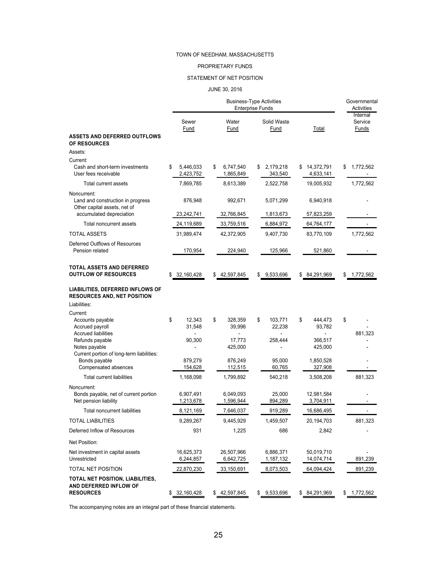#### PROPRIETARY FUNDS

#### STATEMENT OF NET POSITION

#### JUNE 30, 2016

|                                                                                |                              | <b>Business-Type Activities</b><br><b>Enterprise Funds</b> |                            |                           |                              |  |  |  |
|--------------------------------------------------------------------------------|------------------------------|------------------------------------------------------------|----------------------------|---------------------------|------------------------------|--|--|--|
|                                                                                | Sewer<br>Fund                | Water<br>Fund                                              | Solid Waste<br>Fund        | Total                     | Internal<br>Service<br>Funds |  |  |  |
| <b>ASSETS AND DEFERRED OUTFLOWS</b><br><b>OF RESOURCES</b>                     |                              |                                                            |                            |                           |                              |  |  |  |
| Assets:                                                                        |                              |                                                            |                            |                           |                              |  |  |  |
| Current:                                                                       |                              |                                                            |                            |                           |                              |  |  |  |
| Cash and short-term investments<br>User fees receivable                        | \$<br>5,446,033<br>2,423,752 | 6,747,540<br>S<br>1,865,849                                | 2,179,218<br>\$<br>343,540 | \$14,372,791<br>4,633,141 | \$<br>1,772,562              |  |  |  |
| Total current assets                                                           | 7,869,785                    | 8,613,389                                                  | 2,522,758                  | 19,005,932                | 1,772,562                    |  |  |  |
| Noncurrent:                                                                    |                              |                                                            |                            |                           |                              |  |  |  |
| Land and construction in progress<br>Other capital assets, net of              | 876,948                      | 992,671                                                    | 5,071,299                  | 6,940,918                 |                              |  |  |  |
| accumulated depreciation                                                       | 23,242,741                   | 32,766,845                                                 | 1,813,673                  | 57,823,259                |                              |  |  |  |
| Total noncurrent assets                                                        | 24,119,689                   | 33,759,516                                                 | 6,884,972                  | 64,764,177                |                              |  |  |  |
| <b>TOTAL ASSETS</b>                                                            | 31,989,474                   | 42,372,905                                                 | 9,407,730                  | 83,770,109                | 1,772,562                    |  |  |  |
| Deferred Outflows of Resources<br>Pension related                              | 170,954                      | 224,940                                                    | 125,966                    | 521,860                   |                              |  |  |  |
| TOTAL ASSETS AND DEFERRED<br><b>OUTFLOW OF RESOURCES</b>                       | \$32,160,428                 | \$42,597,845                                               | \$9,533,696                | \$ 84,291,969             | \$1,772,562                  |  |  |  |
| LIABILITIES, DEFERRED INFLOWS OF<br><b>RESOURCES AND, NET POSITION</b>         |                              |                                                            |                            |                           |                              |  |  |  |
| Liabilities:                                                                   |                              |                                                            |                            |                           |                              |  |  |  |
| Current:                                                                       |                              |                                                            |                            |                           |                              |  |  |  |
| Accounts payable<br>Accrued payroll                                            | \$<br>12,343<br>31,548       | \$<br>328,359<br>39,996                                    | \$<br>103,771<br>22,238    | \$<br>444,473<br>93,782   | \$                           |  |  |  |
| <b>Accrued liabilities</b>                                                     |                              |                                                            |                            |                           | 881,323                      |  |  |  |
| Refunds payable                                                                | 90,300                       | 17,773                                                     | 258,444                    | 366,517                   |                              |  |  |  |
| Notes payable                                                                  |                              | 425,000                                                    |                            | 425,000                   |                              |  |  |  |
| Current portion of long-term liabilities:<br>Bonds payable                     | 879,279                      | 876,249                                                    | 95,000                     | 1,850,528                 |                              |  |  |  |
| Compensated absences                                                           | 154,628                      | 112,515                                                    | 60,765                     | 327,908                   |                              |  |  |  |
| Total current liabilities                                                      | 1,168,098                    | 1,799,892                                                  | 540,218                    | 3,508,208                 | 881,323                      |  |  |  |
| Noncurrent:                                                                    |                              |                                                            |                            |                           |                              |  |  |  |
| Bonds payable, net of current portion<br>Net pension liability                 | 6,907,491<br>1,213,678       | 6,049,093<br>1,596,944                                     | 25,000<br>894,289          | 12,981,584<br>3,704,911   |                              |  |  |  |
| <b>Total noncurrent liabilities</b>                                            | 8,121,169                    | 7,646,037                                                  | 919,289                    | 16,686,495                | $\blacksquare$               |  |  |  |
| <b>TOTAL LIABILITIES</b>                                                       | 9,289,267                    | 9,445,929                                                  | 1,459,507                  | 20,194,703                | 881,323                      |  |  |  |
| Deferred Inflow of Resources                                                   | 931                          | 1,225                                                      | 686                        | 2,842                     |                              |  |  |  |
| Net Position:                                                                  |                              |                                                            |                            |                           |                              |  |  |  |
| Net investment in capital assets<br>Unrestricted                               | 16,625,373<br>6,244,857      | 26,507,966<br>6,642,725                                    | 6,886,371<br>1,187,132     | 50,019,710<br>14,074,714  | 891,239                      |  |  |  |
| TOTAL NET POSITION                                                             | 22,870,230                   | 33,150,691                                                 | 8,073,503                  | 64,094,424                | 891,239                      |  |  |  |
| TOTAL NET POSITION, LIABILITIES,<br>AND DEFERRED INFLOW OF<br><b>RESOURCES</b> | \$32,160,428                 | \$42,597,845                                               | \$9,533,696                | \$ 84,291,969             | 1,772,562<br>\$              |  |  |  |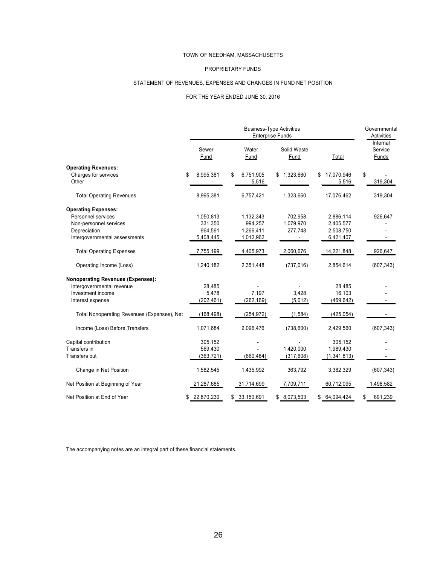#### PROPRIETARY FUNDS

### STATEMENT OF REVENUES, EXPENSES AND CHANGES IN FUND NET POSITION

#### FOR THE YEAR ENDED JUNE 30, 2016

|                                                                                                                             |                                              | <b>Business-Type Activities</b><br><b>Enterprise Funds</b> |                                 |                                                  |                              |  |  |  |  |  |
|-----------------------------------------------------------------------------------------------------------------------------|----------------------------------------------|------------------------------------------------------------|---------------------------------|--------------------------------------------------|------------------------------|--|--|--|--|--|
|                                                                                                                             | Sewer<br>Fund                                | Water<br>Fund                                              | Solid Waste<br>Fund             | Total                                            | Internal<br>Service<br>Funds |  |  |  |  |  |
| <b>Operating Revenues:</b><br>Charges for services<br>Other                                                                 | \$<br>8,995,381                              | 6,751,905<br>\$<br>5,516                                   | \$1,323,660                     | 17,070,946<br>\$<br>5,516                        | \$<br>319,304                |  |  |  |  |  |
| <b>Total Operating Revenues</b>                                                                                             | 8,995,381                                    | 6,757,421                                                  | 1,323,660                       | 17,076,462                                       | 319,304                      |  |  |  |  |  |
| <b>Operating Expenses:</b><br>Personnel services<br>Non-personnel services<br>Depreciation<br>Intergovernmental assessments | 1,050,813<br>331,350<br>964,591<br>5,408,445 | 1,132,343<br>994,257<br>1,266,411<br>1,012,962             | 702,958<br>1,079,970<br>277,748 | 2,886,114<br>2,405,577<br>2,508,750<br>6,421,407 | 926,647                      |  |  |  |  |  |
| <b>Total Operating Expenses</b>                                                                                             | 7,755,199                                    | 4,405,973                                                  | 2,060,676                       | 14,221,848                                       | 926,647                      |  |  |  |  |  |
| Operating Income (Loss)                                                                                                     | 1,240,182                                    | 2,351,448                                                  | (737, 016)                      | 2,854,614                                        | (607, 343)                   |  |  |  |  |  |
| <b>Nonoperating Revenues (Expenses):</b><br>Intergovernmental revenue<br>Investment income<br>Interest expense              | 28,485<br>5,478<br>(202, 461)                | 7,197<br>(262, 169)                                        | 3,428<br>(5,012)                | 28,485<br>16,103<br>(469, 642)                   |                              |  |  |  |  |  |
| Total Nonoperating Revenues (Expenses), Net                                                                                 | (168, 498)                                   | (254, 972)                                                 | (1,584)                         | (425, 054)                                       |                              |  |  |  |  |  |
| Income (Loss) Before Transfers                                                                                              | 1,071,684                                    | 2,096,476                                                  | (738, 600)                      | 2,429,560                                        | (607, 343)                   |  |  |  |  |  |
| Capital contribution<br>Transfers in<br>Transfers out                                                                       | 305,152<br>569,430<br>(363, 721)             | (660, 484)                                                 | 1,420,000<br>(317,608)          | 305,152<br>1,989,430<br>(1,341,813)              |                              |  |  |  |  |  |
| Change in Net Position                                                                                                      | 1,582,545                                    | 1,435,992                                                  | 363,792                         | 3,382,329                                        | (607, 343)                   |  |  |  |  |  |
| Net Position at Beginning of Year                                                                                           | 21,287,685                                   | 31,714,699                                                 | 7,709,711                       | 60,712,095                                       | 1,498,582                    |  |  |  |  |  |
| Net Position at End of Year                                                                                                 | 22,870,230<br>\$                             | 33,150,691<br>\$                                           | 8,073,503<br>\$                 | 64,094,424<br>\$                                 | \$<br>891,239                |  |  |  |  |  |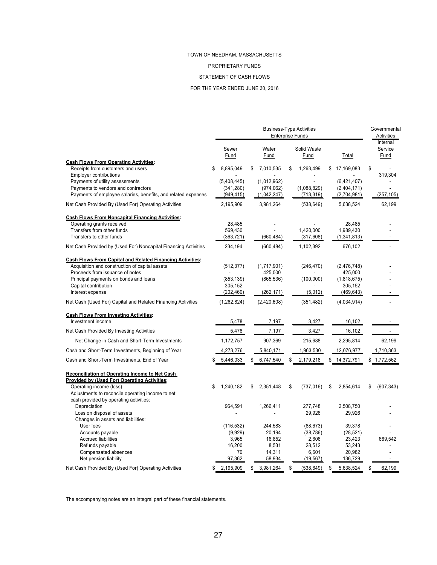PROPRIETARY FUNDS

#### STATEMENT OF CASH FLOWS

FOR THE YEAR ENDED JUNE 30, 2016

|                                                                                                                                                | <b>Business-Type Activities</b><br><b>Enterprise Funds</b> |    |                                           |    |                                 |    |                                                 |    | Governmental<br><b>Activities</b> |
|------------------------------------------------------------------------------------------------------------------------------------------------|------------------------------------------------------------|----|-------------------------------------------|----|---------------------------------|----|-------------------------------------------------|----|-----------------------------------|
| <b>Cash Flows From Operating Activities:</b>                                                                                                   | Sewer<br>Fund                                              |    | Water<br>Fund                             |    | Solid Waste<br>Fund             |    | Total                                           |    | Internal<br>Service<br>Fund       |
| Receipts from customers and users<br><b>Employer contributions</b>                                                                             | \$<br>8,895,049                                            | S  | 7,010,535                                 | \$ | 1,263,499                       |    | \$17,169,083                                    | \$ | 319,304                           |
| Payments of utility assessments<br>Payments to vendors and contractors<br>Payments of employee salaries, benefits, and related expenses        | (5,408,445)<br>(341, 280)<br>(949,415)                     |    | (1,012,962)<br>(974, 062)<br>(1,042,247)  |    | (1,088,829)<br>(713, 319)       |    | (6,421,407)<br>(2,404,171)<br>(2,704,981)       |    | (257, 105)                        |
| Net Cash Provided By (Used For) Operating Activities                                                                                           | 2,195,909                                                  |    | 3,981,264                                 |    | (538, 649)                      |    | 5,638,524                                       |    | 62,199                            |
| <b>Cash Flows From Noncapital Financing Activities:</b><br>Operating grants received<br>Transfers from other funds<br>Transfers to other funds | 28,485<br>569,430<br>(363, 721)                            |    | (660, 484)                                |    | 1,420,000<br>(317, 608)         |    | 28,485<br>1,989,430<br>(1, 341, 813)            |    | ä,                                |
| Net Cash Provided by (Used For) Noncapital Financing Activities                                                                                | 234,194                                                    |    | (660, 484)                                |    | 1,102,392                       |    | 676,102                                         |    |                                   |
| <b>Cash Flows From Capital and Related Financing Activities:</b><br>Acquisition and construction of capital assets                             | (512, 377)                                                 |    | (1,717,901)                               |    | (246, 470)                      |    | (2,476,748)                                     |    |                                   |
| Proceeds from issuance of notes<br>Principal payments on bonds and loans<br>Capital contribution<br>Interest expense                           | (853, 139)<br>305,152<br>(202,460)                         |    | 425,000<br>(865, 536)<br>ä,<br>(262, 171) |    | (100,000)<br>(5,012)            |    | 425,000<br>(1,818,675)<br>305,152<br>(469, 643) |    |                                   |
| Net Cash (Used For) Capital and Related Financing Activities                                                                                   | (1, 262, 824)                                              |    | (2,420,608)                               |    | (351, 482)                      |    | (4,034,914)                                     |    |                                   |
| <b>Cash Flows From Investing Activities:</b><br>Investment income                                                                              | 5,478                                                      |    | 7,197                                     |    | 3,427                           |    | 16,102                                          |    |                                   |
| Net Cash Provided By Investing Activities                                                                                                      | 5,478                                                      |    | 7,197                                     |    | 3,427                           |    | 16,102                                          |    | ٠                                 |
| Net Change in Cash and Short-Term Investments                                                                                                  | 1,172,757                                                  |    | 907,369                                   |    | 215,688                         |    | 2,295,814                                       |    | 62,199                            |
| Cash and Short-Term Investments, Beginning of Year                                                                                             | 4,273,276                                                  |    | 5,840,171                                 |    | 1,963,530                       |    | 12,076,977                                      |    | 1,710,363                         |
| Cash and Short-Term Investments, End of Year                                                                                                   | \$<br>5,446,033                                            | \$ | 6,747,540                                 | \$ | 2,179,218                       |    | \$14,372,791                                    |    | \$1,772,562                       |
| Reconciliation of Operating Income to Net Cash<br><b>Provided by (Used For) Operating Activities:</b><br>Operating income (loss)               | \$<br>1.240.182                                            | \$ | 2.351.448                                 | \$ | (737, 016)                      | \$ | 2,854,614                                       | \$ | (607, 343)                        |
| Adjustments to reconcile operating income to net<br>cash provided by operating activities:                                                     |                                                            |    |                                           |    |                                 |    |                                                 |    |                                   |
| Depreciation<br>Loss on disposal of assets<br>Changes in assets and liabilities:                                                               | 964,591                                                    |    | 1,266,411                                 |    | 277,748<br>29,926               |    | 2,508,750<br>29,926                             |    |                                   |
| User fees<br>Accounts payable<br><b>Accrued liabilities</b>                                                                                    | (116, 532)<br>(9,929)<br>3,965                             |    | 244,583<br>20,194<br>16,852               |    | (88, 673)<br>(38, 786)<br>2,606 |    | 39,378<br>(28, 521)<br>23,423                   |    | 669,542                           |
| Refunds payable<br>Compensated absences<br>Net pension liability                                                                               | 16,200<br>70<br>97,362                                     |    | 8,531<br>14,311<br>58,934                 |    | 28,512<br>6,601<br>(19, 567)    |    | 53,243<br>20,982<br>136,729                     |    |                                   |
| Net Cash Provided By (Used For) Operating Activities                                                                                           | \$<br>2,195,909                                            | \$ | 3,981,264                                 | \$ | (538, 649)                      | \$ | 5,638,524                                       | \$ | 62,199                            |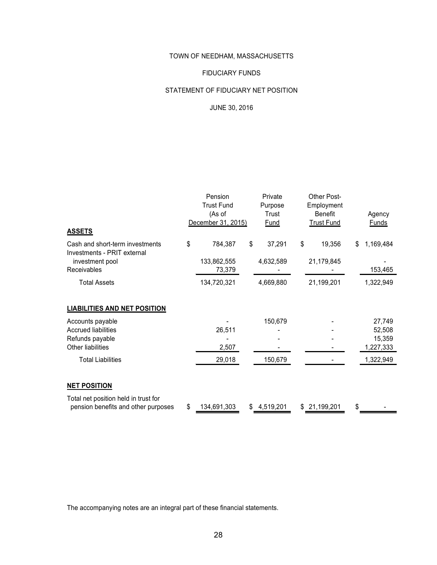### **FIDUCIARY FUNDS**

### STATEMENT OF FIDUCIARY NET POSITION

## JUNE 30, 2016

| <b>ASSETS</b>                                                                                                      | Pension<br><b>Trust Fund</b><br>(As of<br>December 31, 2015) | Private<br>Purpose<br>Trust<br><b>Fund</b> | Other Post-<br>Employment<br><b>Benefit</b><br><b>Trust Fund</b> | Agency<br><b>Funds</b>                               |
|--------------------------------------------------------------------------------------------------------------------|--------------------------------------------------------------|--------------------------------------------|------------------------------------------------------------------|------------------------------------------------------|
| Cash and short-term investments<br>Investments - PRIT external<br>investment pool<br>Receivables                   | \$<br>784,387<br>133,862,555<br>73,379                       | \$<br>37,291<br>4,632,589                  | \$<br>19,356<br>21,179,845                                       | \$<br>1,169,484<br>153,465                           |
| <b>Total Assets</b>                                                                                                | 134,720,321                                                  | 4,669,880                                  | 21,199,201                                                       | 1,322,949                                            |
| <b>LIABILITIES AND NET POSITION</b>                                                                                |                                                              |                                            |                                                                  |                                                      |
| Accounts payable<br><b>Accrued liabilities</b><br>Refunds payable<br>Other liabilities<br><b>Total Liabilities</b> | 26,511<br>2,507<br>29,018                                    | 150,679<br>150,679                         |                                                                  | 27,749<br>52,508<br>15,359<br>1,227,333<br>1,322,949 |
| <b>NET POSITION</b>                                                                                                |                                                              |                                            |                                                                  |                                                      |
| Total net position held in trust for<br>pension benefits and other purposes                                        | \$<br>134,691,303                                            | \$<br>4,519,201                            | \$<br>21,199,201                                                 | \$                                                   |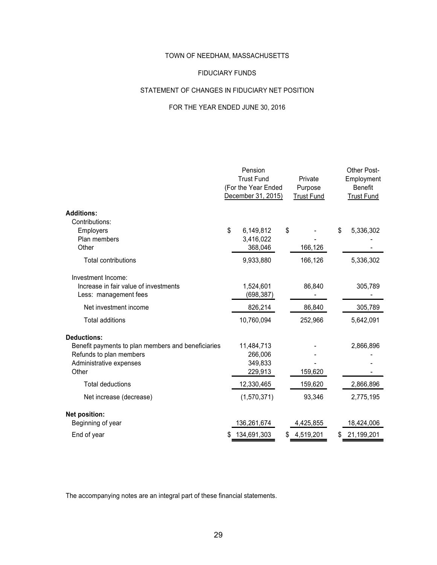### FIDUCIARY FUNDS

### STATEMENT OF CHANGES IN FIDUCIARY NET POSITION

## FOR THE YEAR ENDED JUNE 30, 2016

|                                                    | Pension             | Other Post-       |                   |
|----------------------------------------------------|---------------------|-------------------|-------------------|
|                                                    | <b>Trust Fund</b>   | Employment        |                   |
|                                                    | (For the Year Ended | Purpose           | <b>Benefit</b>    |
|                                                    | December 31, 2015)  | <b>Trust Fund</b> | <b>Trust Fund</b> |
| <b>Additions:</b>                                  |                     |                   |                   |
| Contributions:                                     |                     |                   |                   |
| <b>Employers</b>                                   | \$<br>6,149,812     | \$                | \$<br>5,336,302   |
| Plan members                                       | 3,416,022           |                   |                   |
| Other                                              | 368,046             | 166,126           |                   |
| <b>Total contributions</b>                         | 9,933,880           | 166,126           | 5,336,302         |
| Investment Income:                                 |                     |                   |                   |
| Increase in fair value of investments              | 1,524,601           | 86,840            | 305,789           |
| Less: management fees                              | (698,387)           |                   |                   |
| Net investment income                              | 826,214             | 86,840            | 305,789           |
| <b>Total additions</b>                             | 10,760,094          | 252,966           | 5,642,091         |
| <b>Deductions:</b>                                 |                     |                   |                   |
| Benefit payments to plan members and beneficiaries | 11,484,713          |                   | 2,866,896         |
| Refunds to plan members                            | 266,006             |                   |                   |
| Administrative expenses                            | 349,833             |                   |                   |
| Other                                              | 229,913             | 159,620           |                   |
| <b>Total deductions</b>                            | 12,330,465          | 159,620           | 2,866,896         |
| Net increase (decrease)                            | (1,570,371)         | 93,346            | 2,775,195         |
| Net position:                                      |                     |                   |                   |
| Beginning of year                                  | 136,261,674         | 4,425,855         | 18,424,006        |
| End of year                                        | 134,691,303         | \$<br>4,519,201   | \$<br>21,199,201  |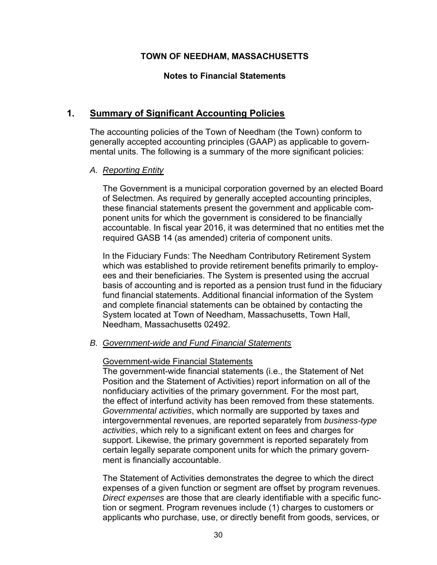# **Notes to Financial Statements**

#### $1<sub>1</sub>$ **Summary of Significant Accounting Policies**

The accounting policies of the Town of Needham (the Town) conform to generally accepted accounting principles (GAAP) as applicable to governmental units. The following is a summary of the more significant policies:

# A. Reporting Entity

The Government is a municipal corporation governed by an elected Board of Selectmen. As required by generally accepted accounting principles, these financial statements present the government and applicable component units for which the government is considered to be financially accountable. In fiscal year 2016, it was determined that no entities met the required GASB 14 (as amended) criteria of component units.

In the Fiduciary Funds: The Needham Contributory Retirement System which was established to provide retirement benefits primarily to employees and their beneficiaries. The System is presented using the accrual basis of accounting and is reported as a pension trust fund in the fiduciary fund financial statements. Additional financial information of the System and complete financial statements can be obtained by contacting the System located at Town of Needham, Massachusetts, Town Hall, Needham, Massachusetts 02492.

# **B. Government-wide and Fund Financial Statements**

# Government-wide Financial Statements

The government-wide financial statements (i.e., the Statement of Net Position and the Statement of Activities) report information on all of the nonfiduciary activities of the primary government. For the most part, the effect of interfund activity has been removed from these statements. Governmental activities, which normally are supported by taxes and intergovernmental revenues, are reported separately from business-type activities, which rely to a significant extent on fees and charges for support. Likewise, the primary government is reported separately from certain legally separate component units for which the primary government is financially accountable.

The Statement of Activities demonstrates the degree to which the direct expenses of a given function or segment are offset by program revenues. Direct expenses are those that are clearly identifiable with a specific function or segment. Program revenues include (1) charges to customers or applicants who purchase, use, or directly benefit from goods, services, or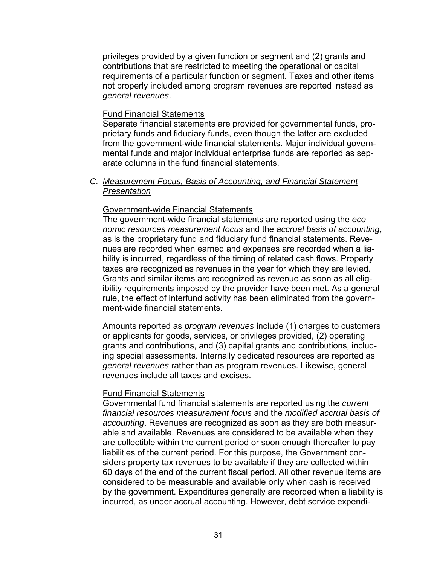privileges provided by a given function or segment and (2) grants and contributions that are restricted to meeting the operational or capital requirements of a particular function or segment. Taxes and other items not properly included among program revenues are reported instead as general revenues.

## **Fund Financial Statements**

Separate financial statements are provided for governmental funds, proprietary funds and fiduciary funds, even though the latter are excluded from the government-wide financial statements. Major individual governmental funds and major individual enterprise funds are reported as separate columns in the fund financial statements.

## C. Measurement Focus, Basis of Accounting, and Financial Statement Presentation

### **Government-wide Financial Statements**

The government-wide financial statements are reported using the economic resources measurement focus and the accrual basis of accounting, as is the proprietary fund and fiduciary fund financial statements. Revenues are recorded when earned and expenses are recorded when a liability is incurred, regardless of the timing of related cash flows. Property taxes are recognized as revenues in the year for which they are levied. Grants and similar items are recognized as revenue as soon as all eligibility requirements imposed by the provider have been met. As a general rule, the effect of interfund activity has been eliminated from the government-wide financial statements.

Amounts reported as *program revenues* include (1) charges to customers or applicants for goods, services, or privileges provided, (2) operating grants and contributions, and (3) capital grants and contributions, including special assessments. Internally dedicated resources are reported as general revenues rather than as program revenues. Likewise, general revenues include all taxes and excises.

### **Fund Financial Statements**

Governmental fund financial statements are reported using the current financial resources measurement focus and the modified accrual basis of accounting. Revenues are recognized as soon as they are both measurable and available. Revenues are considered to be available when they are collectible within the current period or soon enough thereafter to pay liabilities of the current period. For this purpose, the Government considers property tax revenues to be available if they are collected within 60 days of the end of the current fiscal period. All other revenue items are considered to be measurable and available only when cash is received by the government. Expenditures generally are recorded when a liability is incurred, as under accrual accounting. However, debt service expendi-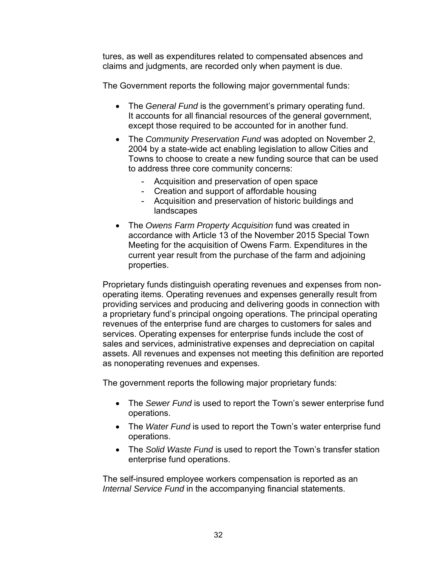tures, as well as expenditures related to compensated absences and claims and judgments, are recorded only when payment is due.

The Government reports the following major governmental funds:

- The General Fund is the government's primary operating fund. It accounts for all financial resources of the general government, except those required to be accounted for in another fund.
- The Community Preservation Fund was adopted on November 2, 2004 by a state-wide act enabling legislation to allow Cities and Towns to choose to create a new funding source that can be used to address three core community concerns:
	- Acquisition and preservation of open space
	- Creation and support of affordable housing
	- Acquisition and preservation of historic buildings and landscapes
- The Owens Farm Property Acquisition fund was created in accordance with Article 13 of the November 2015 Special Town Meeting for the acquisition of Owens Farm. Expenditures in the current year result from the purchase of the farm and adjoining properties.

Proprietary funds distinguish operating revenues and expenses from nonoperating items. Operating revenues and expenses generally result from providing services and producing and delivering goods in connection with a proprietary fund's principal ongoing operations. The principal operating revenues of the enterprise fund are charges to customers for sales and services. Operating expenses for enterprise funds include the cost of sales and services, administrative expenses and depreciation on capital assets. All revenues and expenses not meeting this definition are reported as nonoperating revenues and expenses.

The government reports the following major proprietary funds:

- The Sewer Fund is used to report the Town's sewer enterprise fund operations.
- The Water Fund is used to report the Town's water enterprise fund operations.
- The Solid Waste Fund is used to report the Town's transfer station enterprise fund operations.

The self-insured employee workers compensation is reported as an Internal Service Fund in the accompanying financial statements.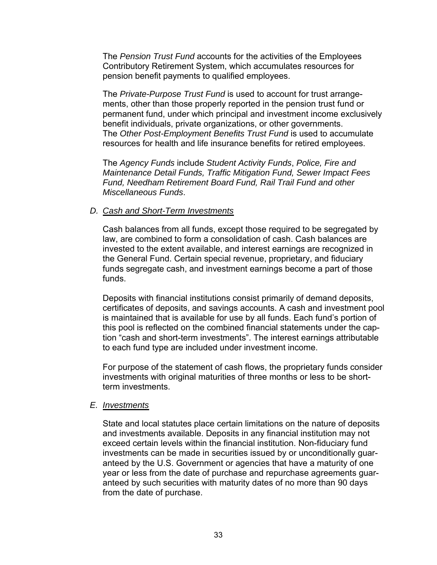The Pension Trust Fund accounts for the activities of the Employees Contributory Retirement System, which accumulates resources for pension benefit payments to qualified employees.

The Private-Purpose Trust Fund is used to account for trust arrangements, other than those properly reported in the pension trust fund or permanent fund, under which principal and investment income exclusively benefit individuals, private organizations, or other governments. The Other Post-Employment Benefits Trust Fund is used to accumulate resources for health and life insurance benefits for retired employees.

The Agency Funds include Student Activity Funds, Police, Fire and *Maintenance Detail Funds, Traffic Mitigation Fund, Sewer Impact Fees Fund, Needham Retirement Board Fund, Rail Trail Fund and other Miscellaneous Funds*-

## *D. Cash and Short-Term Investments*

Cash balances from all funds, except those required to be segregated by law, are combined to form a consolidation of cash. Cash balances are invested to the extent available, and interest earnings are recognized in the General Fund. Certain special revenue, proprietary, and fiduciary funds segregate cash, and investment earnings become a part of those funds.

Deposits with financial institutions consist primarily of demand deposits, certificates of deposits, and savings accounts. A cash and investment pool is maintained that is available for use by all funds. Each fund's portion of this pool is reflected on the combined financial statements under the caption "cash and short-term investments". The interest earnings attributable to each fund type are included under investment income.

For purpose of the statement of cash flows, the proprietary funds consider investments with original maturities of three months or less to be shortterm investments

## *E. Investments*

State and local statutes place certain limitations on the nature of deposits and investments available. Deposits in any financial institution may not exceed certain levels within the financial institution. Non-fiduciary fund investments can be made in securities issued by or unconditionally quaranteed by the U.S. Government or agencies that have a maturity of one year or less from the date of purchase and repurchase agreements guaranteed by such securities with maturity dates of no more than 90 days from the date of purchase.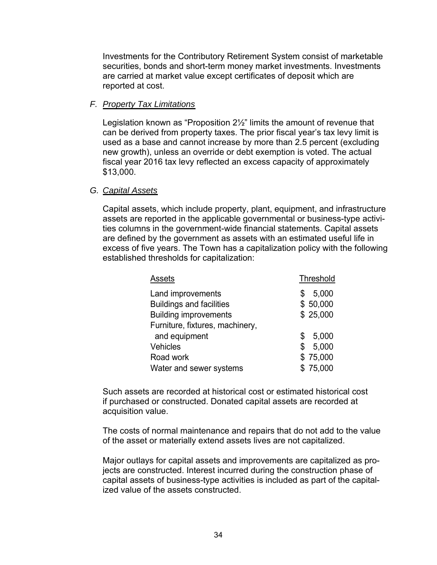Investments for the Contributory Retirement System consist of marketable securities, bonds and short-term money market investments. Investments are carried at market value except certificates of deposit which are reported at cost.

# F. Property Tax Limitations

Legislation known as "Proposition 21/2" limits the amount of revenue that can be derived from property taxes. The prior fiscal year's tax levy limit is used as a base and cannot increase by more than 2.5 percent (excluding new growth), unless an override or debt exemption is voted. The actual fiscal year 2016 tax levy reflected an excess capacity of approximately \$13,000.

# G. Capital Assets

Capital assets, which include property, plant, equipment, and infrastructure assets are reported in the applicable governmental or business-type activities columns in the government-wide financial statements. Capital assets are defined by the government as assets with an estimated useful life in excess of five years. The Town has a capitalization policy with the following established thresholds for capitalization:

| Assets                          | Threshold   |
|---------------------------------|-------------|
| Land improvements               | 5,000<br>\$ |
| <b>Buildings and facilities</b> | \$50,000    |
| <b>Building improvements</b>    | \$25,000    |
| Furniture, fixtures, machinery, |             |
| and equipment                   | 5,000<br>\$ |
| Vehicles                        | 5,000<br>\$ |
| Road work                       | \$75,000    |
| Water and sewer systems         | \$75,000    |

Such assets are recorded at historical cost or estimated historical cost if purchased or constructed. Donated capital assets are recorded at acquisition value.

The costs of normal maintenance and repairs that do not add to the value of the asset or materially extend assets lives are not capitalized.

Major outlays for capital assets and improvements are capitalized as projects are constructed. Interest incurred during the construction phase of capital assets of business-type activities is included as part of the capitalized value of the assets constructed.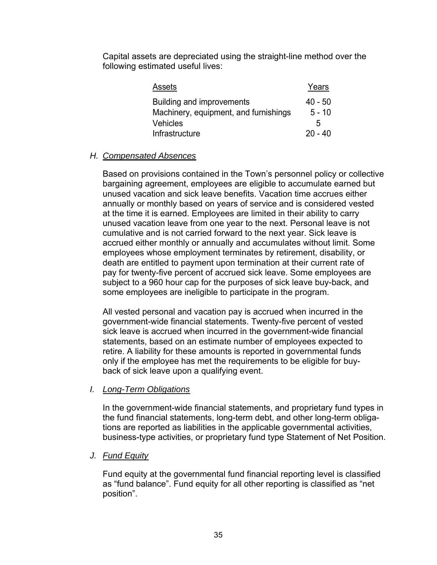Capital assets are depreciated using the straight-line method over the following estimated useful lives:

| <b>Assets</b>                         | Years     |
|---------------------------------------|-----------|
| Building and improvements             | $40 - 50$ |
| Machinery, equipment, and furnishings | $5 - 10$  |
| Vehicles                              | 5         |
| Infrastructure                        | $20 - 40$ |

# H. Compensated Absences

Based on provisions contained in the Town's personnel policy or collective bargaining agreement, employees are eligible to accumulate earned but unused vacation and sick leave benefits. Vacation time accrues either annually or monthly based on years of service and is considered vested at the time it is earned. Employees are limited in their ability to carry unused vacation leave from one year to the next. Personal leave is not cumulative and is not carried forward to the next year. Sick leave is accrued either monthly or annually and accumulates without limit. Some employees whose employment terminates by retirement, disability, or death are entitled to payment upon termination at their current rate of pay for twenty-five percent of accrued sick leave. Some employees are subject to a 960 hour cap for the purposes of sick leave buy-back, and some employees are ineligible to participate in the program.

All vested personal and vacation pay is accrued when incurred in the government-wide financial statements. Twenty-five percent of vested sick leave is accrued when incurred in the government-wide financial statements, based on an estimate number of employees expected to retire. A liability for these amounts is reported in governmental funds only if the employee has met the requirements to be eligible for buyback of sick leave upon a qualifying event.

# I. Long-Term Obligations

In the government-wide financial statements, and proprietary fund types in the fund financial statements, long-term debt, and other long-term obligations are reported as liabilities in the applicable governmental activities, business-type activities, or proprietary fund type Statement of Net Position.

# J. Fund Equity

Fund equity at the governmental fund financial reporting level is classified as "fund balance". Fund equity for all other reporting is classified as "net position".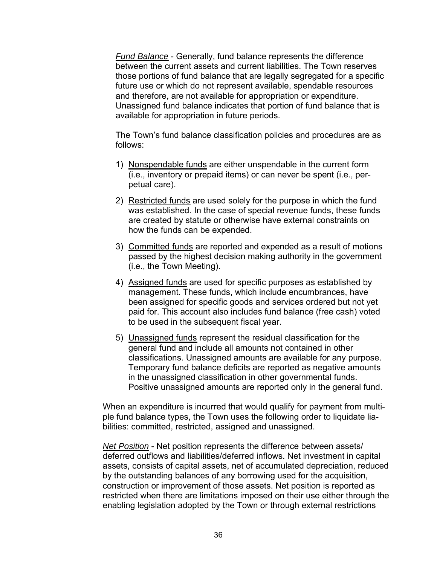Fund Balance - Generally, fund balance represents the difference between the current assets and current liabilities. The Town reserves those portions of fund balance that are legally segregated for a specific future use or which do not represent available, spendable resources and therefore, are not available for appropriation or expenditure. Unassigned fund balance indicates that portion of fund balance that is available for appropriation in future periods.

The Town's fund balance classification policies and procedures are as follows:

- 1) Nonspendable funds are either unspendable in the current form (i.e., inventory or prepaid items) or can never be spent (i.e., perpetual care).
- 2) Restricted funds are used solely for the purpose in which the fund was established. In the case of special revenue funds, these funds are created by statute or otherwise have external constraints on how the funds can be expended.
- 3) Committed funds are reported and expended as a result of motions passed by the highest decision making authority in the government (i.e., the Town Meeting).
- 4) Assigned funds are used for specific purposes as established by management. These funds, which include encumbrances, have been assigned for specific goods and services ordered but not yet paid for. This account also includes fund balance (free cash) voted to be used in the subsequent fiscal year.
- 5) Unassigned funds represent the residual classification for the general fund and include all amounts not contained in other classifications. Unassigned amounts are available for any purpose. Temporary fund balance deficits are reported as negative amounts in the unassigned classification in other governmental funds. Positive unassigned amounts are reported only in the general fund.

When an expenditure is incurred that would qualify for payment from multiple fund balance types, the Town uses the following order to liquidate liabilities: committed, restricted, assigned and unassigned.

Net Position - Net position represents the difference between assets/ deferred outflows and liabilities/deferred inflows. Net investment in capital assets, consists of capital assets, net of accumulated depreciation, reduced by the outstanding balances of any borrowing used for the acquisition, construction or improvement of those assets. Net position is reported as restricted when there are limitations imposed on their use either through the enabling legislation adopted by the Town or through external restrictions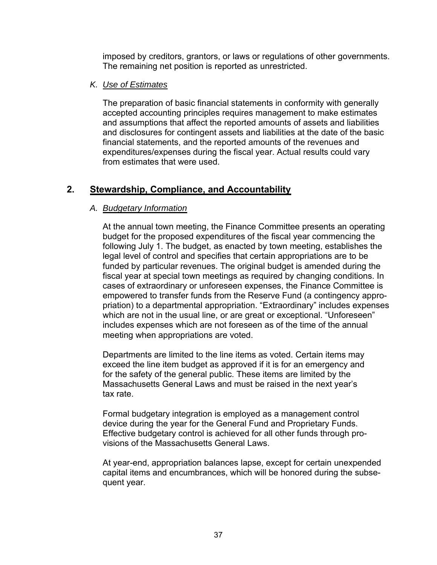imposed by creditors, grantors, or laws or regulations of other governments. The remaining net position is reported as unrestricted.

# K. Use of Estimates

The preparation of basic financial statements in conformity with generally accepted accounting principles requires management to make estimates and assumptions that affect the reported amounts of assets and liabilities and disclosures for contingent assets and liabilities at the date of the basic financial statements, and the reported amounts of the revenues and expenditures/expenses during the fiscal year. Actual results could vary from estimates that were used.

#### **Stewardship, Compliance, and Accountability**  $2<sub>1</sub>$

# A. Budgetary Information

At the annual town meeting, the Finance Committee presents an operating budget for the proposed expenditures of the fiscal year commencing the following July 1. The budget, as enacted by town meeting, establishes the legal level of control and specifies that certain appropriations are to be funded by particular revenues. The original budget is amended during the fiscal year at special town meetings as required by changing conditions. In cases of extraordinary or unforeseen expenses, the Finance Committee is empowered to transfer funds from the Reserve Fund (a contingency appropriation) to a departmental appropriation. "Extraordinary" includes expenses which are not in the usual line, or are great or exceptional. "Unforeseen" includes expenses which are not foreseen as of the time of the annual meeting when appropriations are voted.

Departments are limited to the line items as voted. Certain items may exceed the line item budget as approved if it is for an emergency and for the safety of the general public. These items are limited by the Massachusetts General Laws and must be raised in the next year's tax rate.

Formal budgetary integration is employed as a management control device during the year for the General Fund and Proprietary Funds. Effective budgetary control is achieved for all other funds through provisions of the Massachusetts General Laws.

At year-end, appropriation balances lapse, except for certain unexpended capital items and encumbrances, which will be honored during the subsequent year.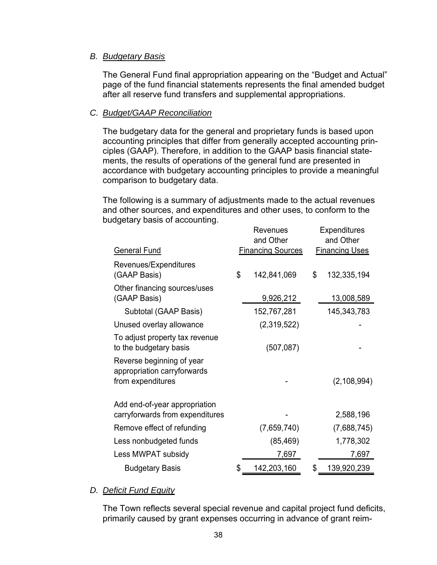# *B. Budgetary Basis*

The General Fund final appropriation appearing on the "Budget and Actual" page of the fund financial statements represents the final amended budget after all reserve fund transfers and supplemental appropriations.

# *C. Budget/GAAP Reconciliation*

The budgetary data for the general and proprietary funds is based upon accounting principles that differ from generally accepted accounting principles (GAAP). Therefore, in addition to the GAAP basis financial statements, the results of operations of the general fund are presented in accordance with budgetary accounting principles to provide a meaningful comparison to budgetary data.

The following is a summary of adjustments made to the actual revenues and other sources, and expenditures and other uses, to conform to the budgetary basis of accounting.

|                                                                               | Revenues<br>and Other    | <b>Expenditures</b><br>and Other |
|-------------------------------------------------------------------------------|--------------------------|----------------------------------|
| <b>General Fund</b>                                                           | <b>Financing Sources</b> | <b>Financing Uses</b>            |
| Revenues/Expenditures<br>(GAAP Basis)                                         | \$<br>142,841,069        | \$<br>132,335,194                |
| Other financing sources/uses<br>(GAAP Basis)                                  | 9,926,212                | 13,008,589                       |
| Subtotal (GAAP Basis)                                                         | 152,767,281              | 145,343,783                      |
| Unused overlay allowance                                                      | (2,319,522)              |                                  |
| To adjust property tax revenue<br>to the budgetary basis                      | (507, 087)               |                                  |
| Reverse beginning of year<br>appropriation carryforwards<br>from expenditures |                          | (2, 108, 994)                    |
| Add end-of-year appropriation<br>carryforwards from expenditures              |                          | 2,588,196                        |
| Remove effect of refunding                                                    | (7,659,740)              | (7,688,745)                      |
| Less nonbudgeted funds                                                        | (85, 469)                | 1,778,302                        |
| Less MWPAT subsidy                                                            | 7,697                    | 7,697                            |
| <b>Budgetary Basis</b>                                                        | \$<br>142,203,160        | \$<br>139,920,239                |

# *D. Deficit Fund Equity*

The Town reflects several special revenue and capital project fund deficits, primarily caused by grant expenses occurring in advance of grant reim-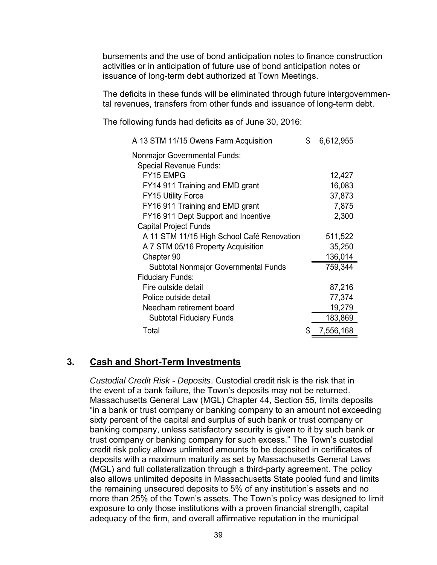bursements and the use of bond anticipation notes to finance construction activities or in anticipation of future use of bond anticipation notes or issuance of long-term debt authorized at Town Meetings.

The deficits in these funds will be eliminated through future intergovernmental revenues, transfers from other funds and issuance of long-term debt.

The following funds had deficits as of June 30, 2016:

| A 13 STM 11/15 Owens Farm Acquisition                                | \$ | 6,612,955 |
|----------------------------------------------------------------------|----|-----------|
| <b>Nonmajor Governmental Funds:</b><br><b>Special Revenue Funds:</b> |    |           |
| FY15 EMPG                                                            |    | 12,427    |
| FY14 911 Training and EMD grant                                      |    | 16,083    |
| <b>FY15 Utility Force</b>                                            |    | 37,873    |
| FY16 911 Training and EMD grant                                      |    | 7,875     |
| FY16 911 Dept Support and Incentive                                  |    | 2,300     |
| <b>Capital Project Funds</b>                                         |    |           |
| A 11 STM 11/15 High School Café Renovation                           |    | 511,522   |
| A 7 STM 05/16 Property Acquisition                                   |    | 35,250    |
| Chapter 90                                                           |    | 136,014   |
| <b>Subtotal Nonmajor Governmental Funds</b>                          |    | 759,344   |
| <b>Fiduciary Funds:</b>                                              |    |           |
| Fire outside detail                                                  |    | 87,216    |
| Police outside detail                                                |    | 77,374    |
| Needham retirement board                                             |    | 19,279    |
| <b>Subtotal Fiduciary Funds</b>                                      |    | 183,869   |
| Total                                                                | S  | 7,556,168 |

#### $3<sub>1</sub>$ **Cash and Short-Term Investments**

Custodial Credit Risk - Deposits. Custodial credit risk is the risk that in the event of a bank failure, the Town's deposits may not be returned. Massachusetts General Law (MGL) Chapter 44, Section 55, limits deposits "in a bank or trust company or banking company to an amount not exceeding sixty percent of the capital and surplus of such bank or trust company or banking company, unless satisfactory security is given to it by such bank or trust company or banking company for such excess." The Town's custodial credit risk policy allows unlimited amounts to be deposited in certificates of deposits with a maximum maturity as set by Massachusetts General Laws (MGL) and full collateralization through a third-party agreement. The policy also allows unlimited deposits in Massachusetts State pooled fund and limits the remaining unsecured deposits to 5% of any institution's assets and no more than 25% of the Town's assets. The Town's policy was designed to limit exposure to only those institutions with a proven financial strength, capital adequacy of the firm, and overall affirmative reputation in the municipal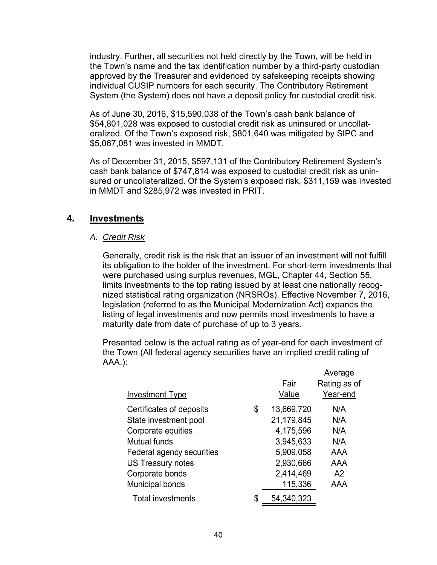industry. Further, all securities not held directly by the Town, will be held in the Town's name and the tax identification number by a third-party custodian approved by the Treasurer and evidenced by safekeeping receipts showing individual CUSIP numbers for each security. The Contributory Retirement System (the System) does not have a deposit policy for custodial credit risk.

As of June 30, 2016, \$15,590,038 of the Town's cash bank balance of \$54,801,028 was exposed to custodial credit risk as uninsured or uncollateralized. Of the Town's exposed risk, \$801,640 was mitigated by SIPC and \$5,067,081 was invested in MMDT.

As of December 31, 2015, \$597,131 of the Contributory Retirement System's cash bank balance of \$747,814 was exposed to custodial credit risk as uninsured or uncollateralized. Of the System's exposed risk, \$311,159 was invested in MMDT and \$285,972 was invested in PRIT.

#### 4. **Investments**

## A. Credit Risk

Generally, credit risk is the risk that an issuer of an investment will not fulfill its obligation to the holder of the investment. For short-term investments that were purchased using surplus revenues, MGL, Chapter 44, Section 55, limits investments to the top rating issued by at least one nationally recognized statistical rating organization (NRSROs). Effective November 7, 2016, legislation (referred to as the Municipal Modernization Act) expands the listing of legal investments and now permits most investments to have a maturity date from date of purchase of up to 3 years.

Presented below is the actual rating as of year-end for each investment of the Town (All federal agency securities have an implied credit rating of  $AAA$ ):

Average

| <b>Investment Type</b>    | Fair<br>Value    | .<br>Rating as of<br>Year-end |
|---------------------------|------------------|-------------------------------|
| Certificates of deposits  | \$<br>13,669,720 | N/A                           |
| State investment pool     | 21,179,845       | N/A                           |
| Corporate equities        | 4,175,596        | N/A                           |
| <b>Mutual funds</b>       | 3,945,633        | N/A                           |
| Federal agency securities | 5,909,058        | AAA                           |
| <b>US Treasury notes</b>  | 2,930,666        | AAA                           |
| Corporate bonds           | 2,414,469        | A2                            |
| Municipal bonds           | 115,336          | <b>AAA</b>                    |
| <b>Total investments</b>  | \$<br>54,340,323 |                               |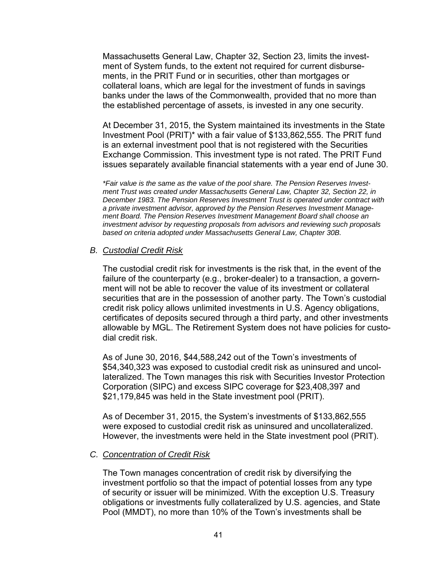Massachusetts General Law, Chapter 32, Section 23, limits the investment of System funds, to the extent not required for current disbursements, in the PRIT Fund or in securities, other than mortgages or collateral loans, which are legal for the investment of funds in savings banks under the laws of the Commonwealth, provided that no more than the established percentage of assets, is invested in any one security.

At December 31, 2015, the System maintained its investments in the State Investment Pool (PRIT)\* with a fair value of \$133,862,555. The PRIT fund is an external investment pool that is not registered with the Securities Exchange Commission. This investment type is not rated. The PRIT Fund issues separately available financial statements with a year end of June 30.

\*Fair value is the same as the value of the pool share. The Pension Reserves Investment Trust was created under Massachusetts General Law, Chapter 32, Section 22, in December 1983. The Pension Reserves Investment Trust is operated under contract with a private investment advisor, approved by the Pension Reserves Investment Management Board. The Pension Reserves Investment Management Board shall choose an investment advisor by requesting proposals from advisors and reviewing such proposals based on criteria adopted under Massachusetts General Law, Chapter 30B.

## **B.** Custodial Credit Risk

The custodial credit risk for investments is the risk that, in the event of the failure of the counterparty (e.g., broker-dealer) to a transaction, a government will not be able to recover the value of its investment or collateral securities that are in the possession of another party. The Town's custodial credit risk policy allows unlimited investments in U.S. Agency obligations, certificates of deposits secured through a third party, and other investments allowable by MGL. The Retirement System does not have policies for custodial credit risk

As of June 30, 2016, \$44,588,242 out of the Town's investments of \$54,340,323 was exposed to custodial credit risk as uninsured and uncollateralized. The Town manages this risk with Securities Investor Protection Corporation (SIPC) and excess SIPC coverage for \$23,408,397 and \$21,179,845 was held in the State investment pool (PRIT).

As of December 31, 2015, the System's investments of \$133,862,555 were exposed to custodial credit risk as uninsured and uncollateralized. However, the investments were held in the State investment pool (PRIT).

## C. Concentration of Credit Risk

The Town manages concentration of credit risk by diversifying the investment portfolio so that the impact of potential losses from any type of security or issuer will be minimized. With the exception U.S. Treasury obligations or investments fully collateralized by U.S. agencies, and State Pool (MMDT), no more than 10% of the Town's investments shall be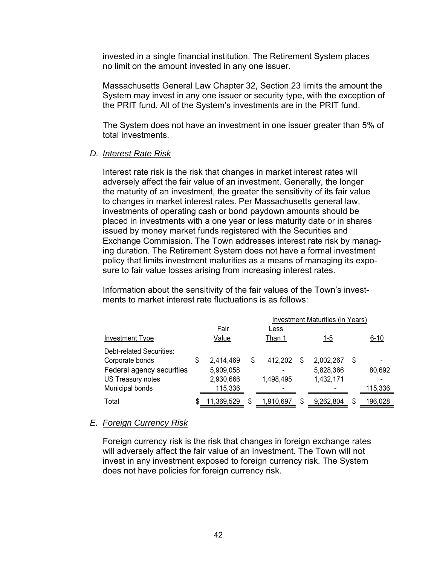invested in a single financial institution. The Retirement System places no limit on the amount invested in any one issuer.

Massachusetts General Law Chapter 32, Section 23 limits the amount the System may invest in any one issuer or security type, with the exception of the PRIT fund. All of the System's investments are in the PRIT fund.

The System does not have an investment in one issuer greater than 5% of total investments.

## D. Interest Rate Risk

Interest rate risk is the risk that changes in market interest rates will adversely affect the fair value of an investment. Generally, the longer the maturity of an investment, the greater the sensitivity of its fair value to changes in market interest rates. Per Massachusetts general law, investments of operating cash or bond paydown amounts should be placed in investments with a one year or less maturity date or in shares issued by money market funds registered with the Securities and Exchange Commission. The Town addresses interest rate risk by managing duration. The Retirement System does not have a formal investment policy that limits investment maturities as a means of managing its exposure to fair value losses arising from increasing interest rates.

Information about the sensitivity of the fair values of the Town's investments to market interest rate fluctuations is as follows:

|                           | <b>Investment Maturities (in Years)</b> |    |           |  |           |   |          |  |  |  |
|---------------------------|-----------------------------------------|----|-----------|--|-----------|---|----------|--|--|--|
|                           | Fair                                    |    | Less      |  |           |   |          |  |  |  |
| <b>Investment Type</b>    | Value                                   |    | Than 1    |  | $1 - 5$   |   | $6 - 10$ |  |  |  |
| Debt-related Securities:  |                                         |    |           |  |           |   |          |  |  |  |
| Corporate bonds           | \$<br>2,414,469                         | S  | 412,202   |  | 2,002,267 | S |          |  |  |  |
| Federal agency securities | 5,909,058                               |    |           |  | 5,828,366 |   | 80,692   |  |  |  |
| US Treasury notes         | 2,930,666                               |    | 1,498,495 |  | 1,432,171 |   |          |  |  |  |
| Municipal bonds           | 115,336                                 |    |           |  |           |   | 115,336  |  |  |  |
| Total                     | 11,369,529                              | \$ | 1,910,697 |  | 9,262,804 | S | 196,028  |  |  |  |

## E. Foreign Currency Risk

Foreign currency risk is the risk that changes in foreign exchange rates will adversely affect the fair value of an investment. The Town will not invest in any investment exposed to foreign currency risk. The System does not have policies for foreign currency risk.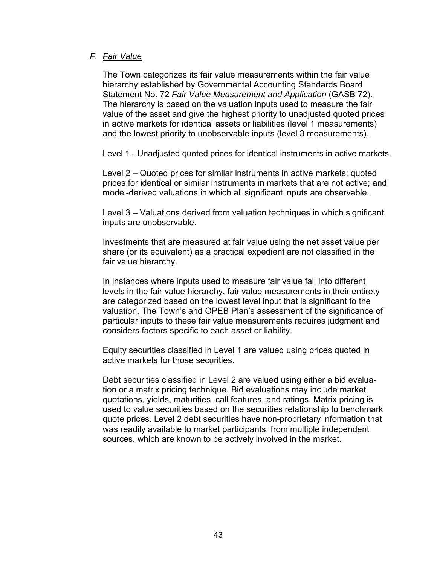# *F. Fair Value*

The Town categorizes its fair value measurements within the fair value hierarchy established by Governmental Accounting Standards Board Statement No. 72 Fair Value Measurement and Application (GASB 72). The hierarchy is based on the valuation inputs used to measure the fair value of the asset and give the highest priority to unadjusted quoted prices in active markets for identical assets or liabilities (level 1 measurements) and the lowest priority to unobservable inputs (level 3 measurements).

Level 1 - Unadjusted quoted prices for identical instruments in active markets.

Level  $2$  – Quoted prices for similar instruments in active markets; quoted prices for identical or similar instruments in markets that are not active; and model-derived valuations in which all significant inputs are observable.

Level  $3 -$  Valuations derived from valuation techniques in which significant inputs are unobservable.

Investments that are measured at fair value using the net asset value per share (or its equivalent) as a practical expedient are not classified in the fair value hierarchy.

In instances where inputs used to measure fair value fall into different levels in the fair value hierarchy, fair value measurements in their entirety are categorized based on the lowest level input that is significant to the valuation. The Town's and OPEB Plan's assessment of the significance of particular inputs to these fair value measurements requires judgment and considers factors specific to each asset or liability.

Equity securities classified in Level 1 are valued using prices quoted in active markets for those securities.

Debt securities classified in Level 2 are valued using either a bid evaluation or a matrix pricing technique. Bid evaluations may include market guotations, yields, maturities, call features, and ratings. Matrix pricing is used to value securities based on the securities relationship to benchmark quote prices. Level 2 debt securities have non-proprietary information that was readily available to market participants, from multiple independent sources, which are known to be actively involved in the market.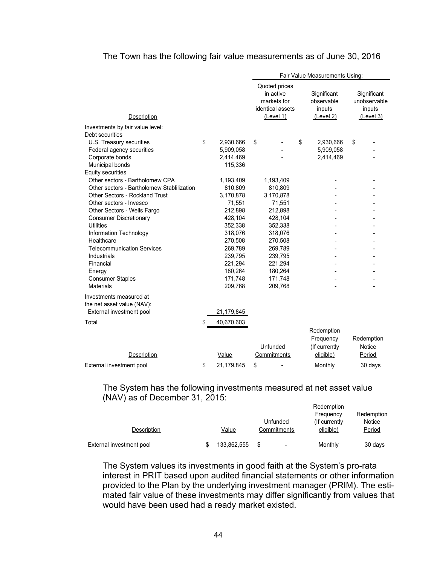## The Town has the following fair value measurements as of June 30, 2016

|                                                                                                                                                                                                                                       |                                                                              | Fair Value Measurements Using: |                                                                              |    |                                                  |    |                                                    |
|---------------------------------------------------------------------------------------------------------------------------------------------------------------------------------------------------------------------------------------|------------------------------------------------------------------------------|--------------------------------|------------------------------------------------------------------------------|----|--------------------------------------------------|----|----------------------------------------------------|
| Description                                                                                                                                                                                                                           |                                                                              |                                | Quoted prices<br>in active<br>markets for<br>identical assets<br>(Level 1)   |    | Significant<br>observable<br>inputs<br>(Level 2) |    | Significant<br>unobservable<br>inputs<br>(Level 3) |
| Investments by fair value level:                                                                                                                                                                                                      |                                                                              |                                |                                                                              |    |                                                  |    |                                                    |
| Debt securities                                                                                                                                                                                                                       |                                                                              |                                |                                                                              |    |                                                  |    |                                                    |
| U.S. Treasury securities<br>Federal agency securities<br>Corporate bonds<br>Municipal bonds                                                                                                                                           | \$<br>2,930,666<br>5,909,058<br>2,414,469<br>115,336                         | \$                             |                                                                              | \$ | 2,930,666<br>5,909,058<br>2,414,469              | \$ |                                                    |
| <b>Equity securities</b>                                                                                                                                                                                                              |                                                                              |                                |                                                                              |    |                                                  |    |                                                    |
| Other sectors - Bartholomew CPA<br>Other sectors - Bartholomew Stablilization<br><b>Other Sectors - Rockland Trust</b><br>Other sectors - Invesco<br>Other Sectors - Wells Fargo<br><b>Consumer Discretionary</b><br><b>Utilities</b> | 1,193,409<br>810,809<br>3,170,878<br>71,551<br>212,898<br>428,104<br>352,338 |                                | 1,193,409<br>810,809<br>3,170,878<br>71,551<br>212,898<br>428,104<br>352,338 |    |                                                  |    |                                                    |
| Information Technology                                                                                                                                                                                                                | 318,076                                                                      |                                | 318,076                                                                      |    |                                                  |    |                                                    |
| Healthcare                                                                                                                                                                                                                            | 270,508                                                                      |                                | 270,508                                                                      |    |                                                  |    |                                                    |
| <b>Telecommunication Services</b>                                                                                                                                                                                                     | 269,789                                                                      |                                | 269,789                                                                      |    |                                                  |    |                                                    |
| Industrials                                                                                                                                                                                                                           | 239,795                                                                      |                                | 239,795                                                                      |    |                                                  |    |                                                    |
| Financial                                                                                                                                                                                                                             | 221,294                                                                      |                                | 221,294                                                                      |    |                                                  |    |                                                    |
| Energy                                                                                                                                                                                                                                | 180,264                                                                      |                                | 180,264                                                                      |    |                                                  |    |                                                    |
| <b>Consumer Staples</b>                                                                                                                                                                                                               | 171,748                                                                      |                                | 171,748                                                                      |    |                                                  |    |                                                    |
| <b>Materials</b>                                                                                                                                                                                                                      | 209,768                                                                      |                                | 209,768                                                                      |    |                                                  |    |                                                    |
| Investments measured at<br>the net asset value (NAV):<br>External investment pool                                                                                                                                                     | 21,179,845                                                                   |                                |                                                                              |    |                                                  |    |                                                    |
| Total                                                                                                                                                                                                                                 | \$<br>40,670,603                                                             |                                |                                                                              |    |                                                  |    |                                                    |
|                                                                                                                                                                                                                                       |                                                                              |                                | Unfunded                                                                     |    | Redemption<br>Frequency<br>(If currently         |    | Redemption<br><b>Notice</b>                        |
| Description                                                                                                                                                                                                                           | Value                                                                        |                                | Commitments                                                                  |    | eligible)                                        |    | Period                                             |
| External investment pool                                                                                                                                                                                                              | \$<br>21,179,845                                                             | \$                             |                                                                              |    | Monthly                                          |    | 30 days                                            |

#### The System has the following investments measured at net asset value (NAV) as of December 31, 2015: **Dedemntic**

|                          |             |             | Redemption     |            |  |  |
|--------------------------|-------------|-------------|----------------|------------|--|--|
|                          |             |             | Frequency      | Redemption |  |  |
|                          |             | Unfunded    | (If currently) | Notice     |  |  |
| Description              | Value       | Commitments | eligible)      | Period     |  |  |
|                          |             |             |                |            |  |  |
| External investment pool | 133,862,555 | ٠           | Monthly        | 30 days    |  |  |

The System values its investments in good faith at the System's pro-rata interest in PRIT based upon audited financial statements or other information provided to the Plan by the underlying investment manager (PRIM). The estimated fair value of these investments may differ significantly from values that would have been used had a ready market existed.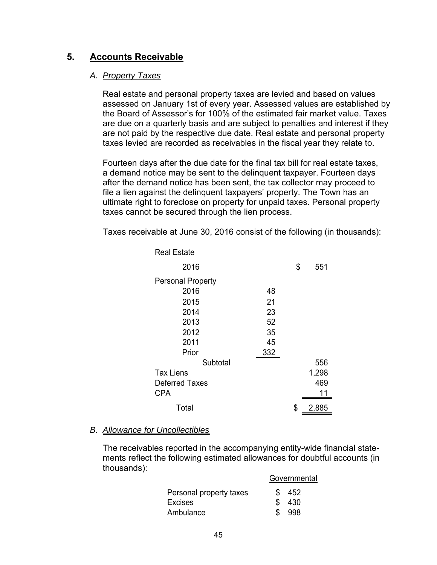#### 5. **Accounts Receivable**

## A. Property Taxes

Real estate and personal property taxes are levied and based on values assessed on January 1st of every year. Assessed values are established by the Board of Assessor's for 100% of the estimated fair market value. Taxes are due on a quarterly basis and are subject to penalties and interest if they are not paid by the respective due date. Real estate and personal property taxes levied are recorded as receivables in the fiscal year they relate to.

Fourteen days after the due date for the final tax bill for real estate taxes, a demand notice may be sent to the delinguent taxpayer. Fourteen days after the demand notice has been sent, the tax collector may proceed to file a lien against the delinguent taxpayers' property. The Town has an ultimate right to foreclose on property for unpaid taxes. Personal property taxes cannot be secured through the lien process.

Taxes receivable at June 30, 2016 consist of the following (in thousands):

| <b>Real Estate</b>       |     |             |
|--------------------------|-----|-------------|
| 2016                     |     | \$<br>551   |
| <b>Personal Property</b> |     |             |
| 2016                     | 48  |             |
| 2015                     | 21  |             |
| 2014                     | 23  |             |
| 2013                     | 52  |             |
| 2012                     | 35  |             |
| 2011                     | 45  |             |
| Prior                    | 332 |             |
| Subtotal                 |     | 556         |
| <b>Tax Liens</b>         |     | 1,298       |
| <b>Deferred Taxes</b>    |     | 469         |
| <b>CPA</b>               |     | 11          |
| Total                    |     | \$<br>2,885 |

## **B.** Allowance for Uncollectibles

The receivables reported in the accompanying entity-wide financial statements reflect the following estimated allowances for doubtful accounts (in thousands):

|                         |     | Governmental |
|-------------------------|-----|--------------|
| Personal property taxes |     | 452          |
| <b>Excises</b>          | - S | -430         |
| Ambulance               | \$. | 998          |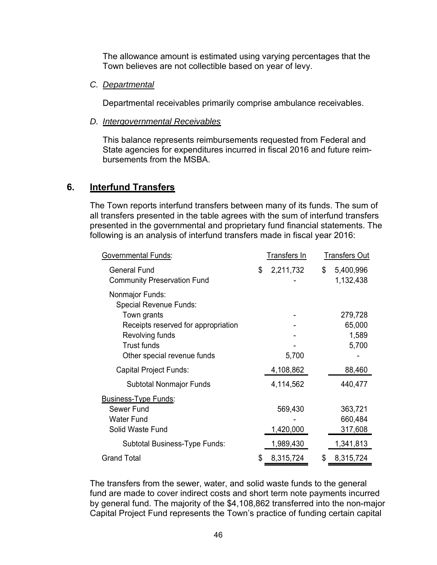The allowance amount is estimated using varying percentages that the Town believes are not collectible based on year of levy.

C. Departmental

Departmental receivables primarily comprise ambulance receivables.

D. Intergovernmental Receivables

This balance represents reimbursements requested from Federal and State agencies for expenditures incurred in fiscal 2016 and future reimbursements from the MSBA.

#### 6. **Interfund Transfers**

The Town reports interfund transfers between many of its funds. The sum of all transfers presented in the table agrees with the sum of interfund transfers presented in the governmental and proprietary fund financial statements. The following is an analysis of interfund transfers made in fiscal year 2016:

| <b>Governmental Funds:</b>                                | <b>Transfers In</b> | <b>Transfers Out</b>         |
|-----------------------------------------------------------|---------------------|------------------------------|
| <b>General Fund</b><br><b>Community Preservation Fund</b> | \$<br>2,211,732     | \$<br>5,400,996<br>1,132,438 |
| Nonmajor Funds:<br><b>Special Revenue Funds:</b>          |                     |                              |
| Town grants                                               |                     | 279,728                      |
| Receipts reserved for appropriation                       |                     | 65,000                       |
| Revolving funds                                           |                     | 1,589                        |
| <b>Trust funds</b>                                        |                     | 5,700                        |
| Other special revenue funds                               | 5,700               |                              |
| Capital Project Funds:                                    | 4,108,862           | 88,460                       |
| <b>Subtotal Nonmajor Funds</b>                            | 4,114,562           | 440,477                      |
| <b>Business-Type Funds:</b>                               |                     |                              |
| Sewer Fund                                                | 569,430             | 363,721                      |
| <b>Water Fund</b>                                         |                     | 660,484                      |
| Solid Waste Fund                                          | 1,420,000           | 317,608                      |
| Subtotal Business-Type Funds:                             | 1,989,430           | 1,341,813                    |
| <b>Grand Total</b>                                        | \$<br>8,315,724     | \$<br>8,315,724              |

The transfers from the sewer, water, and solid waste funds to the general fund are made to cover indirect costs and short term note payments incurred by general fund. The majority of the \$4,108,862 transferred into the non-major Capital Project Fund represents the Town's practice of funding certain capital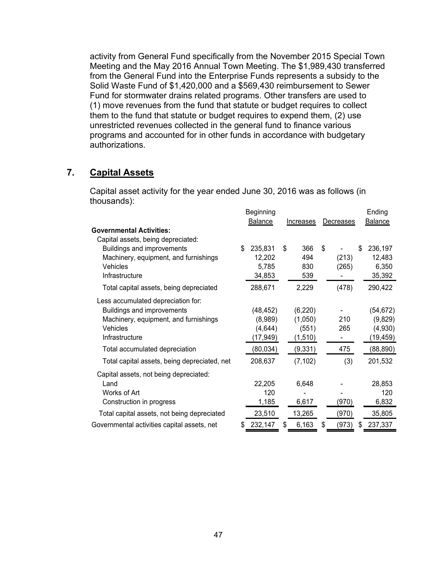activity from General Fund specifically from the November 2015 Special Town Meeting and the May 2016 Annual Town Meeting. The \$1,989,430 transferred from the General Fund into the Enterprise Funds represents a subsidy to the Solid Waste Fund of \$1,420,000 and a \$569,430 reimbursement to Sewer Fund for stormwater drains related programs. Other transfers are used to (1) move revenues from the fund that statute or budget requires to collect them to the fund that statute or budget requires to expend them, (2) use unrestricted revenues collected in the general fund to finance various programs and accounted for in other funds in accordance with budgetary authorizations.

#### **Capital Assets** 7.

Capital asset activity for the year ended June 30, 2016 was as follows (in thousands):

|                                              | Beginning<br><b>Balance</b> | Increases | Decreases |       |   | Ending<br><b>Balance</b> |
|----------------------------------------------|-----------------------------|-----------|-----------|-------|---|--------------------------|
| <b>Governmental Activities:</b>              |                             |           |           |       |   |                          |
| Capital assets, being depreciated:           |                             |           |           |       |   |                          |
| Buildings and improvements                   | \$<br>235,831               | \$<br>366 | \$        |       | S | 236,197                  |
| Machinery, equipment, and furnishings        | 12,202                      | 494       |           | (213) |   | 12,483                   |
| Vehicles                                     | 5,785                       | 830       |           | (265) |   | 6,350                    |
| Infrastructure                               | 34,853                      | 539       |           |       |   | 35,392                   |
| Total capital assets, being depreciated      | 288,671                     | 2,229     |           | (478) |   | 290,422                  |
| Less accumulated depreciation for:           |                             |           |           |       |   |                          |
| Buildings and improvements                   | (48, 452)                   | (6, 220)  |           |       |   | (54, 672)                |
| Machinery, equipment, and furnishings        | (8,989)                     | (1,050)   |           | 210   |   | (9,829)                  |
| Vehicles                                     | (4, 644)                    | (551)     |           | 265   |   | (4,930)                  |
| Infrastructure                               | (17,949)                    | (1,510)   |           |       |   | (19, 459)                |
| Total accumulated depreciation               | (80, 034)                   | (9,331)   |           | 475   |   | (88, 890)                |
| Total capital assets, being depreciated, net | 208,637                     | (7, 102)  |           | (3)   |   | 201,532                  |
| Capital assets, not being depreciated:       |                             |           |           |       |   |                          |
| Land                                         | 22,205                      | 6,648     |           |       |   | 28,853                   |
| Works of Art                                 | 120                         |           |           |       |   | 120                      |
| Construction in progress                     | 1,185                       | 6,617     |           | (970) |   | 6,832                    |
| Total capital assets, not being depreciated  | 23,510                      | 13,265    |           | (970) |   | 35,805                   |
| Governmental activities capital assets, net  | 232,147                     | 6,163     |           | (973) | S | 237,337                  |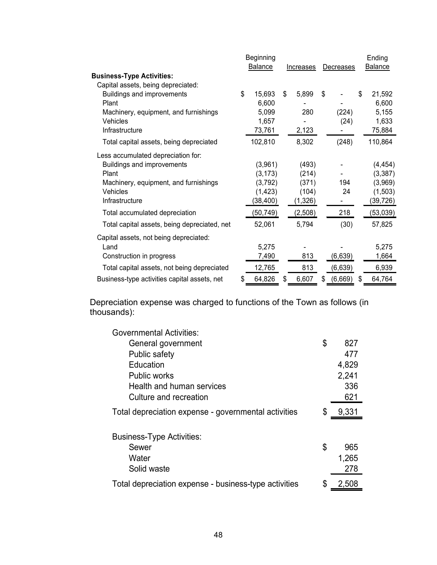|                                              | Beginning      |                  |    |           | Ending         |
|----------------------------------------------|----------------|------------------|----|-----------|----------------|
|                                              | <b>Balance</b> | <b>Increases</b> |    | Decreases | <b>Balance</b> |
| <b>Business-Type Activities:</b>             |                |                  |    |           |                |
| Capital assets, being depreciated:           |                |                  |    |           |                |
| Buildings and improvements                   | \$<br>15,693   | \$<br>5,899      | \$ |           | \$<br>21,592   |
| Plant                                        | 6,600          |                  |    |           | 6,600          |
| Machinery, equipment, and furnishings        | 5,099          | 280              |    | (224)     | 5,155          |
| Vehicles                                     | 1,657          |                  |    | (24)      | 1,633          |
| Infrastructure                               | 73,761         | 2,123            |    |           | 75,884         |
| Total capital assets, being depreciated      | 102,810        | 8,302            |    | (248)     | 110,864        |
| Less accumulated depreciation for:           |                |                  |    |           |                |
| Buildings and improvements                   | (3,961)        | (493)            |    |           | (4, 454)       |
| Plant                                        | (3, 173)       | (214)            |    |           | (3, 387)       |
| Machinery, equipment, and furnishings        | (3,792)        | (371)            |    | 194       | (3,969)        |
| Vehicles                                     | (1, 423)       | (104)            |    | 24        | (1,503)        |
| Infrastructure                               | (38, 400)      | (1,326)          |    |           | (39, 726)      |
| Total accumulated depreciation               | (50,749)       | (2,508)          |    | 218       | (53,039)       |
| Total capital assets, being depreciated, net | 52,061         | 5,794            |    | (30)      | 57,825         |
| Capital assets, not being depreciated:       |                |                  |    |           |                |
| Land                                         | 5,275          |                  |    |           | 5,275          |
| Construction in progress                     | 7,490          | 813              |    | (6,639)   | 1,664          |
| Total capital assets, not being depreciated  | 12,765         | 813              |    | (6,639)   | 6,939          |
| Business-type activities capital assets, net | 64,826         | 6,607            | \$ | (6,669)   | \$<br>64,764   |

Depreciation expense was charged to functions of the Town as follows (in thousands):

| <b>Governmental Activities:</b>                       |    |       |
|-------------------------------------------------------|----|-------|
| General government                                    | \$ | 827   |
| Public safety                                         |    | 477   |
| Education                                             |    | 4,829 |
| <b>Public works</b>                                   |    | 2,241 |
| Health and human services                             |    | 336   |
| Culture and recreation                                |    | 621   |
| Total depreciation expense - governmental activities  | S  | 9,331 |
| <b>Business-Type Activities:</b>                      |    |       |
| Sewer                                                 | \$ | 965   |
| Water                                                 |    | 1,265 |
| Solid waste                                           |    | 278   |
| Total depreciation expense - business-type activities | \$ | 2,508 |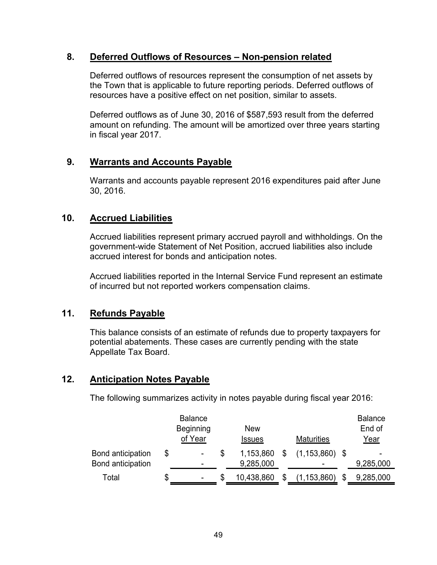#### 8. Deferred Outflows of Resources - Non-pension related

Deferred outflows of resources represent the consumption of net assets by the Town that is applicable to future reporting periods. Deferred outflows of resources have a positive effect on net position, similar to assets.

Deferred outflows as of June 30, 2016 of \$587,593 result from the deferred amount on refunding. The amount will be amortized over three years starting in fiscal year 2017.

#### $9<sub>1</sub>$ **Warrants and Accounts Payable**

Warrants and accounts payable represent 2016 expenditures paid after June 30, 2016.

#### $10<sub>1</sub>$ **Accrued Liabilities**

Accrued liabilities represent primary accrued payroll and withholdings. On the government-wide Statement of Net Position, accrued liabilities also include accrued interest for bonds and anticipation notes.

Accrued liabilities reported in the Internal Service Fund represent an estimate of incurred but not reported workers compensation claims.

#### $11.$ **Refunds Payable**

This balance consists of an estimate of refunds due to property taxpayers for potential abatements. These cases are currently pending with the state Appellate Tax Board.

#### $12.$ **Anticipation Notes Payable**

The following summarizes activity in notes payable during fiscal year 2016:

|                   |   | <b>Balance</b>   |                  |    |                    |  | <b>Balance</b> |  |  |
|-------------------|---|------------------|------------------|----|--------------------|--|----------------|--|--|
|                   |   | <b>Beginning</b> | <b>New</b>       |    |                    |  |                |  |  |
|                   |   | of Year          | <u>Issues</u>    |    | <b>Maturities</b>  |  | <u>Year</u>    |  |  |
| Bond anticipation | S |                  | \$<br>1,153,860  | \$ | $(1, 153, 860)$ \$ |  |                |  |  |
| Bond anticipation |   |                  | 9,285,000        |    |                    |  | 9,285,000      |  |  |
| Total             | S |                  | \$<br>10,438,860 |    | (1, 153, 860)      |  | 9,285,000      |  |  |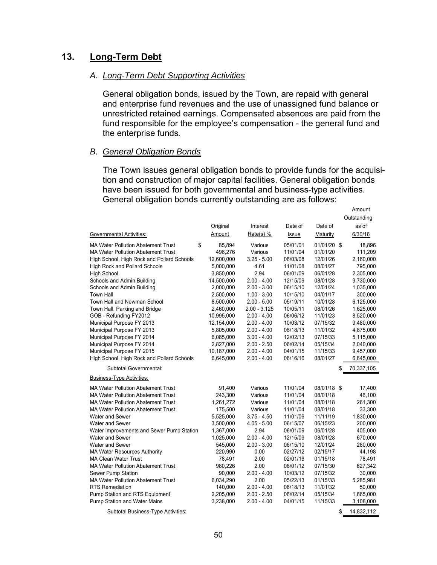#### $13.$ **Long-Term Debt**

### A. Long-Term Debt Supporting Activities

General obligation bonds, issued by the Town, are repaid with general and enterprise fund revenues and the use of unassigned fund balance or unrestricted retained earnings. Compensated absences are paid from the fund responsible for the employee's compensation - the general fund and the enterprise funds.

## **B.** General Obligation Bonds

The Town issues general obligation bonds to provide funds for the acquisition and construction of major capital facilities. General obligation bonds have been issued for both governmental and business-type activities. General obligation bonds currently outstanding are as follows:

|                                            |              |                |              |             |   | Outstanding |
|--------------------------------------------|--------------|----------------|--------------|-------------|---|-------------|
|                                            | Original     | Interest       | Date of      | Date of     |   | as of       |
| <b>Governmental Activities:</b>            | Amount       | Rate(s) $%$    | <b>Issue</b> | Maturity    |   | 6/30/16     |
|                                            |              |                |              |             |   |             |
| <b>MA Water Pollution Abatement Trust</b>  | \$<br>85,894 | Various        | 05/01/01     | 01/01/20 \$ |   | 18,896      |
| <b>MA Water Pollution Abatement Trust</b>  | 496,276      | Various        | 11/01/04     | 01/01/20    |   | 111,209     |
| High School, High Rock and Pollard Schools | 12,600,000   | $3.25 - 5.00$  | 06/03/08     | 12/01/26    |   | 2,160,000   |
| <b>High Rock and Pollard Schools</b>       | 5,000,000    | 4.61           | 11/01/08     | 08/01/27    |   | 795,000     |
| <b>High School</b>                         | 3,850,000    | 2.94           | 06/01/09     | 06/01/28    |   | 2,305,000   |
| Schools and Admin Building                 | 14,500,000   | $2.00 - 4.00$  | 12/15/09     | 08/01/28    |   | 9,730,000   |
| Schools and Admin Building                 | 2,000,000    | $2.00 - 3.00$  | 06/15/10     | 12/01/24    |   | 1,035,000   |
| <b>Town Hall</b>                           | 2,500,000    | $1.00 - 3.00$  | 10/15/10     | 04/01/17    |   | 300,000     |
| Town Hall and Newman School                | 8,500,000    | $2.00 - 5.00$  | 05/19/11     | 10/01/28    |   | 6,125,000   |
| Town Hall, Parking and Bridge              | 2,460,000    | $2.00 - 3.125$ | 10/05/11     | 08/01/26    |   | 1,625,000   |
| GOB - Refunding FY2012                     | 10,995,000   | $2.00 - 4.00$  | 06/06/12     | 11/01/23    |   | 8,520,000   |
| Municipal Purpose FY 2013                  | 12,154,000   | $2.00 - 4.00$  | 10/03/12     | 07/15/32    |   | 9,480,000   |
| Municipal Purpose FY 2013                  | 5,805,000    | $2.00 - 4.00$  | 06/18/13     | 11/01/32    |   | 4,875,000   |
| Municipal Purpose FY 2014                  | 6,085,000    | $3.00 - 4.00$  | 12/02/13     | 07/15/33    |   | 5,115,000   |
| Municipal Purpose FY 2014                  | 2,827,000    | $2.00 - 2.50$  | 06/02/14     | 05/15/34    |   | 2,040,000   |
| Municipal Purpose FY 2015                  | 10,187,000   | $2.00 - 4.00$  | 04/01/15     | 11/15/33    |   | 9,457,000   |
| High School, High Rock and Pollard Schools | 6,645,000    | $2.00 - 4.00$  | 06/16/16     | 08/01/27    |   | 6,645,000   |
|                                            |              |                |              |             |   |             |
|                                            |              |                |              |             |   |             |
| Subtotal Governmental:                     |              |                |              |             | S | 70,337,105  |
| <b>Business-Type Activities:</b>           |              |                |              |             |   |             |
| <b>MA Water Pollution Abatement Trust</b>  | 91,400       | Various        | 11/01/04     | 08/01/18 \$ |   | 17,400      |
| <b>MA Water Pollution Abatement Trust</b>  | 243,300      | Various        | 11/01/04     | 08/01/18    |   | 46,100      |
| <b>MA Water Pollution Abatement Trust</b>  | 1,261,272    | Various        | 11/01/04     | 08/01/18    |   | 261,300     |
| <b>MA Water Pollution Abatement Trust</b>  | 175,500      | Various        | 11/01/04     | 08/01/18    |   | 33,300      |
| <b>Water and Sewer</b>                     | 5,525,000    | $3.75 - 4.50$  | 11/01/06     | 11/11/19    |   | 1,830,000   |
| <b>Water and Sewer</b>                     |              | $4.05 - 5.00$  | 06/15/07     | 06/15/23    |   |             |
|                                            | 3,500,000    |                |              |             |   | 200,000     |
| Water Improvements and Sewer Pump Station  | 1,367,000    | 2.94           | 06/01/09     | 06/01/28    |   | 405,000     |
| <b>Water and Sewer</b>                     | 1,025,000    | $2.00 - 4.00$  | 12/15/09     | 08/01/28    |   | 670,000     |
| <b>Water and Sewer</b>                     | 545,000      | $2.00 - 3.00$  | 06/15/10     | 12/01/24    |   | 280,000     |
| <b>MA Water Resources Authority</b>        | 220,990      | 0.00           | 02/27/12     | 02/15/17    |   | 44,198      |
| <b>MA Clean Water Trust</b>                | 78,491       | 2.00           | 02/01/16     | 01/15/18    |   | 78,491      |
| <b>MA Water Pollution Abatement Trust</b>  | 980,226      | 2.00           | 06/01/12     | 07/15/30    |   | 627,342     |
| Sewer Pump Station                         | 90,000       | $2.00 - 4.00$  | 10/03/12     | 07/15/32    |   | 30,000      |
| <b>MA Water Pollution Abatement Trust</b>  | 6,034,290    | 2.00           | 05/22/13     | 01/15/33    |   | 5,285,981   |
| <b>RTS Remediation</b>                     | 140,000      | $2.00 - 4.00$  | 06/18/13     | 11/01/32    |   | 50,000      |
| Pump Station and RTS Equipment             | 2,205,000    | $2.00 - 2.50$  | 06/02/14     | 05/15/34    |   | 1,865,000   |
| Pump Station and Water Mains               | 3,238,000    | $2.00 - 4.00$  | 04/01/15     | 11/15/33    |   | 3,108,000   |

Subtotal Business-Type Activities:

Amount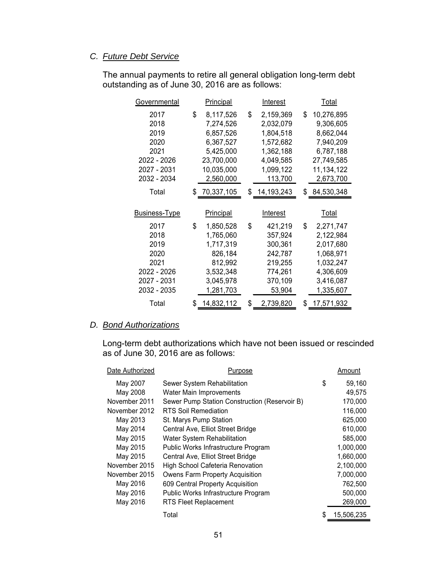# C. **Future Debt Service**

The annual payments to retire all general obligation long-term debt outstanding as of June 30, 2016 are as follows:

| <u>Governmental</u>                                                                                | <b>Principal</b>                                                                                                           | <b>Interest</b>                                                                                          | <b>Total</b>                                                                                                               |
|----------------------------------------------------------------------------------------------------|----------------------------------------------------------------------------------------------------------------------------|----------------------------------------------------------------------------------------------------------|----------------------------------------------------------------------------------------------------------------------------|
| 2017<br>2018<br>2019<br>2020<br>2021<br>2022 - 2026<br>2027 - 2031<br>2032 - 2034                  | \$<br>8,117,526<br>7,274,526<br>6,857,526<br>6,367,527<br>5,425,000<br>23,700,000<br>10,035,000<br>2,560,000               | \$<br>2,159,369<br>2,032,079<br>1,804,518<br>1,572,682<br>1,362,188<br>4,049,585<br>1,099,122<br>113,700 | \$<br>10,276,895<br>9,306,605<br>8,662,044<br>7,940,209<br>6,787,188<br>27,749,585<br>11,134,122<br>2,673,700              |
| Total                                                                                              | \$ 70,337,105                                                                                                              | \$14,193,243                                                                                             | \$ 84,530,348                                                                                                              |
| Business-Type<br>2017<br>2018<br>2019<br>2020<br>2021<br>2022 - 2026<br>2027 - 2031<br>2032 - 2035 | \$<br><b>Principal</b><br>1,850,528<br>1,765,060<br>1,717,319<br>826,184<br>812,992<br>3,532,348<br>3,045,978<br>1,281,703 | \$<br>Interest<br>421,219<br>357,924<br>300,361<br>242,787<br>219,255<br>774,261<br>370,109<br>53,904    | \$<br><u>Total</u><br>2,271,747<br>2,122,984<br>2,017,680<br>1,068,971<br>1,032,247<br>4,306,609<br>3,416,087<br>1,335,607 |
| Total                                                                                              |                                                                                                                            |                                                                                                          |                                                                                                                            |

# D. Bond Authorizations

Long-term debt authorizations which have not been issued or rescinded as of June 30, 2016 are as follows:

| Date Authorized | Purpose                                       | Amount       |
|-----------------|-----------------------------------------------|--------------|
| May 2007        | Sewer System Rehabilitation                   | \$<br>59,160 |
| May 2008        | Water Main Improvements                       | 49,575       |
| November 2011   | Sewer Pump Station Construction (Reservoir B) | 170,000      |
| November 2012   | <b>RTS Soil Remediation</b>                   | 116,000      |
| May 2013        | St. Marys Pump Station                        | 625,000      |
| May 2014        | Central Ave, Elliot Street Bridge             | 610,000      |
| May 2015        | <b>Water System Rehabilitation</b>            | 585,000      |
| May 2015        | Public Works Infrastructure Program           | 1,000,000    |
| May 2015        | Central Ave, Elliot Street Bridge             | 1,660,000    |
| November 2015   | High School Cafeteria Renovation              | 2,100,000    |
| November 2015   | Owens Farm Property Acquisition               | 7,000,000    |
| May 2016        | 609 Central Property Acquisition              | 762,500      |
| May 2016        | Public Works Infrastructure Program           | 500,000      |
| May 2016        | <b>RTS Fleet Replacement</b>                  | 269,000      |
|                 | Total                                         | 15.506.235   |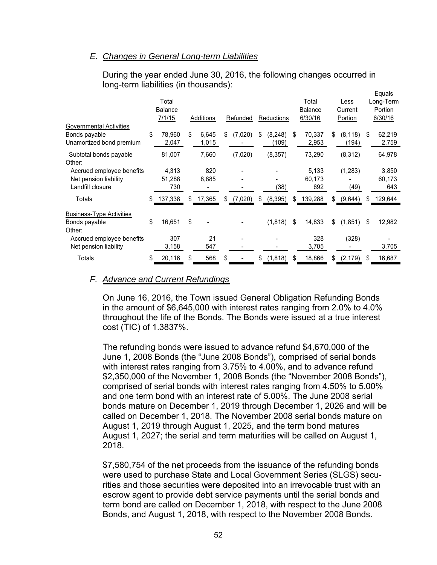# E. Changes in General Long-term Liabilities

During the year ended June 30, 2016, the following changes occurred in long-term liabilities (in thousands):  $\blacksquare$ 

| Governmental Activities                                                |    | Total<br><b>Balance</b><br>7/1/15 |    | Additions      |    | Refunded | Reductions              |    | Total<br><b>Balance</b><br>6/30/16 | Less<br>Current<br>Portion |    | Equais<br>Long-Term<br>Portion<br>6/30/16 |
|------------------------------------------------------------------------|----|-----------------------------------|----|----------------|----|----------|-------------------------|----|------------------------------------|----------------------------|----|-------------------------------------------|
| Bonds payable<br>Unamortized bond premium                              | \$ | 78,960<br>2,047                   | \$ | 6,645<br>1,015 | \$ | (7,020)  | \$<br>(8, 248)<br>(109) | \$ | 70,337<br>2,953                    | \$<br>(8, 118)<br>(194)    | S  | 62,219<br>2,759                           |
| Subtotal bonds payable<br>Other:                                       |    | 81,007                            |    | 7,660          |    | (7,020)  | (8, 357)                |    | 73,290                             | (8,312)                    |    | 64,978                                    |
| Accrued employee benefits<br>Net pension liability<br>Landfill closure |    | 4,313<br>51,288<br>730            |    | 820<br>8,885   |    |          | (38)                    |    | 5,133<br>60,173<br>692             | (1,283)<br>(49)            |    | 3,850<br>60,173<br>643                    |
| Totals                                                                 | \$ | 137,338                           | S  | 17,365         | \$ | (7,020)  | \$<br>(8, 395)          | \$ | 139,288                            | \$<br>(9,644)              | S  | 129,644                                   |
| <b>Business-Type Activities</b><br>Bonds payable<br>Other:             | \$ | 16,651                            | \$ |                |    |          | (1, 818)                | \$ | 14,833                             | \$<br>(1, 851)             | \$ | 12,982                                    |
| Accrued employee benefits<br>Net pension liability                     |    | 307<br>3,158                      |    | 21<br>547      |    |          |                         |    | 328<br>3,705                       | (328)                      |    | 3,705                                     |
| Totals                                                                 | S  | 20,116                            | S  | 568            | S  |          | \$<br>(1,818)           | S  | 18,866                             | \$<br>(2, 179)             | S  | 16,687                                    |

# F. Advance and Current Refundings

On June 16, 2016, the Town issued General Obligation Refunding Bonds in the amount of \$6,645,000 with interest rates ranging from 2.0% to 4.0% throughout the life of the Bonds. The Bonds were issued at a true interest cost (TIC) of 1.3837%.

The refunding bonds were issued to advance refund \$4,670,000 of the June 1, 2008 Bonds (the "June 2008 Bonds"), comprised of serial bonds with interest rates ranging from 3.75% to 4.00%, and to advance refund \$2,350,000 of the November 1, 2008 Bonds (the "November 2008 Bonds"), comprised of serial bonds with interest rates ranging from 4.50% to 5.00% and one term bond with an interest rate of 5.00%. The June 2008 serial bonds mature on December 1, 2019 through December 1, 2026 and will be called on December 1, 2018. The November 2008 serial bonds mature on August 1, 2019 through August 1, 2025, and the term bond matures August 1, 2027; the serial and term maturities will be called on August 1, 2018.

\$7,580,754 of the net proceeds from the issuance of the refunding bonds were used to purchase State and Local Government Series (SLGS) securities and those securities were deposited into an irrevocable trust with an escrow agent to provide debt service payments until the serial bonds and term bond are called on December 1, 2018, with respect to the June 2008 Bonds, and August 1, 2018, with respect to the November 2008 Bonds.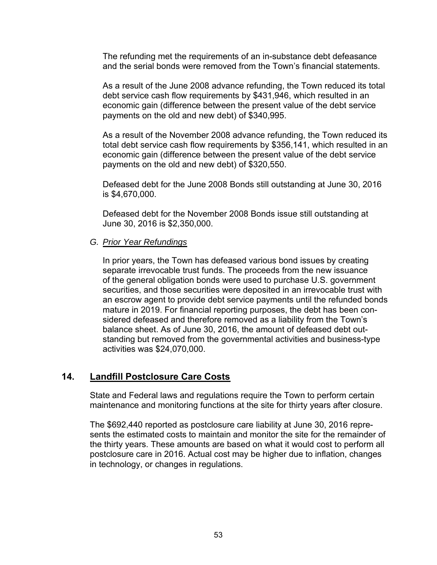The refunding met the requirements of an in-substance debt defeasance and the serial bonds were removed from the Town's financial statements.

As a result of the June 2008 advance refunding, the Town reduced its total debt service cash flow requirements by \$431,946, which resulted in an economic gain (difference between the present value of the debt service payments on the old and new debt) of \$340,995.

As a result of the November 2008 advance refunding, the Town reduced its total debt service cash flow requirements by \$356,141, which resulted in an economic gain (difference between the present value of the debt service payments on the old and new debt) of \$320,550.

Defeased debt for the June 2008 Bonds still outstanding at June 30, 2016 is \$4,670,000.

Defeased debt for the November 2008 Bonds issue still outstanding at June 30, 2016 is \$2,350,000.

# G. Prior Year Refundings

In prior years, the Town has defeased various bond issues by creating separate irrevocable trust funds. The proceeds from the new issuance of the general obligation bonds were used to purchase U.S. government securities, and those securities were deposited in an irrevocable trust with an escrow agent to provide debt service payments until the refunded bonds mature in 2019. For financial reporting purposes, the debt has been considered defeased and therefore removed as a liability from the Town's balance sheet. As of June 30, 2016, the amount of defeased debt outstanding but removed from the governmental activities and business-type activities was \$24,070,000.

#### $14.$ **Landfill Postclosure Care Costs**

State and Federal laws and regulations require the Town to perform certain maintenance and monitoring functions at the site for thirty years after closure.

The \$692,440 reported as postclosure care liability at June 30, 2016 represents the estimated costs to maintain and monitor the site for the remainder of the thirty years. These amounts are based on what it would cost to perform all postclosure care in 2016. Actual cost may be higher due to inflation, changes in technology, or changes in regulations.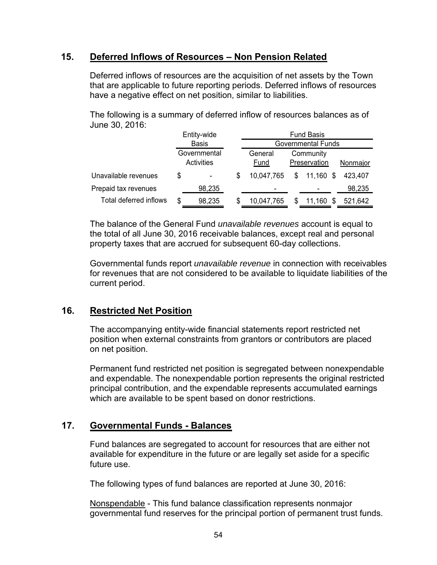#### $15.$ Deferred Inflows of Resources - Non Pension Related

Deferred inflows of resources are the acquisition of net assets by the Town that are applicable to future reporting periods. Deferred inflows of resources have a negative effect on net position, similar to liabilities.

The following is a summary of deferred inflow of resources balances as of June 30, 2016:

|                        | Entity-wide                                |        | <b>Fund Basis</b>  |              |              |      |          |  |  |
|------------------------|--------------------------------------------|--------|--------------------|--------------|--------------|------|----------|--|--|
|                        | <b>Basis</b><br>Governmental<br>Activities |        | Governmental Funds |              |              |      |          |  |  |
|                        |                                            |        | General            | Community    |              |      |          |  |  |
|                        |                                            |        | <b>Fund</b>        | Preservation |              |      | Nonmajor |  |  |
| Unavailable revenues   | S                                          |        | 10,047,765         |              | $$11,160$ \$ |      | 423.407  |  |  |
| Prepaid tax revenues   |                                            | 98,235 |                    |              |              |      | 98,235   |  |  |
| Total deferred inflows | S<br>98,235                                |        | 10,047,765         | S            | 11,160       | - \$ | 521,642  |  |  |

The balance of the General Fund *unavailable revenues* account is equal to the total of all June 30, 2016 receivable balances, except real and personal property taxes that are accrued for subsequent 60-day collections.

Governmental funds report *unavailable revenue* in connection with receivables for revenues that are not considered to be available to liquidate liabilities of the current period.

#### 16. **Restricted Net Position**

The accompanying entity-wide financial statements report restricted net position when external constraints from grantors or contributors are placed on net position.

Permanent fund restricted net position is segregated between nonexpendable and expendable. The nonexpendable portion represents the original restricted principal contribution, and the expendable represents accumulated earnings which are available to be spent based on donor restrictions.

#### $17.$ **Governmental Funds - Balances**

Fund balances are segregated to account for resources that are either not available for expenditure in the future or are legally set aside for a specific future use.

The following types of fund balances are reported at June 30, 2016:

Nonspendable - This fund balance classification represents nonmajor governmental fund reserves for the principal portion of permanent trust funds.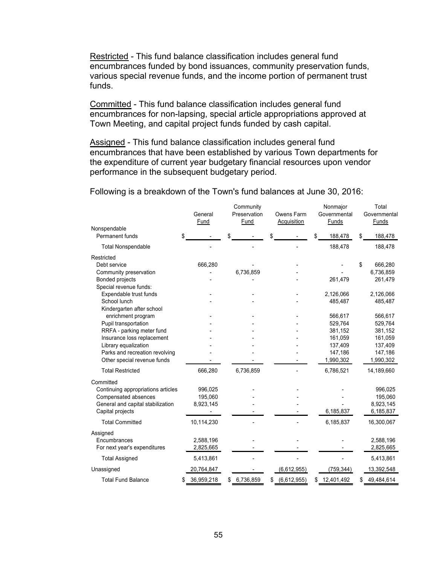Restricted - This fund balance classification includes general fund encumbrances funded by bond issuances, community preservation funds, various special revenue funds, and the income portion of permanent trust funds.

Committed - This fund balance classification includes general fund encumbrances for non-lapsing, special article appropriations approved at Town Meeting, and capital project funds funded by cash capital.

Assigned - This fund balance classification includes general fund encumbrances that have been established by various Town departments for the expenditure of current year budgetary financial resources upon vendor performance in the subsequent budgetary period.

|                                    | General<br><b>Fund</b> | Community<br>Preservation<br>Fund | Owens Farm<br>Acquisition | Nonmajor<br>Governmental<br><b>Funds</b> | Total<br>Governmental<br>Funds |
|------------------------------------|------------------------|-----------------------------------|---------------------------|------------------------------------------|--------------------------------|
| Nonspendable<br>Permanent funds    | \$                     | \$                                | \$                        | \$<br>188,478                            | \$<br>188,478                  |
| <b>Total Nonspendable</b>          |                        |                                   |                           | 188,478                                  | 188,478                        |
| Restricted                         |                        |                                   |                           |                                          |                                |
| Debt service                       | 666,280                |                                   |                           |                                          | \$<br>666,280                  |
| Community preservation             |                        | 6,736,859                         |                           |                                          | 6,736,859                      |
| <b>Bonded projects</b>             |                        |                                   |                           | 261,479                                  | 261,479                        |
| Special revenue funds:             |                        |                                   |                           |                                          |                                |
| Expendable trust funds             |                        |                                   |                           | 2,126,066                                | 2,126,066                      |
| School lunch                       |                        |                                   |                           | 485,487                                  | 485,487                        |
| Kindergarten after school          |                        |                                   |                           |                                          |                                |
| enrichment program                 |                        |                                   |                           | 566,617                                  | 566,617                        |
| Pupil transportation               |                        |                                   |                           | 529,764                                  | 529,764                        |
| RRFA - parking meter fund          |                        |                                   |                           | 381,152                                  | 381,152                        |
| Insurance loss replacement         |                        |                                   |                           | 161,059                                  | 161,059                        |
| Library equalization               |                        |                                   |                           | 137,409                                  | 137,409                        |
| Parks and recreation revolving     |                        |                                   |                           | 147,186                                  | 147,186                        |
| Other special revenue funds        |                        |                                   |                           | 1,990,302                                | 1,990,302                      |
| <b>Total Restricted</b>            | 666,280                | 6,736,859                         |                           | 6,786,521                                | 14,189,660                     |
| Committed                          |                        |                                   |                           |                                          |                                |
| Continuing appropriations articles | 996,025                |                                   |                           |                                          | 996,025                        |
| Compensated absences               | 195,060                |                                   |                           |                                          | 195,060                        |
| General and capital stabilization  | 8,923,145              |                                   |                           |                                          | 8,923,145                      |
| Capital projects                   |                        |                                   |                           | 6,185,837                                | 6,185,837                      |
| <b>Total Committed</b>             | 10,114,230             |                                   |                           | 6,185,837                                | 16,300,067                     |
| Assigned                           |                        |                                   |                           |                                          |                                |
| Encumbrances                       | 2,588,196              |                                   |                           |                                          | 2,588,196                      |
| For next year's expenditures       | 2,825,665              |                                   |                           |                                          | 2,825,665                      |
| <b>Total Assigned</b>              | 5,413,861              |                                   |                           |                                          | 5,413,861                      |
| Unassigned                         | 20,764,847             |                                   | (6,612,955)               | (759, 344)                               | 13,392,548                     |
| <b>Total Fund Balance</b>          | 36,959,218<br>S        | 6,736,859<br>\$                   | (6,612,955)<br>\$         | 12,401,492<br>\$                         | 49,484,614<br>\$               |

Following is a breakdown of the Town's fund balances at June 30, 2016: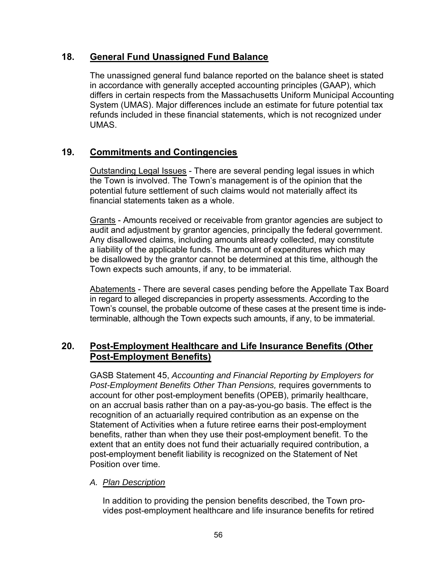#### 18. **General Fund Unassigned Fund Balance**

The unassigned general fund balance reported on the balance sheet is stated in accordance with generally accepted accounting principles (GAAP), which differs in certain respects from the Massachusetts Uniform Municipal Accounting System (UMAS). Major differences include an estimate for future potential tax refunds included in these financial statements, which is not recognized under UMAS.

#### 19. **Commitments and Contingencies**

Outstanding Legal Issues - There are several pending legal issues in which the Town is involved. The Town's management is of the opinion that the potential future settlement of such claims would not materially affect its financial statements taken as a whole.

Grants - Amounts received or receivable from grantor agencies are subject to audit and adjustment by grantor agencies, principally the federal government. Any disallowed claims, including amounts already collected, may constitute a liability of the applicable funds. The amount of expenditures which may be disallowed by the grantor cannot be determined at this time, although the Town expects such amounts, if any, to be immaterial.

Abatements - There are several cases pending before the Appellate Tax Board in regard to alleged discrepancies in property assessments. According to the Town's counsel, the probable outcome of these cases at the present time is indeterminable, although the Town expects such amounts, if any, to be immaterial.

#### $20.$ Post-Employment Healthcare and Life Insurance Benefits (Other **Post-Employment Benefits)**

GASB Statement 45, Accounting and Financial Reporting by Employers for Post-Employment Benefits Other Than Pensions, requires governments to account for other post-employment benefits (OPEB), primarily healthcare, on an accrual basis rather than on a pay-as-you-go basis. The effect is the recognition of an actuarially required contribution as an expense on the Statement of Activities when a future retiree earns their post-employment benefits, rather than when they use their post-employment benefit. To the extent that an entity does not fund their actuarially required contribution, a post-employment benefit liability is recognized on the Statement of Net Position over time.

# A. Plan Description

In addition to providing the pension benefits described, the Town provides post-employment healthcare and life insurance benefits for retired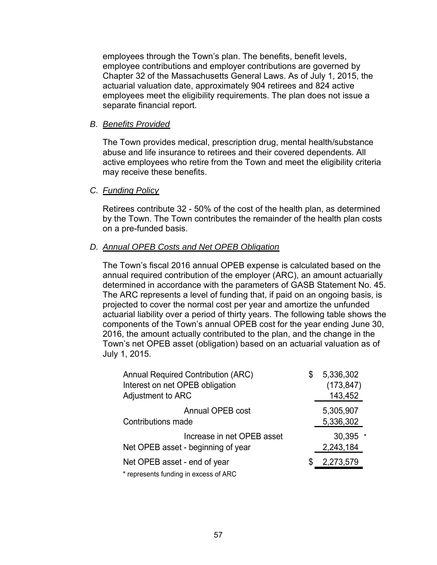employees through the Town's plan. The benefits, benefit levels, employee contributions and employer contributions are governed by Chapter 32 of the Massachusetts General Laws. As of July 1, 2015, the actuarial valuation date, approximately 904 retirees and 824 active employees meet the eligibility requirements. The plan does not issue a separate financial report.

## **B.** Benefits Provided

The Town provides medical, prescription drug, mental health/substance abuse and life insurance to retirees and their covered dependents. All active employees who retire from the Town and meet the eligibility criteria may receive these benefits.

# C. Funding Policy

Retirees contribute 32 - 50% of the cost of the health plan, as determined by the Town. The Town contributes the remainder of the health plan costs on a pre-funded basis.

## D. Annual OPEB Costs and Net OPEB Obligation

The Town's fiscal 2016 annual OPEB expense is calculated based on the annual required contribution of the employer (ARC), an amount actuarially determined in accordance with the parameters of GASB Statement No. 45. The ARC represents a level of funding that, if paid on an ongoing basis, is projected to cover the normal cost per year and amortize the unfunded actuarial liability over a period of thirty years. The following table shows the components of the Town's annual OPEB cost for the year ending June 30, 2016, the amount actually contributed to the plan, and the change in the Town's net OPEB asset (obligation) based on an actuarial valuation as of July 1, 2015.

| <b>Annual Required Contribution (ARC)</b> | \$<br>5,336,302 |
|-------------------------------------------|-----------------|
| Interest on net OPEB obligation           | (173, 847)      |
| Adjustment to ARC                         | 143,452         |
| Annual OPEB cost                          | 5,305,907       |
| Contributions made                        | 5,336,302       |
| Increase in net OPEB asset                | 30,395 *        |
| Net OPEB asset - beginning of year        | 2,243,184       |
| Net OPEB asset - end of year              | 2,273,579       |
| * represents funding in excess of ARC     |                 |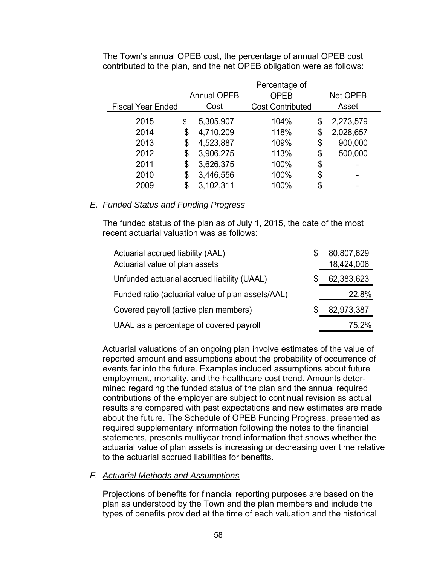The Town's annual OPEB cost, the percentage of annual OPEB cost contributed to the plan, and the net OPEB obligation were as follows:

| <b>Fiscal Year Ended</b> | <b>Annual OPEB</b><br>Cost | Percentage of<br><b>OPEB</b><br><b>Cost Contributed</b> | Net OPEB<br>Asset |  |  |
|--------------------------|----------------------------|---------------------------------------------------------|-------------------|--|--|
| 2015                     | \$<br>5,305,907            | 104%                                                    | \$<br>2,273,579   |  |  |
| 2014                     | \$<br>4,710,209            | 118%                                                    | \$<br>2,028,657   |  |  |
| 2013                     | \$<br>4,523,887            | 109%                                                    | \$<br>900,000     |  |  |
| 2012                     | \$<br>3,906,275            | 113%                                                    | \$<br>500,000     |  |  |
| 2011                     | \$<br>3,626,375            | 100%                                                    | \$                |  |  |
| 2010                     | \$<br>3,446,556            | 100%                                                    | \$                |  |  |
| 2009                     | \$<br>3,102,311            | 100%                                                    | \$                |  |  |

### E. Funded Status and Funding Progress

The funded status of the plan as of July 1, 2015, the date of the most recent actuarial valuation was as follows:

| Actuarial accrued liability (AAL)<br>Actuarial value of plan assets |   | 80,807,629<br>18,424,006 |
|---------------------------------------------------------------------|---|--------------------------|
| Unfunded actuarial accrued liability (UAAL)                         |   | 62,383,623               |
| Funded ratio (actuarial value of plan assets/AAL)                   |   | 22.8%                    |
| Covered payroll (active plan members)                               | S | 82,973,387               |
| UAAL as a percentage of covered payroll                             |   | 75.2%                    |

Actuarial valuations of an ongoing plan involve estimates of the value of reported amount and assumptions about the probability of occurrence of events far into the future. Examples included assumptions about future employment, mortality, and the healthcare cost trend. Amounts determined regarding the funded status of the plan and the annual required contributions of the employer are subject to continual revision as actual results are compared with past expectations and new estimates are made about the future. The Schedule of OPEB Funding Progress, presented as required supplementary information following the notes to the financial statements, presents multiyear trend information that shows whether the actuarial value of plan assets is increasing or decreasing over time relative to the actuarial accrued liabilities for benefits.

### F. Actuarial Methods and Assumptions

Projections of benefits for financial reporting purposes are based on the plan as understood by the Town and the plan members and include the types of benefits provided at the time of each valuation and the historical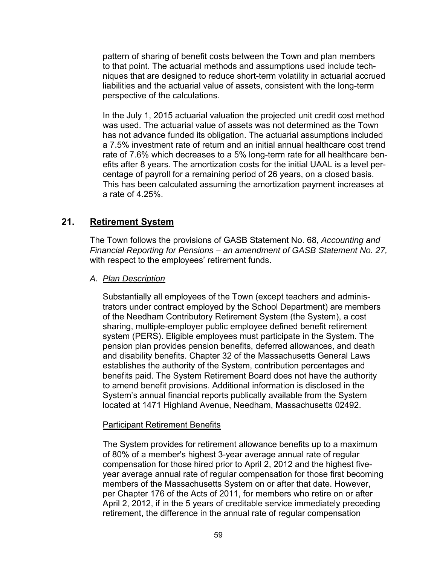pattern of sharing of benefit costs between the Town and plan members to that point. The actuarial methods and assumptions used include techniques that are designed to reduce short-term volatility in actuarial accrued liabilities and the actuarial value of assets, consistent with the long-term perspective of the calculations.

In the July 1, 2015 actuarial valuation the projected unit credit cost method was used. The actuarial value of assets was not determined as the Town has not advance funded its obligation. The actuarial assumptions included a 7.5% investment rate of return and an initial annual healthcare cost trend rate of 7.6% which decreases to a 5% long-term rate for all healthcare benefits after 8 years. The amortization costs for the initial UAAL is a level percentage of payroll for a remaining period of 26 years, on a closed basis. This has been calculated assuming the amortization payment increases at a rate of  $4.25\%$ .

#### $21.$ **Retirement System**

The Town follows the provisions of GASB Statement No. 68, Accounting and Financial Reporting for Pensions – an amendment of GASB Statement No. 27, with respect to the employees' retirement funds.

# A. Plan Description

Substantially all employees of the Town (except teachers and administrators under contract employed by the School Department) are members of the Needham Contributory Retirement System (the System), a cost sharing, multiple-employer public employee defined benefit retirement system (PERS). Eligible employees must participate in the System. The pension plan provides pension benefits, deferred allowances, and death and disability benefits. Chapter 32 of the Massachusetts General Laws establishes the authority of the System, contribution percentages and benefits paid. The System Retirement Board does not have the authority to amend benefit provisions. Additional information is disclosed in the System's annual financial reports publically available from the System located at 1471 Highland Avenue, Needham, Massachusetts 02492.

# **Participant Retirement Benefits**

The System provides for retirement allowance benefits up to a maximum of 80% of a member's highest 3-year average annual rate of regular compensation for those hired prior to April 2, 2012 and the highest fiveyear average annual rate of regular compensation for those first becoming members of the Massachusetts System on or after that date. However, per Chapter 176 of the Acts of 2011, for members who retire on or after April 2, 2012, if in the 5 years of creditable service immediately preceding retirement, the difference in the annual rate of regular compensation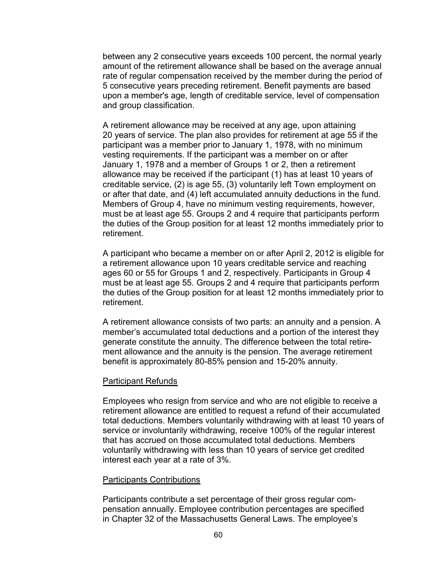between any 2 consecutive years exceeds 100 percent, the normal yearly amount of the retirement allowance shall be based on the average annual rate of regular compensation received by the member during the period of 5 consecutive years preceding retirement. Benefit payments are based upon a member's age, length of creditable service, level of compensation and group classification.

A retirement allowance may be received at any age, upon attaining 20 years of service. The plan also provides for retirement at age 55 if the participant was a member prior to January 1, 1978, with no minimum vesting requirements. If the participant was a member on or after January 1, 1978 and a member of Groups 1 or 2, then a retirement allowance may be received if the participant (1) has at least 10 years of creditable service, (2) is age 55, (3) voluntarily left Town employment on or after that date, and (4) left accumulated annuity deductions in the fund. Members of Group 4, have no minimum vesting requirements, however, must be at least age 55. Groups 2 and 4 require that participants perform the duties of the Group position for at least 12 months immediately prior to retirement.

A participant who became a member on or after April 2, 2012 is eligible for a retirement allowance upon 10 years creditable service and reaching ages 60 or 55 for Groups 1 and 2, respectively. Participants in Group 4 must be at least age 55. Groups 2 and 4 require that participants perform the duties of the Group position for at least 12 months immediately prior to retirement.

A retirement allowance consists of two parts: an annuity and a pension. A member's accumulated total deductions and a portion of the interest they generate constitute the annuity. The difference between the total retirement allowance and the annuity is the pension. The average retirement benefit is approximately 80-85% pension and 15-20% annuity.

### **Participant Refunds**

Employees who resign from service and who are not eligible to receive a retirement allowance are entitled to request a refund of their accumulated total deductions. Members voluntarily withdrawing with at least 10 years of service or involuntarily withdrawing, receive 100% of the regular interest that has accrued on those accumulated total deductions. Members voluntarily withdrawing with less than 10 years of service get credited interest each year at a rate of 3%.

### **Participants Contributions**

Participants contribute a set percentage of their gross regular compensation annually. Employee contribution percentages are specified in Chapter 32 of the Massachusetts General Laws. The employee's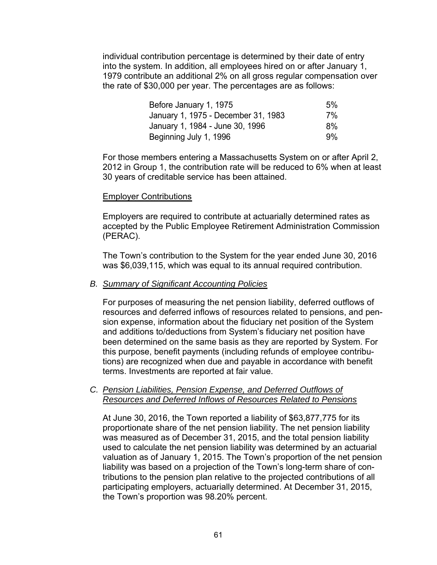individual contribution percentage is determined by their date of entry into the system. In addition, all employees hired on or after January 1, 1979 contribute an additional 2% on all gross regular compensation over the rate of \$30,000 per year. The percentages are as follows:

| Before January 1, 1975              | 5% |
|-------------------------------------|----|
| January 1, 1975 - December 31, 1983 | 7% |
| January 1, 1984 - June 30, 1996     | 8% |
| Beginning July 1, 1996              | 9% |

For those members entering a Massachusetts System on or after April 2, 2012 in Group 1, the contribution rate will be reduced to 6% when at least 30 years of creditable service has been attained.

### **Employer Contributions**

Employers are required to contribute at actuarially determined rates as accepted by the Public Employee Retirement Administration Commission (PERAC).

The Town's contribution to the System for the year ended June 30, 2016 was \$6,039,115, which was equal to its annual required contribution.

### B. Summary of Significant Accounting Policies

For purposes of measuring the net pension liability, deferred outflows of resources and deferred inflows of resources related to pensions, and pension expense, information about the fiduciary net position of the System and additions to/deductions from System's fiduciary net position have been determined on the same basis as they are reported by System. For this purpose, benefit payments (including refunds of employee contributions) are recognized when due and payable in accordance with benefit terms. Investments are reported at fair value.

### C. Pension Liabilities, Pension Expense, and Deferred Outflows of Resources and Deferred Inflows of Resources Related to Pensions

At June 30, 2016, the Town reported a liability of \$63,877,775 for its proportionate share of the net pension liability. The net pension liability was measured as of December 31, 2015, and the total pension liability used to calculate the net pension liability was determined by an actuarial valuation as of January 1, 2015. The Town's proportion of the net pension liability was based on a projection of the Town's long-term share of contributions to the pension plan relative to the projected contributions of all participating employers, actuarially determined. At December 31, 2015, the Town's proportion was 98.20% percent.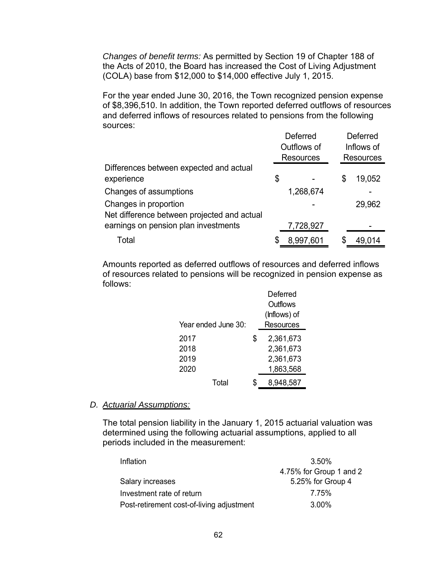*Changes of benefit terms:* As permitted by Section 19 of Chapter 188 of the Acts of 2010, the Board has increased the Cost of Living Adjustment  $(COLA)$  base from \$12,000 to \$14,000 effective July 1, 2015.

For the year ended June 30, 2016, the Town recognized pension expense of \$8,396,510. In addition, the Town reported deferred outflows of resources and deferred inflows of resources related to pensions from the following sources:

|                                             |             | Deferred         |            | Deferred         |
|---------------------------------------------|-------------|------------------|------------|------------------|
|                                             | Outflows of |                  | Inflows of |                  |
|                                             |             | <b>Resources</b> |            | <b>Resources</b> |
| Differences between expected and actual     |             |                  |            |                  |
| experience                                  | \$          |                  | \$         | 19,052           |
| Changes of assumptions                      |             | 1,268,674        |            |                  |
| Changes in proportion                       |             |                  |            | 29,962           |
| Net difference between projected and actual |             |                  |            |                  |
| earnings on pension plan investments        |             | 7,728,927        |            |                  |
| Total                                       | \$          | 8,997,601        |            | 49,014           |

Amounts reported as deferred outflows of resources and deferred inflows of resources related to pensions will be recognized in pension expense as  $follows:$ 

|                     | Deferred         |
|---------------------|------------------|
|                     | Outflows         |
|                     | (Inflows) of     |
| Year ended June 30: | <b>Resources</b> |
| 2017                | \$<br>2,361,673  |
| 2018                | 2,361,673        |
| 2019                | 2,361,673        |
| 2020                | 1,863,568        |
| Total               | 8,948,587<br>S   |

### *D. Actuarial Assumptions:*

The total pension liability in the January 1, 2015 actuarial valuation was determined using the following actuarial assumptions, applied to all periods included in the measurement:

| Inflation                                 | 3.50%                   |
|-------------------------------------------|-------------------------|
|                                           | 4.75% for Group 1 and 2 |
| Salary increases                          | 5.25% for Group 4       |
| Investment rate of return                 | 7.75%                   |
| Post-retirement cost-of-living adjustment | 3.00%                   |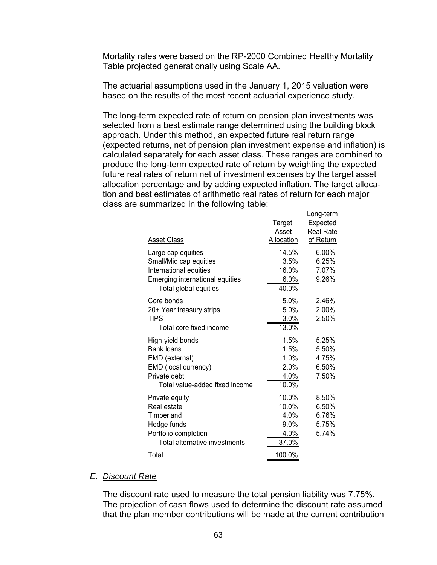Mortality rates were based on the RP-2000 Combined Healthy Mortality Table projected generationally using Scale AA.

The actuarial assumptions used in the January 1, 2015 valuation were based on the results of the most recent actuarial experience study.

The long-term expected rate of return on pension plan investments was selected from a best estimate range determined using the building block approach. Under this method, an expected future real return range (expected returns, net of pension plan investment expense and inflation) is calculated separately for each asset class. These ranges are combined to produce the long-term expected rate of return by weighting the expected future real rates of return net of investment expenses by the target asset allocation percentage and by adding expected inflation. The target allocation and best estimates of arithmetic real rates of return for each major class are summarized in the following table:

| Target<br>Asset<br><b>Allocation</b>                         | Long-term<br>Expected<br><b>Real Rate</b><br>of Return |
|--------------------------------------------------------------|--------------------------------------------------------|
| 14.5%<br>3.5%<br>16.0%<br>$6.0\%$<br>40.0%                   | 6.00%<br>6.25%<br>7.07%<br>9.26%                       |
| 5.0%<br>5.0%<br>$3.0\%$<br>13.0%                             | 2.46%<br>2.00%<br>2.50%                                |
| 1.5%<br>1.5%<br>$1.0\%$<br>$2.0\%$<br>4.0%<br>10.0%          | 5.25%<br>5.50%<br>4.75%<br>6.50%<br>7.50%              |
| 10.0%<br>10.0%<br>4.0%<br>$9.0\%$<br>4.0%<br>37.0%<br>100.0% | 8.50%<br>6.50%<br>6.76%<br>5.75%<br>5.74%              |
|                                                              |                                                        |

### E. Discount Rate

The discount rate used to measure the total pension liability was 7.75%. The projection of cash flows used to determine the discount rate assumed that the plan member contributions will be made at the current contribution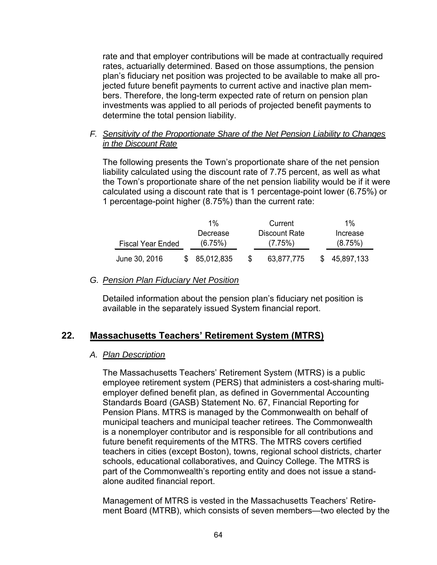rate and that employer contributions will be made at contractually required rates, actuarially determined. Based on those assumptions, the pension plan's fiduciary net position was projected to be available to make all projected future benefit payments to current active and inactive plan members. Therefore, the long-term expected rate of return on pension plan investments was applied to all periods of projected benefit payments to determine the total pension liability.

## F. Sensitivity of the Proportionate Share of the Net Pension Liability to Changes in the Discount Rate

The following presents the Town's proportionate share of the net pension liability calculated using the discount rate of 7.75 percent, as well as what the Town's proportionate share of the net pension liability would be if it were calculated using a discount rate that is 1 percentage-point lower (6.75%) or 1 percentage-point higher (8.75%) than the current rate:

|                          | $1\%$        | Current |               | $1\%$      |
|--------------------------|--------------|---------|---------------|------------|
|                          | Decrease     |         | Discount Rate | Increase   |
| <b>Fiscal Year Ended</b> | (6.75%)      |         | (7.75%)       | (8.75%)    |
| June 30, 2016            | \$85,012,835 |         | 63,877,775    | 45,897,133 |

### G. Pension Plan Fiduciary Net Position

Detailed information about the pension plan's fiduciary net position is available in the separately issued System financial report.

#### $22<sub>2</sub>$ **Massachusetts Teachers' Retirement System (MTRS)**

## A. Plan Description

The Massachusetts Teachers' Retirement System (MTRS) is a public employee retirement system (PERS) that administers a cost-sharing multiemployer defined benefit plan, as defined in Governmental Accounting Standards Board (GASB) Statement No. 67, Financial Reporting for Pension Plans. MTRS is managed by the Commonwealth on behalf of municipal teachers and municipal teacher retirees. The Commonwealth is a nonemployer contributor and is responsible for all contributions and future benefit requirements of the MTRS. The MTRS covers certified teachers in cities (except Boston), towns, regional school districts, charter schools, educational collaboratives, and Quincy College. The MTRS is part of the Commonwealth's reporting entity and does not issue a standalone audited financial report.

Management of MTRS is vested in the Massachusetts Teachers' Retirement Board (MTRB), which consists of seven members—two elected by the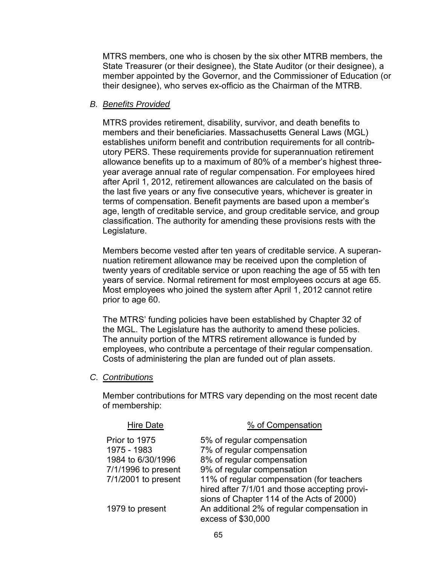MTRS members, one who is chosen by the six other MTRB members, the State Treasurer (or their designee), the State Auditor (or their designee), a member appointed by the Governor, and the Commissioner of Education (or their designee), who serves ex-officio as the Chairman of the MTRB.

### **B.** Benefits Provided

MTRS provides retirement, disability, survivor, and death benefits to members and their beneficiaries. Massachusetts General Laws (MGL) establishes uniform benefit and contribution requirements for all contributory PERS. These requirements provide for superannuation retirement allowance benefits up to a maximum of 80% of a member's highest threeyear average annual rate of regular compensation. For employees hired after April 1, 2012, retirement allowances are calculated on the basis of the last five years or any five consecutive years, whichever is greater in terms of compensation. Benefit payments are based upon a member's age, length of creditable service, and group creditable service, and group classification. The authority for amending these provisions rests with the Legislature.

Members become vested after ten years of creditable service. A superannuation retirement allowance may be received upon the completion of twenty years of creditable service or upon reaching the age of 55 with ten years of service. Normal retirement for most employees occurs at age 65. Most employees who joined the system after April 1, 2012 cannot retire prior to age 60.

The MTRS' funding policies have been established by Chapter 32 of the MGL. The Legislature has the authority to amend these policies. The annuity portion of the MTRS retirement allowance is funded by employees, who contribute a percentage of their regular compensation. Costs of administering the plan are funded out of plan assets.

### C. Contributions

Member contributions for MTRS vary depending on the most recent date of membership:

| <b>Hire Date</b>                           | % of Compensation                                                                          |
|--------------------------------------------|--------------------------------------------------------------------------------------------|
| Prior to 1975<br>1975 - 1983               | 5% of regular compensation<br>7% of regular compensation                                   |
| 1984 to 6/30/1996                          | 8% of regular compensation                                                                 |
| 7/1/1996 to present<br>7/1/2001 to present | 9% of regular compensation<br>11% of regular compensation (for teachers                    |
|                                            | hired after 7/1/01 and those accepting provi-<br>sions of Chapter 114 of the Acts of 2000) |
| 1979 to present                            | An additional 2% of regular compensation in<br>excess of \$30,000                          |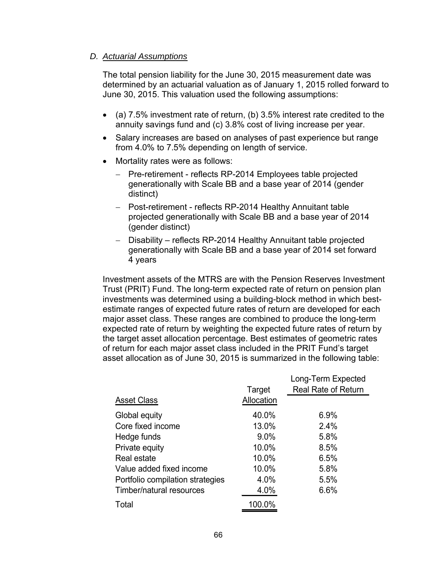### D. Actuarial Assumptions

The total pension liability for the June 30, 2015 measurement date was determined by an actuarial valuation as of January 1, 2015 rolled forward to June 30, 2015. This valuation used the following assumptions:

- (a)  $7.5\%$  investment rate of return, (b) 3.5% interest rate credited to the annuity savings fund and (c) 3.8% cost of living increase per year.
- Salary increases are based on analyses of past experience but range  $\bullet$ from 4.0% to 7.5% depending on length of service.
- Mortality rates were as follows:  $\bullet$ 
	- Pre-retirement reflects RP-2014 Employees table projected generationally with Scale BB and a base year of 2014 (gender distinct)
	- Post-retirement reflects RP-2014 Healthy Annuitant table projected generationally with Scale BB and a base year of 2014 (gender distinct)
	- Disability reflects RP-2014 Healthy Annuitant table projected generationally with Scale BB and a base year of 2014 set forward 4 years

Investment assets of the MTRS are with the Pension Reserves Investment Trust (PRIT) Fund. The long-term expected rate of return on pension plan investments was determined using a building-block method in which bestestimate ranges of expected future rates of return are developed for each major asset class. These ranges are combined to produce the long-term expected rate of return by weighting the expected future rates of return by the target asset allocation percentage. Best estimates of geometric rates of return for each major asset class included in the PRIT Fund's target asset allocation as of June 30, 2015 is summarized in the following table:

|                                  |            | Long-Term Expected         |
|----------------------------------|------------|----------------------------|
|                                  | Target     | <b>Real Rate of Return</b> |
| <b>Asset Class</b>               | Allocation |                            |
| Global equity                    | 40.0%      | 6.9%                       |
| Core fixed income                | 13.0%      | 2.4%                       |
| Hedge funds                      | 9.0%       | 5.8%                       |
| Private equity                   | 10.0%      | 8.5%                       |
| Real estate                      | 10.0%      | 6.5%                       |
| Value added fixed income         | 10.0%      | 5.8%                       |
| Portfolio compilation strategies | 4.0%       | 5.5%                       |
| Timber/natural resources         | 4.0%       | 6.6%                       |
| Total                            | 100.0%     |                            |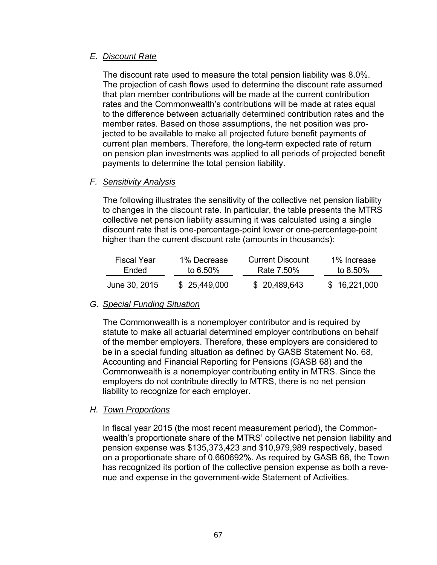## E. Discount Rate

The discount rate used to measure the total pension liability was 8.0%. The projection of cash flows used to determine the discount rate assumed that plan member contributions will be made at the current contribution rates and the Commonwealth's contributions will be made at rates equal to the difference between actuarially determined contribution rates and the member rates. Based on those assumptions, the net position was projected to be available to make all projected future benefit payments of current plan members. Therefore, the long-term expected rate of return on pension plan investments was applied to all periods of projected benefit payments to determine the total pension liability.

## F. Sensitivity Analysis

The following illustrates the sensitivity of the collective net pension liability to changes in the discount rate. In particular, the table presents the MTRS collective net pension liability assuming it was calculated using a single discount rate that is one-percentage-point lower or one-percentage-point higher than the current discount rate (amounts in thousands):

| Fiscal Year   | 1% Decrease  | <b>Current Discount</b> | 1% Increase  |
|---------------|--------------|-------------------------|--------------|
| Ended         | to $6.50\%$  | Rate 7.50%              | to $8.50\%$  |
| June 30, 2015 | \$25,449,000 | \$ 20,489,643           | \$16,221,000 |

## G. Special Funding Situation

The Commonwealth is a nonemployer contributor and is required by statute to make all actuarial determined employer contributions on behalf of the member employers. Therefore, these employers are considered to be in a special funding situation as defined by GASB Statement No. 68, Accounting and Financial Reporting for Pensions (GASB 68) and the Commonwealth is a nonemployer contributing entity in MTRS. Since the employers do not contribute directly to MTRS, there is no net pension liability to recognize for each employer.

## H. Town Proportions

In fiscal year 2015 (the most recent measurement period), the Commonwealth's proportionate share of the MTRS' collective net pension liability and pension expense was \$135,373,423 and \$10,979,989 respectively, based on a proportionate share of 0.660692%. As required by GASB 68, the Town has recognized its portion of the collective pension expense as both a revenue and expense in the government-wide Statement of Activities.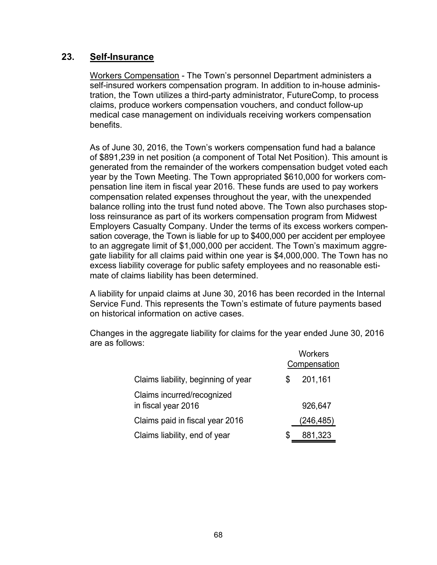#### 23. **Self-Insurance**

Workers Compensation - The Town's personnel Department administers a self-insured workers compensation program. In addition to in-house administration, the Town utilizes a third-party administrator, FutureComp, to process claims, produce workers compensation vouchers, and conduct follow-up medical case management on individuals receiving workers compensation benefits.

As of June 30, 2016, the Town's workers compensation fund had a balance of \$891,239 in net position (a component of Total Net Position). This amount is generated from the remainder of the workers compensation budget voted each year by the Town Meeting. The Town appropriated \$610,000 for workers compensation line item in fiscal year 2016. These funds are used to pay workers compensation related expenses throughout the year, with the unexpended balance rolling into the trust fund noted above. The Town also purchases stoploss reinsurance as part of its workers compensation program from Midwest Employers Casualty Company. Under the terms of its excess workers compensation coverage, the Town is liable for up to \$400,000 per accident per employee to an aggregate limit of \$1,000,000 per accident. The Town's maximum aggregate liability for all claims paid within one year is \$4,000,000. The Town has no excess liability coverage for public safety employees and no reasonable estimate of claims liability has been determined.

A liability for unpaid claims at June 30, 2016 has been recorded in the Internal Service Fund. This represents the Town's estimate of future payments based on historical information on active cases.

Changes in the aggregate liability for claims for the year ended June 30, 2016 are as follows:

|                                                   |     | Workers<br>Compensation |
|---------------------------------------------------|-----|-------------------------|
| Claims liability, beginning of year               | \$. | 201,161                 |
| Claims incurred/recognized<br>in fiscal year 2016 |     | 926,647                 |
| Claims paid in fiscal year 2016                   |     | (246, 485)              |
| Claims liability, end of year                     | \$  | 881,323                 |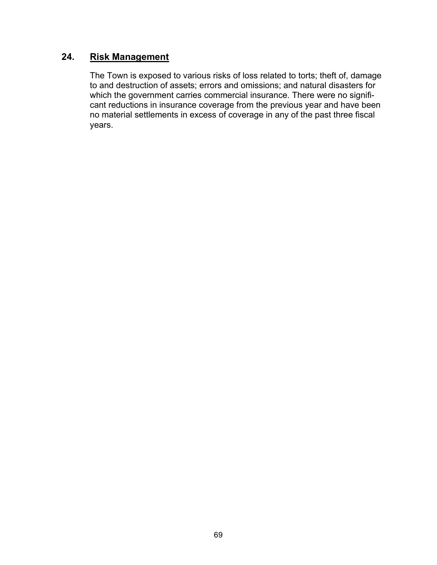#### 24. **Risk Management**

The Town is exposed to various risks of loss related to torts; theft of, damage to and destruction of assets; errors and omissions; and natural disasters for which the government carries commercial insurance. There were no significant reductions in insurance coverage from the previous year and have been no material settlements in excess of coverage in any of the past three fiscal years.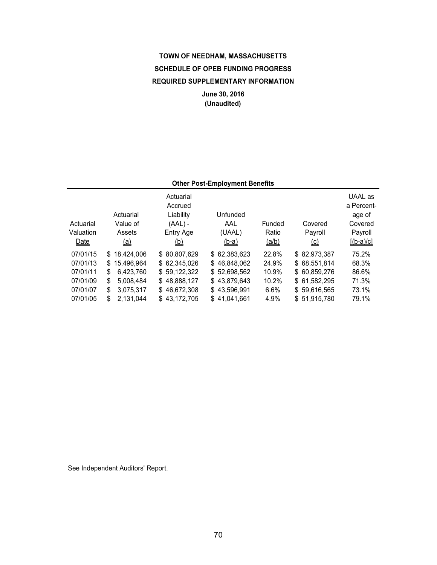# TOWN OF NEEDHAM, MASSACHUSETTS **SCHEDULE OF OPEB FUNDING PROGRESS** REQUIRED SUPPLEMENTARY INFORMATION June 30, 2016

(Unaudited)

|           | <b>Other Post-Employment Benefits</b> |                                   |              |              |              |                                 |  |
|-----------|---------------------------------------|-----------------------------------|--------------|--------------|--------------|---------------------------------|--|
|           | Actuarial                             | Actuarial<br>Accrued<br>Liability | Unfunded     |              |              | UAAL as<br>a Percent-<br>age of |  |
| Actuarial | Value of                              | (AAL) -                           | AAL          | Funded       | Covered      | Covered                         |  |
| Valuation | Assets                                | Entry Age                         | (UAAL)       | Ratio        | Payroll      | Payroll                         |  |
| Date      | <u>(a)</u>                            | <u>(b)</u>                        | <u>(b-a)</u> | <u>(a/b)</u> | <u>(c)</u>   | $[(b-a)/c]$                     |  |
| 07/01/15  | \$18,424,006                          | \$80,807,629                      | \$62,383,623 | 22.8%        | \$82,973,387 | 75.2%                           |  |
| 07/01/13  | 15,496,964<br>S.                      | \$62,345,026                      | \$46,848,062 | 24.9%        | \$68,551,814 | 68.3%                           |  |
| 07/01/11  | \$<br>6.423.760                       | \$59.122.322                      | \$52,698,562 | 10.9%        | \$60,859,276 | 86.6%                           |  |
| 07/01/09  | \$<br>5,008,484                       | \$48,888,127                      | \$43,879,643 | 10.2%        | \$61,582,295 | 71.3%                           |  |
| 07/01/07  | \$<br>3.075.317                       | \$46,672,308                      | \$43.596.991 | 6.6%         | \$59,616,565 | 73.1%                           |  |
| 07/01/05  | \$<br>2.131.044                       | \$43.172.705                      | \$41.041.661 | 4.9%         | \$51.915.780 | 79.1%                           |  |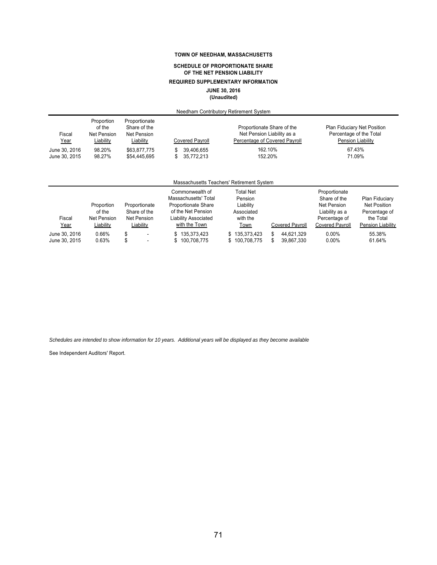### **SCHEDULE OF PROPORTIONATE SHARE** OF THE NET PENSION LIABILITY **REQUIRED SUPPLEMENTARY INFORMATION** JUNE 30, 2016 (Unaudited)

|                                |                                                         |                                                                  | Needham Contributory Retirement System                                                                                               |                                                                                           |                          |                                                                                                           |                                                                                          |
|--------------------------------|---------------------------------------------------------|------------------------------------------------------------------|--------------------------------------------------------------------------------------------------------------------------------------|-------------------------------------------------------------------------------------------|--------------------------|-----------------------------------------------------------------------------------------------------------|------------------------------------------------------------------------------------------|
| Fiscal<br>Year                 | Proportion<br>of the<br><b>Net Pension</b><br>Liability | Proportionate<br>Share of the<br>Net Pension<br>Liability        | <b>Covered Payroll</b>                                                                                                               | Proportionate Share of the<br>Net Pension Liability as a<br>Percentage of Covered Payroll |                          | Plan Fiduciary Net Position<br>Percentage of the Total<br>Pension Liability                               |                                                                                          |
| June 30, 2016<br>June 30, 2015 | 98.20%<br>98.27%                                        | \$63,877,775<br>\$54,445,695                                     | 39,406,655<br>\$<br>35,772,213                                                                                                       | 162.10%<br>152.20%                                                                        |                          | 67.43%<br>71.09%                                                                                          |                                                                                          |
|                                |                                                         |                                                                  | Massachusetts Teachers' Retirement System                                                                                            |                                                                                           |                          |                                                                                                           |                                                                                          |
| Fiscal<br>Year                 | Proportion<br>of the<br>Net Pension<br>Liability        | Proportionate<br>Share of the<br><b>Net Pension</b><br>Liability | Commonwealth of<br>Massachusetts' Total<br><b>Proportionate Share</b><br>of the Net Pension<br>Liability Associated<br>with the Town | <b>Total Net</b><br>Pension<br>Liability<br>Associated<br>with the<br>Town                | <b>Covered Payroll</b>   | Proportionate<br>Share of the<br>Net Pension<br>Liability as a<br>Percentage of<br><b>Covered Payroll</b> | Plan Fiduciary<br><b>Net Position</b><br>Percentage of<br>the Total<br>Pension Liability |
| June 30, 2016<br>June 30, 2015 | 0.66%<br>0.63%                                          | \$<br>$\overline{\phantom{a}}$<br>\$                             | 135,373,423<br>\$<br>\$<br>100,708,775                                                                                               | 135,373,423<br>100,708,775<br>S.                                                          | 44,621,329<br>39,867,330 | $0.00\%$<br>$0.00\%$                                                                                      | 55.38%<br>61.64%                                                                         |

Schedules are intended to show information for 10 years. Additional years will be displayed as they become available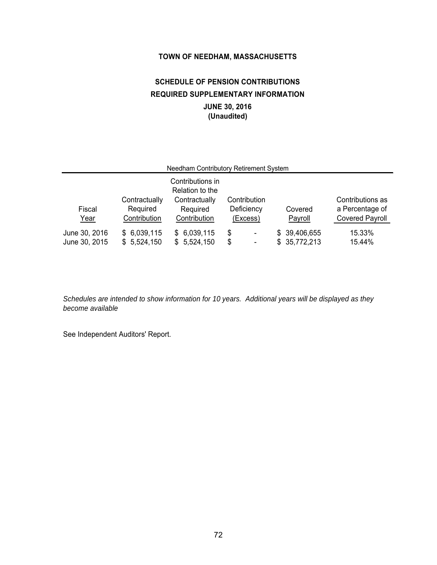# **SCHEDULE OF PENSION CONTRIBUTIONS** REQUIRED SUPPLEMENTARY INFORMATION **JUNE 30, 2016** (Unaudited)

| Needham Contributory Retirement System |                           |                                                                  |          |                            |  |               |                                     |         |                        |
|----------------------------------------|---------------------------|------------------------------------------------------------------|----------|----------------------------|--|---------------|-------------------------------------|---------|------------------------|
| Fiscal                                 | Contractually<br>Required | Contributions in<br>Relation to the<br>Contractually<br>Required |          | Contribution<br>Deficiency |  | Covered       | Contributions as<br>a Percentage of |         |                        |
| <u>Year</u>                            | Contribution              | Contribution                                                     | (Excess) |                            |  |               |                                     | Payroll | <b>Covered Payroll</b> |
| June 30, 2016                          | \$6,039,115               | \$6,039,115                                                      | \$       | $\overline{\phantom{a}}$   |  | \$ 39,406,655 | 15.33%                              |         |                        |
| June 30, 2015                          | \$5,524,150               | \$5,524,150                                                      | \$       | ٠                          |  | \$35,772,213  | 15.44%                              |         |                        |

Schedules are intended to show information for 10 years. Additional years will be displayed as they become available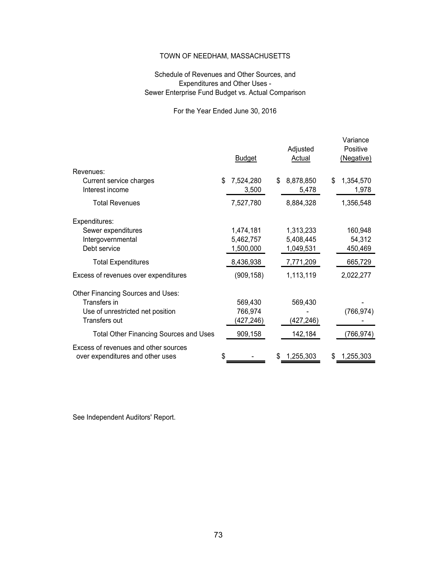### Schedule of Revenues and Other Sources, and Expenditures and Other Uses -Sewer Enterprise Fund Budget vs. Actual Comparison

### For the Year Ended June 30, 2016

|                                                                          |    | <b>Budget</b>      | Adjusted<br><b>Actual</b> | Variance<br>Positive<br>(Negative) |
|--------------------------------------------------------------------------|----|--------------------|---------------------------|------------------------------------|
| Revenues:                                                                |    |                    |                           |                                    |
| Current service charges<br>Interest income                               | \$ | 7,524,280<br>3,500 | \$<br>8,878,850<br>5,478  | \$<br>1,354,570<br>1,978           |
| <b>Total Revenues</b>                                                    |    | 7,527,780          | 8,884,328                 | 1,356,548                          |
| Expenditures:                                                            |    |                    |                           |                                    |
| Sewer expenditures                                                       |    | 1,474,181          | 1,313,233                 | 160,948                            |
| Intergovernmental                                                        |    | 5,462,757          | 5,408,445                 | 54,312                             |
| Debt service                                                             |    | 1,500,000          | 1,049,531                 | 450,469                            |
| <b>Total Expenditures</b>                                                |    | 8,436,938          | 7,771,209                 | 665,729                            |
| Excess of revenues over expenditures                                     |    | (909, 158)         | 1,113,119                 | 2,022,277                          |
| Other Financing Sources and Uses:                                        |    |                    |                           |                                    |
| Transfers in                                                             |    | 569,430            | 569,430                   |                                    |
| Use of unrestricted net position                                         |    | 766,974            |                           | (766, 974)                         |
| Transfers out                                                            |    | (427,246)          | (427,246)                 |                                    |
| <b>Total Other Financing Sources and Uses</b>                            |    | 909,158            | 142,184                   | (766,974)                          |
| Excess of revenues and other sources<br>over expenditures and other uses | S  |                    | \$<br>1,255,303           | \$<br>1,255,303                    |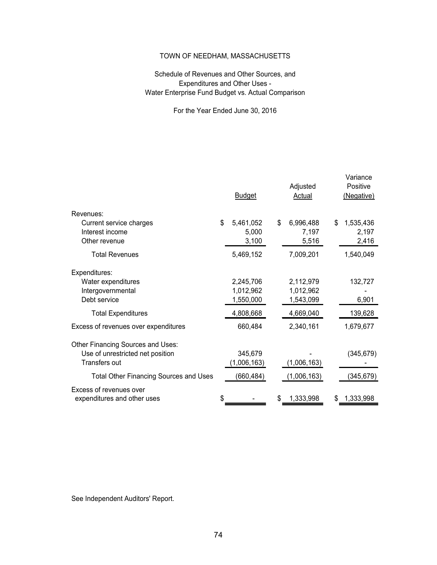### Schedule of Revenues and Other Sources, and Expenditures and Other Uses -Water Enterprise Fund Budget vs. Actual Comparison

For the Year Ended June 30, 2016

|                                                                                        | <b>Budget</b>                       | Adjusted<br><b>Actual</b>           | Variance<br>Positive<br>(Negative) |
|----------------------------------------------------------------------------------------|-------------------------------------|-------------------------------------|------------------------------------|
| Revenues:<br>Current service charges<br>Interest income<br>Other revenue               | \$<br>5,461,052<br>5,000<br>3,100   | \$<br>6,996,488<br>7,197<br>5,516   | \$<br>1,535,436<br>2,197<br>2,416  |
| <b>Total Revenues</b>                                                                  | 5,469,152                           | 7,009,201                           | 1,540,049                          |
| Expenditures:<br>Water expenditures<br>Intergovernmental<br>Debt service               | 2,245,706<br>1,012,962<br>1,550,000 | 2,112,979<br>1,012,962<br>1,543,099 | 132,727<br>6,901                   |
| <b>Total Expenditures</b>                                                              | 4,808,668                           | 4,669,040                           | 139,628                            |
| Excess of revenues over expenditures                                                   | 660,484                             | 2,340,161                           | 1,679,677                          |
| Other Financing Sources and Uses:<br>Use of unrestricted net position<br>Transfers out | 345,679<br>(1,006,163)              | (1,006,163)                         | (345, 679)                         |
| <b>Total Other Financing Sources and Uses</b>                                          | (660, 484)                          | (1,006,163)                         | (345, 679)                         |
| Excess of revenues over<br>expenditures and other uses                                 | \$                                  | \$<br>1,333,998                     | \$<br>1,333,998                    |